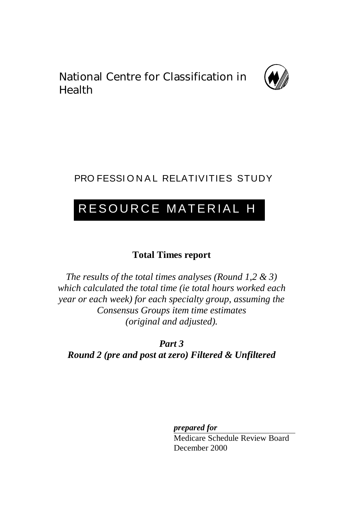National Centre for Classification in Health



## PRO FESSIONAL RELATIVITIES STUDY

## RESOURCE MATERIAL H

## **Total Times report**

*The results of the total times analyses (Round 1,2 & 3) which calculated the total time (ie total hours worked each year or each week) for each specialty group, assuming the Consensus Groups item time estimates (original and adjusted).*

*Part 3 Round 2 (pre and post at zero) Filtered & Unfiltered*

*prepared for*

Medicare Schedule Review Board December 2000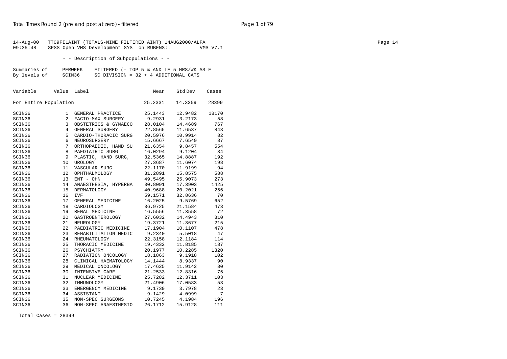| - - Description of Subpopulations - -<br>Summaries of<br>PERWEEK<br>FILTERED (- TOP 5 % AND LE 5 HRS/WK AS F<br>By levels of<br>SCIN36<br>SC DIVISION = $32 + 4$ ADDITIONAL CATS<br>Variable<br>Value Label<br>Std Dev<br>Mean<br>Cases<br>For Entire Population<br>25.2331<br>14.3359<br>28399<br>SCIN36<br>25.1443<br>12.9482<br>18170<br>1 GENERAL PRACTICE<br>SCIN36<br>9.2931<br>3.2173<br>58<br>2<br>FACIO-MAX SURGERY<br>767<br>SCIN36<br>3 OBSTETRICS & GYNAECO<br>28.0104<br>14.4689<br>SCIN36<br>4 GENERAL SURGERY<br>22.8565<br>11.6537<br>843<br>SCIN36<br>5 CARDIO-THORACIC SURG<br>20.5976<br>10.9914<br>82<br>SCIN36<br>6<br>NEUROSURGERY<br>15.6667<br>7.6549<br>87<br>SCIN36<br>7<br>ORTHOPAEDIC, HAND SU<br>21.6354<br>9.8457<br>554<br>SCIN36<br>8<br>16.0294<br>9.1204<br>34<br>PAEDIATRIC SURG<br>SCIN36<br>9 PLASTIC, HAND SURG,<br>32.5365<br>14.8887<br>192<br>SCIN36<br>10 UROLOGY<br>27.3687<br>11.6074<br>198<br>94<br>SCIN36<br>11 VASCULAR SURG<br>22.1170<br>11.9199<br>SCIN36<br>31.2891<br>15.8575<br>588<br>12<br>OPHTHALMOLOGY<br>SCIN36<br>13 ENT - OHN<br>49.5495<br>25.9073<br>273<br>SCIN36<br>17.3903<br>1425<br>14<br>ANAESTHESIA, HYPERBA<br>30.8091<br>SCIN36<br>20.2021<br>256<br>15<br>DERMATOLOGY<br>40.9688<br>SCIN36<br>16<br>70<br>IVF<br>59.1571<br>32.8636<br>SCIN36<br>16.2025<br>9.5769<br>652<br>17<br>GENERAL MEDICINE<br>473<br>SCIN36<br>18<br>CARDIOLOGY<br>36.9725<br>21.1584<br>SCIN36<br>72<br>19 RENAL MEDICINE<br>16.5556<br>11.3558<br>310<br>SCIN36<br>20<br>GASTROENTEROLOGY<br>27.6032<br>14.4943<br>SCIN36<br>21 NEUROLOGY<br>19.3721<br>11.3677<br>215<br>SCIN36<br>22 PAEDIATRIC MEDICINE<br>17.1904<br>10.1107<br>478<br>47<br>SCIN36<br>23 REHABILITATION MEDIC<br>9.2340<br>5.5018<br>SCIN36<br>24 RHEUMATOLOGY<br>22.3158<br>12.1184<br>114<br>SCIN36<br>25 THORACIC MEDICINE<br>19.4332<br>11.8185<br>187<br>1320<br>SCIN36<br>26 PSYCHIATRY<br>20.1977<br>10.2285<br>SCIN36<br>18.1863<br>9.1918<br>102<br>27 RADIATION ONCOLOGY<br>SCIN36<br>28<br>CLINICAL HAEMATOLOGY<br>14.1444<br>8.9337<br>90<br>SCIN36<br>29 MEDICAL ONCOLOGY<br>17.4625<br>11.9142<br>80<br>SCIN36<br>30 INTENSIVE CARE<br>21.2533<br>12.8316<br>75<br>SCIN36<br>31 NUCLEAR MEDICINE<br>25.7282<br>12.3711<br>103<br>SCIN36<br>32 IMMUNOLOGY<br>21.4906<br>17.0583<br>53<br>SCIN36<br>33 EMERGENCY MEDICINE<br>9.1739<br>3.7978<br>23<br>7<br>SCIN36<br>34 ASSISTANT<br>9.1429<br>4.0999<br>SCIN36<br>35 NON-SPEC SURGEONS<br>10.7245<br>4.1984<br>196<br>SCIN36<br>36 NON-SPEC ANAESTHESIO<br>26.1712<br>15.9128<br>111 | $14 - Aug - 00$<br>09:35:48 | TT09FILAINT (TOTALS-NINE FILTERED AINT) 14AUG2000/ALFA<br>SPSS Open VMS Development SYS on RUBENS:: |  | VMS V7.1 |
|-----------------------------------------------------------------------------------------------------------------------------------------------------------------------------------------------------------------------------------------------------------------------------------------------------------------------------------------------------------------------------------------------------------------------------------------------------------------------------------------------------------------------------------------------------------------------------------------------------------------------------------------------------------------------------------------------------------------------------------------------------------------------------------------------------------------------------------------------------------------------------------------------------------------------------------------------------------------------------------------------------------------------------------------------------------------------------------------------------------------------------------------------------------------------------------------------------------------------------------------------------------------------------------------------------------------------------------------------------------------------------------------------------------------------------------------------------------------------------------------------------------------------------------------------------------------------------------------------------------------------------------------------------------------------------------------------------------------------------------------------------------------------------------------------------------------------------------------------------------------------------------------------------------------------------------------------------------------------------------------------------------------------------------------------------------------------------------------------------------------------------------------------------------------------------------------------------------------------------------------------------------------------------------------------------------------------------------------------------------------------------------------------------------------------------------------------------------------------------------------------------------------------------------------------------------------------------|-----------------------------|-----------------------------------------------------------------------------------------------------|--|----------|
|                                                                                                                                                                                                                                                                                                                                                                                                                                                                                                                                                                                                                                                                                                                                                                                                                                                                                                                                                                                                                                                                                                                                                                                                                                                                                                                                                                                                                                                                                                                                                                                                                                                                                                                                                                                                                                                                                                                                                                                                                                                                                                                                                                                                                                                                                                                                                                                                                                                                                                                                                                             |                             |                                                                                                     |  |          |
|                                                                                                                                                                                                                                                                                                                                                                                                                                                                                                                                                                                                                                                                                                                                                                                                                                                                                                                                                                                                                                                                                                                                                                                                                                                                                                                                                                                                                                                                                                                                                                                                                                                                                                                                                                                                                                                                                                                                                                                                                                                                                                                                                                                                                                                                                                                                                                                                                                                                                                                                                                             |                             |                                                                                                     |  |          |
|                                                                                                                                                                                                                                                                                                                                                                                                                                                                                                                                                                                                                                                                                                                                                                                                                                                                                                                                                                                                                                                                                                                                                                                                                                                                                                                                                                                                                                                                                                                                                                                                                                                                                                                                                                                                                                                                                                                                                                                                                                                                                                                                                                                                                                                                                                                                                                                                                                                                                                                                                                             |                             |                                                                                                     |  |          |
|                                                                                                                                                                                                                                                                                                                                                                                                                                                                                                                                                                                                                                                                                                                                                                                                                                                                                                                                                                                                                                                                                                                                                                                                                                                                                                                                                                                                                                                                                                                                                                                                                                                                                                                                                                                                                                                                                                                                                                                                                                                                                                                                                                                                                                                                                                                                                                                                                                                                                                                                                                             |                             |                                                                                                     |  |          |
|                                                                                                                                                                                                                                                                                                                                                                                                                                                                                                                                                                                                                                                                                                                                                                                                                                                                                                                                                                                                                                                                                                                                                                                                                                                                                                                                                                                                                                                                                                                                                                                                                                                                                                                                                                                                                                                                                                                                                                                                                                                                                                                                                                                                                                                                                                                                                                                                                                                                                                                                                                             |                             |                                                                                                     |  |          |
|                                                                                                                                                                                                                                                                                                                                                                                                                                                                                                                                                                                                                                                                                                                                                                                                                                                                                                                                                                                                                                                                                                                                                                                                                                                                                                                                                                                                                                                                                                                                                                                                                                                                                                                                                                                                                                                                                                                                                                                                                                                                                                                                                                                                                                                                                                                                                                                                                                                                                                                                                                             |                             |                                                                                                     |  |          |
|                                                                                                                                                                                                                                                                                                                                                                                                                                                                                                                                                                                                                                                                                                                                                                                                                                                                                                                                                                                                                                                                                                                                                                                                                                                                                                                                                                                                                                                                                                                                                                                                                                                                                                                                                                                                                                                                                                                                                                                                                                                                                                                                                                                                                                                                                                                                                                                                                                                                                                                                                                             |                             |                                                                                                     |  |          |
|                                                                                                                                                                                                                                                                                                                                                                                                                                                                                                                                                                                                                                                                                                                                                                                                                                                                                                                                                                                                                                                                                                                                                                                                                                                                                                                                                                                                                                                                                                                                                                                                                                                                                                                                                                                                                                                                                                                                                                                                                                                                                                                                                                                                                                                                                                                                                                                                                                                                                                                                                                             |                             |                                                                                                     |  |          |
|                                                                                                                                                                                                                                                                                                                                                                                                                                                                                                                                                                                                                                                                                                                                                                                                                                                                                                                                                                                                                                                                                                                                                                                                                                                                                                                                                                                                                                                                                                                                                                                                                                                                                                                                                                                                                                                                                                                                                                                                                                                                                                                                                                                                                                                                                                                                                                                                                                                                                                                                                                             |                             |                                                                                                     |  |          |
|                                                                                                                                                                                                                                                                                                                                                                                                                                                                                                                                                                                                                                                                                                                                                                                                                                                                                                                                                                                                                                                                                                                                                                                                                                                                                                                                                                                                                                                                                                                                                                                                                                                                                                                                                                                                                                                                                                                                                                                                                                                                                                                                                                                                                                                                                                                                                                                                                                                                                                                                                                             |                             |                                                                                                     |  |          |
|                                                                                                                                                                                                                                                                                                                                                                                                                                                                                                                                                                                                                                                                                                                                                                                                                                                                                                                                                                                                                                                                                                                                                                                                                                                                                                                                                                                                                                                                                                                                                                                                                                                                                                                                                                                                                                                                                                                                                                                                                                                                                                                                                                                                                                                                                                                                                                                                                                                                                                                                                                             |                             |                                                                                                     |  |          |
|                                                                                                                                                                                                                                                                                                                                                                                                                                                                                                                                                                                                                                                                                                                                                                                                                                                                                                                                                                                                                                                                                                                                                                                                                                                                                                                                                                                                                                                                                                                                                                                                                                                                                                                                                                                                                                                                                                                                                                                                                                                                                                                                                                                                                                                                                                                                                                                                                                                                                                                                                                             |                             |                                                                                                     |  |          |
|                                                                                                                                                                                                                                                                                                                                                                                                                                                                                                                                                                                                                                                                                                                                                                                                                                                                                                                                                                                                                                                                                                                                                                                                                                                                                                                                                                                                                                                                                                                                                                                                                                                                                                                                                                                                                                                                                                                                                                                                                                                                                                                                                                                                                                                                                                                                                                                                                                                                                                                                                                             |                             |                                                                                                     |  |          |
|                                                                                                                                                                                                                                                                                                                                                                                                                                                                                                                                                                                                                                                                                                                                                                                                                                                                                                                                                                                                                                                                                                                                                                                                                                                                                                                                                                                                                                                                                                                                                                                                                                                                                                                                                                                                                                                                                                                                                                                                                                                                                                                                                                                                                                                                                                                                                                                                                                                                                                                                                                             |                             |                                                                                                     |  |          |
|                                                                                                                                                                                                                                                                                                                                                                                                                                                                                                                                                                                                                                                                                                                                                                                                                                                                                                                                                                                                                                                                                                                                                                                                                                                                                                                                                                                                                                                                                                                                                                                                                                                                                                                                                                                                                                                                                                                                                                                                                                                                                                                                                                                                                                                                                                                                                                                                                                                                                                                                                                             |                             |                                                                                                     |  |          |
|                                                                                                                                                                                                                                                                                                                                                                                                                                                                                                                                                                                                                                                                                                                                                                                                                                                                                                                                                                                                                                                                                                                                                                                                                                                                                                                                                                                                                                                                                                                                                                                                                                                                                                                                                                                                                                                                                                                                                                                                                                                                                                                                                                                                                                                                                                                                                                                                                                                                                                                                                                             |                             |                                                                                                     |  |          |
|                                                                                                                                                                                                                                                                                                                                                                                                                                                                                                                                                                                                                                                                                                                                                                                                                                                                                                                                                                                                                                                                                                                                                                                                                                                                                                                                                                                                                                                                                                                                                                                                                                                                                                                                                                                                                                                                                                                                                                                                                                                                                                                                                                                                                                                                                                                                                                                                                                                                                                                                                                             |                             |                                                                                                     |  |          |
|                                                                                                                                                                                                                                                                                                                                                                                                                                                                                                                                                                                                                                                                                                                                                                                                                                                                                                                                                                                                                                                                                                                                                                                                                                                                                                                                                                                                                                                                                                                                                                                                                                                                                                                                                                                                                                                                                                                                                                                                                                                                                                                                                                                                                                                                                                                                                                                                                                                                                                                                                                             |                             |                                                                                                     |  |          |
|                                                                                                                                                                                                                                                                                                                                                                                                                                                                                                                                                                                                                                                                                                                                                                                                                                                                                                                                                                                                                                                                                                                                                                                                                                                                                                                                                                                                                                                                                                                                                                                                                                                                                                                                                                                                                                                                                                                                                                                                                                                                                                                                                                                                                                                                                                                                                                                                                                                                                                                                                                             |                             |                                                                                                     |  |          |
|                                                                                                                                                                                                                                                                                                                                                                                                                                                                                                                                                                                                                                                                                                                                                                                                                                                                                                                                                                                                                                                                                                                                                                                                                                                                                                                                                                                                                                                                                                                                                                                                                                                                                                                                                                                                                                                                                                                                                                                                                                                                                                                                                                                                                                                                                                                                                                                                                                                                                                                                                                             |                             |                                                                                                     |  |          |
|                                                                                                                                                                                                                                                                                                                                                                                                                                                                                                                                                                                                                                                                                                                                                                                                                                                                                                                                                                                                                                                                                                                                                                                                                                                                                                                                                                                                                                                                                                                                                                                                                                                                                                                                                                                                                                                                                                                                                                                                                                                                                                                                                                                                                                                                                                                                                                                                                                                                                                                                                                             |                             |                                                                                                     |  |          |
|                                                                                                                                                                                                                                                                                                                                                                                                                                                                                                                                                                                                                                                                                                                                                                                                                                                                                                                                                                                                                                                                                                                                                                                                                                                                                                                                                                                                                                                                                                                                                                                                                                                                                                                                                                                                                                                                                                                                                                                                                                                                                                                                                                                                                                                                                                                                                                                                                                                                                                                                                                             |                             |                                                                                                     |  |          |
|                                                                                                                                                                                                                                                                                                                                                                                                                                                                                                                                                                                                                                                                                                                                                                                                                                                                                                                                                                                                                                                                                                                                                                                                                                                                                                                                                                                                                                                                                                                                                                                                                                                                                                                                                                                                                                                                                                                                                                                                                                                                                                                                                                                                                                                                                                                                                                                                                                                                                                                                                                             |                             |                                                                                                     |  |          |
|                                                                                                                                                                                                                                                                                                                                                                                                                                                                                                                                                                                                                                                                                                                                                                                                                                                                                                                                                                                                                                                                                                                                                                                                                                                                                                                                                                                                                                                                                                                                                                                                                                                                                                                                                                                                                                                                                                                                                                                                                                                                                                                                                                                                                                                                                                                                                                                                                                                                                                                                                                             |                             |                                                                                                     |  |          |
|                                                                                                                                                                                                                                                                                                                                                                                                                                                                                                                                                                                                                                                                                                                                                                                                                                                                                                                                                                                                                                                                                                                                                                                                                                                                                                                                                                                                                                                                                                                                                                                                                                                                                                                                                                                                                                                                                                                                                                                                                                                                                                                                                                                                                                                                                                                                                                                                                                                                                                                                                                             |                             |                                                                                                     |  |          |
|                                                                                                                                                                                                                                                                                                                                                                                                                                                                                                                                                                                                                                                                                                                                                                                                                                                                                                                                                                                                                                                                                                                                                                                                                                                                                                                                                                                                                                                                                                                                                                                                                                                                                                                                                                                                                                                                                                                                                                                                                                                                                                                                                                                                                                                                                                                                                                                                                                                                                                                                                                             |                             |                                                                                                     |  |          |
|                                                                                                                                                                                                                                                                                                                                                                                                                                                                                                                                                                                                                                                                                                                                                                                                                                                                                                                                                                                                                                                                                                                                                                                                                                                                                                                                                                                                                                                                                                                                                                                                                                                                                                                                                                                                                                                                                                                                                                                                                                                                                                                                                                                                                                                                                                                                                                                                                                                                                                                                                                             |                             |                                                                                                     |  |          |
|                                                                                                                                                                                                                                                                                                                                                                                                                                                                                                                                                                                                                                                                                                                                                                                                                                                                                                                                                                                                                                                                                                                                                                                                                                                                                                                                                                                                                                                                                                                                                                                                                                                                                                                                                                                                                                                                                                                                                                                                                                                                                                                                                                                                                                                                                                                                                                                                                                                                                                                                                                             |                             |                                                                                                     |  |          |
|                                                                                                                                                                                                                                                                                                                                                                                                                                                                                                                                                                                                                                                                                                                                                                                                                                                                                                                                                                                                                                                                                                                                                                                                                                                                                                                                                                                                                                                                                                                                                                                                                                                                                                                                                                                                                                                                                                                                                                                                                                                                                                                                                                                                                                                                                                                                                                                                                                                                                                                                                                             |                             |                                                                                                     |  |          |
|                                                                                                                                                                                                                                                                                                                                                                                                                                                                                                                                                                                                                                                                                                                                                                                                                                                                                                                                                                                                                                                                                                                                                                                                                                                                                                                                                                                                                                                                                                                                                                                                                                                                                                                                                                                                                                                                                                                                                                                                                                                                                                                                                                                                                                                                                                                                                                                                                                                                                                                                                                             |                             |                                                                                                     |  |          |
|                                                                                                                                                                                                                                                                                                                                                                                                                                                                                                                                                                                                                                                                                                                                                                                                                                                                                                                                                                                                                                                                                                                                                                                                                                                                                                                                                                                                                                                                                                                                                                                                                                                                                                                                                                                                                                                                                                                                                                                                                                                                                                                                                                                                                                                                                                                                                                                                                                                                                                                                                                             |                             |                                                                                                     |  |          |
|                                                                                                                                                                                                                                                                                                                                                                                                                                                                                                                                                                                                                                                                                                                                                                                                                                                                                                                                                                                                                                                                                                                                                                                                                                                                                                                                                                                                                                                                                                                                                                                                                                                                                                                                                                                                                                                                                                                                                                                                                                                                                                                                                                                                                                                                                                                                                                                                                                                                                                                                                                             |                             |                                                                                                     |  |          |
|                                                                                                                                                                                                                                                                                                                                                                                                                                                                                                                                                                                                                                                                                                                                                                                                                                                                                                                                                                                                                                                                                                                                                                                                                                                                                                                                                                                                                                                                                                                                                                                                                                                                                                                                                                                                                                                                                                                                                                                                                                                                                                                                                                                                                                                                                                                                                                                                                                                                                                                                                                             |                             |                                                                                                     |  |          |
|                                                                                                                                                                                                                                                                                                                                                                                                                                                                                                                                                                                                                                                                                                                                                                                                                                                                                                                                                                                                                                                                                                                                                                                                                                                                                                                                                                                                                                                                                                                                                                                                                                                                                                                                                                                                                                                                                                                                                                                                                                                                                                                                                                                                                                                                                                                                                                                                                                                                                                                                                                             |                             |                                                                                                     |  |          |
|                                                                                                                                                                                                                                                                                                                                                                                                                                                                                                                                                                                                                                                                                                                                                                                                                                                                                                                                                                                                                                                                                                                                                                                                                                                                                                                                                                                                                                                                                                                                                                                                                                                                                                                                                                                                                                                                                                                                                                                                                                                                                                                                                                                                                                                                                                                                                                                                                                                                                                                                                                             |                             |                                                                                                     |  |          |
|                                                                                                                                                                                                                                                                                                                                                                                                                                                                                                                                                                                                                                                                                                                                                                                                                                                                                                                                                                                                                                                                                                                                                                                                                                                                                                                                                                                                                                                                                                                                                                                                                                                                                                                                                                                                                                                                                                                                                                                                                                                                                                                                                                                                                                                                                                                                                                                                                                                                                                                                                                             |                             |                                                                                                     |  |          |
|                                                                                                                                                                                                                                                                                                                                                                                                                                                                                                                                                                                                                                                                                                                                                                                                                                                                                                                                                                                                                                                                                                                                                                                                                                                                                                                                                                                                                                                                                                                                                                                                                                                                                                                                                                                                                                                                                                                                                                                                                                                                                                                                                                                                                                                                                                                                                                                                                                                                                                                                                                             |                             |                                                                                                     |  |          |
|                                                                                                                                                                                                                                                                                                                                                                                                                                                                                                                                                                                                                                                                                                                                                                                                                                                                                                                                                                                                                                                                                                                                                                                                                                                                                                                                                                                                                                                                                                                                                                                                                                                                                                                                                                                                                                                                                                                                                                                                                                                                                                                                                                                                                                                                                                                                                                                                                                                                                                                                                                             |                             |                                                                                                     |  |          |
|                                                                                                                                                                                                                                                                                                                                                                                                                                                                                                                                                                                                                                                                                                                                                                                                                                                                                                                                                                                                                                                                                                                                                                                                                                                                                                                                                                                                                                                                                                                                                                                                                                                                                                                                                                                                                                                                                                                                                                                                                                                                                                                                                                                                                                                                                                                                                                                                                                                                                                                                                                             |                             |                                                                                                     |  |          |
|                                                                                                                                                                                                                                                                                                                                                                                                                                                                                                                                                                                                                                                                                                                                                                                                                                                                                                                                                                                                                                                                                                                                                                                                                                                                                                                                                                                                                                                                                                                                                                                                                                                                                                                                                                                                                                                                                                                                                                                                                                                                                                                                                                                                                                                                                                                                                                                                                                                                                                                                                                             |                             |                                                                                                     |  |          |

Total Cases = 28399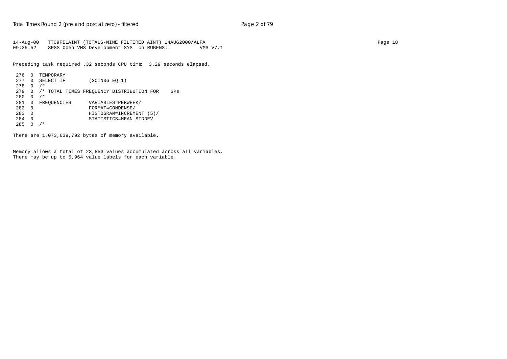14-Aug-00 TT09FILAINT (TOTALS-NINE FILTERED AINT) 14AUG2000/ALFA Page 18 09:35:52 SPSS Open VMS Development SYS on RUBENS:: VMS V7.1

Preceding task required .32 seconds CPU time; 3.29 seconds elapsed.

```
276 0 TEMPORARY
277 0 SELECT IF (SCIN36 EQ 1)
278 0 /*
279 0 /* TOTAL TIMES FREQUENCY DISTRIBUTION FOR GPs
280 0 /*
281 0 FREQUENCIES VARIABLES=PERWEEK/<br>282 0 FORMAT=CONDENSE/
\begin{array}{cccc}\n 282 & 0 & \text{FORMAT=COMDENSE}/\\ \n 283 & 0 & \text{HISTOGRAPH=INCREM}\n \end{array}283 0 HISTOGRAM=INCREMENT (5)/<br>284 0 STATISTICS=MEAN STDDEV
                          STATISTICS=MEAN STDDEV
285 \t 0 / *
```
There are 1,073,639,792 bytes of memory available.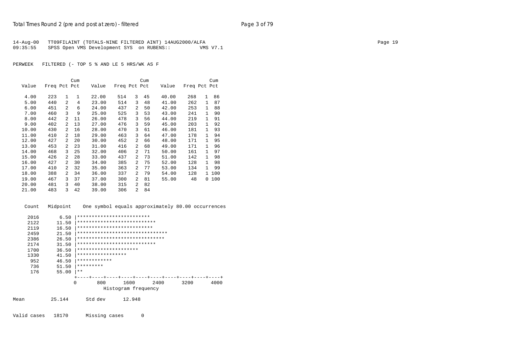| 14-Aug-00 | TT09FILAINT (TOTALS-NINE FILTERED AINT) 14AUG2000/ALFA |          | Page 19 |
|-----------|--------------------------------------------------------|----------|---------|
| 09:35:55  | SPSS Open VMS Development SYS on RUBENS::              | VMS V7.1 |         |

|       |              |                | Cum          |                                                   |              |                | Cum |       |              |              | Cum   |
|-------|--------------|----------------|--------------|---------------------------------------------------|--------------|----------------|-----|-------|--------------|--------------|-------|
| Value | Freq Pct Pct |                |              | Value                                             | Freq Pct Pct |                |     | Value | Freq Pct Pct |              |       |
| 4.00  | 223          | $\mathbf{1}$   | $\mathbf{1}$ | 22.00                                             | 514          | 3              | 45  | 40.00 | 268          | $\mathbf{1}$ | 86    |
| 5.00  | 440          | $\overline{a}$ | 4            | 23.00                                             | 514          | 3              | 48  | 41.00 | 262          | $\mathbf{1}$ | 87    |
| 6.00  | 451          | $\overline{a}$ | 6            | 24.00                                             | 437          | $\overline{a}$ | 50  | 42.00 | 253          | 1            | 88    |
| 7.00  | 460          | 3              | 9            | 25.00                                             | 525          | 3              | 53  | 43.00 | 241          | $\mathbf{1}$ | 90    |
| 8.00  | 442          | 2              | 11           | 26.00                                             | 478          | 3              | 56  | 44.00 | 219          | 1            | 91    |
| 9.00  | 402          | 2              | 13           | 27.00                                             | 476          | 3              | 59  | 45.00 | 203          | 1            | 92    |
| 10.00 | 430          | 2              | 16           | 28.00                                             | 470          | 3              | 61  | 46.00 | 181          | 1            | 93    |
| 11.00 | 410          | 2              | 18           | 29.00                                             | 463          | 3              | 64  | 47.00 | 178          | 1            | 94    |
| 12.00 | 427          | 2              | 20           | 30.00                                             | 452          | $\overline{2}$ | 66  | 48.00 | 171          | $\mathbf{1}$ | 95    |
| 13.00 | 453          | 2              | 23           | 31.00                                             | 416          | $\overline{2}$ | 68  | 49.00 | 171          | 1            | 96    |
| 14.00 | 468          | 3              | 25           | 32.00                                             | 406          | 2              | 71  | 50.00 | 161          | 1            | 97    |
| 15.00 | 426          | $\overline{a}$ | 28           | 33.00                                             | 437          | $\overline{2}$ | 73  | 51.00 | 142          | $\mathbf{1}$ | 98    |
| 16.00 | 427          | $\overline{a}$ | 30           | 34.00                                             | 385          | $\overline{2}$ | 75  | 52.00 | 128          | 1            | 98    |
| 17.00 | 410          | $\overline{a}$ | 32           | 35.00                                             | 363          | $\overline{2}$ | 77  | 53.00 | 134          | 1            | 99    |
| 18.00 | 388          | 2              | 34           | 36.00                                             | 337          | $\overline{a}$ | 79  | 54.00 | 128          |              | 1 100 |
| 19.00 | 467          | 3              | 37           | 37.00                                             | 300          | $\overline{2}$ | 81  | 55.00 | 48           |              | 0 100 |
| 20.00 | 481          | 3              | 40           | 38.00                                             | 315          | $\overline{2}$ | 82  |       |              |              |       |
| 21.00 | 483          | 3              | 42           | 39.00                                             | 306          | $\overline{2}$ | 84  |       |              |              |       |
| Count |              | Midpoint       |              | One symbol equals approximately 80.00 occurrences |              |                |     |       |              |              |       |
|       |              |                |              |                                                   |              |                |     |       |              |              |       |

| 2016 | 6.50     | *************************           |
|------|----------|-------------------------------------|
| 2122 | 11.50    | ***************************         |
| 2119 | 16.50    | **************************          |
| 2459 | 21.50    | *******************************     |
| 2386 | 26.50    | ******************************      |
| 2174 | 31.50    | ***************************         |
| 1700 | 36.50    | *********************               |
| 1330 | 41.50    | *****************                   |
| 952  | 46.50    | ************                        |
| 736  | 51.50    | *********                           |
| 176  | 55.00    | $***$                               |
|      |          |                                     |
|      | $\Omega$ | 800<br>1600<br>2400<br>3200<br>4000 |
|      |          | Histogram frequency                 |
| Mean | 25.144   | Std dev<br>12.948                   |

Valid cases 18170 Missing cases 0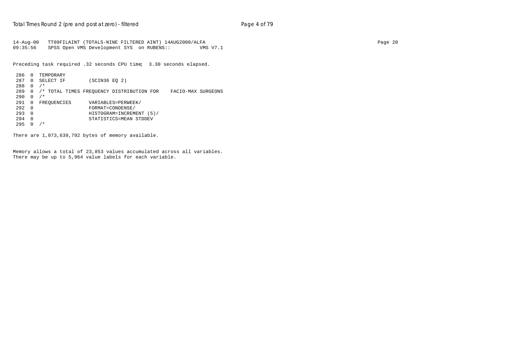14-Aug-00 TT09FILAINT (TOTALS-NINE FILTERED AINT) 14AUG2000/ALFA Page 20 SPSS Open VMS Development SYS on RUBENS:: VMS V7.1

Preceding task required .32 seconds CPU time; 3.30 seconds elapsed.

```
286 0 TEMPORARY
287 0 SELECT IF (SCIN36 EQ 2)
288 0 /*
289 0 /* TOTAL TIMES FREQUENCY DISTRIBUTION FOR FACIO-MAX SURGEONS
290  0 /*<br>291  0  FREQUENCIES
                 VARIABLES=PERWEEK/
292 0 FORMAT=CONDENSE/
293 0 HISTOGRAM=INCREMENT (5)/
294 0 STATISTICS=MEAN STDDEV
295 0 /*
```
There are 1,073,639,792 bytes of memory available.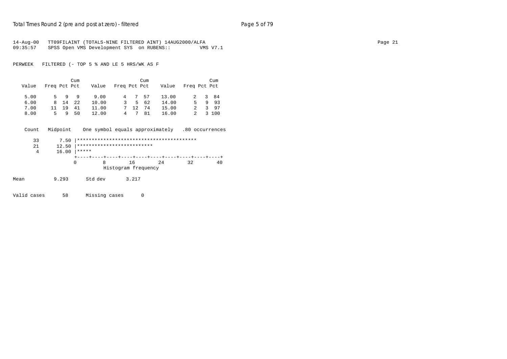| 14-Aug-00 | TT09FILAINT (TOTALS-NINE FILTERED AINT) 14AUG2000/ALFA |          | Page 21 |
|-----------|--------------------------------------------------------|----------|---------|
| 09:35:57  | SPSS Open VMS Development SYS on RUBENS::              | VMS V7.1 |         |

|       |              |    | Cum     |       |      | Cum    |                                       |  | Cum     |
|-------|--------------|----|---------|-------|------|--------|---------------------------------------|--|---------|
| Value | Freq Pct Pct |    |         |       |      |        | Value Freq Pct Pct Value Freq Pct Pct |  |         |
|       |              |    |         |       |      |        |                                       |  |         |
| 5.00  |              |    | 5 9 9   | 9.00  |      | 4 7 57 | 13.00                                 |  | 2 3 84  |
| 6.00  |              |    | 8 14 22 | 10.00 |      | 3 5 62 | 14.00                                 |  | 5 9 9 3 |
| 7.00  | 11           | 19 | 41      | 11.00 | 7 12 | 74     | 15.00                                 |  | 3 97    |
| 8.00  |              |    | 5950    | 12.00 | 4 7  | 81     | 16.00                                 |  | 2 3 100 |

| Count         | Midpoint               |                                     |       | One symbol equals approximately .80 occurrences |    |    |
|---------------|------------------------|-------------------------------------|-------|-------------------------------------------------|----|----|
| 33<br>21<br>4 | 7.50<br>12.50<br>16.00 | **************************<br>***** |       |                                                 |    |    |
|               |                        | 0<br>8                              | 16    | 24<br>Histogram frequency                       | 32 | 40 |
| Mean          | 9.293                  | Std dev                             | 3.217 |                                                 |    |    |

Valid cases 58 Missing cases 0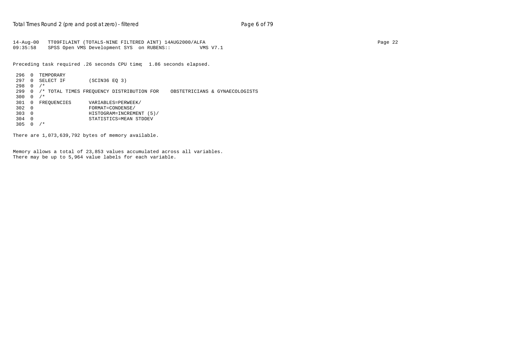```
14-Aug-00 TT09FILAINT (TOTALS-NINE FILTERED AINT) 14AUG2000/ALFA Page 22
      SPSS Open VMS Development SYS on RUBENS:: VMS V7.1
```
Preceding task required .26 seconds CPU time; 1.86 seconds elapsed.

```
296 0 TEMPORARY
297 0 SELECT IF (SCIN36 EQ 3)
298 0 /*
299 0 /* TOTAL TIMES FREQUENCY DISTRIBUTION FOR OBSTETRICIANS & GYNAECOLOGISTS
300  0  /*<br>301  0  FREQUENCIES
                 VARIABLES=PERWEEK/
302 0 FORMAT=CONDENSE/
303 0 HISTOGRAM=INCREMENT (5)/
304 0 STATISTICS=MEAN STDDEV
305 0 /*
```
There are 1,073,639,792 bytes of memory available.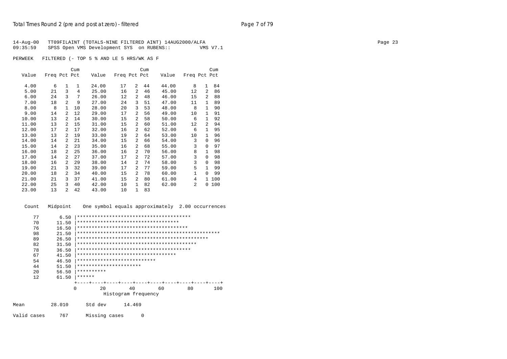|          | 14-Aug-00 TT09FILAINT (TOTALS-NINE FILTERED AINT) 14AUG2000/ALFA | Page 23 |
|----------|------------------------------------------------------------------|---------|
| 09:35:59 | SPSS Open VMS Development SYS on RUBENS::<br>VMS V7.1            |         |
|          |                                                                  |         |
|          | PERWEEK FILTERED (- TOP 5 % AND LE 5 HRS/WK AS F                 |         |

 Cum Cum Cum Value Freq Pct Pct Value Freq Pct Pct Value Freq Pct Pct 4.00 6 1 1 24.00 17 2 44 44.00 8 1 84 5.00 21 3 4 25.00 16 2 46 45.00 12 2 86 6.00 24 3 7 26.00 12 2 48 46.00 15 2 88 7.00 18 2 9 27.00 24 3 51 47.00 11 1 89 8.00 8 1 10 28.00 20 3 53 48.00 8 1 90 9.00 14 2 12 29.00 17 2 56 49.00 10 1 91 10.00 13 2 14 30.00 15 2 58 50.00 6 1 92 11.00 13 2 15 31.00 15 2 60 51.00 12 2 94 17 2 17 32.00 16 2 62 52.00 6 1 95<br>13 2 19 33.00 19 2 64 53.00 10 1 96 13.00 13 2 19 33.00 19 2 64 53.00 10 1 96 14.00 14 2 21 34.00 15 2 66 54.00 3 0 96 15.00 14 2 23 35.00 16 2 68 55.00 3 0 97 16.00 18 2 25 36.00 16 2 70 56.00 8 1 98 17.00 14 2 27 37.00 17 2 72 57.00 3 0 98 18.00 16 2 29 38.00 14 2 74 58.00 3 0 98 21 3 32 39.00 17 2 77<br>18 2 34 40.00 15 2 78 20.00 18 2 34 40.00 15 2 78 60.00 1 0 99 21.00 21 3 37 41.00 15 2 80 61.00 4 1 100  $22.00$   $25$   $3$   $40$   $42.00$   $10$   $1$   $82$ <br> $23.00$   $13$   $2$   $42$   $43.00$   $10$   $1$   $83$  $10 \t 1 \t 83$ 

 Count Midpoint One symbol equals approximately 2.00 occurrences 77 6.50 |\*\*\*\*\*\*\*\*\*\*\*\*\*\*\*\*\*\*\*\*\*\*\*\*\*\*\*\*\*\*\*\*\*\*\*\*\*\*\* 70 11.50 |\*\*\*\*\*\*\*\*\*\*\*\*\*\*\*\*\*\*\*\*\*\*\*\*\*\*\*\*\*\*\*\*\*\*\* 76 16.50 |\*\*\*\*\*\*\*\*\*\*\*\*\*\*\*\*\*\*\*\*\*\*\*\*\*\*\*\*\*\*\*\*\*\*\*\*\*\* 98 21.50 |\*\*\*\*\*\*\*\*\*\*\*\*\*\*\*\*\*\*\*\*\*\*\*\*\*\*\*\*\*\*\*\*\*\*\*\*\*\*\*\*\*\*\*\*\*\*\*\*\* 89 26.50 |\*\*\*\*\*\*\*\*\*\*\*\*\*\*\*\*\*\*\*\*\*\*\*\*\*\*\*\*\*\*\*\*\*\*\*\*\*\*\*\*\*\*\*\*\* 82 31.50 |\*\*\*\*\*\*\*\*\*\*\*\*\*\*\*\*\*\*\*\*\*\*\*\*\*\*\*\*\*\*\*\*\*\*\*\*\*\*\*\*\* 78 36.50 |\*\*\*\*\*\*\*\*\*\*\*\*\*\*\*\*\*\*\*\*\*\*\*\*\*\*\*\*\*\*\*\*\*\*\*\*\*\*\* 67 41.50 |\*\*\*\*\*\*\*\*\*\*\*\*\*\*\*\*\*\*\*\*\*\*\*\*\*\*\*\*\*\*\*\*\*\* 54 46.50 |\*\*\*\*\*\*\*\*\*\*\*\*\*\*\*\*\*\*\*\*\*\*\*\*\*\*\* 44 51.50 |\*\*\*\*\*\*\*\*\*\*\*\*\*\*\*\*\*\*\*\*\*\* 20 56.50 |\*\*\*\*\*\*\*\*\*\* 12 61.50 |\*\*\*\*\*\* +----+----+----+----+----+----+----+----+----+----+ 0 20 40 60 80 100 Histogram frequency Mean 28.010 Std dev 14.469

Valid cases 767 Missing cases 0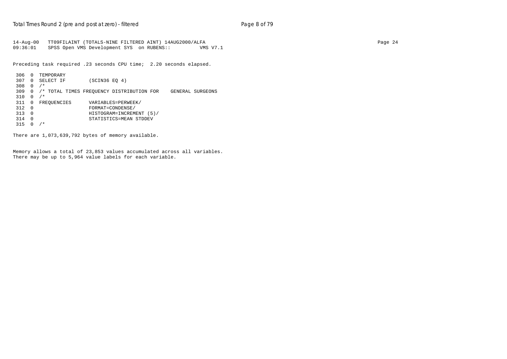14-Aug-00 TT09FILAINT (TOTALS-NINE FILTERED AINT) 14AUG2000/ALFA Page 24 09:36:01 SPSS Open VMS Development SYS on RUBENS:: VMS V7.1

Preceding task required .23 seconds CPU time; 2.20 seconds elapsed.

```
 306 0 TEMPORARY
 307 0 SELECT IF (SCIN36 EQ 4)
 308 0 /*
 309 0 /* TOTAL TIMES FREQUENCY DISTRIBUTION FOR GENERAL SURGEONS
310  0  /*<br>311  0  FREQUENCIES
                   VARIABLES=PERWEEK/
312 0 FORMAT=CONDENSE/<br>313 0 HISTOGRAM=INCREM
 313 0 HISTOGRAM=INCREMENT (5)/
 314 0 STATISTICS=MEAN STDDEV
315 0 /*
```
There are 1,073,639,792 bytes of memory available.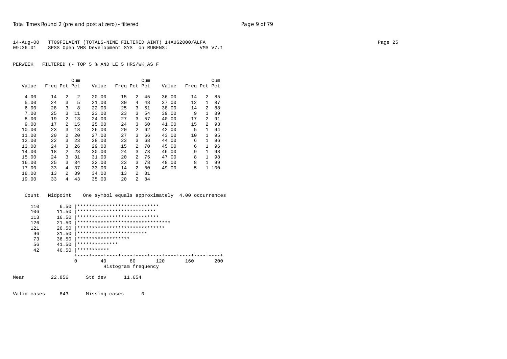|          | 14-Aug-00 TT09FILAINT (TOTALS-NINE FILTERED AINT) 14AUG2000/ALFA |                 | Page 25 |
|----------|------------------------------------------------------------------|-----------------|---------|
| 09:36:01 | SPSS Open VMS Development SYS on RUBENS::                        | <b>VMS V7.1</b> |         |

|       |              |   | Cum |       |              |                | Cum |       |              |                | Cum |
|-------|--------------|---|-----|-------|--------------|----------------|-----|-------|--------------|----------------|-----|
| Value | Freq Pct Pct |   |     | Value | Freq Pct Pct |                |     | Value | Freq Pct Pct |                |     |
| 4.00  | 14           | 2 | 2   | 20.00 | 15           | $\overline{a}$ | 45  | 36.00 | 14           | $\overline{a}$ | 85  |
| 5.00  | 24           | 3 | 5   | 21.00 | 30           | 4              | 48  | 37.00 | 12           | 1              | 87  |
| 6.00  | 28           | 3 | 8   | 22.00 | 25           | 3              | 51  | 38.00 | 14           | $\overline{a}$ | 88  |
| 7.00  | 25           | 3 | 11  | 23.00 | 23           | 3              | 54  | 39.00 | 9            | 1              | 89  |
| 8.00  | 19           | 2 | 13  | 24.00 | 27           | 3              | 57  | 40.00 | 17           | $\overline{a}$ | 91  |
| 9.00  | 17           | 2 | 15  | 25.00 | 24           | 3              | 60  | 41.00 | 15           | $\overline{a}$ | 93  |
| 10.00 | 23           | 3 | 18  | 26.00 | 20           | $\overline{a}$ | 62  | 42.00 | 5            | $\mathbf{1}$   | 94  |
| 11.00 | 20           | 2 | 20  | 27.00 | 27           | 3              | 66  | 43.00 | 10           | 1              | 95  |
| 12.00 | 22           | 3 | 23  | 28.00 | 23           | 3              | 68  | 44.00 | 6            | $\mathbf{1}$   | 96  |
| 13.00 | 24           | 3 | 26  | 29.00 | 15           | $\overline{a}$ | 70  | 45.00 | 6            | 1              | 96  |
| 14.00 | 18           | 2 | 28  | 30.00 | 24           | 3              | 73  | 46.00 | 9            | $\mathbf{1}$   | 98  |
| 15.00 | 24           | 3 | 31  | 31.00 | 20           | $\overline{a}$ | 75  | 47.00 | 8            | 1              | 98  |
| 16.00 | 25           | 3 | 34  | 32.00 | 23           | 3              | 78  | 48.00 | 8            | 1              | 99  |
| 17.00 | 33           | 4 | 37  | 33.00 | 14           | $\overline{a}$ | 80  | 49.00 | 5            | $\mathbf{1}$   | 100 |
| 18.00 | 13           | 2 | 39  | 34.00 | 13           | $\overline{a}$ | 81  |       |              |                |     |
| 19.00 | 33           | 4 | 43  | 35.00 | 20           | $\overline{a}$ | 84  |       |              |                |     |
|       |              |   |     |       |              |                |     |       |              |                |     |

Count Midpoint One symbol equals approximately 4.00 occurrences

|      | 110 | 6.50   | ****************************     |
|------|-----|--------|----------------------------------|
|      | 106 | 11.50  | ***************************      |
|      | 113 | 16.50  | ****************************     |
|      | 126 | 21.50  | ******************************** |
|      | 121 | 26.50  | ******************************   |
|      | 96  | 31.50  | ************************         |
|      | 73  | 36.50  | ******************               |
|      | 56  | 41.50  | **************                   |
|      | 42  | 46.50  | ***********                      |
|      |     |        |                                  |
|      |     | 0      | 80<br>200<br>40<br>120<br>160    |
|      |     |        | Histogram frequency              |
|      |     |        |                                  |
| Mean |     | 22.856 | Std dev<br>11.654                |
|      |     |        |                                  |

Valid cases 843 Missing cases 0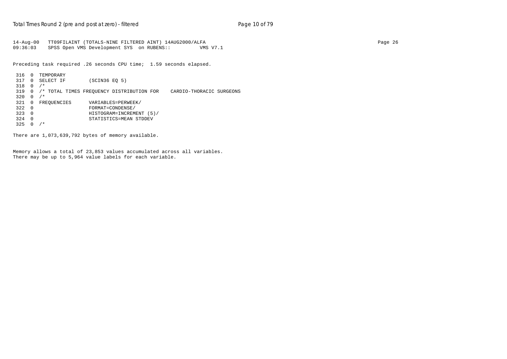14-Aug-00 TT09FILAINT (TOTALS-NINE FILTERED AINT) 14AUG2000/ALFA Page 26 09:36:03 SPSS Open VMS Development SYS on RUBENS:: VMS V7.1

Preceding task required .26 seconds CPU time; 1.59 seconds elapsed.

```
 316 0 TEMPORARY
 317 0 SELECT IF (SCIN36 EQ 5)
 318 0 /*
 319 0 /* TOTAL TIMES FREQUENCY DISTRIBUTION FOR CARDIO-THORACIC SURGEONS
320  0  /*<br>321  0  FREOUENCIES
321 0 FREQUENCIES VARIABLES=PERWEEK/<br>322 0 FORMAT=CONDENSE/
+ FORMAT=CONDENSE/<br>322 0 FORMAT=CONDENSE/<br>HISTOGRAM=INCREM
 323 0 HISTOGRAM=INCREMENT (5)/
 324 0 STATISTICS=MEAN STDDEV
325 0 /*
```
There are 1,073,639,792 bytes of memory available.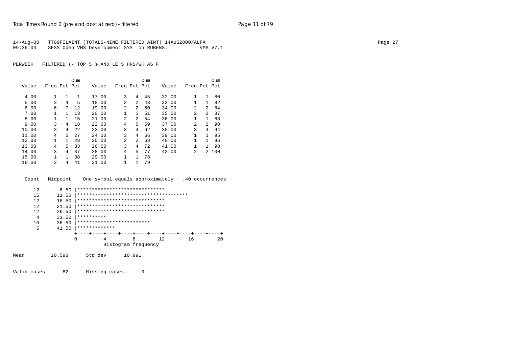| 14-Aug-00 | TT09FILAINT (TOTALS-NINE FILTERED AINT) 14AUG2000/ALFA |          | Page 27 |
|-----------|--------------------------------------------------------|----------|---------|
| 09:36:03  | SPSS Open VMS Development SYS on RUBENS::              | VMS V7.1 |         |

|       |              |    | Cum          |       |                |                | Cum |       |                |                | Cum   |
|-------|--------------|----|--------------|-------|----------------|----------------|-----|-------|----------------|----------------|-------|
| Value | Freq Pct Pct |    |              | Value | Freq Pct Pct   |                |     | Value | Freq Pct Pct   |                |       |
|       |              |    |              |       |                |                |     |       |                |                |       |
| 4.00  |              | 1  | $\mathbf{1}$ | 17.00 | 3              | 4              | 45  | 32.00 | 1              | $\mathbf{1}$   | 80    |
| 5.00  | 3            | 4  | 5            | 18.00 | 2              | $\overline{a}$ | 48  | 33.00 | 1              | 1              | 82    |
| 6.00  | 6            | 7  | 12           | 19.00 | 2              | $\overline{a}$ | 50  | 34.00 | 2              | $\overline{a}$ | 84    |
| 7.00  |              | 1. | 13           | 20.00 | 1              | $\mathbf{1}$   | 51  | 35.00 | $\mathfrak{D}$ | $\overline{a}$ | 87    |
| 8.00  |              |    | 15           | 21.00 | $\overline{c}$ | $\overline{a}$ | 54  | 36.00 | $\mathbf{1}$   | $\mathbf{1}$   | 88    |
| 9.00  | 3            | 4  | 18           | 22.00 | 4              | 5.             | 59  | 37.00 | $\mathfrak{D}$ | $\overline{a}$ | 90    |
| 10.00 | 3            | 4  | 2.2.         | 23.00 | 3              | 4              | 62  | 38.00 | 3              | 4              | 94    |
| 11.00 | 4            | 5  | 27           | 24.00 | 3              | 4              | 66  | 39.00 |                | $\mathbf{1}$   | 95    |
| 12.00 |              | 1. | 28           | 25.00 | 2              | $\overline{a}$ | 68  | 40.00 | 1              | $\mathbf{1}$   | 96    |
| 13.00 | 4            | 5  | 33           | 26.00 | 3              | 4              | 72  | 41.00 |                | 1              | 98    |
| 14.00 | 3            | 4  | 37           | 28.00 | 4              | 5              | 77  | 43.00 | 2              |                | 2 100 |
| 15.00 |              |    | 38           | 29.00 | 1              | $\mathbf{1}$   | 78  |       |                |                |       |
| 16.00 | 3            | 4  | 41           | 31.00 | 1              | $\mathbf{1}$   | 79  |       |                |                |       |

Count Midpoint One symbol equals approximately .40 occurrences

```
12 6.50 |***********************************<br>15 11.50 |********************************
        15 11.50 |**************************************
       12 16.50 |**********************************<br>12 21.50 |*******************************
        12 21.50 |******************************
         12 26.50 |******************************
       4 31.50 ***********<br>10 36.50 *********** 10 36.50 |*************************
                5 41.50 |*************
                       +----+----+----+----+----+----+----+----+----+----+
                       0 4 8 12 16 20
                                 Histogram frequency
Mean 20.598 Std dev 10.991
```
Valid cases 82 Missing cases 0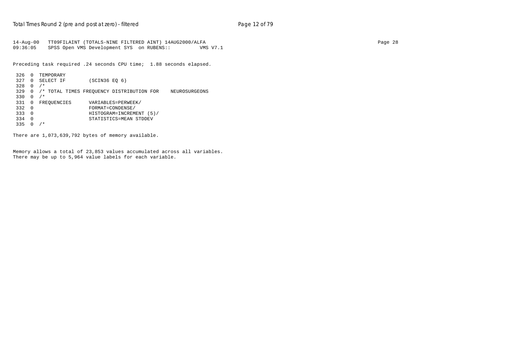14-Aug-00 TT09FILAINT (TOTALS-NINE FILTERED AINT) 14AUG2000/ALFA Page 28 09:36:05 SPSS Open VMS Development SYS on RUBENS:: VMS V7.1

Preceding task required .24 seconds CPU time; 1.88 seconds elapsed.

```
 326 0 TEMPORARY
 327 0 SELECT IF (SCIN36 EQ 6)
 328 0 /*
 329 0 /* TOTAL TIMES FREQUENCY DISTRIBUTION FOR NEUROSURGEONS
 330 0 /*
                  VARIABLES=PERWEEK/
332 0 FORMAT=CONDENSE/<br>333 0 HISTOGRAM=INCREM
 333 0 HISTOGRAM=INCREMENT (5)/
 334 0 STATISTICS=MEAN STDDEV
335 0 /*
```
There are 1,073,639,792 bytes of memory available.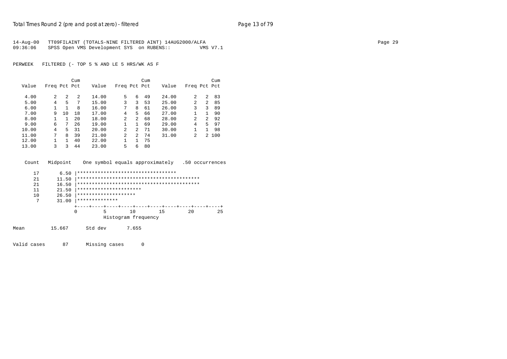| 14-Aug-00 | TT09FILAINT (TOTALS-NINE FILTERED AINT) 14AUG2000/ALFA |          | Page 29 |
|-----------|--------------------------------------------------------|----------|---------|
| 09:36:06  | SPSS Open VMS Development SYS on RUBENS::              | VMS V7.1 |         |

|       |              |    | Cum |       |                |                | Cum |       |                |              | Cum   |
|-------|--------------|----|-----|-------|----------------|----------------|-----|-------|----------------|--------------|-------|
| Value | Freq Pct Pct |    |     | Value | Freq Pct Pct   |                |     | Value | Freq Pct Pct   |              |       |
| 4.00  | 2            | 2  | 2   | 14.00 | 5              | 6              | 49  | 24.00 | $\mathfrak{D}$ | 2            | 83    |
| 5.00  | 4            | 5  | 7   | 15.00 | 3              | 3              | 53  | 25.00 | $\mathfrak{D}$ | 2            | 85    |
| 6.00  |              |    | 8   | 16.00 | 7              | 8              | 61  | 26.00 | 3              | 3            | 89    |
| 7.00  | 9            | 10 | 18  | 17.00 | 4              | 5              | 66  | 27.00 | 1              | 1            | 90    |
| 8.00  |              | 1. | 20  | 18.00 | $\mathfrak{D}$ | $\overline{a}$ | 68  | 28.00 | 2              | 2            | 92    |
| 9.00  | 6            | 7  | 26  | 19.00 | $\mathbf{1}$   | $\mathbf{1}$   | 69  | 29.00 | 4              | 5.           | 97    |
| 10.00 | 4            | 5  | 31  | 20.00 | $\mathfrak{D}$ | 2              | 71  | 30.00 |                | $\mathbf{1}$ | 98    |
| 11.00 | 7            | 8  | 39  | 21.00 | $\mathfrak{D}$ | $\overline{a}$ | 74  | 31.00 | $\mathfrak{D}$ |              | 2 100 |
| 12.00 |              |    | 40  | 22.00 |                | $\mathbf{1}$   | 75  |       |                |              |       |
| 13.00 | 3            | 3  | 44  | 23.00 | 5              | 6              | 80  |       |                |              |       |
|       |              |    |     |       |                |                |     |       |                |              |       |

|      | Count                | Midpoint                        |   |                | One symbol equals approximately                              |    |    | .50 occurrences |
|------|----------------------|---------------------------------|---|----------------|--------------------------------------------------------------|----|----|-----------------|
|      | 17<br>21<br>21<br>11 | 6.50<br>11.50<br>16.50<br>21.50 |   |                | **********************************<br>********************** |    |    |                 |
|      | 10                   | 26.50                           |   |                | ********************                                         |    |    |                 |
|      | 7                    | 31.00                           |   | ************** |                                                              |    |    |                 |
|      |                      |                                 |   |                |                                                              |    |    |                 |
|      |                      |                                 | 0 | 5              | 1 O                                                          | 15 | 20 | 25              |
|      |                      |                                 |   |                | Histogram frequency                                          |    |    |                 |
| Mean |                      | 15.667                          |   | Std dev        | 7.655                                                        |    |    |                 |

Valid cases 87 Missing cases 0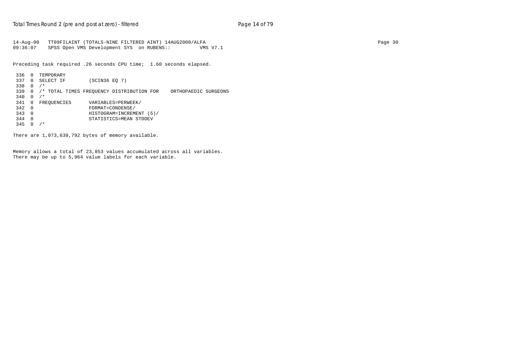14-Aug-00 TT09FILAINT (TOTALS-NINE FILTERED AINT) 14AUG2000/ALFA Page 30 09:36:07 SPSS Open VMS Development SYS on RUBENS:: VMS V7.1

Preceding task required .26 seconds CPU time; 1.60 seconds elapsed.

```
 336 0 TEMPORARY
 337 0 SELECT IF (SCIN36 EQ 7)
 338 0 /*
 339 0 /* TOTAL TIMES FREQUENCY DISTRIBUTION FOR ORTHOPAEDIC SURGEONS
 340 0 /*
                       341 0 FREQUENCIES VARIABLES=PERWEEK/
\begin{array}{cccc}\n 342 & 0 & \text{FORMAT=COMDENSE} \\
 343 & 0 & \text{HISTOGRAM=INCREM}\n \end{array} 343 0 HISTOGRAM=INCREMENT (5)/
 344 0 STATISTICS=MEAN STDDEV
345 0 /*
```
There are 1,073,639,792 bytes of memory available.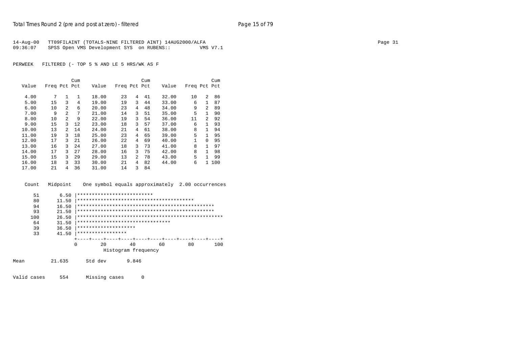| 14-Aug-00 | TT09FILAINT (TOTALS-NINE FILTERED AINT) 14AUG2000/ALFA |          | Page 31 |
|-----------|--------------------------------------------------------|----------|---------|
| 09:36:07  | SPSS Open VMS Development SYS on RUBENS::              | VMS V7.1 |         |

|       |              |                | Cum |       |              |                | Cum |       |              |              | Cum |
|-------|--------------|----------------|-----|-------|--------------|----------------|-----|-------|--------------|--------------|-----|
| Value | Freq Pct Pct |                |     | Value | Freq Pct Pct |                |     | Value | Freq Pct Pct |              |     |
| 4.00  | 7            | 1              | 1   | 18.00 | 23           | 4              | 41  | 32.00 | 10           | 2            | 86  |
| 5.00  | 15           | 3              | 4   | 19.00 | 19           | 3              | 44  | 33.00 | 6            | 1            | 87  |
| 6.00  | 10           | 2              | 6   | 20.00 | 23           | 4              | 48  | 34.00 | 9            | 2            | 89  |
| 7.00  | 9            | 2              | 7   | 21.00 | 14           | 3              | 51  | 35.00 | 5            | $\mathbf{1}$ | 90  |
| 8.00  | 10           | $\overline{a}$ | 9   | 22.00 | 19           | 3              | 54  | 36.00 | 11           | 2            | 92  |
| 9.00  | 15           | 3              | 12  | 23.00 | 18           | 3              | 57  | 37.00 | 6            | 1            | 93  |
| 10.00 | 13           | 2              | 14  | 24.00 | 21           | 4              | 61  | 38.00 | 8            | $\mathbf{1}$ | 94  |
| 11.00 | 19           | 3              | 18  | 25.00 | 23           | 4              | 65  | 39.00 | 5            | $\mathbf{1}$ | 95  |
| 12.00 | 17           | 3              | 21  | 26.00 | 22           | 4              | 69  | 40.00 | $\mathbf{1}$ | $\Omega$     | 95  |
| 13.00 | 16           | 3              | 24  | 27.00 | 18           | 3              | 73  | 41.00 | 8            | $\mathbf{1}$ | 97  |
| 14.00 | 17           | 3              | 27  | 28.00 | 16           | 3              | 75  | 42.00 | 8            | $\mathbf{1}$ | 98  |
| 15.00 | 15           | 3              | 29  | 29.00 | 13           | $\overline{a}$ | 78  | 43.00 | 5            | $\mathbf{1}$ | 99  |
| 16.00 | 18           | ζ              | 33  | 30.00 | 21           | 4              | 82  | 44.00 | 6            | $\mathbf{1}$ | 100 |
| 17.00 | 21           | 4              | 36  | 31.00 | 14           | 3              | 84  |       |              |              |     |

 Count Midpoint One symbol equals approximately 2.00 occurrences 51 6.50 |\*\*\*\*\*\*\*\*\*\*\*\*\*\*\*\*\*\*\*\*\*\*\*\*\*\* 80 11.50 |\*\*\*\*\*\*\*\*\*\*\*\*\*\*\*\*\*\*\*\*\*\*\*\*\*\*\*\*\*\*\*\*\*\*\*\*\*\*\*\* 94 16.50 |\*\*\*\*\*\*\*\*\*\*\*\*\*\*\*\*\*\*\*\*\*\*\*\*\*\*\*\*\*\*\*\*\*\*\*\*\*\*\*\*\*\*\*\*\*\*\* 93 21.50 |\*\*\*\*\*\*\*\*\*\*\*\*\*\*\*\*\*\*\*\*\*\*\*\*\*\*\*\*\*\*\*\*\*\*\*\*\*\*\*\*\*\*\*\*\*\*\* 100 26.50 |\*\*\*\*\*\*\*\*\*\*\*\*\*\*\*\*\*\*\*\*\*\*\*\*\*\*\*\*\*\*\*\*\*\*\*\*\*\*\*\*\*\*\*\*\*\*\*\*\*\* 64 31.50 |\*\*\*\*\*\*\*\*\*\*\*\*\*\*\*\*\*\*\*\*\*\*\*\*\*\*\*\*\*\*\*\* 39 36.50 |\*\*\*\*\*\*\*\*\*\*\*\*\*\*\*\*\*\*\*\* 33 41.50 |\*\*\*\*\*\*\*\*\*\*\*\*\*\*\*\*\* +----+----+----+----+----+----+----+----+----+----+ 0 20 40 60 80 100 Histogram frequency Mean 21.635 Std dev 9.846

Valid cases 554 Missing cases 0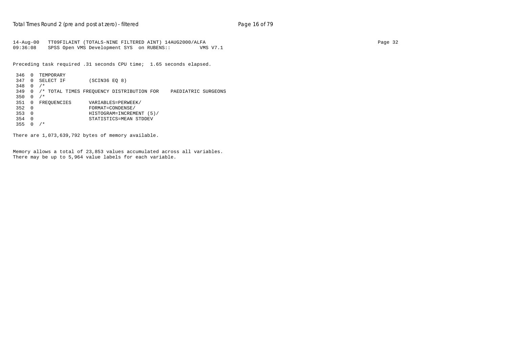14-Aug-00 TT09FILAINT (TOTALS-NINE FILTERED AINT) 14AUG2000/ALFA Page 32 09:36:08 SPSS Open VMS Development SYS on RUBENS:: VMS V7.1

Preceding task required .31 seconds CPU time; 1.65 seconds elapsed.

```
 346 0 TEMPORARY
 347 0 SELECT IF (SCIN36 EQ 8)
 348 0 /*
 349 0 /* TOTAL TIMES FREQUENCY DISTRIBUTION FOR PAEDIATRIC SURGEONS
 350 0 /*
                  351 0 FREQUENCIES VARIABLES=PERWEEK/
 352 0 FORMAT=CONDENSE/
 353 0 HISTOGRAM=INCREMENT (5)/
 354 0 STATISTICS=MEAN STDDEV
355 0 /*
```
There are 1,073,639,792 bytes of memory available.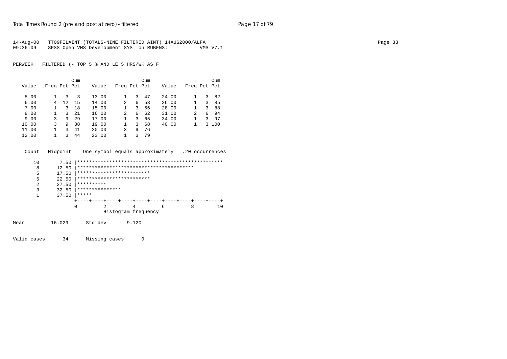| 14-Aug-00 | TT09FILAINT (TOTALS-NINE FILTERED AINT) 14AUG2000/ALFA |          | Page 33 |
|-----------|--------------------------------------------------------|----------|---------|
| 09:36:09  | SPSS Open VMS Development SYS on RUBENS::              | VMS V7.1 |         |

|       |              |    | Cum |       |              |   | Cum |       |                |   | Cum   |
|-------|--------------|----|-----|-------|--------------|---|-----|-------|----------------|---|-------|
| Value | Freq Pct Pct |    |     | Value | Freq Pct Pct |   |     | Value | Freq Pct Pct   |   |       |
| 5.00  |              | 3  | 3   | 13.00 |              | 3 | 47  | 24.00 |                | 3 | 82    |
| 6.00  | 4            | 12 | 15  | 14.00 | 2            | 6 | 53  | 26.00 |                | 3 | 85    |
| 7.00  |              | 3  | 18  | 15.00 |              | 3 | 56  | 28.00 |                | 3 | 88    |
| 8.00  |              | 3  | 21  | 16.00 | 2            | 6 | 62  | 31.00 | $\mathfrak{D}$ | 6 | 94    |
| 9.00  | ζ            | 9  | 29  | 17.00 |              | 3 | 65  | 34.00 |                | 3 | 97    |
| 10.00 | 3            | 9  | 38  | 19.00 |              | 3 | 68  | 40.00 |                |   | 3 100 |
| 11.00 |              | 3  | 41  | 20.00 | 3            | 9 | 76  |       |                |   |       |
| 12.00 |              | 3  | 44  | 23.00 |              | 3 | 79  |       |                |   |       |

| Count Midpoint | One symbol equals approximately .20 occurrences |  |
|----------------|-------------------------------------------------|--|
|                |                                                 |  |

| 8 | 12.50 |                 |                           |                     |   |   |    |
|---|-------|-----------------|---------------------------|---------------------|---|---|----|
| 5 | 17.50 |                 | ************************* |                     |   |   |    |
| 5 | 22.50 |                 | ************************* |                     |   |   |    |
| 2 | 27.50 | **********      |                           |                     |   |   |    |
| 3 | 32.50 | *************** |                           |                     |   |   |    |
|   | 37.50 | *****           |                           |                     |   |   |    |
|   |       |                 |                           |                     |   |   |    |
|   |       |                 |                           | 4                   | 6 | 8 | 10 |
|   |       |                 |                           | Histogram frequency |   |   |    |
|   |       |                 |                           |                     |   |   |    |

Mean 16.029 Std dev 9.120

Valid cases 34 Missing cases 0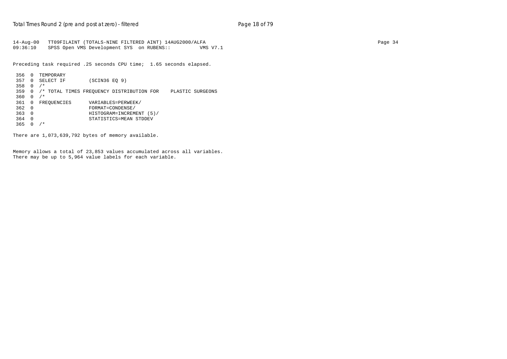14-Aug-00 TT09FILAINT (TOTALS-NINE FILTERED AINT) 14AUG2000/ALFA Page 34 09:36:10 SPSS Open VMS Development SYS on RUBENS:: VMS V7.1

Preceding task required .25 seconds CPU time; 1.65 seconds elapsed.

```
 356 0 TEMPORARY
 357 0 SELECT IF (SCIN36 EQ 9)
 358 0 /*
 359 0 /* TOTAL TIMES FREQUENCY DISTRIBUTION FOR PLASTIC SURGEONS
 360 0 /*
                  361 0 FREQUENCIES VARIABLES=PERWEEK/
 362 0 FORMAT=CONDENSE/
 363 0 HISTOGRAM=INCREMENT (5)/
 364 0 STATISTICS=MEAN STDDEV
365 0 /*
```
There are 1,073,639,792 bytes of memory available.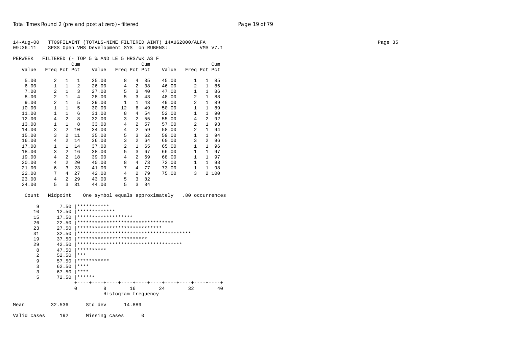| 14-Aug-00<br>09:36:11 |                              |                     | TT09FILAINT (TOTALS-NINE FILTERED AINT) 14AUG2000/ALFA<br>SPSS Open VMS Development SYS on RUBENS:: |                                   | VMS V7.1                     |     | Page 35 |
|-----------------------|------------------------------|---------------------|-----------------------------------------------------------------------------------------------------|-----------------------------------|------------------------------|-----|---------|
| PERWEEK               |                              |                     | FILTERED (- TOP 5 % AND LE 5 HRS/WK AS F                                                            |                                   |                              |     |         |
|                       |                              | Cum                 | Cum                                                                                                 |                                   |                              | Cum |         |
| Value                 | Freq Pct Pct                 | Value               | Freq Pct Pct                                                                                        | Value                             | Freq Pct Pct                 |     |         |
| 5.00                  | 2<br>1                       | 25.00<br>1          | 8<br>4                                                                                              | 35<br>45.00                       | 1<br>$\mathbf{1}$            | 85  |         |
| 6.00                  | $\mathbf{1}$<br>$\mathbf{1}$ | 2<br>26.00          | $\overline{a}$<br>$\overline{4}$                                                                    | 46.00<br>38                       | 2<br>$\mathbf{1}$            | 86  |         |
| 7.00                  | 2<br>$\mathbf{1}$            | 3<br>27.00          | $\mathbf{3}$<br>5                                                                                   | 40<br>47.00                       | 1 86<br>$\mathbf{1}$         |     |         |
| 8.00                  | 2<br>$\mathbf{1}$            | 4<br>28.00          | 5<br>3 <sup>7</sup>                                                                                 | 43<br>48.00                       | 2<br>1                       | 88  |         |
| 9.00                  | 2<br>$\mathbf{1}$            | 5<br>29.00          | 1<br>$\mathbf{1}$                                                                                   | 43<br>49.00                       | 2<br>1 89                    |     |         |
| 10.00                 | $1\,$<br>$\mathbf{1}$        | 5<br>30.00          | 12<br>6                                                                                             | 49<br>50.00                       | $\mathbf{1}$<br>$\mathbf{1}$ | 89  |         |
| 11.00                 | $\mathbf{1}$<br>$\mathbf{1}$ | 6<br>31.00          | 8<br>$\overline{4}$                                                                                 | 54<br>52.00                       | $\mathbf{1}$<br>1 90         |     |         |
| 12.00                 | $\overline{a}$<br>4          | 8<br>32.00          | $\overline{a}$<br>3                                                                                 | 55<br>55.00                       | $\overline{a}$<br>4          | 92  |         |
| 13.00                 | $\mathbf{1}$<br>1            | 8<br>33.00          | $\overline{a}$<br>4                                                                                 | 57<br>57.00                       | 2<br>1 93                    |     |         |
| 14.00                 | $\overline{a}$<br>3          | 10<br>34.00         | $\overline{a}$<br>$\overline{4}$                                                                    | 59<br>58.00                       | 2<br>1 94                    |     |         |
| 15.00                 | 3<br>$2 \t11$                | 35.00               | 5<br>$\overline{3}$                                                                                 | 62<br>59.00                       | $\mathbf{1}$<br>1 94         |     |         |
| 16.00                 | 4<br>$\overline{2}$          | 14<br>36.00         | 3<br>$\overline{a}$                                                                                 | 64<br>60.00                       | 3<br>$\overline{a}$          | 96  |         |
| 17.00                 | $1 \quad 14$<br>$\mathbf{1}$ | 37.00               | 2<br>$\mathbf{1}$                                                                                   | 65<br>65.00                       | $\mathbf{1}$<br>$\mathbf{1}$ | 96  |         |
| 18.00                 | $\overline{2}$<br>3          | 16<br>38.00         | 5<br>$\overline{3}$                                                                                 | 67<br>66.00                       | $\mathbf{1}$<br>1            | 97  |         |
| 19.00                 | 2 18<br>4                    | 39.00               | $\overline{a}$<br>$\overline{4}$                                                                    | 69<br>68.00                       | $\mathbf{1}$<br>1 97         |     |         |
| 20.00                 | $\overline{a}$<br>4          | 20<br>40.00         | 4<br>8<br>73                                                                                        | 72.00                             | $\mathbf{1}$<br>1 98         |     |         |
| 21.00                 | 6<br>$\mathbf{3}$            | 23<br>41.00         | 7<br>4 77                                                                                           | 73.00                             | $\mathbf{1}$<br>1 98         |     |         |
| 22.00                 | 7<br>$\overline{4}$          | 27<br>42.00         | $\overline{4}$<br>2 79                                                                              | 75.00                             | 3<br>2 100                   |     |         |
| 23.00                 | 4<br>$\overline{a}$          | 29<br>43.00         | 5<br>$\mathbf{3}$                                                                                   | 82                                |                              |     |         |
| 24.00                 | 5<br>3                       | 31<br>44.00         | 5<br>$\overline{3}$                                                                                 | 84                                |                              |     |         |
| Count                 | Midpoint                     |                     | One symbol equals approximately .80 occurrences                                                     |                                   |                              |     |         |
| 9                     | 7.50                         | ***********         |                                                                                                     |                                   |                              |     |         |
| 10                    | 12.50                        | *************       |                                                                                                     |                                   |                              |     |         |
| 15                    | 17.50                        | ******************* |                                                                                                     |                                   |                              |     |         |
| 26                    | 22.50                        |                     | *********************************                                                                   |                                   |                              |     |         |
| 23                    | 27.50                        |                     | *****************************                                                                       |                                   |                              |     |         |
| 31                    | 32.50                        |                     |                                                                                                     | * * * * * * * * * * * * * * * * * |                              |     |         |
| 19                    | 37.50                        | ****                | * * * * * * * * * * * * * * * * * * * *                                                             |                                   |                              |     |         |
| 29                    | 42.50                        |                     | ************************************                                                                |                                   |                              |     |         |
| 8                     | 47.50                        | **********          |                                                                                                     |                                   |                              |     |         |
| 2                     | 52.50                        | $***$               |                                                                                                     |                                   |                              |     |         |
| 9                     | 57.50                        | ***********         |                                                                                                     |                                   |                              |     |         |
| 3                     | 62.50                        | $***$               |                                                                                                     |                                   |                              |     |         |
| $\mathbf{3}$          | 67.50                        | $***$               |                                                                                                     |                                   |                              |     |         |
| 5                     |                              | $72.50$ ******      |                                                                                                     |                                   |                              |     |         |
|                       |                              |                     |                                                                                                     |                                   |                              |     |         |
|                       |                              | 0<br>8              | 16                                                                                                  | 24                                | 32                           | 40  |         |
|                       |                              |                     | Histogram frequency                                                                                 |                                   |                              |     |         |
| Mean                  | 32.536                       | Std dev             | 14.889                                                                                              |                                   |                              |     |         |
|                       |                              |                     |                                                                                                     |                                   |                              |     |         |

Valid cases 192 Missing cases 0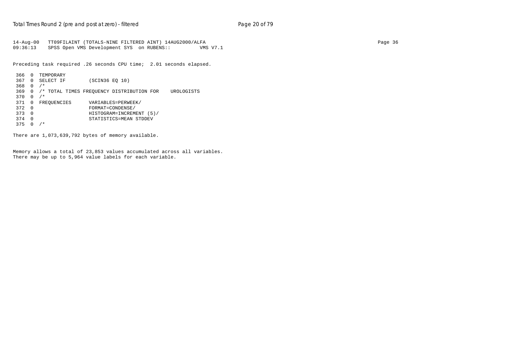14-Aug-00 TT09FILAINT (TOTALS-NINE FILTERED AINT) 14AUG2000/ALFA Page 36 09:36:13 SPSS Open VMS Development SYS on RUBENS:: VMS V7.1

Preceding task required .26 seconds CPU time; 2.01 seconds elapsed.

```
 366 0 TEMPORARY
 367 0 SELECT IF (SCIN36 EQ 10)
 368 0 /*
 369 0 /* TOTAL TIMES FREQUENCY DISTRIBUTION FOR UROLOGISTS
370  0 /*<br>371  0  FREOUENCIES
371 0 FREQUENCIES VARIABLES=PERWEEK/<br>372 0 FORMAT=CONDENSE/
372 0 FORMAT=CONDENSE/<br>373 0 HISTOGRAM=INCREM
 373 0 HISTOGRAM=INCREMENT (5)/
 374 0 STATISTICS=MEAN STDDEV
375 0 /*
```
There are 1,073,639,792 bytes of memory available.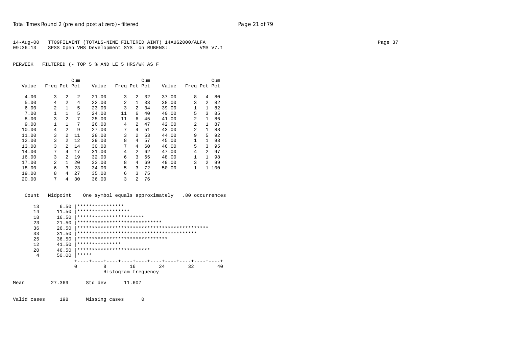| 14-Aug-00 | TT09FILAINT (TOTALS-NINE FILTERED AINT) 14AUG2000/ALFA |          | Page 37 |
|-----------|--------------------------------------------------------|----------|---------|
| 09:36:13  | SPSS Open VMS Development SYS on RUBENS::              | VMS V7.1 |         |

|       |              |                | Cum            |       |                |                | Cum |       |                |                | Cum |
|-------|--------------|----------------|----------------|-------|----------------|----------------|-----|-------|----------------|----------------|-----|
| Value | Freq Pct Pct |                |                | Value | Freq Pct Pct   |                |     | Value | Freq Pct Pct   |                |     |
| 4.00  | 3            | $\mathfrak{D}$ | $\mathfrak{D}$ | 21.00 | 3              | 2              | 32  | 37.00 | 8              | 4              | 80  |
| 5.00  | 4            | $\mathfrak{D}$ | 4              | 22.00 | $\overline{a}$ | $\mathbf{1}$   | 33  | 38.00 | 3              | $\overline{a}$ | 82  |
| 6.00  | 2            | 1              | 5              | 23.00 | 3              | $\overline{a}$ | 34  | 39.00 | $\mathbf{1}$   | 1              | 82  |
| 7.00  | $\mathbf{1}$ | 1              | 5              | 24.00 | 11             | 6              | 40  | 40.00 | 5              | 3              | 85  |
| 8.00  | 3            | $\overline{2}$ | 7              | 25.00 | 11             | 6              | 45  | 41.00 | $\overline{a}$ | 1              | 86  |
| 9.00  | $\mathbf{1}$ | 1              | 7              | 26.00 | 4              | 2              | 47  | 42.00 | 2              | $\mathbf{1}$   | 87  |
| 10.00 | 4            | $\mathfrak{D}$ | 9              | 27.00 | 7              | 4              | 51  | 43.00 | $\overline{a}$ | $\mathbf{1}$   | 88  |
| 11.00 | 3            | 2              | 11             | 28.00 | 3              | 2              | 53  | 44.00 | 9              | 5              | 92  |
| 12.00 | 3            | $\overline{a}$ | 12             | 29.00 | 8              | 4              | 57  | 45.00 | 1              | $\mathbf{1}$   | 93  |
| 13.00 | 3            | 2              | 14             | 30.00 | 7              | 4              | 60  | 46.00 | 5              | 3              | 95  |
| 14.00 | 7            | 4              | 17             | 31.00 | 4              | $\overline{a}$ | 62  | 47.00 | 4              | $\overline{2}$ | 97  |
| 16.00 | 3            | $\mathcal{L}$  | 19             | 32.00 | 6              | 3              | 65  | 48.00 | 1              | 1              | 98  |
| 17.00 | 2            | 1.             | 20             | 33.00 | 8              | 4              | 69  | 49.00 | 3              | $\overline{2}$ | 99  |
| 18.00 | 6            | 3              | 23             | 34.00 | 5              | 3              | 72  | 50.00 | 1              | $\mathbf{1}$   | 100 |
| 19.00 | 8            | 4              | 27             | 35.00 | 6              | 3              | 75  |       |                |                |     |
| 20.00 | 7            | 4              | 30             | 36.00 | 3              | 2              | 76  |       |                |                |     |
|       |              |                |                |       |                |                |     |       |                |                |     |

Count Midpoint One symbol equals approximately .80 occurrences

| 13  | 6.50  | ****************                |                     |          |
|-----|-------|---------------------------------|---------------------|----------|
| 14  | 11.50 | ******************              |                     |          |
| 18  | 16.50 | ***********************         |                     |          |
| 23  | 21.50 | *****************************   |                     |          |
| 36  | 26.50 |                                 |                     |          |
| 33  | 31.50 |                                 |                     |          |
| 25  | 36.50 | ******************************* |                     |          |
| 12  | 41.50 | ***************                 |                     |          |
| 2.0 | 46.50 | *************************       |                     |          |
| 4   | 50.00 | *****                           |                     |          |
|     |       |                                 |                     |          |
|     | 0     | 8                               | 24<br>16            | 40<br>32 |
|     |       |                                 | Histogram frequency |          |

Mean 27.369 Std dev 11.607

Valid cases 198 Missing cases 0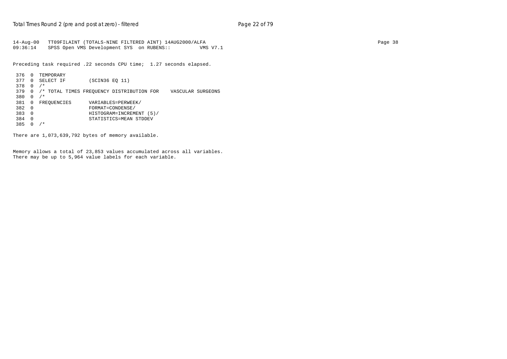14-Aug-00 TT09FILAINT (TOTALS-NINE FILTERED AINT) 14AUG2000/ALFA Page 38 09:36:14 SPSS Open VMS Development SYS on RUBENS:: VMS V7.1

Preceding task required .22 seconds CPU time; 1.27 seconds elapsed.

```
 376 0 TEMPORARY
 377 0 SELECT IF (SCIN36 EQ 11)
 378 0 /*
 379 0 /* TOTAL TIMES FREQUENCY DISTRIBUTION FOR VASCULAR SURGEONS
380  0 /*<br>381  0  FREOUENCIES
                    381 0 FREQUENCIES VARIABLES=PERWEEK/
 382 0 FORMAT=CONDENSE/
 383 0 HISTOGRAM=INCREMENT (5)/
 384 0 STATISTICS=MEAN STDDEV
 385 0 /*
```
There are 1,073,639,792 bytes of memory available.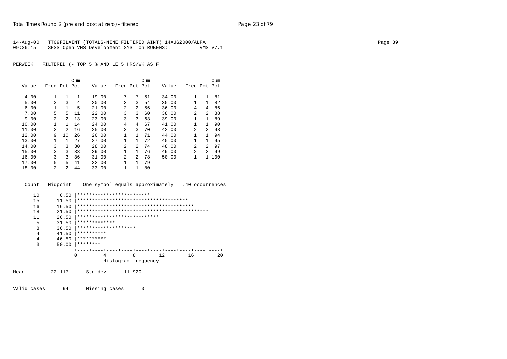| 14-Aug-00 TT09FILAINT (TOTALS-NINE FILTERED AINT) 14AUG2000/ALFA |          | Page 39 |
|------------------------------------------------------------------|----------|---------|
| 09:36:15 SPSS Open VMS Development SYS on RUBENS::               | VMS V7.1 |         |

|       |                |                | Cum |       |                |                | Cum |       |                |                | Cum |
|-------|----------------|----------------|-----|-------|----------------|----------------|-----|-------|----------------|----------------|-----|
| Value | Freq Pct Pct   |                |     | Value | Freq Pct Pct   |                |     | Value | Freq Pct Pct   |                |     |
| 4.00  |                | 1              | 1   | 19.00 | 7              | 7              | 51  | 34.00 | 1              | $\mathbf{1}$   | 81  |
| 5.00  | 3              | 3              | 4   | 20.00 | 3              | 3              | 54  | 35.00 | 1              | 1              | 82  |
| 6.00  | 1              | $\mathbf{1}$   | 5   | 21.00 | 2              | $\overline{a}$ | 56  | 36.00 | 4              | 4              | 86  |
| 7.00  | 5              | 5              | 11  | 22.00 | 3              | 3              | 60  | 38.00 | $\overline{a}$ | $\overline{a}$ | 88  |
| 9.00  | $\overline{2}$ | $\mathfrak{D}$ | 13  | 23.00 | 3              | 3              | 63  | 39.00 | $\mathbf{1}$   | $\mathbf{1}$   | 89  |
| 10.00 |                | 1              | 14  | 24.00 | 4              | 4              | 67  | 41.00 | 1              | $\mathbf{1}$   | 90  |
| 11.00 | 2              | 2              | 16  | 25.00 | 3              | 3              | 70  | 42.00 | 2              | $\overline{2}$ | 93  |
| 12.00 | 9              | 10             | 26  | 26.00 | 1              | $\mathbf{1}$   | 71  | 44.00 | $\mathbf{1}$   | $\mathbf{1}$   | 94  |
| 13.00 |                | 1              | 27  | 27.00 | 1              | 1              | 72  | 45.00 | 1              | $\mathbf{1}$   | 95  |
| 14.00 | 3              | 3              | 30  | 28.00 | 2              | $\overline{a}$ | 74  | 48.00 | 2              | $\overline{a}$ | 97  |
| 15.00 | 3              | 3              | 33  | 29.00 | 1              | $\mathbf{1}$   | 76  | 49.00 | 2              | $\overline{2}$ | 99  |
| 16.00 | 3              | 3              | 36  | 31.00 | $\overline{2}$ | $\overline{a}$ | 78  | 50.00 | 1              | $\mathbf{1}$   | 100 |
| 17.00 | 5              | 5              | 41  | 32.00 | $\mathbf{1}$   | $\mathbf{1}$   | 79  |       |                |                |     |
| 18.00 | 2              | 2              | 44  | 33.00 | $\mathbf{1}$   | 1              | 80  |       |                |                |     |

| Count    | Midpoint      |            |               |                           | One symbol equals approximately        |    | .40 occurrences |
|----------|---------------|------------|---------------|---------------------------|----------------------------------------|----|-----------------|
| 10<br>15 | 6.50<br>11.50 |            |               | ************************* | ************************************** |    |                 |
| 16       | 16.50         |            |               |                           |                                        |    |                 |
| 18       | 21.50         |            |               |                           |                                        |    |                 |
| 11       | 26.50         |            |               |                           | ****************************           |    |                 |
| 5        | 31.50         |            | ************* |                           |                                        |    |                 |
| 8        | 36.50         |            |               | ********************      |                                        |    |                 |
| 4        | 41.50         | ********** |               |                           |                                        |    |                 |
| 4        | 46.50         | ********** |               |                           |                                        |    |                 |
| 3        | 50.00         | ********   |               |                           |                                        |    |                 |
|          |               |            |               |                           |                                        |    |                 |
|          |               | 0          | 4             | 8                         | 12.                                    | 16 | $20 \Omega$     |
|          |               |            |               |                           | Histogram frequency                    |    |                 |
| Mean     | 22.117        |            | Std dev       | 11.920                    |                                        |    |                 |

Valid cases 94 Missing cases 0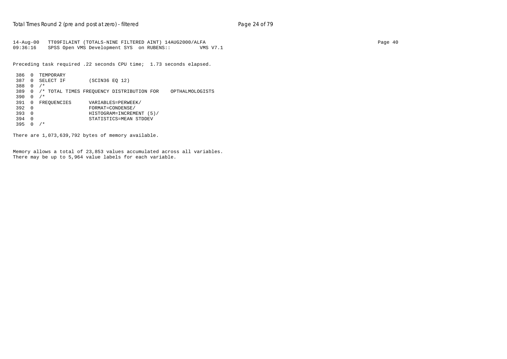14-Aug-00 TT09FILAINT (TOTALS-NINE FILTERED AINT) 14AUG2000/ALFA Page 40 09:36:16 SPSS Open VMS Development SYS on RUBENS:: VMS V7.1

Preceding task required .22 seconds CPU time; 1.73 seconds elapsed.

```
 386 0 TEMPORARY
 387 0 SELECT IF (SCIN36 EQ 12)
 388 0 /*
 389 0 /* TOTAL TIMES FREQUENCY DISTRIBUTION FOR OPTHALMOLOGISTS
 390 0 /*
                VARIABLES=PERWEEK/
 392 0 FORMAT=CONDENSE/
 393 0 HISTOGRAM=INCREMENT (5)/
 394 0 STATISTICS=MEAN STDDEV
 395 0 /*
```
There are 1,073,639,792 bytes of memory available.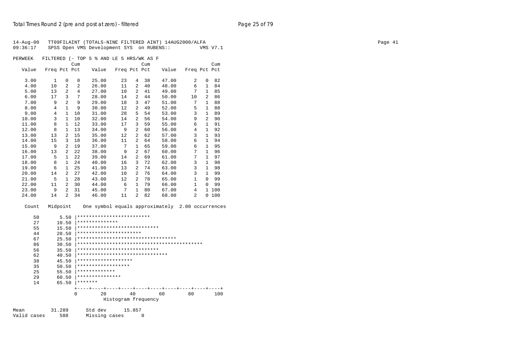| $14 - Aug - 00$<br>09:36:17 |                      |              | TT09FILAINT (TOTALS-NINE FILTERED AINT) 14AUG2000/ALFA<br>SPSS Open VMS Development SYS on RUBENS:: |                     |                |      |                               |              |                | VMS V7.1                 | Page 41 |
|-----------------------------|----------------------|--------------|-----------------------------------------------------------------------------------------------------|---------------------|----------------|------|-------------------------------|--------------|----------------|--------------------------|---------|
| PERWEEK                     |                      |              | FILTERED (- TOP 5 % AND LE 5 HRS/WK AS F                                                            |                     |                |      |                               |              |                |                          |         |
|                             |                      | Cum          |                                                                                                     |                     |                | Cum  |                               |              |                | Cum                      |         |
| Value                       | Freq Pct Pct         |              | Value                                                                                               | Freq Pct Pct        |                |      | Value                         | Freq Pct Pct |                |                          |         |
| 3.00                        | $\mathbf{1}$<br>0    | 0            | 25.00                                                                                               | 23                  | 4              | 38   | 47.00                         | 2            | 0              | 82                       |         |
| 4.00                        | 2<br>10              | 2            | 26.00                                                                                               | 11                  | $\overline{2}$ | 40   | 48.00                         | 6            | 1              | 84                       |         |
| 5.00                        | 2<br>13              | 4            | 27.00                                                                                               | 10                  | $\overline{a}$ | 41   | 49.00                         | 7            | 1              | 85                       |         |
| 6.00                        | $\overline{3}$<br>17 | 7            | 28.00                                                                                               | 14                  | $\overline{a}$ | 44   | 50.00                         | 10           |                | 2 86                     |         |
| 7.00                        | $\overline{a}$<br>9  | 9            | 29.00                                                                                               | 18                  | 3 <sup>7</sup> | 47   | 51.00                         | 7            | $\mathbf{1}$   | 88                       |         |
| 8.00                        | $\mathbf{1}$<br>4    | 9            | 30.00                                                                                               | 12                  | $\overline{a}$ | 49   | 52.00                         | 5            | $\,$ 1 $\,$    | 88                       |         |
| 9.00                        | 4                    | $1\quad 10$  | 31.00                                                                                               | 28                  | 5              | 54   | 53.00                         | 3            | 1              | 89                       |         |
| 10.00                       | $\mathbf{1}$<br>3    | 10           | 32.00                                                                                               | 14                  | $\overline{a}$ | 56   | 54.00                         | 9            | $\overline{a}$ | 90                       |         |
| 11.00                       | 8                    | $1 \quad 12$ | 33.00                                                                                               | 17                  | $\overline{3}$ | 59   | 55.00                         | 6            |                | 1 91                     |         |
| 12.00                       | 1<br>8               | 13           | 34.00                                                                                               | 9                   | $\overline{2}$ | 60   | 56.00                         | 4            | $\mathbf{1}$   | 92                       |         |
| 13.00                       | 13                   | 2, 15        | 35.00                                                                                               | 12                  | $\overline{a}$ | 62   | 57.00                         | 3            |                | 1 93                     |         |
| 14.00                       | 15                   | 3 18         | 36.00                                                                                               | 11                  | $\overline{a}$ | 64   | 58.00                         | 6            | 1              | 94                       |         |
| 15.00                       | 9                    | 2 19         | 37.00                                                                                               | 7                   | $\mathbf{1}$   | 65   | 59.00                         | 6            | 1              | 95                       |         |
| 16.00                       | $\overline{a}$<br>13 | 22           | 38.00                                                                                               | 9                   | $\overline{a}$ | 67   | 60.00                         | 7            | 1              | 96                       |         |
| 17.00                       | 1<br>5               | 22           | 39.00                                                                                               | 14                  | $\overline{a}$ | 69   | 61.00                         | 7            |                | 1 97                     |         |
| 18.00                       | 8<br>1               | 24           | 40.00                                                                                               | 16                  | $\overline{3}$ | 72   | 62.00                         | 3            | 1              | 98                       |         |
| 19.00                       | 6<br>1               | 25           | 41.00                                                                                               | 13                  | $\overline{a}$ | 74   | 63.00                         | 3            |                | 1 98                     |         |
| 20.00                       | $\overline{a}$<br>14 | 27           | 42.00                                                                                               | 10                  | $\overline{a}$ | 76   | 64.00                         | 3            |                | 1 99                     |         |
| 21.00                       | $\mathbf{1}$<br>5    | 28           | 43.00                                                                                               | 12                  | $\overline{a}$ | 78   | 65.00                         | 1            |                | $0$ 99                   |         |
| 22.00                       | $\overline{a}$<br>11 | 30           | 44.00                                                                                               | 6                   | 1              | 79   | 66.00                         | $\mathbf{1}$ |                | $0$ 99                   |         |
| 23.00                       | 9<br>2               | 31           | 45.00                                                                                               | 7                   | $\mathbf{1}$   | 80   | 67.00                         | 4            |                | 1 100                    |         |
| 24.00                       | $\overline{a}$<br>14 | 34           | 46.00                                                                                               | 11                  |                | 2 82 | 68.00                         | 2            |                | 0 100                    |         |
| Count                       | Midpoint             |              | One symbol equals approximately 2.00 occurrences                                                    |                     |                |      |                               |              |                |                          |         |
| 50                          | 5.50                 |              | *************************                                                                           |                     |                |      |                               |              |                |                          |         |
| 27                          | 10.50                |              | **************                                                                                      |                     |                |      |                               |              |                |                          |         |
| 55                          | 15.50                |              | *******                                                                                             |                     |                |      |                               |              |                |                          |         |
| 44                          | 20.50                | $***$        |                                                                                                     |                     |                |      |                               |              |                |                          |         |
| 67                          | 25.50                | ***          |                                                                                                     |                     |                |      | **************************    |              |                |                          |         |
| 86                          | 30.50                | ***          |                                                                                                     |                     |                |      | * * * * * * * * * * * * * * * |              |                |                          |         |
| 56                          | 35.50                | ****         |                                                                                                     |                     |                |      |                               |              |                |                          |         |
| 62                          | 40.50                | ***          |                                                                                                     |                     |                |      |                               |              |                |                          |         |
| 38                          | 45.50                | $***$        |                                                                                                     |                     |                |      |                               |              |                |                          |         |
| 35                          | 50.50                | $***$        |                                                                                                     |                     |                |      |                               |              |                |                          |         |
| 25                          | 55.50                |              | * * * * * * * * *                                                                                   |                     |                |      |                               |              |                |                          |         |
| 29                          | 60.50                |              | ***************                                                                                     |                     |                |      |                               |              |                |                          |         |
| 14                          | 65.50                |              | $ ******$                                                                                           |                     |                |      |                               |              |                |                          |         |
|                             |                      | 0            | 20                                                                                                  |                     | 40             |      | 60                            | 80           |                | $- - + - - - - +$<br>100 |         |
|                             |                      |              |                                                                                                     | Histogram frequency |                |      |                               |              |                |                          |         |
| Mean                        | 31.289               |              | Std dev                                                                                             |                     | 15.857         |      |                               |              |                |                          |         |
| Valid cases                 | 588                  |              | Missing cases                                                                                       |                     |                | 0    |                               |              |                |                          |         |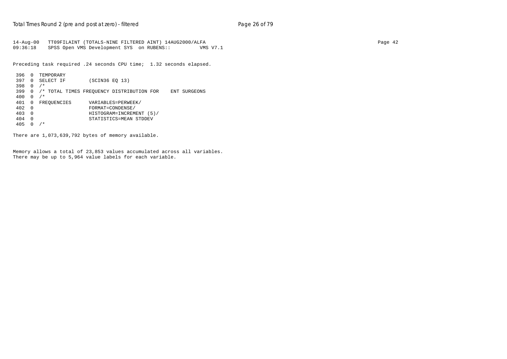14-Aug-00 TT09FILAINT (TOTALS-NINE FILTERED AINT) 14AUG2000/ALFA Page 42 09:36:18 SPSS Open VMS Development SYS on RUBENS:: VMS V7.1

Preceding task required .24 seconds CPU time; 1.32 seconds elapsed.

```
 396 0 TEMPORARY
 397 0 SELECT IF (SCIN36 EQ 13)
 398 0 /*
 399 0 /* TOTAL TIMES FREQUENCY DISTRIBUTION FOR ENT SURGEONS
 400 0 /*
                       VARIABLES=PERWEEK/
\begin{array}{cccc}\n 402 & 0 & & & & & & & \text{FORMAT=COMDENSE/} \\
 403 & 0 & & & & & & & \text{HISTOGRAM=INCREM}\n \end{array} 403 0 HISTOGRAM=INCREMENT (5)/
 404 0 STATISTICS=MEAN STDDEV
 405 0 /*
```
There are 1,073,639,792 bytes of memory available.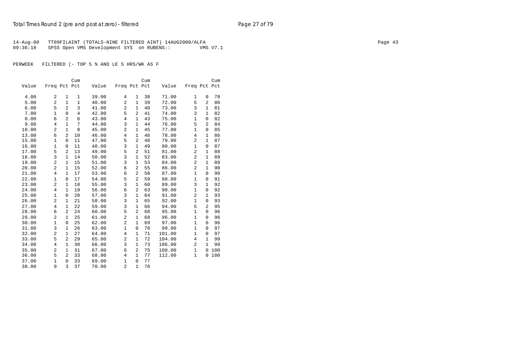| 14-Aug-00 | 1 TT09FILAINT (TOTALS-NINE FILTERED AINT) 14AUG2000/ALFA |          | Page 43 |
|-----------|----------------------------------------------------------|----------|---------|
| 09:36:18  | SPSS Open VMS Development SYS on RUBENS::                | VMS V7.1 |         |

|       |                |                | Cum            |       |                |                | Cum |        |                |              | Cum |
|-------|----------------|----------------|----------------|-------|----------------|----------------|-----|--------|----------------|--------------|-----|
| Value | Freq Pct Pct   |                |                | Value | Freq Pct Pct   |                |     | Value  | Freq Pct Pct   |              |     |
| 4.00  | 2              | 1              | 1              | 39.00 | 4              | $\mathbf 1$    | 38  | 71.00  | 1              | 0            | 78  |
| 5.00  | $\overline{2}$ | $\mathbf{1}$   | $\mathbf{1}$   | 40.00 | $\overline{2}$ | $\mathbf{1}$   | 39  | 72.00  | 5              | 2            | 80  |
| 6.00  | 5              | $\overline{2}$ | $\overline{3}$ | 41.00 | $\overline{2}$ | $\mathbf{1}$   | 40  | 73.00  | 3              | $\mathbf{1}$ | 81  |
| 7.00  | $\mathbf{1}$   | 0              | $\overline{4}$ | 42.00 | 5              | $\overline{a}$ | 41  | 74.00  | 3              | $\mathbf{1}$ | 82  |
| 8.00  | 6              | $\overline{c}$ | 6              | 43.00 | $\overline{4}$ | $\mathbf{1}$   | 43  | 75.00  | $\mathbf{1}$   | 0            | 82  |
| 9.00  | $\overline{4}$ | $\mathbf{1}$   | 7              | 44.00 | 3              | $\mathbf{1}$   | 44  | 76.00  | 5              | 2            | 84  |
|       |                |                |                |       |                |                |     |        |                |              |     |
| 10.00 | 2              | $\mathbf{1}$   | 8              | 45.00 | $\overline{2}$ | $\mathbf{1}$   | 45  | 77.00  | $\mathbf{1}$   | $\mathbf 0$  | 85  |
| 13.00 | 6              | $\overline{a}$ | 10             | 46.00 | $\overline{4}$ | $\mathbf{1}$   | 46  | 78.00  | $\overline{4}$ | 1            | 86  |
| 15.00 | $\mathbf 1$    | 0              | 11             | 47.00 | 5              | $\overline{2}$ | 48  | 79.00  | 2              | $\mathbf{1}$ | 87  |
| 16.00 | $\mathbf{1}$   | 0              | 11             | 48.00 | 3              | $\mathbf{1}$   | 49  | 80.00  | $\mathbf{1}$   | 0            | 87  |
| 17.00 | 5              | 2              | 13             | 49.00 | 5              | $\overline{2}$ | 51  | 81.00  | $\overline{c}$ | $\mathbf{1}$ | 88  |
| 18.00 | 3              | $\mathbf{1}$   | 14             | 50.00 | 3              | $\mathbf{1}$   | 52  | 83.00  | $\overline{a}$ | $\mathbf{1}$ | 89  |
| 19.00 | $\overline{2}$ | 1              | 15             | 51.00 | 3              | $\mathbf{1}$   | 53  | 84.00  | $\overline{a}$ | $\mathbf{1}$ | 89  |
| 20.00 | 2              | $\mathbf{1}$   | 15             | 52.00 | 6              | 2              | 55  | 86.00  | $\overline{a}$ | $\mathbf{1}$ | 90  |
| 21.00 | 4              | $\mathbf{1}$   | 17             | 53.00 | 6              | 2              | 58  | 87.00  | $\mathbf{1}$   | 0            | 90  |
| 22.00 | 1              | 0              | 17             | 54.00 | 5              | $\overline{2}$ | 59  | 88.00  | 1              | 0            | 91  |
| 23.00 | 2              | $\mathbf{1}$   | 18             | 55.00 | 3              | $\mathbf{1}$   | 60  | 89.00  | 3              | $\mathbf{1}$ | 92  |
| 24.00 | 4              | $\mathbf{1}$   | 19             | 56.00 | 6              | $\overline{2}$ | 63  | 90.00  | $\mathbf{1}$   | 0            | 92  |
| 25.00 | 1              | 0              | 20             | 57.00 | 3              | $\mathbf{1}$   | 64  | 91.00  | $\overline{2}$ | $\mathbf{1}$ | 93  |
| 26.00 | $\overline{2}$ | 1              | 21             | 58.00 | 3              | $\mathbf{1}$   | 65  | 92.00  | $\mathbf{1}$   | $\mathbf 0$  | 93  |
| 27.00 | 4              | $\mathbf{1}$   | 22             | 59.00 | 3              | $1\,$          | 66  | 94.00  | 5              | 2            | 95  |
| 28.00 | 6              | $\overline{a}$ | 24             | 60.00 | 5              | 2              | 68  | 95.00  | $\mathbf{1}$   | 0            | 96  |
| 29.00 | 2              | $\mathbf{1}$   | 25             | 61.00 | 2              | $\mathbf{1}$   | 68  | 96.00  | 1              | 0            | 96  |
| 30.00 | $\mathbf{1}$   | 0              | 25             | 62.00 | $\overline{2}$ | $\mathbf{1}$   | 69  | 97.00  | $\mathbf{1}$   | 0            | 96  |
| 31.00 | 3              | $\mathbf{1}$   | 26             | 63.00 | $\mathbf{1}$   | $\mathbf{0}$   | 70  | 99.00  | $\mathbf{1}$   | $\mathbf 0$  | 97  |
| 32.00 | 2              | $\mathbf{1}$   | 27             | 64.00 | $\overline{4}$ | $\mathbf{1}$   | 71  | 101.00 | $\mathbf{1}$   | 0            | 97  |
| 33.00 | 5              | $\overline{a}$ | 29             | 65.00 | 2              | $\mathbf{1}$   | 72  | 104.00 | 4              | $\mathbf{1}$ | 99  |
| 34.00 | $\overline{4}$ | 1              | 30             | 66.00 | 3              | $\mathbf{1}$   | 73  | 106.00 | $\overline{c}$ | $\mathbf{1}$ | 99  |
| 35.00 | $\overline{2}$ | 1              | 31             | 67.00 | 6              | 2              | 75  | 108.00 | $\mathbf{1}$   | 0            | 100 |
| 36.00 | 5              | $\overline{2}$ | 33             | 68.00 | 4              | $\mathbf{1}$   | 77  | 112.00 | $\mathbf 1$    | 0            | 100 |
| 37.00 | $\mathbf 1$    | 0              | 33             | 69.00 | $\mathbf{1}$   | $\mathbf 0$    | 77  |        |                |              |     |
| 38.00 | 9              | 3              | 37             | 70.00 | $\overline{2}$ | $\mathbf{1}$   | 78  |        |                |              |     |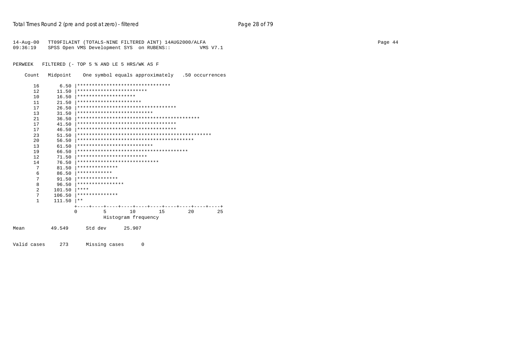| 14-Aug-00<br>09:36:19 |          | TT09FILAINT (TOTALS-NINE FILTERED AINT) 14AUG2000/ALFA<br>Page 44<br>SPSS Open VMS Development SYS on RUBENS::<br>VMS V7.1 |  |  |  |  |  |  |  |  |  |
|-----------------------|----------|----------------------------------------------------------------------------------------------------------------------------|--|--|--|--|--|--|--|--|--|
| PERWEEK               |          | FILTERED (- TOP 5 % AND LE 5 HRS/WK AS F                                                                                   |  |  |  |  |  |  |  |  |  |
| Count                 | Midpoint | One symbol equals approximately .50 occurrences                                                                            |  |  |  |  |  |  |  |  |  |
| 16                    | 6.50     | ********************************                                                                                           |  |  |  |  |  |  |  |  |  |
| 12                    | 11.50    | ************************                                                                                                   |  |  |  |  |  |  |  |  |  |
| 10                    | 16.50    | ********************                                                                                                       |  |  |  |  |  |  |  |  |  |
| 11                    | 21.50    | **********************                                                                                                     |  |  |  |  |  |  |  |  |  |
| 17                    | 26.50    | **********************************                                                                                         |  |  |  |  |  |  |  |  |  |
| 13                    | 31.50    | **************************                                                                                                 |  |  |  |  |  |  |  |  |  |
| 21                    | 36.50    |                                                                                                                            |  |  |  |  |  |  |  |  |  |
| 17                    | 41.50    | **********************************                                                                                         |  |  |  |  |  |  |  |  |  |
| 17                    | 46.50    | **********************************                                                                                         |  |  |  |  |  |  |  |  |  |
| 23                    | 51.50    | ********                                                                                                                   |  |  |  |  |  |  |  |  |  |
| 20                    | 56.50    |                                                                                                                            |  |  |  |  |  |  |  |  |  |
| 13                    | 61.50    | **************************                                                                                                 |  |  |  |  |  |  |  |  |  |
| 19                    | 66.50    |                                                                                                                            |  |  |  |  |  |  |  |  |  |
| 12                    | 71.50    | ************************                                                                                                   |  |  |  |  |  |  |  |  |  |
| 14                    | 76.50    | ****************************                                                                                               |  |  |  |  |  |  |  |  |  |
| 7                     | 81.50    | * * * * * * * * * * * * * *                                                                                                |  |  |  |  |  |  |  |  |  |
| 6                     | 86.50    | ************                                                                                                               |  |  |  |  |  |  |  |  |  |
| 7                     | 91.50    | **************                                                                                                             |  |  |  |  |  |  |  |  |  |
| 8                     | 96.50    | ****************                                                                                                           |  |  |  |  |  |  |  |  |  |
| 2                     | 101.50   | ****                                                                                                                       |  |  |  |  |  |  |  |  |  |
| 7                     | 106.50   | **************                                                                                                             |  |  |  |  |  |  |  |  |  |
| 1                     | 111.50   | $***$                                                                                                                      |  |  |  |  |  |  |  |  |  |
|                       |          |                                                                                                                            |  |  |  |  |  |  |  |  |  |
|                       |          | 10<br>15<br>20<br>25<br>$\Omega$<br>.5<br>Histogram frequency                                                              |  |  |  |  |  |  |  |  |  |
| Mean                  | 49.549   | Std dev<br>25.907                                                                                                          |  |  |  |  |  |  |  |  |  |

Valid cases 273 Missing cases 0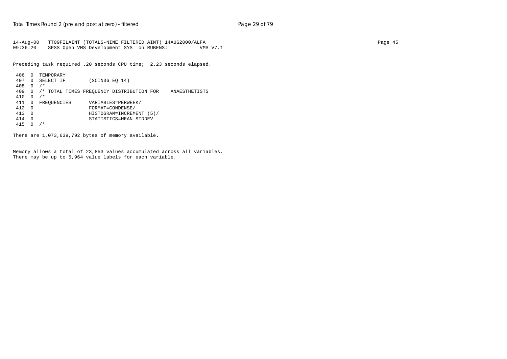14-Aug-00 TT09FILAINT (TOTALS-NINE FILTERED AINT) 14AUG2000/ALFA Page 45 09:36:20 SPSS Open VMS Development SYS on RUBENS:: VMS V7.1

Preceding task required .20 seconds CPU time; 2.23 seconds elapsed.

```
 406 0 TEMPORARY
 407 0 SELECT IF (SCIN36 EQ 14)
 408 0 /*
 409 0 /* TOTAL TIMES FREQUENCY DISTRIBUTION FOR ANAESTHETISTS
 410 0 /*
411 0 FREQUENCIES VARIABLES=PERWEEK/<br>412 0 FORMAT=CONDENSE/
 412 0 FORMAT=CONDENSE/
 413 0 HISTOGRAM=INCREMENT (5)/
 414 0 STATISTICS=MEAN STDDEV
 415 0 /*
```
There are 1,073,639,792 bytes of memory available.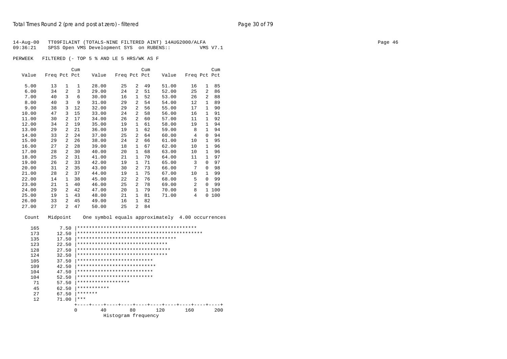|          | 14-Aug-00 TT09FILAINT (TOTALS-NINE FILTERED AINT) 14AUG2000/ALFA | Page 46 |
|----------|------------------------------------------------------------------|---------|
| 09:36:21 | SPSS Open VMS Development SYS on RUBENS::<br>VMS V7.1            |         |
|          |                                                                  |         |
| PERWEEK  | FILTERED (- TOP 5 % AND LE 5 HRS/WK AS F                         |         |

|       |              |                | Cum |       |              |                | Cum |       |              |              | Cum |
|-------|--------------|----------------|-----|-------|--------------|----------------|-----|-------|--------------|--------------|-----|
| Value | Freq Pct Pct |                |     | Value | Freq Pct Pct |                |     | Value | Freq Pct Pct |              |     |
| 5.00  | 13           | 1              | 1   | 28.00 | 25           | 2              | 49  | 51.00 | 16           | $\mathbf{1}$ | 85  |
| 6.00  | 34           | $\overline{2}$ | 3   | 29.00 | 24           | 2              | 51  | 52.00 | 25           | 2            | 86  |
| 7.00  | 40           | 3              | 6   | 30.00 | 16           | 1              | 52  | 53.00 | 26           | 2            | 88  |
| 8.00  | 40           | 3              | 9   | 31.00 | 29           | $\overline{2}$ | 54  | 54.00 | 12           | $\mathbf{1}$ | 89  |
| 9.00  | 38           | 3              | 12  | 32.00 | 29           | 2              | 56  | 55.00 | 17           | $\mathbf{1}$ | 90  |
| 10.00 | 47           | 3              | 15  | 33.00 | 24           | $\overline{2}$ | 58  | 56.00 | 16           | 1            | 91  |
| 11.00 | 30           | 2              | 17  | 34.00 | 26           | $\overline{2}$ | 60  | 57.00 | 11           | 1            | 92  |
| 12.00 | 34           | 2              | 19  | 35.00 | 19           | $\mathbf{1}$   | 61  | 58.00 | 19           | 1            | 94  |
| 13.00 | 29           | 2              | 21  | 36.00 | 19           | 1              | 62  | 59.00 | 8            | 1            | 94  |
| 14.00 | 33           | $\overline{a}$ | 24  | 37.00 | 25           | 2              | 64  | 60.00 | 4            | 0            | 94  |
| 15.00 | 29           | $\overline{a}$ | 26  | 38.00 | 24           | $\overline{a}$ | 66  | 61.00 | 10           | $\mathbf{1}$ | 95  |
| 16.00 | 27           | $\overline{a}$ | 28  | 39.00 | 18           | 1              | 67  | 62.00 | 10           | 1            | 96  |
| 17.00 | 28           | $\overline{a}$ | 30  | 40.00 | 20           | $\mathbf{1}$   | 68  | 63.00 | 10           | $\mathbf{1}$ | 96  |
| 18.00 | 25           | $\overline{a}$ | 31  | 41.00 | 21           | 1              | 70  | 64.00 | 11           | $\mathbf{1}$ | 97  |
| 19.00 | 26           | $\overline{a}$ | 33  | 42.00 | 19           | 1              | 71  | 65.00 | 3            | $\Omega$     | 97  |
| 20.00 | 31           | $\overline{a}$ | 35  | 43.00 | 30           | 2              | 73  | 66.00 | 7            | 0            | 98  |
| 21.00 | 28           | $\overline{a}$ | 37  | 44.00 | 19           | 1              | 75  | 67.00 | 10           | 1            | 99  |
| 22.00 | 14           | $\mathbf{1}$   | 38  | 45.00 | 22           | 2              | 76  | 68.00 | 5            | 0            | 99  |
| 23.00 | 21           | $\mathbf{1}$   | 40  | 46.00 | 25           | $\overline{a}$ | 78  | 69.00 | 2            | 0            | 99  |
| 24.00 | 29           | $\overline{a}$ | 42  | 47.00 | 20           | $\mathbf{1}$   | 79  | 70.00 | 8            | $\mathbf{1}$ | 100 |
| 25.00 | 19           | 1              | 43  | 48.00 | 21           | 1              | 81  | 71.00 | 4            | 0            | 100 |
| 26.00 | 33           | $\overline{a}$ | 45  | 49.00 | 16           | 1              | 82  |       |              |              |     |
| 27.00 | 27           | $\overline{a}$ | 47  | 50.00 | 25           | 2              | 84  |       |              |              |     |

Count Midpoint One symbol equals approximately 4.00 occurrences

| **********************************                                                                                             |
|--------------------------------------------------------------------------------------------------------------------------------|
| *******************************                                                                                                |
| ********************************                                                                                               |
| *******************************                                                                                                |
| **************************                                                                                                     |
| ***************************                                                                                                    |
| **************************                                                                                                     |
| **************************                                                                                                     |
| ******************                                                                                                             |
| ***********                                                                                                                    |
| *******                                                                                                                        |
| ***                                                                                                                            |
|                                                                                                                                |
| 40<br>80<br>120<br>160<br>200                                                                                                  |
| Histogram frequency                                                                                                            |
| 7.50<br>12.50<br>17.50<br>22.50<br>27.50<br>32.50<br>37.50<br>42.50<br>47.50<br>52.50<br>57.50<br>62.50<br>67.50<br>71.00<br>0 |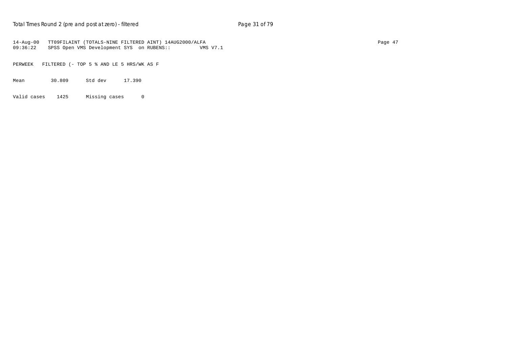14-Aug-00 TT09FILAINT (TOTALS-NINE FILTERED AINT) 14AUG2000/ALFA Page 47 09:36:22 SPSS Open VMS Development SYS on RUBENS:: VMS V7.1

PERWEEK FILTERED (- TOP 5 % AND LE 5 HRS/WK AS F

Mean 30.809 Std dev 17.390

Valid cases 1425 Missing cases 0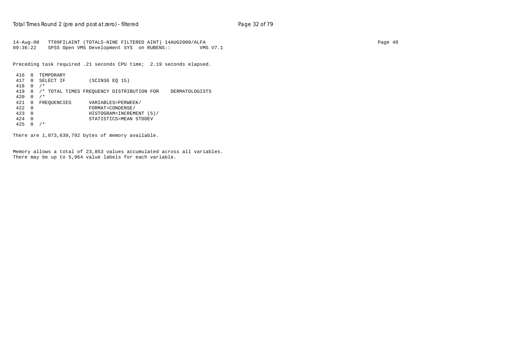14-Aug-00 TT09FILAINT (TOTALS-NINE FILTERED AINT) 14AUG2000/ALFA Page 48 09:36:22 SPSS Open VMS Development SYS on RUBENS:: VMS V7.1

Preceding task required .21 seconds CPU time; 2.19 seconds elapsed.

```
 416 0 TEMPORARY
 417 0 SELECT IF (SCIN36 EQ 15)
 418 0 /*
 419 0 /* TOTAL TIMES FREQUENCY DISTRIBUTION FOR DERMATOLOGISTS
 420 0 /*
421 0 FREQUENCIES VARIABLES=PERWEEK/<br>422 0 FORMAT=CONDENSE/
+ FORMAT=CONDENSE/<br>423 0 FORMAT=CONDENSE/<br>HISTOGRAM=INCREM
 423 0 HISTOGRAM=INCREMENT (5)/
 424 0 STATISTICS=MEAN STDDEV
425 0 /*
```
There are 1,073,639,792 bytes of memory available.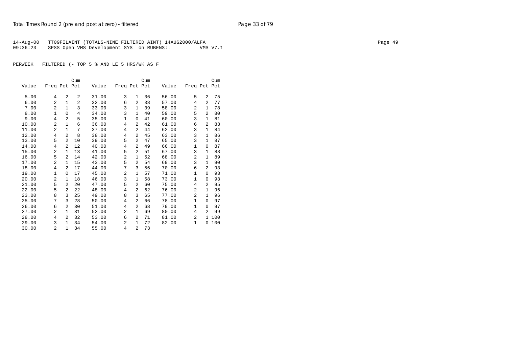| 14-Aug-00 | 1 TT09FILAINT (TOTALS-NINE FILTERED AINT) 14AUG2000/ALFA |          | Page 49 |
|-----------|----------------------------------------------------------|----------|---------|
| 09:36:23  | SPSS Open VMS Development SYS on RUBENS::                | VMS V7.1 |         |

|       |                |                | Cum |       |                |                | Cum |       |                |                | Cum |
|-------|----------------|----------------|-----|-------|----------------|----------------|-----|-------|----------------|----------------|-----|
| Value | Freq Pct Pct   |                |     | Value | Freq Pct Pct   |                |     | Value | Freq Pct Pct   |                |     |
| 5.00  | 4              | 2              | 2   | 31.00 | 3              | $\mathbf{1}$   | 36  | 56.00 | 5              | $\overline{a}$ | 75  |
| 6.00  | 2              | $\mathbf{1}$   | 2   | 32.00 | 6              | 2              | 38  | 57.00 | 4              | $\overline{a}$ | 77  |
| 7.00  | $\overline{a}$ | $\mathbf{1}$   | 3   | 33.00 | 3              | $\mathbf{1}$   | 39  | 58.00 | $\overline{a}$ | $\mathbf{1}$   | 78  |
| 8.00  | $\mathbf{1}$   | $\Omega$       | 4   | 34.00 | 3              | $\mathbf{1}$   | 40  | 59.00 | 5              | $\overline{2}$ | 80  |
| 9.00  | $\overline{4}$ | $\overline{a}$ | 5   | 35.00 | 1              | 0              | 41  | 60.00 | 3              | $\mathbf{1}$   | 81  |
| 10.00 | $\overline{2}$ | $\mathbf{1}$   | 6   | 36.00 | 4              | 2              | 42  | 61.00 | 6              | $\overline{2}$ | 83  |
| 11.00 | $\overline{a}$ | $\mathbf{1}$   | 7   | 37.00 | 4              | 2              | 44  | 62.00 | 3              | 1              | 84  |
| 12.00 | 4              | $\overline{a}$ | 8   | 38.00 | 4              | $\overline{a}$ | 45  | 63.00 | 3              | $\mathbf{1}$   | 86  |
| 13.00 | 5              | $\overline{2}$ | 10  | 39.00 | 5              | 2              | 47  | 65.00 | 3              | $\mathbf{1}$   | 87  |
| 14.00 | 4              | 2              | 12  | 40.00 | 4              | 2              | 49  | 66.00 | 1              | 0              | 87  |
| 15.00 | $\overline{2}$ | $\mathbf{1}$   | 13  | 41.00 | 5              | 2              | 51  | 67.00 | 3              | $\mathbf{1}$   | 88  |
| 16.00 | 5              | $\overline{a}$ | 14  | 42.00 | $\overline{2}$ | $\mathbf{1}$   | 52  | 68.00 | $\overline{2}$ | $\mathbf{1}$   | 89  |
| 17.00 | 2              | 1              | 15  | 43.00 | 5              | 2              | 54  | 69.00 | 3              | $\mathbf{1}$   | 90  |
| 18.00 | 4              | $\overline{2}$ | 17  | 44.00 | 7              | 3              | 56  | 70.00 | 6              | $\overline{2}$ | 93  |
| 19.00 | $\mathbf{1}$   | $\Omega$       | 17  | 45.00 | 2              | 1              | 57  | 71.00 | 1              | $\Omega$       | 93  |
| 20.00 | $\overline{a}$ | 1              | 18  | 46.00 | 3              | $\mathbf{1}$   | 58  | 73.00 | 1              | 0              | 93  |
| 21.00 | 5              | 2              | 20  | 47.00 | 5              | 2              | 60  | 75.00 | 4              | $\overline{2}$ | 95  |
| 22.00 | 5              | $\overline{a}$ | 22  | 48.00 | 4              | 2              | 62  | 76.00 | $\overline{a}$ | $\mathbf{1}$   | 96  |
| 23.00 | 8              | 3              | 25  | 49.00 | 8              | 3              | 65  | 77.00 | $\overline{a}$ | $\mathbf{1}$   | 96  |
| 25.00 | 7              | 3              | 28  | 50.00 | 4              | 2              | 66  | 78.00 | 1              | 0              | 97  |
| 26.00 | 6              | $\overline{a}$ | 30  | 51.00 | $\overline{4}$ | 2              | 68  | 79.00 | 1              | 0              | 97  |
| 27.00 | 2              | $\mathbf{1}$   | 31  | 52.00 | 2              | $\mathbf{1}$   | 69  | 80.00 | 4              | $\overline{2}$ | 99  |
| 28.00 | 4              | 2              | 32  | 53.00 | 6              | 2              | 71  | 81.00 | $\overline{a}$ | 1.             | 100 |
| 29.00 | 3              | $\mathbf{1}$   | 34  | 54.00 | 2              | $\mathbf{1}$   | 72  | 82.00 | 1              | 0              | 100 |
| 30.00 | 2              | $\mathbf{1}$   | 34  | 55.00 | 4              | $\overline{a}$ | 73  |       |                |                |     |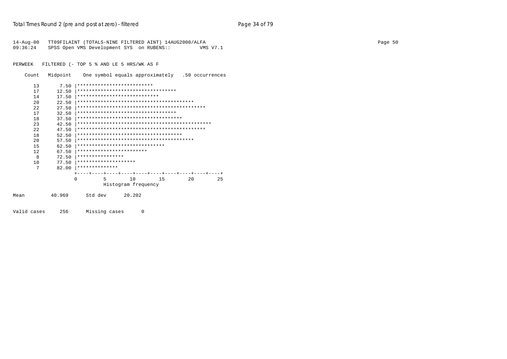|          | 14-Aug-00 TT09FILAINT (TOTALS-NINE FILTERED AINT) 14AUG2000/ALFA |          | Page 50 |
|----------|------------------------------------------------------------------|----------|---------|
| 09:36:24 | SPSS Open VMS Development SYS on RUBENS::                        | VMS V7.1 |         |

Count Midpoint One symbol equals approximately .50 occurrences

| 13           | 7.50   | **************************            |                     |    |    |    |
|--------------|--------|---------------------------------------|---------------------|----|----|----|
| 17           | 12.50  | **********************************    |                     |    |    |    |
| 14           | 17.50  | ****************************          |                     |    |    |    |
| 2.0          | 22.50  |                                       |                     |    |    |    |
| 2.2.         | 27.50  |                                       |                     |    |    |    |
| 17           | 32.50  | **********************************    |                     |    |    |    |
| 18           | 37.50  | ************************************  |                     |    |    |    |
| 23           | 42.50  |                                       |                     |    |    |    |
| 2.2.         | 47.50  |                                       |                     |    |    |    |
| 18           | 52.50  | ************************************* |                     |    |    |    |
| $20^{\circ}$ | 57.50  |                                       |                     |    |    |    |
| 15           | 62.50  | ******************************        |                     |    |    |    |
| 12           | 67.50  | ************************              |                     |    |    |    |
| 8            | 72.50  | ****************                      |                     |    |    |    |
| 10           | 77.50  | ********************                  |                     |    |    |    |
| 7            | 82.00  | **************                        |                     |    |    |    |
|              |        |                                       |                     |    |    |    |
|              |        | 5<br>$\Omega$                         | 10                  | 15 | 20 | 25 |
|              |        |                                       | Histogram frequency |    |    |    |
| Mean         | 40.969 | Std dev                               | 20.202              |    |    |    |

Valid cases 256 Missing cases 0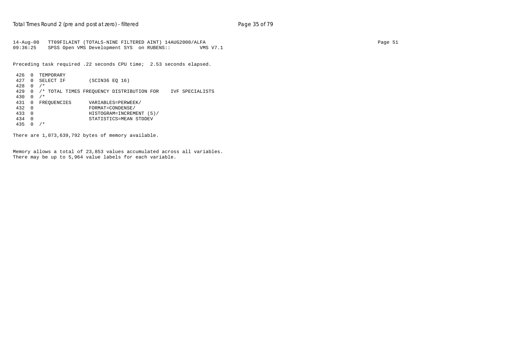14-Aug-00 TT09FILAINT (TOTALS-NINE FILTERED AINT) 14AUG2000/ALFA Page 51 09:36:25 SPSS Open VMS Development SYS on RUBENS:: VMS V7.1

Preceding task required .22 seconds CPU time; 2.53 seconds elapsed.

```
 426 0 TEMPORARY
 427 0 SELECT IF (SCIN36 EQ 16)
 428 0 /*
 429 0 /* TOTAL TIMES FREQUENCY DISTRIBUTION FOR IVF SPECIALISTS
 430 0 /*
                        VARIABLES=PERWEEK/
\begin{array}{cccc}\n 432 & 0 & \text{HINHE} \\
 + \text{ORMATE} & 0 & \text{ORMATE} \\
 \hline\n 433 & 0 & \text{HISTOGRAM} = \text{INNEM} \\
 \end{array} 433 0 HISTOGRAM=INCREMENT (5)/
 434 0 STATISTICS=MEAN STDDEV
 435 0 /*
```
There are 1,073,639,792 bytes of memory available.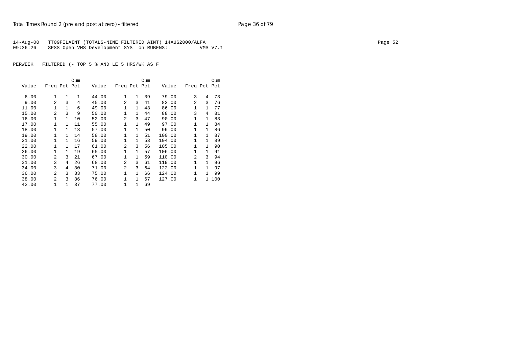| 14-Aug-00 | 1 TT09FILAINT (TOTALS-NINE FILTERED AINT) 14AUG2000/ALFA |          | Page 52 |
|-----------|----------------------------------------------------------|----------|---------|
| 09:36:26  | SPSS Open VMS Development SYS on RUBENS::                | VMS V7.1 |         |

|       |                |              | Cum |       |                |              | Cum |        |              |              | Cum |
|-------|----------------|--------------|-----|-------|----------------|--------------|-----|--------|--------------|--------------|-----|
| Value | Freq Pct Pct   |              |     | Value | Freq Pct Pct   |              |     | Value  | Freq Pct Pct |              |     |
| 6.00  | $\mathbf{1}$   | 1            | 1   | 44.00 | $\mathbf{1}$   | 1            | 39  | 79.00  | 3            | 4            | 73  |
| 9.00  | 2              | 3            | 4   | 45.00 | 2              | 3            | 41  | 83.00  | 2            | 3            | 76  |
| 11.00 | $\mathbf{1}$   | $\mathbf{1}$ | 6   | 49.00 | 1              | $\mathbf{1}$ | 43  | 86.00  | 1            | $\mathbf{1}$ | 77  |
| 15.00 | $\mathfrak{D}$ | 3            | 9   | 50.00 | 1              | $\mathbf{1}$ | 44  | 88.00  | 3            | 4            | 81  |
| 16.00 | 1              | $\mathbf{1}$ | 10  | 52.00 | 2              | 3            | 47  | 90.00  | 1            | $\mathbf{1}$ | 83  |
| 17.00 | 1              | 1            | 11  | 55.00 | 1              | 1            | 49  | 97.00  | 1            | 1            | 84  |
| 18.00 | $\mathbf 1$    | 1            | 13  | 57.00 | 1              | $\mathbf{1}$ | 50  | 99.00  | 1            | $\mathbf{1}$ | 86  |
| 19.00 | $\mathbf{1}$   | $\mathbf{1}$ | 14  | 58.00 | 1              | $\mathbf{1}$ | 51  | 100.00 | 1            | $\mathbf{1}$ | 87  |
| 21.00 | $\mathbf{1}$   | 1            | 16  | 59.00 | $\mathbf{1}$   | 1            | 53  | 104.00 | 1            | 1            | 89  |
| 22.00 | $\mathbf{1}$   | 1            | 17  | 61.00 | 2              | 3            | 56  | 105.00 | 1            | $\mathbf{1}$ | 90  |
| 26.00 | $\mathbf{1}$   | $\mathbf{1}$ | 19  | 65.00 | $\mathbf{1}$   | $\mathbf{1}$ | 57  | 106.00 | 1            | $\mathbf{1}$ | 91  |
| 30.00 | $\mathfrak{D}$ | 3            | 21  | 67.00 | $\mathbf{1}$   | $\mathbf{1}$ | 59  | 110.00 | 2            | 3            | 94  |
| 31.00 | 3              | 4            | 26  | 68.00 | 2              | 3            | 61  | 119.00 | 1            | $\mathbf{1}$ | 96  |
| 34.00 | 3              | 4            | 30  | 71.00 | $\overline{2}$ | 3            | 64  | 122.00 | 1            | $\mathbf{1}$ | 97  |
| 36.00 | $\overline{a}$ | 3            | 33  | 75.00 | 1              | $\mathbf{1}$ | 66  | 124.00 | 1            | $\mathbf{1}$ | 99  |
| 38.00 | $\mathfrak{D}$ | 3            | 36  | 76.00 | 1              | 1            | 67  | 127.00 | 1            | 1.           | 100 |
| 42.00 | 1              |              | 37  | 77.00 | 1              | 1            | 69  |        |              |              |     |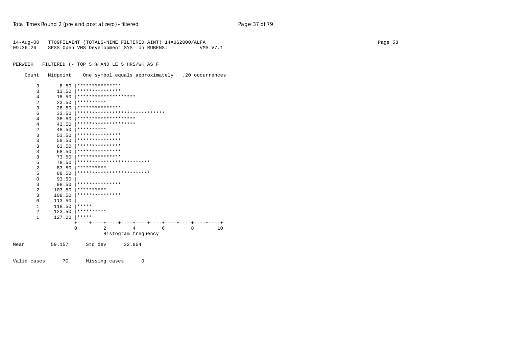| $14 - Aug - 00$<br>09:36:26 |          | TT09FILAINT (TOTALS-NINE FILTERED AINT) 14AUG2000/ALFA<br>SPSS Open VMS Development SYS on RUBENS::<br>VMS V7.1 | Page 53 |
|-----------------------------|----------|-----------------------------------------------------------------------------------------------------------------|---------|
| PERWEEK                     |          | FILTERED (- TOP 5 % AND LE 5 HRS/WK AS F                                                                        |         |
| Count                       | Midpoint | One symbol equals approximately .20 occurrences                                                                 |         |
| 3                           | 8.50     | ***************                                                                                                 |         |
| 3                           | 13.50    | ***************                                                                                                 |         |
| 4                           | 18.50    | ********************                                                                                            |         |
| $\overline{2}$              | 23.50    | **********                                                                                                      |         |
| 3                           | 28.50    | ***************                                                                                                 |         |
| 6                           | 33.50    | ******************************                                                                                  |         |
| 4                           | 38.50    | ********************                                                                                            |         |
| 4                           | 43.50    | ********************                                                                                            |         |
| 2                           | 48.50    | **********                                                                                                      |         |
| 3                           | 53.50    | ***************                                                                                                 |         |
| 3                           | 58.50    | ***************                                                                                                 |         |
| 3                           | 63.50    | ***************                                                                                                 |         |
| 3                           | 68.50    | ***************                                                                                                 |         |
| 3                           | 73.50    | ***************                                                                                                 |         |
| 5                           | 78.50    | *************************                                                                                       |         |
| 2                           | 83.50    | **********                                                                                                      |         |
| 5                           | 88.50    | *************************                                                                                       |         |
| $\mathbf 0$                 | 93.50    |                                                                                                                 |         |
| 3                           | 98.50    | ***************                                                                                                 |         |
| 2                           | 103.50   | **********                                                                                                      |         |
| 3                           | 108.50   | ***************                                                                                                 |         |
| 0                           | 113.50   |                                                                                                                 |         |
| $\mathbf{1}$                | 118.50   | $* * * * * *$                                                                                                   |         |
| 2                           | 123.50   | **********                                                                                                      |         |
| $\mathbf{1}$                | 127.00   | *****                                                                                                           |         |
|                             |          |                                                                                                                 |         |
|                             |          | $\overline{a}$<br>$\overline{4}$<br>6<br>8<br>0<br>10<br>Histogram frequency                                    |         |
| Mean                        | 59.157   | Std dev<br>32.864                                                                                               |         |
| Valid cases                 | 70       | Missing cases<br>0                                                                                              |         |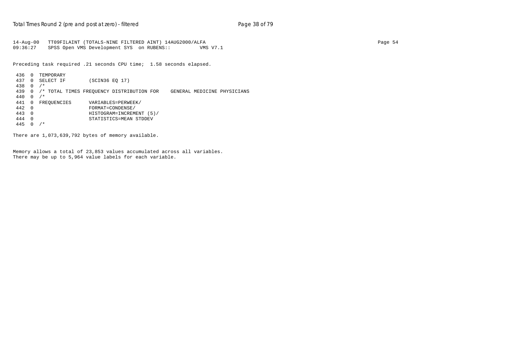```
14-Aug-00 TT09FILAINT (TOTALS-NINE FILTERED AINT) 14AUG2000/ALFA Page 54
09:36:27 SPSS Open VMS Development SYS on RUBENS:: VMS V7.1
```
Preceding task required .21 seconds CPU time; 1.58 seconds elapsed.

```
 436 0 TEMPORARY
 437 0 SELECT IF (SCIN36 EQ 17)
 438 0 /*
 439 0 /* TOTAL TIMES FREQUENCY DISTRIBUTION FOR GENERAL MEDICINE PHYSICIANS
 440 0 /*
                       VARIABLES=PERWEEK/
\begin{array}{cccc}\n 442 & 0 & \text{FORMATE}-\text{CONDEM} \\
 + & 443 & 0 & \text{HISTOGRAM} = \text{INNEM} \\
 \end{array} 443 0 HISTOGRAM=INCREMENT (5)/
 444 0 STATISTICS=MEAN STDDEV
445 0 /*
```
There are 1,073,639,792 bytes of memory available.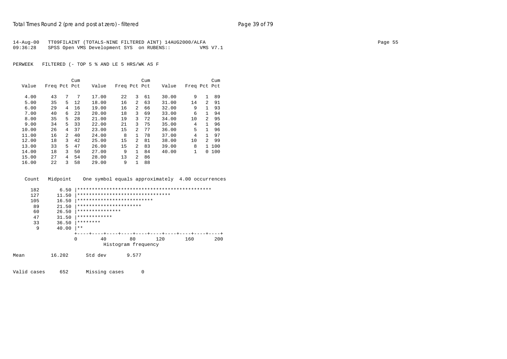| 14-Aug-00 | TT09FILAINT (TOTALS-NINE FILTERED AINT) 14AUG2000/ALFA |          | Page 55 |
|-----------|--------------------------------------------------------|----------|---------|
| 09:36:28  | SPSS Open VMS Development SYS on RUBENS::              | VMS V7.1 |         |

|       |              |   | Cum |       |              |               | Cum |       |              |              | Cum   |
|-------|--------------|---|-----|-------|--------------|---------------|-----|-------|--------------|--------------|-------|
| Value | Freq Pct Pct |   |     | Value | Freq Pct Pct |               |     | Value | Freq Pct Pct |              |       |
| 4.00  | 43           | 7 | 7   | 17.00 | 22           | 3             | 61  | 30.00 | 9            | $\mathbf{1}$ | 89    |
| 5.00  | 35           | 5 | 12  | 18.00 | 16           | 2             | 63  | 31.00 | 14           | 2            | 91    |
| 6.00  | 29           | 4 | 16  | 19.00 | 16           | 2             | 66  | 32.00 | 9            | $\mathbf{1}$ | 93    |
| 7.00  | 40           | 6 | 23  | 20.00 | 18           | 3             | 69  | 33.00 | 6            | $\mathbf{1}$ | 94    |
| 8.00  | 35           | 5 | 28  | 21.00 | 19           | 3             | 72  | 34.00 | 10           | 2            | 95    |
| 9.00  | 34           | 5 | 33  | 22.00 | 21           | 3             | 75  | 35.00 | 4            | $\mathbf{1}$ | 96    |
| 10.00 | 26           | 4 | 37  | 23.00 | 15           | $2^{1}$       | 77  | 36.00 | 5            | $\mathbf{1}$ | 96    |
| 11.00 | 16           | 2 | 40  | 24.00 | 8            | $\mathbf{1}$  | 78  | 37.00 | 4            | $\mathbf{1}$ | 97    |
| 12.00 | 18           | 3 | 42  | 25.00 | 15           | 2             | 81  | 38.00 | 10           | 2            | 99    |
| 13.00 | 33           | 5 | 47  | 26.00 | 15           | $\mathcal{L}$ | 83  | 39.00 | 8            |              | 1 100 |
| 14.00 | 18           | 3 | 50  | 27.00 | 9            | $\mathbf{1}$  | 84  | 40.00 | 1            | $\Omega$     | 100   |
| 15.00 | 27           | 4 | 54  | 28.00 | 13           | 2             | 86  |       |              |              |       |
| 16.00 | 22           | ς | 58  | 29.00 | 9            | 1             | 88  |       |              |              |       |

| Count | Midpoint |          |                 |                                  |      |      | One symbol equals approximately 4.00 occurrences |     |
|-------|----------|----------|-----------------|----------------------------------|------|------|--------------------------------------------------|-----|
| 182   | 6.50     |          |                 |                                  |      |      |                                                  |     |
| 127   | 11.50    |          |                 | ******************************** |      |      |                                                  |     |
| 105   | 16.50    |          |                 | **************************       |      |      |                                                  |     |
| 89    | 21.50    |          |                 | **********************           |      |      |                                                  |     |
| 60    | 26.50    |          | *************** |                                  |      |      |                                                  |     |
| 47    | 31.50    |          | ************    |                                  |      |      |                                                  |     |
| 33    | 36.50    | ******** |                 |                                  |      |      |                                                  |     |
| 9     | 40.00    | $***$    |                 |                                  |      |      |                                                  |     |
|       |          |          |                 |                                  |      |      |                                                  |     |
|       |          |          | 4 N             | 80.                              | 120. | 160. |                                                  | 200 |

|  |                     | 120 |  |
|--|---------------------|-----|--|
|  | Histogram frequency |     |  |

| 16.202<br>9.577<br>Std dev<br>Mean<br>____ |  |
|--------------------------------------------|--|
|--------------------------------------------|--|

Valid cases 652 Missing cases 0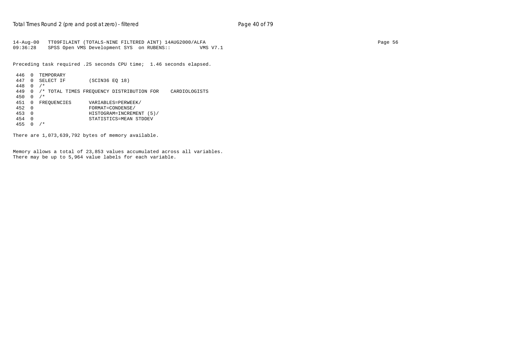14-Aug-00 TT09FILAINT (TOTALS-NINE FILTERED AINT) 14AUG2000/ALFA Page 56 09:36:28 SPSS Open VMS Development SYS on RUBENS:: VMS V7.1

Preceding task required .25 seconds CPU time; 1.46 seconds elapsed.

```
 446 0 TEMPORARY
 447 0 SELECT IF (SCIN36 EQ 18)
 448 0 /*
 449 0 /* TOTAL TIMES FREQUENCY DISTRIBUTION FOR CARDIOLOGISTS
 450 0 /*
                        VARIABLES=PERWEEK/
\begin{array}{cccc}\n 452 & 0 & \text{FOMM} & \text{FOMM} & \text{FOMD} \\
 453 & 0 & \text{HISTOGRM} & \text{FOMD} & \text{FOMD} \\
 \end{array} 453 0 HISTOGRAM=INCREMENT (5)/
 454 0 STATISTICS=MEAN STDDEV
 455 0 /*
```
There are 1,073,639,792 bytes of memory available.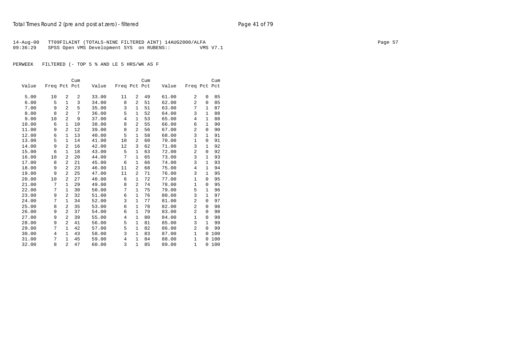14-Aug-00 TT09FILAINT (TOTALS-NINE FILTERED AINT) 14AUG2000/ALFA Page 57 09:36:29 SPSS Open VMS Development SYS on RUBENS:: VMS V7.1

PERWEEK FILTERED (- TOP 5 % AND LE 5 HRS/WK AS F

|       |                |                | Cum |       |                |                | Cum |       |                |              | Cum |
|-------|----------------|----------------|-----|-------|----------------|----------------|-----|-------|----------------|--------------|-----|
| Value | Freq Pct Pct   |                |     | Value | Freq Pct Pct   |                |     | Value | Freq Pct Pct   |              |     |
|       |                |                |     |       |                |                |     |       |                |              |     |
| 5.00  | 10             | 2              | 2   | 33.00 | 11             | 2              | 49  | 61.00 | 2              | 0            | 85  |
| 6.00  | 5              | $\mathbf{1}$   | 3   | 34.00 | 8              | 2              | 51  | 62.00 | $\overline{a}$ | $\Omega$     | 85  |
| 7.00  | 9              | $\overline{a}$ | 5   | 35.00 | 3              | 1              | 51  | 63.00 | 7              | $\mathbf{1}$ | 87  |
| 8.00  | 8              | $\overline{a}$ | 7   | 36.00 | 5              | $\mathbf{1}$   | 52  | 64.00 | 3              | 1            | 88  |
| 9.00  | 10             | $\overline{a}$ | 9   | 37.00 | $\overline{4}$ | 1              | 53  | 65.00 | 4              | 1            | 88  |
| 10.00 | 6              | $\mathbf{1}$   | 10  | 38.00 | 8              | 2              | 55  | 66.00 | 6              | 1            | 90  |
| 11.00 | 9              | 2              | 12  | 39.00 | 8              | 2              | 56  | 67.00 | $\overline{a}$ | $\Omega$     | 90  |
| 12.00 | 6              | 1              | 13  | 40.00 | 5              | $\mathbf{1}$   | 58  | 68.00 | 3              | $\mathbf{1}$ | 91  |
| 13.00 | 5              | $\mathbf{1}$   | 14  | 41.00 | 10             | $\overline{2}$ | 60  | 70.00 | $\mathbf{1}$   | $\mathbf 0$  | 91  |
| 14.00 | 9              | 2              | 16  | 42.00 | 12             | 3              | 62  | 71.00 | 3              | $\mathbf{1}$ | 92  |
| 15.00 | 6              | 1              | 18  | 43.00 | 5              | $\mathbf{1}$   | 63  | 72.00 | $\overline{2}$ | 0            | 92  |
| 16.00 | 10             | 2              | 20  | 44.00 | 7              | 1              | 65  | 73.00 | 3              | $\mathbf{1}$ | 93  |
| 17.00 | 8              | 2              | 21  | 45.00 | 6              | $\mathbf{1}$   | 66  | 74.00 | 3              | 1            | 93  |
| 18.00 | 9              | $\overline{a}$ | 23  | 46.00 | 11             | $\overline{2}$ | 68  | 75.00 | 4              | $\mathbf{1}$ | 94  |
| 19.00 | 9              | $\overline{a}$ | 25  | 47.00 | 11             | $\overline{a}$ | 71  | 76.00 | 3              | $\mathbf{1}$ | 95  |
| 20.00 | 10             | 2              | 27  | 48.00 | 6              | $\mathbf{1}$   | 72  | 77.00 | $\mathbf{1}$   | $\Omega$     | 95  |
| 21.00 | 7              | $\mathbf{1}$   | 29  | 49.00 | 8              | $\overline{a}$ | 74  | 78.00 | $\mathbf{1}$   | 0            | 95  |
| 22.00 | 7              | $\mathbf{1}$   | 30  | 50.00 | 7              | 1              | 75  | 79.00 | 5              | 1            | 96  |
| 23.00 | 9              | 2              | 32  | 51.00 | 6              | 1              | 76  | 80.00 | 3              | $\mathbf{1}$ | 97  |
| 24.00 | 7              | $\mathbf{1}$   | 34  | 52.00 | 3              | 1              | 77  | 81.00 | $\overline{a}$ | $\Omega$     | 97  |
| 25.00 | 8              | 2              | 35  | 53.00 | 6              | $\mathbf{1}$   | 78  | 82.00 | $\overline{a}$ | 0            | 98  |
| 26.00 | 9              | $\overline{a}$ | 37  | 54.00 | 6              | $\mathbf{1}$   | 79  | 83.00 | $\overline{a}$ | $\Omega$     | 98  |
| 27.00 | 9              | 2              | 39  | 55.00 | 4              | $\mathbf{1}$   | 80  | 84.00 | 1              | $\Omega$     | 98  |
| 28.00 | 9              | $\overline{a}$ | 41  | 56.00 | 5              | 1              | 81  | 85.00 | 3              | $\mathbf{1}$ | 99  |
| 29.00 | 7              | $\mathbf{1}$   | 42  | 57.00 | 5              | $\mathbf{1}$   | 82  | 86.00 | $\overline{a}$ | $\Omega$     | 99  |
| 30.00 | $\overline{4}$ | $\mathbf{1}$   | 43  | 58.00 | 3              | $\mathbf{1}$   | 83  | 87.00 | $\mathbf{1}$   | 0            | 100 |
| 31.00 | 7              | $\mathbf{1}$   | 45  | 59.00 | $\overline{4}$ | 1              | 84  | 88.00 | 1              | 0            | 100 |
| 32.00 | 8              | $\overline{a}$ | 47  | 60.00 | 3              | $\mathbf{1}$   | 85  | 89.00 | $\mathbf{1}$   | 0            | 100 |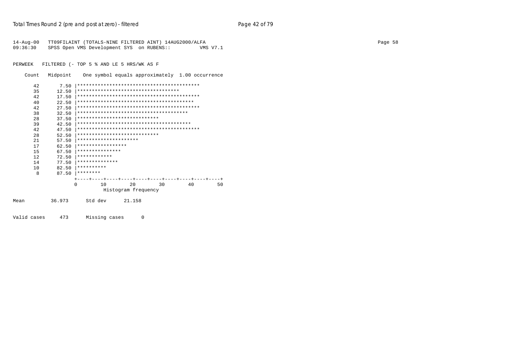| 14-Aug-00 TT09FILAINT (TOTALS-NINE FILTERED AINT) 14AUG2000/ALFA |          | Page 58 |
|------------------------------------------------------------------|----------|---------|
| 09:36:30 SPSS Open VMS Development SYS on RUBENS::               | VMS V7.1 |         |

Count Midpoint One symbol equals approximately 1.00 occurrence

| 42   | 7.50   |                                        |                     |        |    |    |    |
|------|--------|----------------------------------------|---------------------|--------|----|----|----|
| 35   | 12.50  | ***********************************    |                     |        |    |    |    |
| 42   | 17.50  |                                        |                     |        |    |    |    |
| 40   | 22.50  |                                        |                     |        |    |    |    |
| 42   | 27.50  |                                        |                     |        |    |    |    |
| 38   | 32.50  | ************************************** |                     |        |    |    |    |
| 28   | 37.50  | ****************************           |                     |        |    |    |    |
| 39   | 42.50  |                                        |                     |        |    |    |    |
| 42   | 47.50  |                                        |                     |        |    |    |    |
| 28   | 52.50  | ****************************           |                     |        |    |    |    |
| 2.1  | 57.50  | *********************                  |                     |        |    |    |    |
| 17   | 62.50  | *****************                      |                     |        |    |    |    |
| 15   | 67.50  | ***************                        |                     |        |    |    |    |
| 12   | 72.50  | ************                           |                     |        |    |    |    |
| 14   | 77.50  | **************                         |                     |        |    |    |    |
| 10   | 82.50  | **********                             |                     |        |    |    |    |
| 8    | 87.50  | ********                               |                     |        |    |    |    |
|      |        |                                        |                     |        |    |    |    |
|      |        | 10<br>$\Omega$                         |                     | 20     | 30 | 40 | 50 |
|      |        |                                        | Histogram frequency |        |    |    |    |
| Mean | 36.973 | Std dev                                |                     | 21.158 |    |    |    |
|      |        |                                        |                     |        |    |    |    |
|      |        |                                        |                     |        |    |    |    |

Valid cases 473 Missing cases 0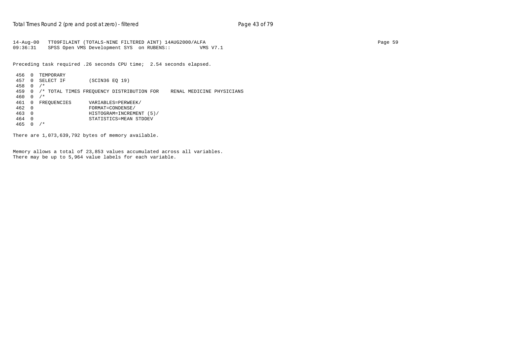```
14-Aug-00 TT09FILAINT (TOTALS-NINE FILTERED AINT) 14AUG2000/ALFA Page 59
09:36:31 SPSS Open VMS Development SYS on RUBENS:: VMS V7.1
```
Preceding task required .26 seconds CPU time; 2.54 seconds elapsed.

```
 456 0 TEMPORARY
 457 0 SELECT IF (SCIN36 EQ 19)
 458 0 /*
 459 0 /* TOTAL TIMES FREQUENCY DISTRIBUTION FOR RENAL MEDICINE PHYSICIANS
 460 0 /*
                        VARIABLES=PERWEEK/
\begin{array}{cccc}\n 462 & 0 & \text{HINHE} \\
 + \text{ORMATE} & 0 & \text{ORMATE} \\
 \hline\n 463 & 0 & \text{HISTOGRAM} = \text{INNEM} \\
 \end{array} 463 0 HISTOGRAM=INCREMENT (5)/
 464 0 STATISTICS=MEAN STDDEV
 465 0 /*
```
There are 1,073,639,792 bytes of memory available.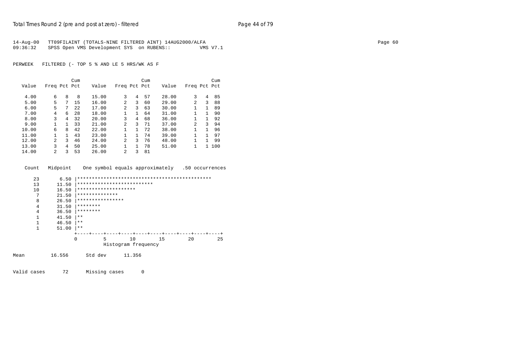| 14-Aug-00 | TT09FILAINT (TOTALS-NINE FILTERED AINT) 14AUG2000/ALFA |          | Page 60 |
|-----------|--------------------------------------------------------|----------|---------|
| 09:36:32  | SPSS Open VMS Development SYS on RUBENS::              | VMS V7.1 |         |

|       |                |    | Cum |       |                |              | Cum |       |                |   | Cum   |
|-------|----------------|----|-----|-------|----------------|--------------|-----|-------|----------------|---|-------|
| Value | Freq Pct Pct   |    |     | Value | Freq Pct Pct   |              |     | Value | Freq Pct Pct   |   |       |
|       |                |    |     |       |                |              |     |       |                |   |       |
| 4.00  | 6              | 8  | 8   | 15.00 | 3              | 4            | 57  | 28.00 | 3              | 4 | 85    |
| 5.00  | 5              | 7  | 15  | 16.00 | $\mathfrak{D}$ | 3            | 60  | 29.00 | $\overline{2}$ | 3 | 88    |
| 6.00  | 5              | 7  | 2.2 | 17.00 | $\mathfrak{D}$ | 3            | 63  | 30.00 |                | 1 | 89    |
| 7.00  | 4              | 6  | 28  | 18.00 | 1              | 1            | 64  | 31.00 |                | 1 | 90    |
| 8.00  | 3              | 4  | 32  | 20.00 | 3              | 4            | 68  | 36.00 |                | 1 | 92    |
| 9.00  |                |    | 33  | 21.00 | $\mathfrak{D}$ | 3            | 71  | 37.00 | $\mathfrak{D}$ | 3 | 94    |
| 10.00 | 6              | 8  | 42  | 22.00 |                | 1            | 72  | 38.00 | 1              | 1 | 96    |
| 11.00 |                | 1. | 43  | 23.00 | 1.             | 1.           | 74  | 39.00 |                | 1 | 97    |
| 12.00 | $\mathfrak{D}$ | 3  | 46  | 24.00 | $\mathfrak{D}$ | 3            | 76  | 48.00 |                | 1 | 99    |
| 13.00 | 3              | 4  | 50  | 25.00 | 1.             | $\mathbf{1}$ | 78  | 51.00 |                |   | 1 100 |
| 14.00 | 2              | 3  | 53  | 26.00 | 2              | 3            | 81  |       |                |   |       |

Count Midpoint One symbol equals approximately .50 occurrences

| 23   | 6.50   |                            |                     |                                  |    |    |
|------|--------|----------------------------|---------------------|----------------------------------|----|----|
| 13   | 11.50  | ************************** |                     |                                  |    |    |
| 10   | 16.50  | ********************       |                     |                                  |    |    |
| 7    | 21.50  | **************             |                     |                                  |    |    |
| 8    | 26.50  | ****************           |                     |                                  |    |    |
| 4    | 31.50  | ********                   |                     |                                  |    |    |
| 4    | 36.50  | ********                   |                     |                                  |    |    |
| 1    | 41.50  | $***$                      |                     |                                  |    |    |
| 1    | 46.50  | $***$                      |                     |                                  |    |    |
| 1    | 51.00  | $* *$                      |                     |                                  |    |    |
|      |        |                            |                     | -+----+----+----+----+----+----+ |    |    |
|      |        | 5<br>0                     | 10                  | 15                               | 20 | 25 |
|      |        |                            | Histogram frequency |                                  |    |    |
| Mean | 16.556 | Std dev                    | 11.356              |                                  |    |    |
|      |        |                            |                     |                                  |    |    |

Valid cases 72 Missing cases 0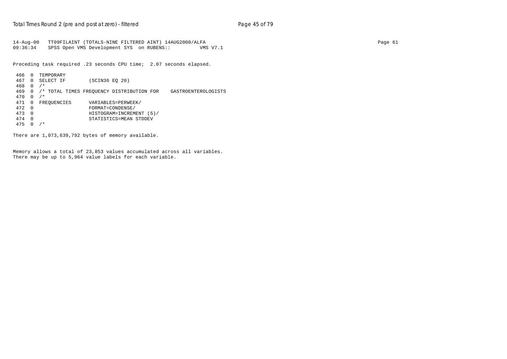14-Aug-00 TT09FILAINT (TOTALS-NINE FILTERED AINT) 14AUG2000/ALFA Page 61 09:36:34 SPSS Open VMS Development SYS on RUBENS:: VMS V7.1

Preceding task required .23 seconds CPU time; 2.07 seconds elapsed.

```
 466 0 TEMPORARY
 467 0 SELECT IF (SCIN36 EQ 20)
 468 0 /*
 469 0 /* TOTAL TIMES FREQUENCY DISTRIBUTION FOR GASTROENTEROLOGISTS
 470 0 /*
471 0 FREQUENCIES VARIABLES=PERWEEK/<br>472 0 FORMAT=CONDENSE/
 472 0 FORMAT=CONDENSE/
 473 0 HISTOGRAM=INCREMENT (5)/
 474 0 STATISTICS=MEAN STDDEV
 475 0 /*
```
There are 1,073,639,792 bytes of memory available.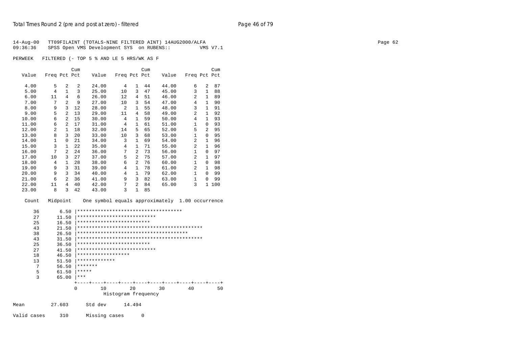| 14-Aug-00 TT09FILAINT (TOTALS-NINE FILTERED AINT) 14AUG2000/ALFA |          | Page 62 |
|------------------------------------------------------------------|----------|---------|
| 09:36:36 SPSS Open VMS Development SYS on RUBENS::               | VMS V7.1 |         |
|                                                                  |          |         |

|       |                |                | Cum            |       |                |                | Cum |       |                |                | Cum |
|-------|----------------|----------------|----------------|-------|----------------|----------------|-----|-------|----------------|----------------|-----|
| Value | Freq Pct Pct   |                |                | Value | Freq Pct Pct   |                |     | Value | Freq Pct Pct   |                |     |
| 4.00  | 5              | $\mathfrak{D}$ | $\overline{2}$ | 24.00 | 4              | 1              | 44  | 44.00 | 6              | 2              | 87  |
| 5.00  | 4              | 1              | 3              | 25.00 | 10             | 3              | 47  | 45.00 | 3              | $\mathbf{1}$   | 88  |
| 6.00  | 11             | 4              | 6              | 26.00 | 12             | 4              | 51  | 46.00 | 2              | 1              | 89  |
| 7.00  | 7              | $\overline{a}$ | 9              | 27.00 | 10             | 3              | 54  | 47.00 | 4              | $\mathbf{1}$   | 90  |
| 8.00  | 9              | 3              | 12             | 28.00 | $\overline{2}$ | 1              | 55  | 48.00 | 3              | $\mathbf{1}$   | 91  |
| 9.00  | 5              | $\overline{a}$ | 13             | 29.00 | 11             | 4              | 58  | 49.00 | $\mathfrak{D}$ | $\mathbf{1}$   | 92  |
| 10.00 | 6              | $\overline{a}$ | 15             | 30.00 | 4              | $\mathbf{1}$   | 59  | 50.00 | 4              | $\mathbf{1}$   | 93  |
| 11.00 | 6              | $\mathfrak{D}$ | 17             | 31.00 | 4              | 1              | 61  | 51.00 | 1              | $\Omega$       | 93  |
| 12.00 | $\overline{a}$ | $\mathbf{1}$   | 18             | 32.00 | 14             | 5              | 65  | 52.00 | 5              | $\overline{2}$ | 95  |
| 13.00 | 8              | 3              | 20             | 33.00 | 10             | 3              | 68  | 53.00 | 1              | 0              | 95  |
| 14.00 | 1              | $\Omega$       | 21             | 34.00 | 3              | $\mathbf{1}$   | 69  | 54.00 | 2              | $\mathbf{1}$   | 96  |
| 15.00 | 3              | 1              | 22             | 35.00 | $\overline{4}$ | 1              | 71  | 55.00 | $\overline{a}$ | $\mathbf{1}$   | 96  |
| 16.00 | 7              | $\overline{a}$ | 24             | 36.00 | 7              | $\overline{a}$ | 73  | 56.00 | 1              | $\Omega$       | 97  |
| 17.00 | 10             | ζ              | 27             | 37.00 | 5              | $\overline{2}$ | 75  | 57.00 | $\overline{a}$ | $\mathbf{1}$   | 97  |
| 18.00 | 4              | $\mathbf{1}$   | 28             | 38.00 | 6              | $\overline{a}$ | 76  | 60.00 | 1              | $\Omega$       | 98  |
| 19.00 | 9              | 3              | 31             | 39.00 | 4              | 1              | 78  | 61.00 | 2              | $\mathbf{1}$   | 98  |
| 20.00 | 9              | 3              | 34             | 40.00 | 4              | $\mathbf{1}$   | 79  | 62.00 | 1              | $\Omega$       | 99  |
| 21.00 | 6              | $\overline{a}$ | 36             | 41.00 | 9              | 3              | 82  | 63.00 | $\mathbf{1}$   | $\Omega$       | 99  |
| 22.00 | 11             | 4              | 40             | 42.00 | 7              | $\overline{2}$ | 84  | 65.00 | 3              | $\mathbf{1}$   | 100 |
| 23.00 | 8              | 3              | 42             | 43.00 | 3              | 1              | 85  |       |                |                |     |

Count Midpoint One symbol equals approximately 1.00 occurrence

|      | 36 | 6.50   | ************************************ |    |                     |        |  |    |  |    |    |  |
|------|----|--------|--------------------------------------|----|---------------------|--------|--|----|--|----|----|--|
|      | 27 | 11.50  | ***************************          |    |                     |        |  |    |  |    |    |  |
|      | 25 | 16.50  | *************************            |    |                     |        |  |    |  |    |    |  |
|      | 43 | 21.50  |                                      |    |                     |        |  |    |  |    |    |  |
|      | 38 | 26.50  |                                      |    |                     |        |  |    |  |    |    |  |
|      | 43 | 31.50  |                                      |    |                     |        |  |    |  |    |    |  |
|      | 25 | 36.50  | *************************            |    |                     |        |  |    |  |    |    |  |
|      | 27 | 41.50  | ***************************          |    |                     |        |  |    |  |    |    |  |
|      | 18 | 46.50  | ******************                   |    |                     |        |  |    |  |    |    |  |
|      | 13 | 51.50  | *************                        |    |                     |        |  |    |  |    |    |  |
|      | 7  | 56.50  | *******                              |    |                     |        |  |    |  |    |    |  |
|      | 5  | 61.50  | *****                                |    |                     |        |  |    |  |    |    |  |
|      | 3  | 65.00  | $* * *$                              |    |                     |        |  |    |  |    |    |  |
|      |    |        |                                      |    |                     |        |  |    |  |    |    |  |
|      |    | 0      |                                      | 10 |                     | 20     |  | 30 |  | 40 | 50 |  |
|      |    |        |                                      |    | Histogram frequency |        |  |    |  |    |    |  |
| Mean |    | 27.603 | Std dev                              |    |                     | 14.494 |  |    |  |    |    |  |
|      |    |        |                                      |    |                     |        |  |    |  |    |    |  |

Valid cases 310 Missing cases 0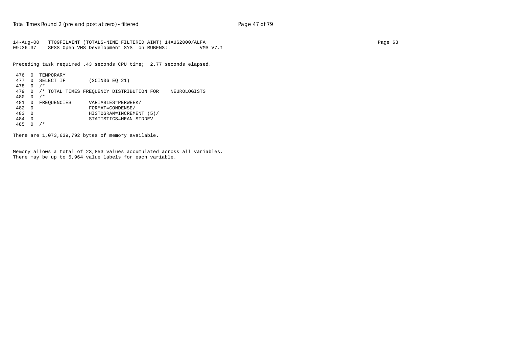14-Aug-00 TT09FILAINT (TOTALS-NINE FILTERED AINT) 14AUG2000/ALFA Page 63 09:36:37 SPSS Open VMS Development SYS on RUBENS:: VMS V7.1

Preceding task required .43 seconds CPU time; 2.77 seconds elapsed.

```
 476 0 TEMPORARY
 477 0 SELECT IF (SCIN36 EQ 21)
 478 0 /*
 479 0 /* TOTAL TIMES FREQUENCY DISTRIBUTION FOR NEUROLOGISTS
 480 0 /*
                        VARIABLES=PERWEEK/
\begin{array}{cccc}\n 482 & 0 & \text{FOMM} & \text{FOMM} & \text{FOMD} \\
 483 & 0 & \text{HISTOGRM} & \text{FOMD} & \text{NCEM}\n \end{array} 483 0 HISTOGRAM=INCREMENT (5)/
 484 0 STATISTICS=MEAN STDDEV
 485 0 /*
```
There are 1,073,639,792 bytes of memory available.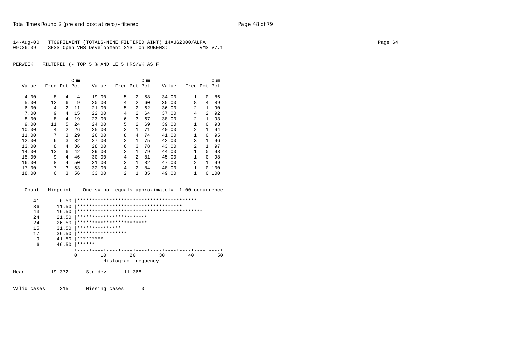|          | 14-Aug-00 TT09FILAINT (TOTALS-NINE FILTERED AINT) 14AUG2000/ALFA |          | Page 64 |
|----------|------------------------------------------------------------------|----------|---------|
| 09:36:39 | SPSS Open VMS Development SYS on RUBENS::                        | VMS V7.1 |         |

|       |              |                | Cum |       |                |                | Cum |       |                |              | Cum |
|-------|--------------|----------------|-----|-------|----------------|----------------|-----|-------|----------------|--------------|-----|
| Value | Freq Pct Pct |                |     | Value | Freq Pct Pct   |                |     | Value | Freq Pct Pct   |              |     |
| 4.00  | 8            | 4              | 4   | 19.00 | 5              | 2              | 58  | 34.00 | 1              | 0            | 86  |
| 5.00  | 12           | 6              | 9   | 20.00 | 4              | $\overline{a}$ | 60  | 35.00 | 8              | 4            | 89  |
| 6.00  | 4            | 2              | 11  | 21.00 | 5              | $\overline{a}$ | 62  | 36.00 | 2              | $\mathbf{1}$ | 90  |
| 7.00  | 9            | 4              | 15  | 22.00 | 4              | $\overline{a}$ | 64  | 37.00 | 4              | 2            | 92  |
| 8.00  | 8            | 4              | 19  | 23.00 | 6              | 3              | 67  | 38.00 | 2              | 1            | 93  |
| 9.00  | 11           | 5              | 24  | 24.00 | 5              | $\overline{a}$ | 69  | 39.00 | $\mathbf{1}$   | $\Omega$     | 93  |
| 10.00 | 4            | $\mathfrak{D}$ | 26  | 25.00 | 3              | $\mathbf{1}$   | 71  | 40.00 | $\overline{a}$ | $\mathbf{1}$ | 94  |
| 11.00 | 7            | 3              | 29  | 26.00 | 8              | 4              | 74  | 41.00 | 1              | $\Omega$     | 95  |
| 12.00 | 6            | 3              | 32  | 27.00 | $\overline{2}$ | $\mathbf{1}$   | 75  | 42.00 | 3              | $\mathbf{1}$ | 96  |
| 13.00 | 8            | 4              | 36  | 28.00 | 6              | 3              | 78  | 43.00 | 2              | $\mathbf{1}$ | 97  |
| 14.00 | 13           | 6              | 42  | 29.00 | $\overline{2}$ | $\mathbf{1}$   | 79  | 44.00 | 1              | $\Omega$     | 98  |
| 15.00 | 9            | 4              | 46  | 30.00 | 4              | 2              | 81  | 45.00 | $\mathbf{1}$   | $\Omega$     | 98  |
| 16.00 | 8            | 4              | 50  | 31.00 | 3              | 1              | 82  | 47.00 | 2              | $\mathbf{1}$ | 99  |
| 17.00 | 7            | 3              | 53  | 32.00 | 4              | $\overline{a}$ | 84  | 48.00 | 1              | $\Omega$     | 100 |
| 18.00 | 6            | 3              | 56  | 33.00 | 2              | $\mathbf{1}$   | 85  | 49.00 | 1              | $\Omega$     | 100 |

Count Midpoint One symbol equals approximately 1.00 occurrence

| 41 | 6.50  |                          |    |                     |                                      |          |
|----|-------|--------------------------|----|---------------------|--------------------------------------|----------|
| 36 | 11.50 |                          |    |                     | ************************************ |          |
| 43 | 16.50 |                          |    |                     |                                      |          |
| 24 | 21.50 | ************************ |    |                     |                                      |          |
| 24 | 26.50 | ************************ |    |                     |                                      |          |
| 15 | 31.50 | ***************          |    |                     |                                      |          |
| 17 | 36.50 | *****************        |    |                     |                                      |          |
| 9  | 41.50 | *********                |    |                     |                                      |          |
| 6  | 46.50 | ******                   |    |                     |                                      |          |
|    |       |                          |    |                     | --+----+----+---+                    |          |
|    |       | 0                        | 10 | 20                  | 30                                   | 40<br>50 |
|    |       |                          |    | Histogram frequency |                                      |          |

Mean 19.372 Std dev 11.368

Valid cases 215 Missing cases 0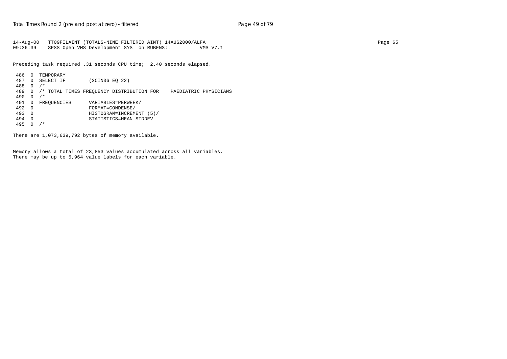14-Aug-00 TT09FILAINT (TOTALS-NINE FILTERED AINT) 14AUG2000/ALFA Page 65 09:36:39 SPSS Open VMS Development SYS on RUBENS:: VMS V7.1

Preceding task required .31 seconds CPU time; 2.40 seconds elapsed.

```
 486 0 TEMPORARY
 487 0 SELECT IF (SCIN36 EQ 22)
 488 0 /*
 489 0 /* TOTAL TIMES FREQUENCY DISTRIBUTION FOR PAEDIATRIC PHYSICIANS
490  0 /*<br>491  0  FREOUENCIES
                          VARIABLES=PERWEEK/
\begin{array}{cccc}\n 492 & 0 & \text{FORMATE}-\text{CONDEM} \\
 + \text{ORMATE}-\text{CONDEMS} \\
 \text{493} & 0 & \text{HISTOGRAM}=\text{INCEM}\n \end{array} 493 0 HISTOGRAM=INCREMENT (5)/
 494 0 STATISTICS=MEAN STDDEV
 495 0 /*
```
There are 1,073,639,792 bytes of memory available.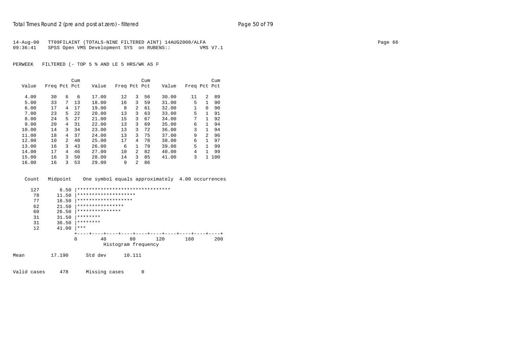|          | 14-Aug-00 TT09FILAINT (TOTALS-NINE FILTERED AINT) 14AUG2000/ALFA |          | Page 66 |
|----------|------------------------------------------------------------------|----------|---------|
| 09:36:41 | SPSS Open VMS Development SYS on RUBENS::                        | VMS V7.1 |         |

|       |              |              | Cum  |       |              |                | Cum |       |              |              | Cum   |
|-------|--------------|--------------|------|-------|--------------|----------------|-----|-------|--------------|--------------|-------|
| Value | Freq Pct Pct |              |      | Value | Freq Pct Pct |                |     | Value | Freq Pct Pct |              |       |
| 4.00  | 30           | 6            | 6    | 17.00 | 12           | 3              | 56  | 30.00 | 11           | 2            | 89    |
| 5.00  | 33           | 7            | 13   | 18.00 | 16           | 3              | 59  | 31.00 | 5            | $\mathbf{1}$ | 90    |
| 6.00  | 17           | 4            | 17   | 19.00 | 8            | $\overline{a}$ | 61  | 32.00 | 1            | $\Omega$     | 90    |
| 7.00  | 23           | 5            | 2.2. | 20.00 | 13           | 3              | 63  | 33.00 | 5            | $\mathbf{1}$ | 91    |
| 8.00  | 24           | 5            | 27   | 21.00 | 15           | 3              | 67  | 34.00 | 7            | $\mathbf{1}$ | 92    |
| 9.00  | 20           | 4            | 31   | 22.00 | 13           | 3              | 69  | 35.00 | 6            | $\mathbf{1}$ | 94    |
| 10.00 | 14           | 3            | 34   | 23.00 | 13           | 3              | 72  | 36.00 | 3            | $\mathbf{1}$ | 94    |
| 11.00 | 18           | 4            | 37   | 24.00 | 13           | 3              | 75  | 37.00 | 9            | 2            | 96    |
| 12.00 | 10           | 2            | 40   | 25.00 | 17           | 4              | 78  | 38.00 | 6            | $\mathbf{1}$ | 97    |
| 13.00 | 16           | $\mathbf{R}$ | 43   | 26.00 | 6            | $\mathbf{1}$   | 79  | 39.00 | 5            | $\mathbf{1}$ | 99    |
| 14.00 | 17           | 4            | 46   | 27.00 | 10           | 2              | 82  | 40.00 | 4            | $\mathbf{1}$ | 99    |
| 15.00 | 16           | 3            | 50   | 28.00 | 14           | 3              | 85  | 41.00 | 3            |              | 1 100 |
| 16.00 | 16           | 3            | 53   | 29.00 | 9            | $\mathfrak{D}$ | 86  |       |              |              |       |

|     | Count Midpoint |  | One symbol equals approximately 4.00 occurrences |  |
|-----|----------------|--|--------------------------------------------------|--|
| 127 |                |  |                                                  |  |



Valid cases 478 Missing cases 0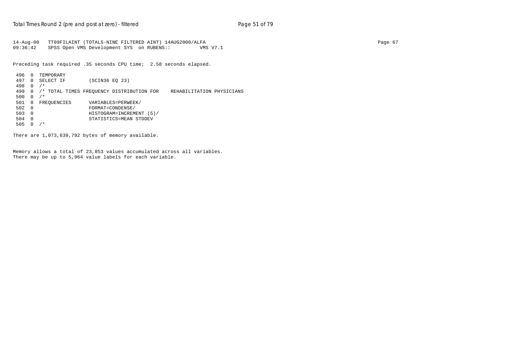```
14-Aug-00 TT09FILAINT (TOTALS-NINE FILTERED AINT) 14AUG2000/ALFA Page 67
09:36:42 SPSS Open VMS Development SYS on RUBENS:: VMS V7.1
```
Preceding task required .35 seconds CPU time; 2.58 seconds elapsed.

```
 496 0 TEMPORARY
 497 0 SELECT IF (SCIN36 EQ 23)
 498 0 /*
 499 0 /* TOTAL TIMES FREQUENCY DISTRIBUTION FOR REHABILITATION PHYSICIANS
500  0 /*<br>501  0  FREOUENCIES
501 0 FREQUENCIES VARIABLES=PERWEEK/<br>502 0 FORMAT=CONDENSE/
דער באראות ב-1.000 FORMAT=CONDENSE/<br>1903 0 FORMAT=CONDENSE/<br>HISTOGRAM=INCREM
 503 0 HISTOGRAM=INCREMENT (5)/
 504 0 STATISTICS=MEAN STDDEV
505 0 /*
```
There are 1,073,639,792 bytes of memory available.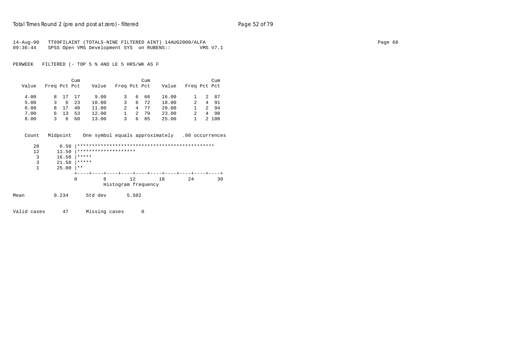| 14-Aug-00 | TT09FILAINT (TOTALS-NINE FILTERED AINT) 14AUG2000/ALFA |          | Page 68 |
|-----------|--------------------------------------------------------|----------|---------|
| 09:36:44  | SPSS Open VMS Development SYS on RUBENS::              | VMS V7.1 |         |

|       |              |         | Cum  |       |              |   | Cum |       |              | Cum   |
|-------|--------------|---------|------|-------|--------------|---|-----|-------|--------------|-------|
| Value | Freq Pct Pct |         |      | Value | Freq Pct Pct |   |     | Value | Freq Pct Pct |       |
|       |              |         |      |       |              |   |     |       |              |       |
| 4.00  |              | 8 17 17 |      | 9.00  |              |   | 666 | 16.00 |              | 2 87  |
| 5.00  | 3.           |         | 6 23 | 10.00 |              | 6 | 72  | 18.00 | 2            | 4 91  |
| 6.00  |              | 8 17    | 40   | 11.00 |              | 4 | 77  | 20.00 |              | 2 94  |
| 7.00  |              | 6 13    | 53   | 12.00 |              | 2 | 79  | 23.00 |              | 4 98  |
| 8.00  | 3.           | 6       | 60   | 13.00 | 3.           | 6 | 85  | 25.00 |              | 2 100 |

| Count | Midpoint |       |         |                                | One symbol equals approximately |    | .60 occurrences |
|-------|----------|-------|---------|--------------------------------|---------------------------------|----|-----------------|
| 28    | 6.50     |       |         |                                |                                 |    |                 |
| 12    | 11.50    |       |         | ********************           |                                 |    |                 |
| 3     | 16.50    | ***** |         |                                |                                 |    |                 |
| 3     | 21.50    | ***** |         |                                |                                 |    |                 |
|       | 25.00    | $* *$ |         |                                |                                 |    |                 |
|       |          |       |         | ----+----+----+----+----+----+ |                                 |    |                 |
|       |          | 0     | 6       | 12                             | 18                              | 24 | 30              |
|       |          |       |         | Histogram frequency            |                                 |    |                 |
| Mean  | 9.234    |       | Std dev | 5.502                          |                                 |    |                 |

Valid cases 47 Missing cases 0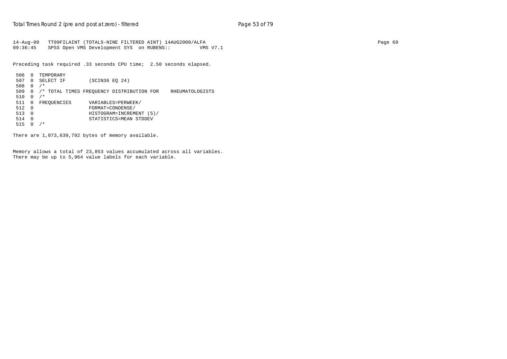14-Aug-00 TT09FILAINT (TOTALS-NINE FILTERED AINT) 14AUG2000/ALFA Page 69 09:36:45 SPSS Open VMS Development SYS on RUBENS:: VMS V7.1

Preceding task required .33 seconds CPU time; 2.50 seconds elapsed.

```
 506 0 TEMPORARY
 507 0 SELECT IF (SCIN36 EQ 24)
 508 0 /*
 509 0 /* TOTAL TIMES FREQUENCY DISTRIBUTION FOR RHEUMATOLOGISTS
510  0 /*<br>511  0  FREOUENCIES
511 0 FREQUENCIES VARIABLES=PERWEEK/<br>512 0 FORMAT=CONDENSE/
 512 0 FORMAT=CONDENSE/
 513 0 HISTOGRAM=INCREMENT (5)/
 514 0 STATISTICS=MEAN STDDEV
 515 0 /*
```
There are 1,073,639,792 bytes of memory available.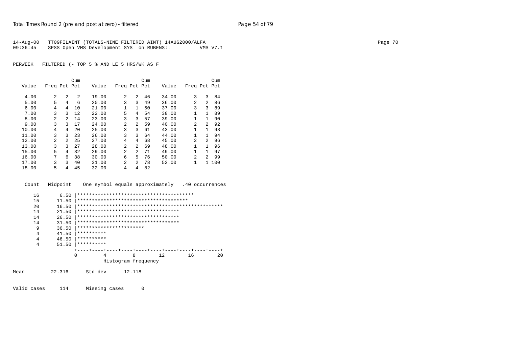| 14-Aug-00 | TT09FILAINT (TOTALS-NINE FILTERED AINT) 14AUG2000/ALFA |          | Page |
|-----------|--------------------------------------------------------|----------|------|
| 09:36:45  | SPSS Open VMS Development SYS on RUBENS::              | VMS V7.1 |      |

|       |              |                | Cum            |       |                |                | Cum |       |                |                | Cum |
|-------|--------------|----------------|----------------|-------|----------------|----------------|-----|-------|----------------|----------------|-----|
| Value | Freq Pct Pct |                |                | Value | Freq Pct Pct   |                |     | Value | Freq Pct Pct   |                |     |
|       |              |                |                |       |                |                |     |       |                |                |     |
| 4.00  | 2            | $\mathfrak{D}$ | $\mathfrak{D}$ | 19.00 | 2              | $\mathfrak{D}$ | 46  | 34.00 | 3              | 3              | 84  |
| 5.00  | 5            | 4              | 6              | 20.00 | 3              | 3              | 49  | 36.00 | 2              | 2              | 86  |
| 6.00  | 4            | 4              | 10             | 21.00 | 1              | $\mathbf{1}$   | 50  | 37.00 | 3              | 3              | 89  |
| 7.00  | 3            | 3              | 12             | 22.00 | 5              | 4              | 54  | 38.00 | 1              | $\mathbf{1}$   | 89  |
| 8.00  | 2            | $\mathfrak{D}$ | 14             | 23.00 | 3              | 3              | 57  | 39.00 | $\mathbf{1}$   | $\mathbf{1}$   | 90  |
| 9.00  | 3            | 3              | 17             | 24.00 | 2              | 2              | 59  | 40.00 | 2              | $\overline{a}$ | 92  |
| 10.00 | 4            | 4              | 20             | 25.00 | 3              | 3              | 61  | 43.00 | $\mathbf{1}$   | $\mathbf{1}$   | 93  |
| 11.00 | 3            | 3              | 23             | 26.00 | 3              | 3              | 64  | 44.00 | 1              | 1              | 94  |
| 12.00 | 2            | $\mathfrak{D}$ | 25             | 27.00 | 4              | 4              | 68  | 45.00 | $\mathfrak{D}$ | $\overline{a}$ | 96  |
| 13.00 | 3            | 3              | 27             | 28.00 | 2              | $\mathfrak{D}$ | 69  | 48.00 | $\mathbf{1}$   | $\mathbf{1}$   | 96  |
| 15.00 | 5            | 4              | 32             | 29.00 | 2              | $\overline{a}$ | 71  | 49.00 | 1              | $\mathbf{1}$   | 97  |
| 16.00 | 7            | б.             | 38             | 30.00 | 6              | 5.             | 76  | 50.00 | $\overline{a}$ | $\overline{a}$ | 99  |
| 17.00 | 3            | ζ              | 40             | 31.00 | $\overline{2}$ | $\overline{a}$ | 78  | 52.00 | $\mathbf{1}$   | $\mathbf{1}$   | 100 |
| 18.00 | 5            | 4              | 45             | 32.00 | 4              | 4              | 82  |       |                |                |     |



Valid cases 114 Missing cases 0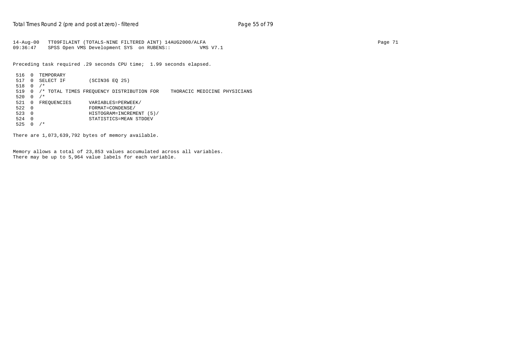```
14-Aug-00 TT09FILAINT (TOTALS-NINE FILTERED AINT) 14AUG2000/ALFA Page 71
09:36:47 SPSS Open VMS Development SYS on RUBENS:: VMS V7.1
```
Preceding task required .29 seconds CPU time; 1.99 seconds elapsed.

```
 516 0 TEMPORARY
 517 0 SELECT IF (SCIN36 EQ 25)
 518 0 /*
 519 0 /* TOTAL TIMES FREQUENCY DISTRIBUTION FOR THORACIC MEDICINE PHYSICIANS
520  0  /*<br>521  0  FREOUENCIES
521 0 FREQUENCIES VARIABLES=PERWEEK/<br>522 0 FORMAT=CONDENSE/
דער באוראס המוסים ב-122 0<br>ב-FORMAT=CONDENSE/<br>HISTOGRAM=INCREM
 523 0 HISTOGRAM=INCREMENT (5)/
 524 0 STATISTICS=MEAN STDDEV
525 0 /*
```
There are 1,073,639,792 bytes of memory available.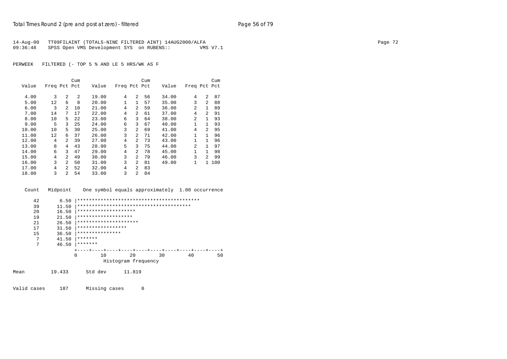|          | 14-Aug-00 TT09FILAINT (TOTALS-NINE FILTERED AINT) 14AUG2000/ALFA |          | Page 72 |
|----------|------------------------------------------------------------------|----------|---------|
| 09:36:48 | SPSS Open VMS Development SYS on RUBENS::                        | VMS V7.1 |         |

|       |              |                | Cum            |       |              |                | Cum |       |              |                | Cum |
|-------|--------------|----------------|----------------|-------|--------------|----------------|-----|-------|--------------|----------------|-----|
| Value | Freq Pct Pct |                |                | Value | Freq Pct Pct |                |     | Value | Freq Pct Pct |                |     |
| 4.00  | 3            | $\mathfrak{D}$ | $\mathfrak{D}$ | 19.00 | 4            | 2              | 56  | 34.00 | 4            | $\overline{a}$ | 87  |
| 5.00  | 12           | 6              | 8              | 20.00 | 1            | $\mathbf{1}$   | 57  | 35.00 | 3            | $\overline{a}$ | 88  |
| 6.00  | 3            | 2              | 10             | 21.00 | 4            | $\overline{a}$ | 59  | 36.00 | 2            | $\mathbf{1}$   | 89  |
| 7.00  | 14           | 7              | 17             | 22.00 | 4            | $\overline{a}$ | 61  | 37.00 | 4            | $\mathfrak{D}$ | 91  |
| 8.00  | 10           | 5              | 22             | 23.00 | 6            | 3              | 64  | 38.00 | 2            | 1              | 93  |
| 9.00  | 5            | 3              | 25             | 24.00 | 6            | 3              | 67  | 40.00 | 1            | 1              | 93  |
| 10.00 | 10           | 5              | 30             | 25.00 | 3            | $\overline{a}$ | 69  | 41.00 | 4            | $\overline{2}$ | 95  |
| 11.00 | 12           | 6              | 37             | 26.00 | 3            | $\overline{a}$ | 71  | 42.00 | 1            | $\mathbf{1}$   | 96  |
| 12.00 | 4            | 2              | 39             | 27.00 | 4            | $\overline{a}$ | 73  | 43.00 | 1            | $\mathbf{1}$   | 96  |
| 13.00 | 8            | 4              | 43             | 28.00 | 5            | 3              | 75  | 44.00 | 2            | $\mathbf{1}$   | 97  |
| 14.00 | 6            | 3              | 47             | 29.00 | 4            | $\overline{a}$ | 78  | 45.00 | 1            | $\mathbf{1}$   | 98  |
| 15.00 | 4            | $\mathfrak{D}$ | 49             | 30.00 | 3            | 2              | 79  | 46.00 | 3            | $\overline{2}$ | 99  |
| 16.00 | 3            | $\mathcal{L}$  | 50             | 31.00 | 3            | 2              | 81  | 49.00 | 1            | $\mathbf{1}$   | 100 |
| 17.00 | 4            | $\mathfrak{D}$ | 52             | 32.00 | 4            | $\overline{a}$ | 83  |       |              |                |     |
| 18.00 | 3            | $\mathfrak{D}$ | 54             | 33.00 | 3            | 2              | 84  |       |              |                |     |

Count Midpoint One symbol equals approximately 1.00 occurrence

| 42 | 6.50  |                       |    |                     |    |    |    |    |
|----|-------|-----------------------|----|---------------------|----|----|----|----|
| 39 | 11.50 |                       |    |                     |    |    |    |    |
| 20 | 16.50 | ********************  |    |                     |    |    |    |    |
| 19 | 21.50 | *******************   |    |                     |    |    |    |    |
| 21 | 26.50 | ********************* |    |                     |    |    |    |    |
| 17 | 31.50 | *****************     |    |                     |    |    |    |    |
| 15 | 36.50 | ***************       |    |                     |    |    |    |    |
| 7  | 41.50 | *******               |    |                     |    |    |    |    |
| 7  | 46.50 | *******               |    |                     |    |    |    |    |
|    |       |                       |    |                     |    |    |    |    |
|    |       | 0                     | 10 |                     | 20 | 30 | 40 | 50 |
|    |       |                       |    | Histogram frequency |    |    |    |    |
|    |       |                       |    |                     |    |    |    |    |

Mean 19.433 Std dev 11.819

Valid cases 187 Missing cases 0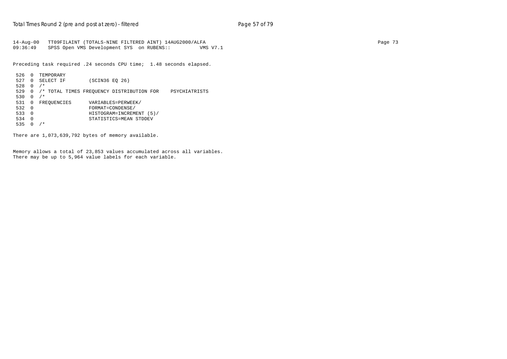14-Aug-00 TT09FILAINT (TOTALS-NINE FILTERED AINT) 14AUG2000/ALFA Page 73 09:36:49 SPSS Open VMS Development SYS on RUBENS:: VMS V7.1

Preceding task required .24 seconds CPU time; 1.48 seconds elapsed.

```
 526 0 TEMPORARY
 527 0 SELECT IF (SCIN36 EQ 26)
 528 0 /*
 529 0 /* TOTAL TIMES FREQUENCY DISTRIBUTION FOR PSYCHIATRISTS
530  0 /*<br>531  0  FREOUENCIES
531 0 FREQUENCIES VARIABLES=PERWEEK/<br>532 0 FORMAT=CONDENSE/
+ FORMAT=CONDENSE/<br>532 0 FORMAT=CONDENSE/<br>533 0 HISTOGRAM=INCREM
 533 0 HISTOGRAM=INCREMENT (5)/
 534 0 STATISTICS=MEAN STDDEV
535 0 /*
```
There are 1,073,639,792 bytes of memory available.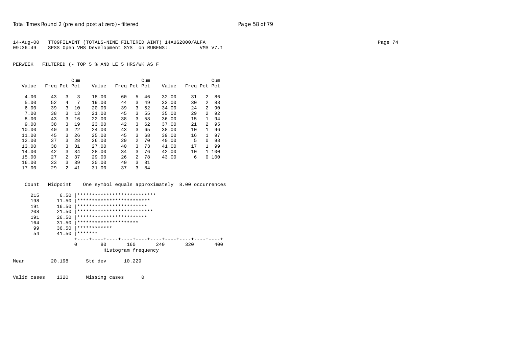| 14-Aug-00 | TT09FILAINT (TOTALS-NINE FILTERED AINT) 14AUG2000/ALFA |          | Page 74 |
|-----------|--------------------------------------------------------|----------|---------|
| 09:36:49  | SPSS Open VMS Development SYS on RUBENS::              | VMS V7.1 |         |

|       |              |                | Cum |       |              |                | Cum |       |              |                | Cum    |
|-------|--------------|----------------|-----|-------|--------------|----------------|-----|-------|--------------|----------------|--------|
| Value | Freq Pct Pct |                |     | Value | Freq Pct Pct |                |     | Value | Freq Pct Pct |                |        |
| 4.00  | 43           | 3              | 3   | 18.00 | 60           | 5.             | 46  | 32.00 | 31           | $\overline{a}$ | 86     |
| 5.00  | 52           | 4              | 7   | 19.00 | 44           | 3              | 49  | 33.00 | 30           | $\overline{a}$ | 88     |
| 6.00  | 39           | 3              | 10  | 20.00 | 39           | 3              | 52  | 34.00 | 24           | $\overline{a}$ | 90     |
| 7.00  | 38           | 3              | 13  | 21.00 | 45           | 3              | 55  | 35.00 | 29           | $\overline{a}$ | 92     |
| 8.00  | 43           | 3              | 16  | 22.00 | 38           | 3              | 58  | 36.00 | 15           | 1              | 94     |
| 9.00  | 38           | 3              | 19  | 23.00 | 42           | 3              | 62  | 37.00 | 21           | $\overline{a}$ | 95     |
| 10.00 | 40           | 3              | 22  | 24.00 | 43           | 3              | 65  | 38.00 | 10           | $\mathbf{1}$   | 96     |
| 11.00 | 45           | 3              | 26  | 25.00 | 45           | 3              | 68  | 39.00 | 16           | $\mathbf{1}$   | 97     |
| 12.00 | 37           | 3              | 28  | 26.00 | 29           | $\overline{a}$ | 70  | 40.00 | 5            | $\Omega$       | 98     |
| 13.00 | 38           | 3              | 31  | 27.00 | 40           | 3              | 73  | 41.00 | 17           | $\mathbf{1}$   | 99     |
| 14.00 | 42           | 3              | 34  | 28.00 | 34           | 3              | 76  | 42.00 | 10           | $\mathbf{1}$   | 100    |
| 15.00 | 27           | 2              | 37  | 29.00 | 26           | $\overline{a}$ | 78  | 43.00 | 6            |                | 0, 100 |
| 16.00 | 33           | ζ              | 39  | 30.00 | 40           | 3              | 81  |       |              |                |        |
| 17.00 | 29           | $\mathfrak{D}$ | 41  | 31.00 | 37           | 3              | 84  |       |              |                |        |
|       |              |                |     |       |              |                |     |       |              |                |        |

| Count       | Midpoint |          |               |                            | One symbol equals approximately 8.00 occurrences |     |     |     |
|-------------|----------|----------|---------------|----------------------------|--------------------------------------------------|-----|-----|-----|
| 215         | 6.50     |          |               |                            | ***************************                      |     |     |     |
| 198         | 11.50    |          |               | *************************  |                                                  |     |     |     |
| 191         | 16.50    |          |               | ************************   |                                                  |     |     |     |
| 208         | 21.50    |          |               | ************************** |                                                  |     |     |     |
| 191         | 26.50    |          |               | ************************   |                                                  |     |     |     |
| 164         | 31.50    |          |               | *********************      |                                                  |     |     |     |
| 99          | 36.50    |          | ************  |                            |                                                  |     |     |     |
| 54          | 41.50    | *******  |               |                            |                                                  |     |     |     |
|             |          | $\Omega$ | 80            | 160                        |                                                  | 240 | 320 | 400 |
|             |          |          |               |                            | Histogram frequency                              |     |     |     |
| Mean        | 20.198   |          | Std dev       | 10.229                     |                                                  |     |     |     |
| Valid cases | 1320     |          | Missing cases |                            | 0                                                |     |     |     |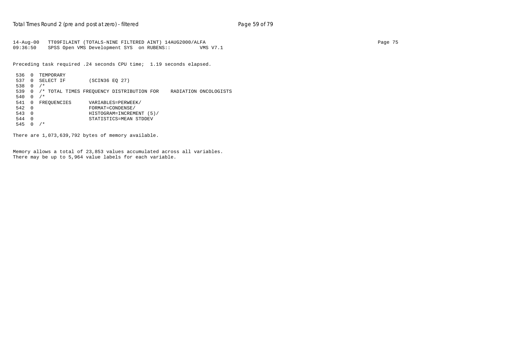14-Aug-00 TT09FILAINT (TOTALS-NINE FILTERED AINT) 14AUG2000/ALFA Page 75 09:36:50 SPSS Open VMS Development SYS on RUBENS:: VMS V7.1

Preceding task required .24 seconds CPU time; 1.19 seconds elapsed.

```
 536 0 TEMPORARY
 537 0 SELECT IF (SCIN36 EQ 27)
 538 0 /*
 539 0 /* TOTAL TIMES FREQUENCY DISTRIBUTION FOR RADIATION ONCOLOGISTS
 540 0 /*
541 0 FREQUENCIES VARIABLES=PERWEEK/<br>542 0 FORMAT=CONDENSE/
דער באוראס ב-1.0 ב-1.0 ב-1.0 ב-1.0 ב-1.0 ב-1.0 ב-1.0 ב-1.0 ב-1.0 ב-1.0 ב-1.0 ב-1.0 ב-1.0 ב-1.0 ב-1.0 ב-1.0 ב-1<br>ב-1.543 (DHISTOGRAM=INCREM
 543 0 HISTOGRAM=INCREMENT (5)/
 544 0 STATISTICS=MEAN STDDEV
545 0 /*
```
There are 1,073,639,792 bytes of memory available.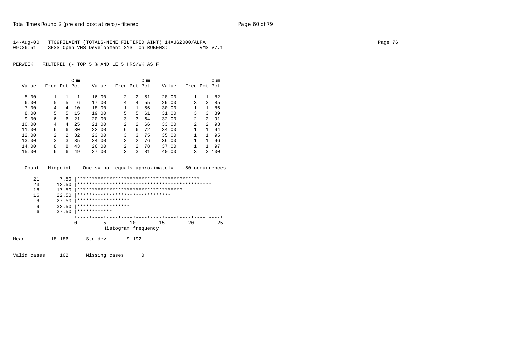| 14-Aug-00 | TT09FILAINT (TOTALS-NINE FILTERED AINT) 14AUG2000/ALFA |          | Page 76 |
|-----------|--------------------------------------------------------|----------|---------|
| 09:36:51  | SPSS Open VMS Development SYS on RUBENS::              | VMS V7.1 |         |

|       |              |               | Cum |       |                |                | Cum |       |                |                | Cum |
|-------|--------------|---------------|-----|-------|----------------|----------------|-----|-------|----------------|----------------|-----|
| Value | Freq Pct Pct |               |     | Value | Freq Pct Pct   |                |     | Value | Freq Pct Pct   |                |     |
|       |              |               |     |       |                |                |     |       |                |                |     |
| 5.00  |              |               | 1   | 16.00 | 2              | 2              | 51  | 28.00 |                | 1              | 82  |
| 6.00  | 5            | 5             | 6   | 17.00 | 4              | 4              | 55  | 29.00 | 3              | 3              | 85  |
| 7.00  | 4            | 4             | 10  | 18.00 | 1              | 1              | 56  | 30.00 |                |                | 86  |
| 8.00  | 5            | 5.            | 15  | 19.00 | 5              | 5.             | 61  | 31.00 | 3              | 3              | 89  |
| 9.00  | 6            | 6             | 21  | 20.00 | 3              | 3              | 64  | 32.00 | $\mathfrak{D}$ | $\overline{a}$ | 91  |
| 10.00 | 4            | 4             | 25  | 21.00 | $\mathfrak{D}$ | 2              | 66  | 33.00 | 2              | $\overline{a}$ | 93  |
| 11.00 | 6            | 6             | 30  | 22.00 | 6              | 6              | 72  | 34.00 | 1              | 1              | 94  |
| 12.00 | 2            | $\mathcal{L}$ | 32  | 23.00 | 3              | ζ              | 75  | 35.00 | 1              | 1.             | 95  |
| 13.00 | 3            | 3             | 35  | 24.00 | $\mathfrak{D}$ | 2              | 76  | 36.00 | 1              | 1              | 96  |
| 14.00 | 8            | 8             | 43  | 26.00 | $\mathfrak{D}$ | $\mathfrak{D}$ | 78  | 37.00 | 1              | 1              | 97  |
| 15.00 | 6            | 6             | 49  | 27.00 | 3              | ζ              | 81  | 40.00 | 3              | 3              | 100 |

| Count | Midpoint |          |                    |       | One symbol equals approximately       |    |    | .50 occurrences |    |
|-------|----------|----------|--------------------|-------|---------------------------------------|----|----|-----------------|----|
| 21    | 7.50     |          |                    |       |                                       |    |    |                 |    |
| 23    | 12.50    |          |                    |       |                                       |    |    |                 |    |
| 18    | 17.50    |          |                    |       | ************************************* |    |    |                 |    |
| 16    | 22.50    |          |                    |       | ********************************      |    |    |                 |    |
| 9     | 27.50    |          | ****************** |       |                                       |    |    |                 |    |
| 9     | 32.50    |          | ****************** |       |                                       |    |    |                 |    |
| 6     | 37.50    |          | ************       |       |                                       |    |    |                 |    |
|       |          |          |                    |       |                                       |    |    |                 |    |
|       |          | $\Omega$ | 5                  | 10    |                                       | 15 | 20 |                 | 25 |
|       |          |          |                    |       | Histogram frequency                   |    |    |                 |    |
| Mean  | 18.186   |          | Std dev            | 9.192 |                                       |    |    |                 |    |

Valid cases 102 Missing cases 0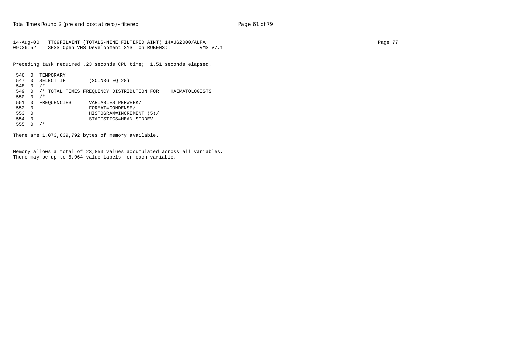14-Aug-00 TT09FILAINT (TOTALS-NINE FILTERED AINT) 14AUG2000/ALFA Page 77 09:36:52 SPSS Open VMS Development SYS on RUBENS:: VMS V7.1

Preceding task required .23 seconds CPU time; 1.51 seconds elapsed.

```
 546 0 TEMPORARY
 547 0 SELECT IF (SCIN36 EQ 28)
 548 0 /*
 549 0 /* TOTAL TIMES FREQUENCY DISTRIBUTION FOR HAEMATOLOGISTS
550  0 /*<br>551  0  FREOUENCIES
551 0 FREQUENCIES VARIABLES=PERWEEK/<br>552 0 FORMAT=CONDENSE/
 552 0 FORMAT=CONDENSE/
 553 0 HISTOGRAM=INCREMENT (5)/
 554 0 STATISTICS=MEAN STDDEV
 555 0 /*
```
There are 1,073,639,792 bytes of memory available.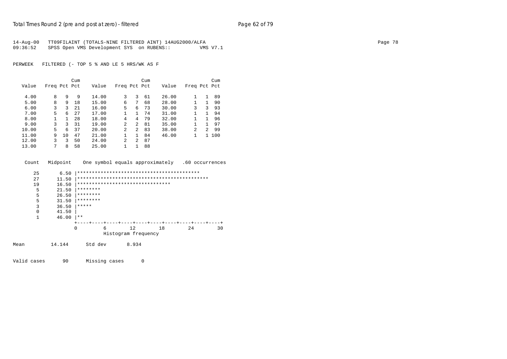| 14-Aug-00 | TT09FILAINT (TOTALS-NINE FILTERED AINT) 14AUG2000/ALFA |          | Page 78 |
|-----------|--------------------------------------------------------|----------|---------|
| 09:36:52  | SPSS Open VMS Development SYS on RUBENS::              | VMS V7.1 |         |

|       |              |    | Cum |       |                |              | Cum |       |                |              | Cum   |
|-------|--------------|----|-----|-------|----------------|--------------|-----|-------|----------------|--------------|-------|
| Value | Freq Pct Pct |    |     | Value | Freq Pct Pct   |              |     | Value | Freq Pct Pct   |              |       |
| 4.00  | 8            | 9  | 9   | 14.00 | 3              | 3            | 61  | 26.00 |                | $\mathbf{1}$ | 89    |
| 5.00  | 8            | 9  | 18  | 15.00 | 6              | 7            | 68  | 28.00 |                | $\mathbf{1}$ | 90    |
| 6.00  | 3            | 3  | 21  | 16.00 | 5              | 6            | 73  | 30.00 | 3              | 3            | 93    |
| 7.00  | 5            | 6  | 27  | 17.00 | $\mathbf{1}$   | $\mathbf{1}$ | 74  | 31.00 | 1              | $\mathbf{1}$ | 94    |
| 8.00  |              |    | 28  | 18.00 | 4              | 4            | -79 | 32.00 | 1              | $\mathbf{1}$ | 96    |
| 9.00  | 3            | 3  | 31  | 19.00 | $\mathfrak{D}$ | 2            | 81  | 35.00 | 1              | 1            | 97    |
| 10.00 | 5            | 6  | 37  | 20.00 | $\mathfrak{D}$ | 2            | 83  | 38.00 | $\mathfrak{D}$ | 2            | 99    |
| 11.00 | 9            | 10 | 47  | 21.00 | 1              | $\mathbf{1}$ | 84  | 46.00 |                |              | 1 100 |
| 12.00 | ς            | 3  | 50  | 24.00 | $\mathfrak{D}$ | 2            | 87  |       |                |              |       |
| 13.00 |              | 8  | 58  | 25.00 | 1              |              | 88  |       |                |              |       |

| Count    | Midpoint |                                  |       | One symbol equals approximately |     | .60 occurrences |  |
|----------|----------|----------------------------------|-------|---------------------------------|-----|-----------------|--|
| 25       | 6.50     |                                  |       |                                 |     |                 |  |
| 27       | 11.50    |                                  |       |                                 |     |                 |  |
| 19       | 16.50    | ******************************** |       |                                 |     |                 |  |
| 5        | 21.50    | ********                         |       |                                 |     |                 |  |
| 5        | 26.50    | ********                         |       |                                 |     |                 |  |
| 5        | 31.50    | ********                         |       |                                 |     |                 |  |
| 3        | 36.50    | *****                            |       |                                 |     |                 |  |
| $\Omega$ | 41.50    |                                  |       |                                 |     |                 |  |
| 1        | 46.00    | $* *$                            |       |                                 |     |                 |  |
|          |          |                                  |       |                                 |     |                 |  |
|          |          | $\Omega$<br>6                    | 12    | 18                              | 2.4 | 30              |  |
|          |          |                                  |       | Histogram frequency             |     |                 |  |
| Mean     | 14.144   | Std dev                          | 8.934 |                                 |     |                 |  |

Valid cases 90 Missing cases 0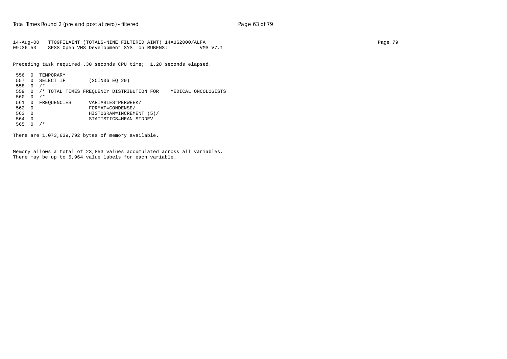14-Aug-00 TT09FILAINT (TOTALS-NINE FILTERED AINT) 14AUG2000/ALFA Page 79 09:36:53 SPSS Open VMS Development SYS on RUBENS:: VMS V7.1

Preceding task required .30 seconds CPU time; 1.28 seconds elapsed.

```
 556 0 TEMPORARY
 557 0 SELECT IF (SCIN36 EQ 29)
 558 0 /*
 559 0 /* TOTAL TIMES FREQUENCY DISTRIBUTION FOR MEDICAL ONCOLOGISTS
560  0 /*<br>561  0  FREOUENCIES
561 0 FREQUENCIES VARIABLES=PERWEEK/<br>562 0 FORMAT=CONDENSE/
 562 0 FORMAT=CONDENSE/
 563 0 HISTOGRAM=INCREMENT (5)/
 564 0 STATISTICS=MEAN STDDEV
 565 0 /*
```
There are 1,073,639,792 bytes of memory available.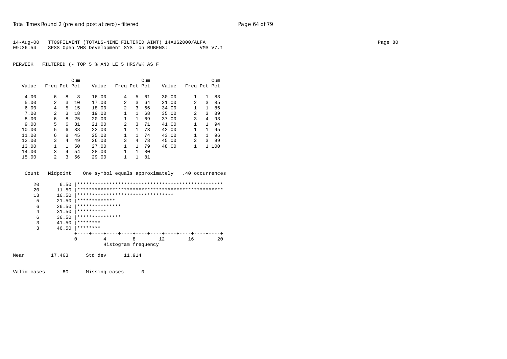| 14-Aug-00 | TT09FILAINT (TOTALS-NINE FILTERED AINT) 14AUG2000/ALFA |          | Page 80 |
|-----------|--------------------------------------------------------|----------|---------|
| 09:36:54  | SPSS Open VMS Development SYS on RUBENS::              | VMS V7.1 |         |

|       |                |    | Cum |       |                |    | Cum |       |                |              | Cum |
|-------|----------------|----|-----|-------|----------------|----|-----|-------|----------------|--------------|-----|
| Value | Freq Pct Pct   |    |     | Value | Freq Pct Pct   |    |     | Value | Freq Pct Pct   |              |     |
|       |                |    |     |       |                |    |     |       |                |              |     |
| 4.00  | 6              | 8  | 8   | 16.00 | 4              | 5  | 61  | 30.00 | 1              | $\mathbf{1}$ | 83  |
| 5.00  | 2              | 3  | 10  | 17.00 | $\mathfrak{D}$ | 3  | 64  | 31.00 | $\mathfrak{D}$ | 3            | 85  |
| 6.00  | 4              | 5. | 15  | 18.00 | 2              | 3  | 66  | 34.00 |                | 1            | 86  |
| 7.00  | $\mathfrak{D}$ | 3  | 18  | 19.00 | 1              | 1  | 68  | 35.00 | $\mathfrak{D}$ | 3            | 89  |
| 8.00  | 6              | 8  | 25  | 20.00 |                | 1  | 69  | 37.00 | 3              | 4            | 93  |
| 9.00  | 5              | б. | 31  | 21.00 | $\mathfrak{D}$ | 3  | 71  | 41.00 | 1              | 1.           | 94  |
| 10.00 | 5              | 6  | 38  | 22.00 |                | 1  | 73  | 42.00 |                | 1.           | 95  |
| 11.00 | 6              | 8  | 45  | 25.00 | 1              | 1. | 74  | 43.00 | 1              | 1            | 96  |
| 12.00 | 3              | 4  | 49  | 26.00 | 3              | 4  | 78  | 45.00 | $\mathfrak{D}$ | 3            | 99  |
| 13.00 |                | 1  | 50  | 27.00 | 1              | 1. | 79  | 48.00 | 1              | $\mathbf{1}$ | 100 |
| 14.00 | 3              | 4  | 54  | 28.00 | 1              | 1  | 80  |       |                |              |     |
| 15.00 | $\mathfrak{D}$ | 3  | 56  | 29.00 |                | 1  | 81  |       |                |              |     |

Count Midpoint One symbol equals approximately .40 occurrences

| 20   | 6.50   |                                   |   |                     |     |    |    |  |
|------|--------|-----------------------------------|---|---------------------|-----|----|----|--|
| 20   | 11.50  |                                   |   |                     |     |    |    |  |
| 13   | 16.50  | ********************************* |   |                     |     |    |    |  |
| 5    | 21.50  | *************                     |   |                     |     |    |    |  |
| 6    | 26.50  | ***************                   |   |                     |     |    |    |  |
| 4    | 31.50  | **********                        |   |                     |     |    |    |  |
| 6    | 36.50  | ***************                   |   |                     |     |    |    |  |
| 3    | 41.50  | ********                          |   |                     |     |    |    |  |
| 3    | 46.50  | ********                          |   |                     |     |    |    |  |
|      |        |                                   |   |                     |     |    |    |  |
|      |        | $\Omega$                          | 4 | 8                   | 12. | 16 | 20 |  |
|      |        |                                   |   | Histogram frequency |     |    |    |  |
|      |        |                                   |   |                     |     |    |    |  |
| Mean | 17.463 | Std dev                           |   | 11.914              |     |    |    |  |
|      |        |                                   |   |                     |     |    |    |  |

Valid cases 80 Missing cases 0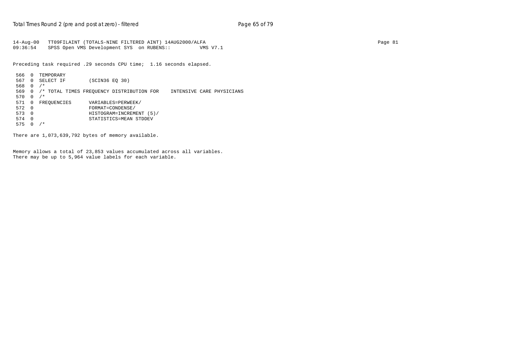```
14-Aug-00 TT09FILAINT (TOTALS-NINE FILTERED AINT) 14AUG2000/ALFA Page 81
09:36:54 SPSS Open VMS Development SYS on RUBENS:: VMS V7.1
```
Preceding task required .29 seconds CPU time; 1.16 seconds elapsed.

```
 566 0 TEMPORARY
 567 0 SELECT IF (SCIN36 EQ 30)
 568 0 /*
 569 0 /* TOTAL TIMES FREQUENCY DISTRIBUTION FOR INTENSIVE CARE PHYSICIANS
570  0  /*<br>571  0  FREOUENCIES
571 0 FREQUENCIES VARIABLES=PERWEEK/<br>572 0 FORMAT=CONDENSE/
 572 0 FORMAT=CONDENSE/
 573 0 HISTOGRAM=INCREMENT (5)/
 574 0 STATISTICS=MEAN STDDEV
575 0 /*
```
There are 1,073,639,792 bytes of memory available.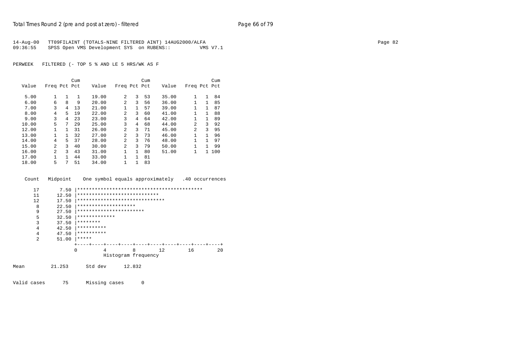| 14-Aug-00 | TT09FILAINT (TOTALS-NINE FILTERED AINT) 14AUG2000/ALFA |          | Page 82 |
|-----------|--------------------------------------------------------|----------|---------|
| 09:36:55  | SPSS Open VMS Development SYS on RUBENS::              | VMS V7.1 |         |

|       |              |    | Cum          |       |                |              | Cum |       |                |              | Cum   |
|-------|--------------|----|--------------|-------|----------------|--------------|-----|-------|----------------|--------------|-------|
| Value | Freq Pct Pct |    |              | Value | Freq Pct Pct   |              |     | Value | Freq Pct Pct   |              |       |
|       |              |    |              |       |                |              |     |       |                |              |       |
| 5.00  | 1            | 1. | $\mathbf{1}$ | 19.00 | $\mathfrak{D}$ | 3            | 53  | 35.00 | 1              | $\mathbf{1}$ | 84    |
| 6.00  | 6            | 8  | 9            | 20.00 | $\mathfrak{D}$ | 3            | 56  | 36.00 | 1              | $\mathbf{1}$ | 85    |
| 7.00  | 3            | 4  | 13           | 21.00 | 1              | $\mathbf{1}$ | 57  | 39.00 | 1              | $\mathbf{1}$ | 87    |
| 8.00  | 4            | 5. | 19           | 22.00 | $\overline{a}$ | 3            | 60  | 41.00 | 1              | $\mathbf{1}$ | 88    |
| 9.00  | 3            | 4  | 23           | 23.00 | 3              | 4            | 64  | 42.00 | 1              | $\mathbf{1}$ | 89    |
| 10.00 | 5            | 7  | 29           | 25.00 | 3              | 4            | 68  | 44.00 | $\mathfrak{D}$ | 3            | 92    |
| 12.00 |              | 1. | 31           | 26.00 | $\overline{a}$ | 3            | 71  | 45.00 | $\mathfrak{D}$ | 3            | 95    |
| 13.00 |              |    | 32           | 27.00 | $\overline{a}$ | ζ            | 73  | 46.00 | 1              | $\mathbf{1}$ | 96    |
| 14.00 | 4            | 5. | 37           | 28.00 | $\overline{a}$ | 3            | 76  | 48.00 | 1              | $\mathbf{1}$ | 97    |
| 15.00 | 2            | ζ  | 40           | 30.00 | $\overline{a}$ | 3            | 79  | 50.00 | 1              | 1            | 99    |
| 16.00 | 2            | 3  | 43           | 31.00 | 1              | $\mathbf{1}$ | 80  | 51.00 | 1              |              | 1 100 |
| 17.00 |              |    | 44           | 33.00 | 1              | $\mathbf{1}$ | 81  |       |                |              |       |
| 18.00 | 5            | 7  | 51           | 34.00 | 1              | 1            | 83  |       |                |              |       |

| Count          | Midpoint |                                | One symbol equals approximately |    | .40 occurrences |    |
|----------------|----------|--------------------------------|---------------------------------|----|-----------------|----|
| 17             | 7.50     |                                |                                 |    |                 |    |
| 11             | 12.50    | ****************************   |                                 |    |                 |    |
| 12             | 17.50    | ****************************** |                                 |    |                 |    |
| 8              | 22.50    | ********************           |                                 |    |                 |    |
| 9              | 27.50    | ***********************        |                                 |    |                 |    |
| 5              | 32.50    | *************                  |                                 |    |                 |    |
| 3              | 37.50    | ********                       |                                 |    |                 |    |
| $\overline{4}$ | 42.50    | **********                     |                                 |    |                 |    |
| $\overline{4}$ | 47.50    | **********                     |                                 |    |                 |    |
| $\overline{2}$ | 51.00    | *****                          |                                 |    |                 |    |
|                |          |                                |                                 |    |                 |    |
|                |          | 0<br>4                         | 8                               | 12 | 16              | 20 |
|                |          |                                | Histogram frequency             |    |                 |    |
| Mean           | 21.253   | Std dev                        | 12.832                          |    |                 |    |

Valid cases 75 Missing cases 0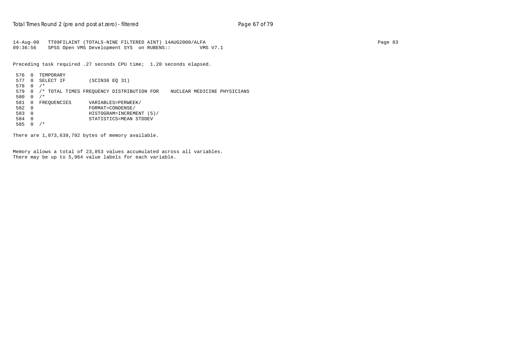```
14-Aug-00 TT09FILAINT (TOTALS-NINE FILTERED AINT) 14AUG2000/ALFA Page 83
09:36:56 SPSS Open VMS Development SYS on RUBENS:: VMS V7.1
```
Preceding task required .27 seconds CPU time; 1.20 seconds elapsed.

```
 576 0 TEMPORARY
 577 0 SELECT IF (SCIN36 EQ 31)
 578 0 /*
 579 0 /* TOTAL TIMES FREQUENCY DISTRIBUTION FOR NUCLEAR MEDICINE PHYSICIANS
580  0 /*<br>581  0  FREOUENCIES
581 0 FREQUENCIES VARIABLES=PERWEEK/<br>582 0 FORMAT=CONDENSE/
 582 0 FORMAT=CONDENSE/
 583 0 HISTOGRAM=INCREMENT (5)/
 584 0 STATISTICS=MEAN STDDEV
 585 0 /*
```
There are 1,073,639,792 bytes of memory available.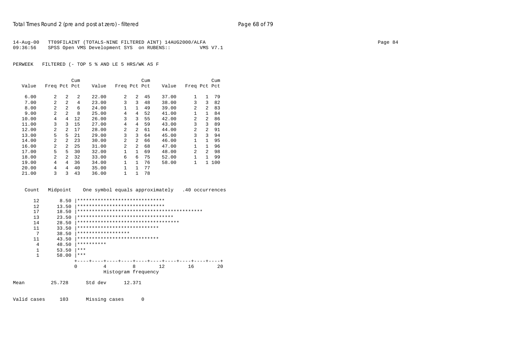| 14-Aug-00 | TT09FILAINT (TOTALS-NINE FILTERED AINT) 14AUG2000/ALFA |          | Page 84 |
|-----------|--------------------------------------------------------|----------|---------|
| 09:36:56  | SPSS Open VMS Development SYS on RUBENS::              | VMS V7.1 |         |

|       |                |                | Cum            |       |                |                | Cum |       |                |              | Cum |
|-------|----------------|----------------|----------------|-------|----------------|----------------|-----|-------|----------------|--------------|-----|
| Value | Freq Pct Pct   |                |                | Value | Freq Pct Pct   |                |     | Value | Freq Pct Pct   |              |     |
| 6.00  | 2              | 2              | $\mathfrak{D}$ | 22.00 | $\mathfrak{D}$ | $\overline{2}$ | 45  | 37.00 | 1              | $\mathbf{1}$ | 79  |
| 7.00  | 2              | 2              | 4              | 23.00 | 3              | 3              | 48  | 38.00 | 3              | 3            | 82  |
| 8.00  | 2              | 2              | 6              | 24.00 | 1              | $\mathbf{1}$   | 49  | 39.00 | $\mathfrak{D}$ | 2            | 83  |
| 9.00  | 2              | $\overline{a}$ | 8              | 25.00 | 4              | 4              | 52  | 41.00 | 1              | $\mathbf{1}$ | 84  |
| 10.00 | 4              | 4              | 12             | 26.00 | 3              | 3              | 55  | 42.00 | 2              | 2            | 86  |
| 11.00 | 3              | ς              | 15             | 27.00 | 4              | 4              | 59  | 43.00 | 3              | 3            | 89  |
| 12.00 | $\overline{a}$ | 2              | 17             | 28.00 | 2              | 2              | 61  | 44.00 | 2              | 2            | 91  |
| 13.00 | 5              | 5              | 21             | 29.00 | 3              | 3              | 64  | 45.00 | 3              | 3            | 94  |
| 14.00 | 2              | 2              | 23             | 30.00 | 2              | 2              | 66  | 46.00 | 1              | $\mathbf{1}$ | 95  |
| 16.00 | 2              | 2              | 25             | 31.00 | 2              | 2              | 68  | 47.00 | 1              | $\mathbf{1}$ | 96  |
| 17.00 | 5              | 5              | 30             | 32.00 | $\mathbf{1}$   | $\mathbf{1}$   | 69  | 48.00 | $\mathfrak{D}$ | 2            | 98  |
| 18.00 | 2              | $\mathfrak{D}$ | 32             | 33.00 | 6              | 6              | 75  | 52.00 | 1              | $\mathbf{1}$ | 99  |
| 19.00 | 4              | 4              | 36             | 34.00 | 1              | $\mathbf{1}$   | 76  | 58.00 | 1              | $\mathbf{1}$ | 100 |
| 20.00 | 4              | 4              | 40             | 35.00 | 1              | $\mathbf{1}$   | 77  |       |                |              |     |
| 21.00 | 3              | 3              | 43             | 36.00 | 1              | 1              | 78  |       |                |              |     |



| 12  | 8.50  |            | ******************************      |   |     |    |    |
|-----|-------|------------|-------------------------------------|---|-----|----|----|
| 12. | 13.50 |            | ******************************      |   |     |    |    |
| 17  | 18.50 |            |                                     |   |     |    |    |
| 13  | 23.50 |            | *********************************   |   |     |    |    |
| 14  | 28.50 |            | *********************************** |   |     |    |    |
| 11  | 33.50 |            | ****************************        |   |     |    |    |
| 7   | 38.50 |            | ******************                  |   |     |    |    |
| 11  | 43.50 |            | ****************************        |   |     |    |    |
| 4   | 48.50 | ********** |                                     |   |     |    |    |
|     | 53.50 | ***        |                                     |   |     |    |    |
| 1   | 58.00 | ***        |                                     |   |     |    |    |
|     |       |            |                                     |   |     |    |    |
|     |       | 0          | 4                                   | 8 | 12. | 16 | 20 |
|     |       |            | Histogram frequency                 |   |     |    |    |
|     |       |            |                                     |   |     |    |    |

Mean 25.728 Std dev 12.371

Valid cases 103 Missing cases 0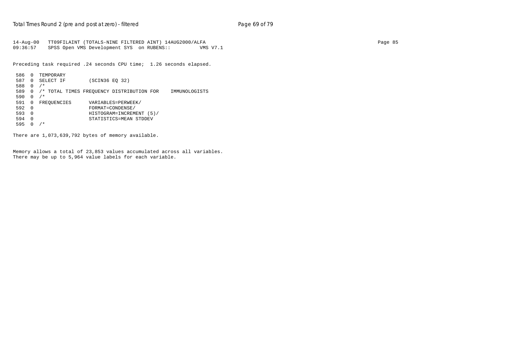14-Aug-00 TT09FILAINT (TOTALS-NINE FILTERED AINT) 14AUG2000/ALFA Page 85 09:36:57 SPSS Open VMS Development SYS on RUBENS:: VMS V7.1

Preceding task required .24 seconds CPU time; 1.26 seconds elapsed.

```
 586 0 TEMPORARY
 587 0 SELECT IF (SCIN36 EQ 32)
 588 0 /*
 589 0 /* TOTAL TIMES FREQUENCY DISTRIBUTION FOR IMMUNOLOGISTS
 590 0 /*
591 0 FREQUENCIES VARIABLES=PERWEEK/<br>592 0 FORMAT=CONDENSE/
 592 0 FORMAT=CONDENSE/
 593 0 HISTOGRAM=INCREMENT (5)/
 594 0 STATISTICS=MEAN STDDEV
 595 0 /*
```
There are 1,073,639,792 bytes of memory available.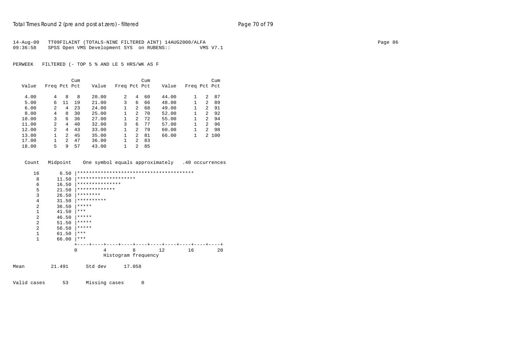| 14-Aug-00 | TT09FILAINT (TOTALS-NINE FILTERED AINT) 14AUG2000/ALFA |          | Page 86 |
|-----------|--------------------------------------------------------|----------|---------|
| 09:36:58  | SPSS Open VMS Development SYS on RUBENS::              | VMS V7.1 |         |

|       |              |                | Cum |       |              |                | Cum |       |              |   | Cum   |
|-------|--------------|----------------|-----|-------|--------------|----------------|-----|-------|--------------|---|-------|
| Value | Freq Pct Pct |                |     | Value | Freq Pct Pct |                |     | Value | Freq Pct Pct |   |       |
| 4.00  | 4            | 8              | 8   | 20.00 | 2            | 4              | 60  | 44.00 |              | 2 | 87    |
| 5.00  | 6            | 11             | 19  | 21.00 | 3            | 6              | 66  | 48.00 |              | 2 | 89    |
| 6.00  | 2            | 4              | 23  | 24.00 |              | $\overline{a}$ | 68  | 49.00 |              | 2 | 91    |
| 8.00  | 4            | 8              | 30  | 25.00 |              | $\overline{2}$ | 70  | 52.00 | 1            | 2 | 92    |
| 10.00 | 3            | 6              | 36  | 27.00 |              | $\overline{2}$ | 72  | 55.00 | 1            | 2 | 94    |
| 11.00 | 2            | 4              | 40  | 32.00 | 3            | 6              | 77  | 57.00 | 1            | 2 | 96    |
| 12.00 | 2            | 4              | 43  | 33.00 |              | 2              | 79  | 60.00 | 1            | 2 | 98    |
| 13.00 |              | $\mathfrak{D}$ | 45  | 35.00 |              | 2              | 81  | 66.00 | 1            |   | 2 100 |
| 17.00 |              | $\mathfrak{D}$ | 47  | 36.00 |              | 2              | 83  |       |              |   |       |
| 18.00 | 5            | 9              | 57  | 43.00 |              | $\overline{c}$ | 85  |       |              |   |       |

|      | Count          | Midpoint One symbol equals approximately .40 occurrences |                     |                      |        |   |                 |    |    |  |  |
|------|----------------|----------------------------------------------------------|---------------------|----------------------|--------|---|-----------------|----|----|--|--|
|      |                |                                                          |                     |                      |        |   |                 |    |    |  |  |
|      | 16             | 6.50                                                     |                     |                      |        |   |                 |    |    |  |  |
|      | 8              | 11.50                                                    |                     | ******************** |        |   |                 |    |    |  |  |
|      | 6              | 16.50                                                    |                     | ***************      |        |   |                 |    |    |  |  |
|      | 5              | 21.50                                                    |                     | *************        |        |   |                 |    |    |  |  |
|      | $\overline{3}$ | 26.50                                                    |                     | ********             |        |   |                 |    |    |  |  |
|      | 4              | 31.50                                                    |                     | **********           |        |   |                 |    |    |  |  |
|      | $\overline{2}$ | 36.50                                                    | *****               |                      |        |   |                 |    |    |  |  |
|      | 1              | 41.50                                                    | $***$               |                      |        |   |                 |    |    |  |  |
|      | $\overline{a}$ | 46.50                                                    | *****               |                      |        |   |                 |    |    |  |  |
|      | 2              | 51.50                                                    | *****               |                      |        |   |                 |    |    |  |  |
|      | $\overline{a}$ | 56.50                                                    | *****               |                      |        |   |                 |    |    |  |  |
|      | $\mathbf{1}$   | 61.50                                                    | ***                 |                      |        |   |                 |    |    |  |  |
|      | $\mathbf{1}$   | 66.00                                                    | $***$               |                      |        |   |                 |    |    |  |  |
|      |                |                                                          |                     |                      |        |   |                 |    |    |  |  |
|      |                |                                                          | $\Omega$            | 4                    |        | 8 | 12 <sup>°</sup> | 16 | 20 |  |  |
|      |                |                                                          | Histogram frequency |                      |        |   |                 |    |    |  |  |
|      |                |                                                          |                     |                      |        |   |                 |    |    |  |  |
| Mean |                | 21.491                                                   |                     | Std dev              | 17.058 |   |                 |    |    |  |  |
|      |                |                                                          |                     |                      |        |   |                 |    |    |  |  |
|      |                |                                                          |                     |                      |        |   |                 |    |    |  |  |

Valid cases 53 Missing cases 0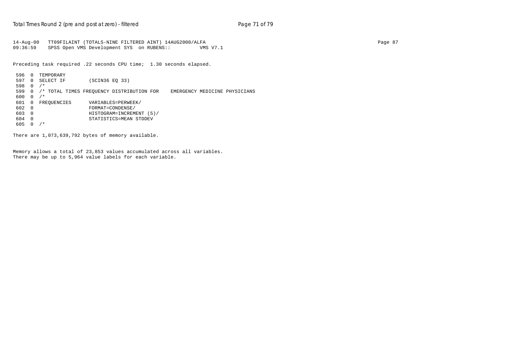14-Aug-00 TT09FILAINT (TOTALS-NINE FILTERED AINT) 14AUG2000/ALFA Page 87 09:36:59 SPSS Open VMS Development SYS on RUBENS:: VMS V7.1

Preceding task required .22 seconds CPU time; 1.30 seconds elapsed.

 596 0 TEMPORARY 597 0 SELECT IF (SCIN36 EQ 33) 598 0 /\* 599 0 /\* TOTAL TIMES FREQUENCY DISTRIBUTION FOR EMERGENCY MEDICINE PHYSICIANS 600 0 /\* 601 0 FREQUENCIES VARIABLES=PERWEEK/<br>602 0 FORMAT=CONDENSE/ 602 0 FORMAT=CONDENSE/ 603 0 HISTOGRAM=INCREMENT (5)/ 604 0 STATISTICS=MEAN STDDEV 605 0 /\*

There are 1,073,639,792 bytes of memory available.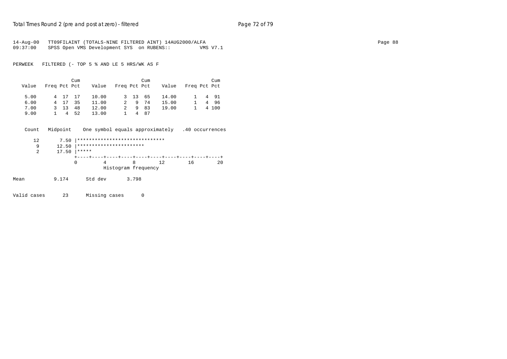| $14 - Aug - 00$<br>09:37:00 | TT09FILAINT (TOTALS-NINE FILTERED AINT) 14AUG2000/ALFA<br>SPSS Open VMS Development SYS on RUBENS:: |             |                                |                     |                 |      |                                                 |              | VMS V7.1 |        |  |  |  |  | Page 88 |
|-----------------------------|-----------------------------------------------------------------------------------------------------|-------------|--------------------------------|---------------------|-----------------|------|-------------------------------------------------|--------------|----------|--------|--|--|--|--|---------|
| PERWEEK                     | FILTERED (- TOP 5 % AND LE 5 HRS/WK AS F                                                            |             |                                |                     |                 |      |                                                 |              |          |        |  |  |  |  |         |
|                             |                                                                                                     | Cum         |                                |                     |                 | Cum  |                                                 |              |          | Cum    |  |  |  |  |         |
| Value                       | Freq Pct Pct                                                                                        |             | Value                          | Freq Pct Pct        |                 |      | Value                                           | Freq Pct Pct |          |        |  |  |  |  |         |
| 5.00                        | 4 17                                                                                                | 17          | 10.00                          | $\mathbf{3}$        | 13 65           |      | 14.00                                           |              |          | 1 4 91 |  |  |  |  |         |
| 6.00                        | 4 17                                                                                                | 35          | 11.00                          | 2                   |                 | 9 74 | 15.00                                           | $\mathbf{1}$ |          | 4 96   |  |  |  |  |         |
| 7.00                        | 3 13 48                                                                                             |             | 12.00                          | $\overline{a}$      |                 | 9 83 | 19.00                                           | $\mathbf{1}$ |          | 4 100  |  |  |  |  |         |
| 9.00                        | $1 \quad 4$                                                                                         | 52          | 13.00                          | 1                   | $4\overline{ }$ | 87   |                                                 |              |          |        |  |  |  |  |         |
| Count                       | Midpoint                                                                                            |             |                                |                     |                 |      | One symbol equals approximately .40 occurrences |              |          |        |  |  |  |  |         |
| 12                          | 7.50                                                                                                |             | ****************************** |                     |                 |      |                                                 |              |          |        |  |  |  |  |         |
| 9                           | 12.50                                                                                               |             | ***********************        |                     |                 |      |                                                 |              |          |        |  |  |  |  |         |
| $\overline{2}$              | 17.50                                                                                               | $ *****$    |                                |                     |                 |      |                                                 |              |          |        |  |  |  |  |         |
|                             |                                                                                                     | $\mathbf 0$ | $\overline{4}$                 |                     | 8               |      | 12                                              | 16           |          | 20     |  |  |  |  |         |
|                             |                                                                                                     |             |                                | Histogram frequency |                 |      |                                                 |              |          |        |  |  |  |  |         |
| Mean                        | 9.174                                                                                               |             | Std dev                        |                     | 3.798           |      |                                                 |              |          |        |  |  |  |  |         |
| Valid cases                 | 23                                                                                                  |             | Missing cases                  |                     |                 | 0    |                                                 |              |          |        |  |  |  |  |         |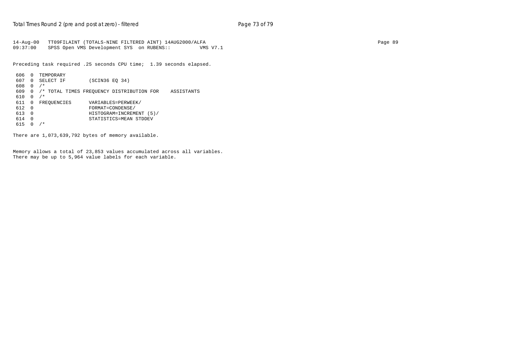14-Aug-00 TT09FILAINT (TOTALS-NINE FILTERED AINT) 14AUG2000/ALFA Page 89 09:37:00 SPSS Open VMS Development SYS on RUBENS:: VMS V7.1

Preceding task required .25 seconds CPU time; 1.39 seconds elapsed.

```
 606 0 TEMPORARY
 607 0 SELECT IF (SCIN36 EQ 34)
 608 0 /*
 609 0 /* TOTAL TIMES FREQUENCY DISTRIBUTION FOR ASSISTANTS
 610 0 /*
                      VARIABLES=PERWEEK/
\begin{array}{cccc}\n612 & 0 & & & \text{FORMAT = COMMED} \\
613 & 0 & & & \text{HISTOGRAM = INCREM}\n\end{array} 613 0 HISTOGRAM=INCREMENT (5)/
 614 0 STATISTICS=MEAN STDDEV
 615 0 /*
```
There are 1,073,639,792 bytes of memory available.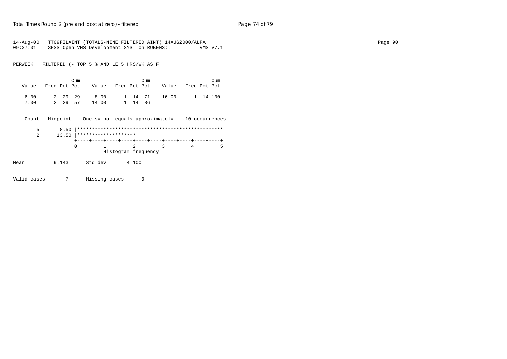| $14 - Aug - 00$ |                 | TT09FILAINT (TOTALS-NINE FILTERED AINT) 14AUG2000/ALFA |                                                 |         |       |                |          |
|-----------------|-----------------|--------------------------------------------------------|-------------------------------------------------|---------|-------|----------------|----------|
| 09:37:01        |                 | SPSS Open VMS Development SYS on RUBENS::              |                                                 |         |       |                | VMS V7.1 |
|                 |                 |                                                        |                                                 |         |       |                |          |
| PERWEEK         |                 | FILTERED (- TOP 5 % AND LE 5 HRS/WK AS F               |                                                 |         |       |                |          |
|                 |                 | Cum                                                    |                                                 | Cum     |       |                | Cum      |
| Value           | Freq Pct Pct    | Value                                                  | Freq Pct Pct                                    |         | Value | Freq Pct Pct   |          |
| 6.00            | 2 29 29         | 8.00                                                   |                                                 | 1 14 71 | 16.00 |                | 1 14 100 |
| 7.00            | 2 29 57         | 14.00                                                  |                                                 | 1 14 86 |       |                |          |
| Count           | Midpoint        |                                                        | One symbol equals approximately .10 occurrences |         |       |                |          |
| 5               | 8.50            |                                                        |                                                 |         |       |                |          |
| $\overline{2}$  | 13.50           | ********************                                   |                                                 |         |       |                |          |
|                 |                 | $\mathbf 0$                                            | 2                                               |         | 3     | $\overline{4}$ | -5       |
|                 |                 |                                                        | Histogram frequency                             |         |       |                |          |
| Mean            | 9.143           | Std dev                                                | 4.100                                           |         |       |                |          |
| Valid cases     | $7\overline{ }$ | Missing cases                                          |                                                 | 0       |       |                |          |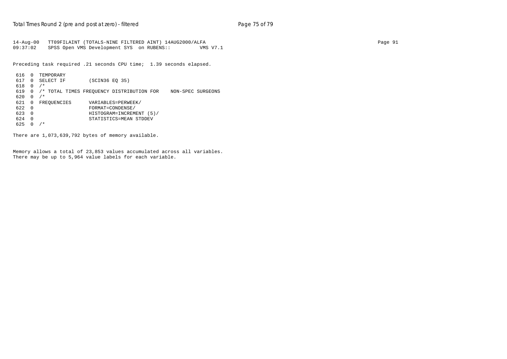14-Aug-00 TT09FILAINT (TOTALS-NINE FILTERED AINT) 14AUG2000/ALFA Page 91 09:37:02 SPSS Open VMS Development SYS on RUBENS:: VMS V7.1

Preceding task required .21 seconds CPU time; 1.39 seconds elapsed.

```
 616 0 TEMPORARY
 617 0 SELECT IF (SCIN36 EQ 35)
 618 0 /*
 619 0 /* TOTAL TIMES FREQUENCY DISTRIBUTION FOR NON-SPEC SURGEONS
 620 0 /*
621 0 FREQUENCIES VARIABLES=PERWEEK/<br>622 0 FORMAT=CONDENSE/
 622 0 FORMAT=CONDENSE/
 623 0 HISTOGRAM=INCREMENT (5)/
 624 0 STATISTICS=MEAN STDDEV
625 0 /*
```
There are 1,073,639,792 bytes of memory available.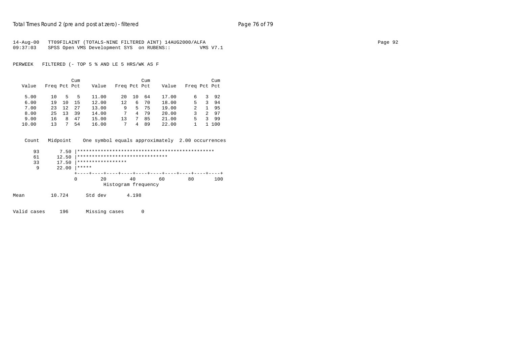|          | 14-Aug-00 TT09FILAINT (TOTALS-NINE FILTERED AINT) 14AUG2000/ALFA |          | Page 92 |
|----------|------------------------------------------------------------------|----------|---------|
| 09:37:03 | SPSS Open VMS Development SYS on RUBENS::                        | VMS V7.1 |         |

PERWEEK FILTERED (- TOP 5 % AND LE 5 HRS/WK AS F

|       |              |    | Cum |       |              |    | Cum |       |              |               | Cum   |
|-------|--------------|----|-----|-------|--------------|----|-----|-------|--------------|---------------|-------|
| Value | Freq Pct Pct |    |     | Value | Freq Pct Pct |    |     | Value | Freq Pct Pct |               |       |
|       |              |    |     |       |              |    |     |       |              |               |       |
| 5.00  | 10           | 5. | .5  | 11.00 | $20 \sigma$  | 10 | 64  | 17.00 | 6            | 3             | 92    |
| 6.00  | 19           | 10 | 15  | 12.00 | 12           | 6  | 70  | 18.00 | .5           | 3             | 94    |
| 7.00  | 23           | 12 | 27  | 13.00 | 9            | 5. | 75  | 19.00 | 2            | 1.            | 95    |
| 8.00  | 25           | 13 | 39  | 14.00 |              | 4  | 79  | 20.00 |              | $\mathcal{L}$ | 97    |
| 9.00  | 16           | 8  | 47  | 15.00 | 13           |    | 85  | 21.00 | 5            | ζ             | 99    |
| 10.00 | 13           |    | 54  | 16.00 |              | 4  | 89  | 22.00 |              |               | 1 100 |

Count Midpoint One symbol equals approximately 2.00 occurrences

| 93 | 7.50  |                                 |    |                     |    |    |     |
|----|-------|---------------------------------|----|---------------------|----|----|-----|
| 61 | 12.50 | ******************************* |    |                     |    |    |     |
| 33 | 17.50 | *****************               |    |                     |    |    |     |
| 9  | 22.00 | *****                           |    |                     |    |    |     |
|    |       |                                 |    |                     |    |    |     |
|    |       |                                 | 20 | 40                  | 60 | 80 | 100 |
|    |       |                                 |    | Histogram frequency |    |    |     |

Mean 10.724 Std dev 4.198

Valid cases 196 Missing cases 0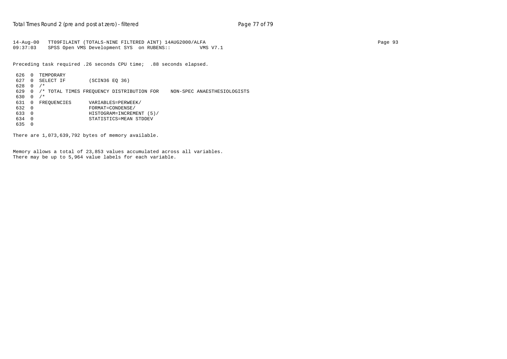14-Aug-00 TT09FILAINT (TOTALS-NINE FILTERED AINT) 14AUG2000/ALFA Page 93 09:37:03 SPSS Open VMS Development SYS on RUBENS:: VMS V7.1

Preceding task required .26 seconds CPU time; .88 seconds elapsed.

 626 0 TEMPORARY 627 0 SELECT IF (SCIN36 EQ 36) 628 0 /\* 629 0 /\* TOTAL TIMES FREQUENCY DISTRIBUTION FOR NON-SPEC ANAESTHESIOLOGISTS 630 0 /\*<br>631 0 FREQUENCIES VARIABLES=PERWEEK/  $\begin{array}{cccc}\n632 & 0 \\
633 & 0\n\end{array} \qquad \qquad \begin{array}{c}\n\text{FORMAT} = \text{COMDENSE}/\n\end{array}$  633 0 HISTOGRAM=INCREMENT (5)/ 634 0 STATISTICS=MEAN STDDEV 635 0

There are 1,073,639,792 bytes of memory available.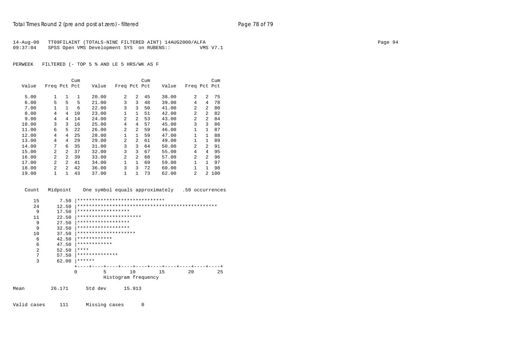|          | 14-Aug-00 TT09FILAINT (TOTALS-NINE FILTERED AINT) 14AUG2000/ALFA |          | Page 94 |
|----------|------------------------------------------------------------------|----------|---------|
| 09:37:04 | SPSS Open VMS Development SYS on RUBENS::                        | VMS V7.1 |         |

PERWEEK FILTERED (- TOP 5 % AND LE 5 HRS/WK AS F

|       |                |                | Cum |       |                |                | Cum |       |                |                | Cum |
|-------|----------------|----------------|-----|-------|----------------|----------------|-----|-------|----------------|----------------|-----|
| Value | Freq Pct Pct   |                |     | Value | Freq Pct Pct   |                |     | Value | Freq Pct Pct   |                |     |
| 5.00  | 1              | 1              | 1   | 20.00 | 2              | 2              | 45  | 38.00 | $\mathfrak{D}$ | 2              | 75  |
| 6.00  | 5              | 5              | 5   | 21.00 | 3              | 3              | 48  | 39.00 | 4              | 4              | 78  |
| 7.00  |                | 1              | 6   | 22.00 | 3              | 3              | 50  | 41.00 | 2              | 2              | 80  |
| 8.00  | 4              | 4              | 10  | 23.00 | 1              | $\mathbf{1}$   | 51  | 42.00 | 2              | 2              | 82  |
| 9.00  | 4              | 4              | 14  | 24.00 | $\overline{2}$ | $\overline{a}$ | 53  | 43.00 | 2              | 2              | 84  |
| 10.00 | 3              | 3              | 16  | 25.00 | 4              | 4              | 57  | 45.00 | 3              | 3              | 86  |
| 11.00 | 6              | 5              | 22  | 26.00 | 2              | $\overline{a}$ | 59  | 46.00 | 1              | $\mathbf{1}$   | 87  |
| 12.00 | 4              | 4              | 25  | 28.00 | 1              | $\mathbf{1}$   | 59  | 47.00 | 1              | $\mathbf{1}$   | 88  |
| 13.00 | 4              | 4              | 29  | 29.00 | 2              | $\overline{a}$ | 61  | 49.00 | 1              | $\mathbf{1}$   | 89  |
| 14.00 | 7              | 6              | 35  | 31.00 | 3              | 3              | 64  | 50.00 | 2              | 2              | 91  |
| 15.00 | $\mathfrak{D}$ | 2              | 37  | 32.00 | 3              | 3              | 67  | 55.00 | 4              | 4              | 95  |
| 16.00 | $\mathfrak{D}$ | $\mathfrak{D}$ | 39  | 33.00 | $\overline{a}$ | $\overline{a}$ | 68  | 57.00 | $\mathfrak{D}$ | 2              | 96  |
| 17.00 | $\overline{a}$ | $\mathfrak{D}$ | 41  | 34.00 | 1              | $\mathbf{1}$   | 69  | 59.00 | 1              | $\mathbf{1}$   | 97  |
| 18.00 | $\mathfrak{D}$ | $\mathfrak{D}$ | 42  | 36.00 | 3              | 3              | 72  | 60.00 | 1              | 1              | 98  |
| 19.00 | 1              | 1              | 43  | 37.00 | 1              | 1              | 73  | 62.00 | 2              | $\overline{a}$ | 100 |

Count Midpoint One symbol equals approximately .50 occurrences

| 15             | 7.50  | ****************************** |           |                     |    |    |    |
|----------------|-------|--------------------------------|-----------|---------------------|----|----|----|
| 2.4            | 12.50 |                                |           |                     |    |    |    |
| 9              | 17.50 | ******************             |           |                     |    |    |    |
| 11             | 22.50 | **********************         |           |                     |    |    |    |
| 9              | 27.50 | ******************             |           |                     |    |    |    |
| 9              | 32.50 | ******************             |           |                     |    |    |    |
| 10             | 37.50 | ********************           |           |                     |    |    |    |
| 6              | 42.50 | ************                   |           |                     |    |    |    |
| 6              | 47.50 | ************                   |           |                     |    |    |    |
| $\overline{a}$ | 52.50 | ****                           |           |                     |    |    |    |
| 7              | 57.50 | **************                 |           |                     |    |    |    |
| 3              | 62.00 | ******                         |           |                     |    |    |    |
|                |       |                                | -+----+-- | ---+----+           |    |    |    |
|                |       | 5<br>0                         | 10        |                     | 15 | 20 | 25 |
|                |       |                                |           | Histogram frequency |    |    |    |
|                |       |                                |           |                     |    |    |    |

Mean 26.171 Std dev 15.913

Valid cases 111 Missing cases 0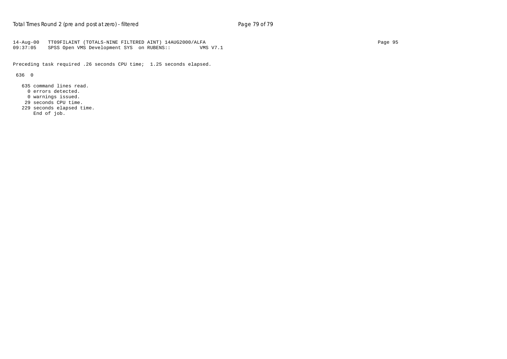14-Aug-00 TT09FILAINT (TOTALS-NINE FILTERED AINT) 14AUG2000/ALFA Page 95 SPSS Open VMS Development SYS on RUBENS:: VMS V7.1

Preceding task required .26 seconds CPU time; 1.25 seconds elapsed.

636 0

 635 command lines read. 0 errors detected. 0 warnings issued. 29 seconds CPU time.

229 seconds elapsed time.

End of job.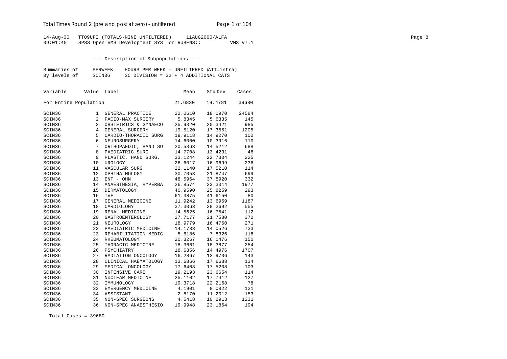# Total Times Round 2 (pre and post at zero) - un*filtered* Page 1 of 104

14-Aug-00 TT09UFI (TOTALS-NINE UNFILTERED) 11AUG2000/ALFA Page 8 09:01:45 SPSS Open VMS Development SYS on RUBENS:: VMS V7.1

## - - Description of Subpopulations - -

| Summaries of | PERWEEK | HOURS PER WEEK - UNFILTERED (ATT=intra) |
|--------------|---------|-----------------------------------------|
| By levels of | SCIN36  | SC DIVISION = $32 + 4$ ADDITIONAL CATS  |

| Variable              | Value           | Label                | Mean    | Std Dev | Cases |
|-----------------------|-----------------|----------------------|---------|---------|-------|
| For Entire Population |                 |                      | 21.6830 | 19.4781 | 39680 |
| SCIN36                | 1               | GENERAL PRACTICE     | 22.0610 | 18.0970 | 24584 |
| SCIN36                | 2               | FACIO-MAX SURGERY    | 5.8345  | 5.6335  | 145   |
| SCIN36                | 3               | OBSTETRICS & GYNAECO | 25.9320 | 20.3421 | 985   |
| SCIN36                | $\overline{4}$  | GENERAL SURGERY      | 19.5120 | 17.3551 | 1205  |
| SCIN36                | 5               | CARDIO-THORACIC SURG | 19.9118 | 14.9270 | 102   |
| SCIN36                | 6               | NEUROSURGERY         | 14.6000 | 10.3916 | 110   |
| SCIN36                | $7\overline{ }$ | ORTHOPAEDIC, HAND SU | 20.5363 | 14.5212 | 688   |
| SCIN36                | 8               | PAEDIATRIC SURG      | 14.7708 | 13.4231 | 48    |
| SCIN36                | 9               | PLASTIC, HAND SURG,  | 33.1244 | 22.7304 | 225   |
| SCIN36                | 10              | <b>UROLOGY</b>       | 26.6017 | 16.9699 | 236   |
| SCIN36                | 11              | VASCULAR SURG        | 22.1140 | 17.5210 | 114   |
| SCIN36                | 12              | OPHTHALMOLOGY        | 30.7053 | 21.8747 | 699   |
| SCIN36                | 13              | ENT - OHN            | 48.5964 | 37.8920 | 332   |
| SCIN36                | 14              | ANAESTHESIA, HYPERBA | 26.8574 | 23.3314 | 1977  |
| SCIN36                | 15              | <b>DERMATOLOGY</b>   | 40.9590 | 25.8259 | 293   |
| SCIN36                | 16              | <b>IVF</b>           | 61.3875 | 41.6150 | 80    |
| SCIN36                | 17              | GENERAL MEDICINE     | 11.9242 | 13.6959 | 1187  |
| SCIN36                | 18              | CARDIOLOGY           | 37.3063 | 28.2692 | 555   |
| SCIN36                | 19              | RENAL MEDICINE       | 14.5625 | 16.7541 | 112   |
| SCIN36                | 20              | GASTROENTEROLOGY     | 27.7177 | 21.7580 | 372   |
| SCIN36                | 21              | NEUROLOGY            | 18.9779 | 16.4760 | 271   |
| SCIN36                | 22              | PAEDIATRIC MEDICINE  | 14.1733 | 14.0526 | 733   |
| SCIN36                | 23              | REHABILITATION MEDIC | 5.6186  | 7.8326  | 118   |
| SCIN36                | 24              | RHEUMATOLOGY         | 20.3267 | 16.1476 | 150   |
| SCIN36                | 25              | THORACIC MEDICINE    | 18.3661 | 18.3877 | 254   |
| SCIN36                | 26              | PSYCHIATRY           | 18.6356 | 14.4976 | 1707  |
| SCIN36                | 27              | RADIATION ONCOLOGY   | 16.2867 | 13.9706 | 143   |
| SCIN36                | 28              | CLINICAL HAEMATOLOGY | 13.6866 | 17.6688 | 134   |
| SCIN36                | 29              | MEDICAL ONCOLOGY     | 17.6408 | 17.5208 | 103   |
| SCIN36                | 30              | INTENSIVE CARE       | 19.2193 | 23.6654 | 114   |
| SCIN36                | 31              | NUCLEAR MEDICINE     | 25.1102 | 17.7412 | 127   |
| SCIN36                | 32              | IMMUNOLOGY           | 19.3718 | 22.2168 | 78    |
| SCIN36                | 33              | EMERGENCY MEDICINE   | 4.1901  | 8.0822  | 121   |
| SCIN36                | 34              | ASSISTANT            | 2.8170  | 11.2012 | 153   |
| SCIN36                | 35              | NON-SPEC SURGEONS    | 4.5418  | 10.2913 | 1231  |
| SCIN36                | 36              | NON-SPEC ANAESTHESIO | 19.9948 | 23.1864 | 194   |

Total Cases = 39680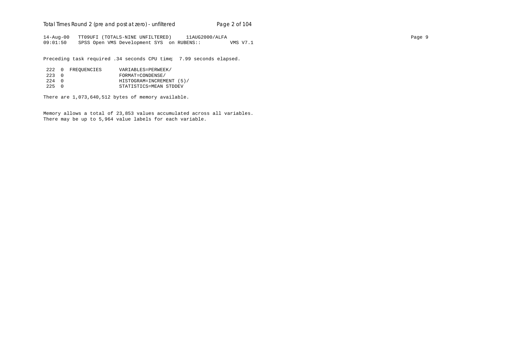# Total Times Round 2 (pre and post at zero) - un*filtered* Page 2 of 104

14-Aug-00 TT09UFI (TOTALS-NINE UNFILTERED) 11AUG2000/ALFA Page 9 09:01:50 SPSS Open VMS Development SYS on RUBENS:: VMS V7.1

Preceding task required .34 seconds CPU time; 7.99 seconds elapsed.

|       | 222 0 FREOUENCIES | VARIABLES=PERWEEK/       |
|-------|-------------------|--------------------------|
| 223 0 |                   | FORMAT=CONDENSE/         |
| 224 O |                   | HISTOGRAM=INCREMENT (5)/ |
| 225 0 |                   | STATISTICS=MEAN STDDEV   |

There are 1,073,640,512 bytes of memory available.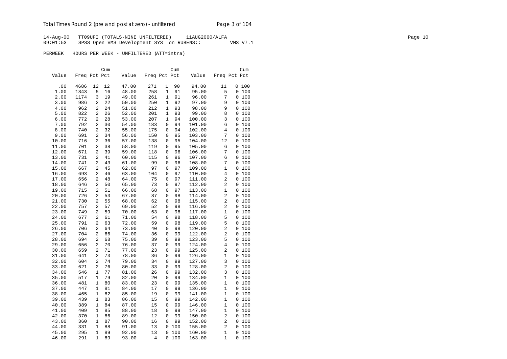14-Aug-00 TT09UFI (TOTALS-NINE UNFILTERED) 11AUG2000/ALFA Page 10 09:01:53 SPSS Open VMS Development SYS on RUBENS:: VMS V7.1

|       |              |                | Cum |       |              |             | Cum |        |                | Cum   |
|-------|--------------|----------------|-----|-------|--------------|-------------|-----|--------|----------------|-------|
| Value | Freq Pct Pct |                |     | Value | Freq Pct Pct |             |     | Value  | Freq Pct Pct   |       |
|       |              |                |     |       |              |             |     |        |                |       |
| .00   | 4686         | 12             | 12  | 47.00 | 271          | 1           | 90  | 94.00  | 11             | 0100  |
| 1.00  | 1843         | 5              | 16  | 48.00 | 258          | 1           | 91  | 95.00  | 5              | 0 100 |
| 2.00  | 1174         | 3              | 19  | 49.00 | 261          | $\mathbf 1$ | 91  | 96.00  | 7              | 0 100 |
| 3.00  | 986          | 2              | 22  | 50.00 | 250          | $\mathbf 1$ | 92  | 97.00  | 9              | 0 100 |
| 4.00  | 962          | 2              | 24  | 51.00 | 212          | $\mathbf 1$ | 93  | 98.00  | 9              | 0 100 |
| 5.00  | 822          | 2              | 26  | 52.00 | 201          | 1           | 93  | 99.00  | 8              | 0 100 |
| 6.00  | 772          | 2              | 28  | 53.00 | 207          | 1           | 94  | 100.00 | 3              | 0 100 |
| 7.00  | 792          | 2              | 30  | 54.00 | 183          | 0           | 94  | 101.00 | 6              | 0 100 |
| 8.00  | 740          | 2              | 32  | 55.00 | 175          | 0           | 94  | 102.00 | 4              | 0 100 |
| 9.00  | 691          | 2              | 34  | 56.00 | 150          | 0           | 95  | 103.00 | 7              | 0 100 |
| 10.00 | 716          | 2              | 36  | 57.00 | 138          | 0           | 95  | 104.00 | 12             | 0 100 |
| 11.00 | 701          | 2              | 38  | 58.00 | 119          | 0           | 95  | 105.00 | б              | 0 100 |
| 12.00 | 671          | 2              | 39  | 59.00 | 118          | 0           | 96  | 106.00 | 7              | 0 100 |
| 13.00 | 731          | 2              | 41  | 60.00 | 115          | 0           | 96  | 107.00 | 6              | 0 100 |
| 14.00 | 741          | 2              | 43  | 61.00 | 99           | 0           | 96  | 108.00 | 7              | 0 100 |
| 15.00 | 667          | 2              | 45  | 62.00 | 97           | 0           | 97  | 109.00 | 1              | 0 100 |
| 16.00 | 693          | 2              | 46  | 63.00 | 104          | 0           | 97  | 110.00 | 4              | 0 100 |
| 17.00 | 656          | 2              | 48  | 64.00 | 75           | 0           | 97  | 111.00 | 2              | 0 100 |
| 18.00 | 646          | 2              | 50  | 65.00 | 73           | 0           | 97  | 112.00 | 2              | 0 100 |
| 19.00 | 715          | 2              | 51  | 66.00 | 68           | $\mathbf 0$ | 97  | 113.00 | 1              | 0 100 |
| 20.00 | 726          | 2              | 53  | 67.00 | 87           | 0           | 98  | 114.00 | $\overline{a}$ | 0 100 |
| 21.00 | 730          | 2              | 55  | 68.00 | 62           | $\mathbf 0$ | 98  | 115.00 | $\overline{2}$ | 0 100 |
| 22.00 | 757          | 2              | 57  | 69.00 | 52           | 0           | 98  | 116.00 | 2              | 0 100 |
| 23.00 | 749          | 2              | 59  | 70.00 | 63           | 0           | 98  | 117.00 | 1              | 0 100 |
| 24.00 | 677          | 2              | 61  | 71.00 | 54           | 0           | 98  | 118.00 | 5              | 0 100 |
| 25.00 | 791          | 2              | 63  | 72.00 | 59           | $\mathsf 0$ | 98  | 119.00 | 5              | 0 100 |
| 26.00 | 706          | 2              | 64  | 73.00 | 40           | 0           | 98  | 120.00 | 2              | 0 100 |
| 27.00 | 704          | 2              | 66  | 74.00 | 36           | 0           | 99  | 122.00 | 2              | 0 100 |
| 28.00 | 694          | 2              | 68  | 75.00 | 39           | 0           | 99  | 123.00 | 5              | 0 100 |
| 29.00 | 656          | $\overline{a}$ | 70  | 76.00 | 37           | $\mathbf 0$ | 99  | 124.00 | $\overline{4}$ | 0 100 |
| 30.00 | 659          | 2              | 71  | 77.00 | 23           | $\mathsf 0$ | 99  | 125.00 | 2              | 0 100 |
| 31.00 | 641          | 2              | 73  | 78.00 | 36           | 0           | 99  | 126.00 | 1              | 0 100 |
| 32.00 | 604          | 2              | 74  | 79.00 | 34           | 0           | 99  | 127.00 | 3              | 0 100 |
| 33.00 | 621          | 2              | 76  | 80.00 | 33           | $\mathsf 0$ | 99  | 128.00 | 2              | 0 100 |
| 34.00 | 546          | 1              | 77  | 81.00 | 26           | 0           | 99  | 132.00 | 3              | 0 100 |
| 35.00 | 517          | $\mathbf{1}$   | 79  | 82.00 | 20           | 0           | 99  | 134.00 | 1              | 0 100 |
| 36.00 | 481          | $\mathbf{1}$   | 80  | 83.00 | 23           | 0           | 99  | 135.00 | $\mathbf{1}$   | 0 100 |
| 37.00 | 447          | $\mathbf{1}$   | 81  | 84.00 | 17           | $\mathbf 0$ | 99  | 136.00 | $\mathbf{1}$   | 0 100 |
| 38.00 | 465          | $\mathbf{1}$   | 82  | 85.00 | 19           | 0           | 99  | 141.00 | $\mathbf{1}$   | 0 100 |
| 39.00 | 439          | 1              | 83  | 86.00 | 15           | 0           | 99  | 142.00 | 1              | 0 100 |
| 40.00 | 389          | 1              | 84  | 87.00 | 15           | 0           | 99  | 146.00 | 1              | 0 100 |
| 41.00 | 409          | 1              | 85  | 88.00 | 18           | 0           | 99  | 147.00 | $\mathbf 1$    | 0 100 |
| 42.00 | 370          | 1              | 86  | 89.00 | 12           | 0           | 99  | 150.00 | 2              | 0 100 |
| 43.00 | 360          | 1              | 87  | 90.00 | 16           | $\mathbf 0$ | 99  | 152.00 | 2              | 0 100 |
| 44.00 | 331          | $\mathbf{1}$   | 88  | 91.00 | 13           | 0           | 100 | 155.00 | 2              | 0 100 |
| 45.00 | 295          | $\mathbf{1}$   | 89  | 92.00 | 13           | 0           | 100 | 160.00 | $\mathbf{1}$   | 0 100 |
| 46.00 | 291          | $\mathbf{1}$   | 89  | 93.00 | 4            | 0           | 100 | 163.00 | $\mathbf{1}$   | 0100  |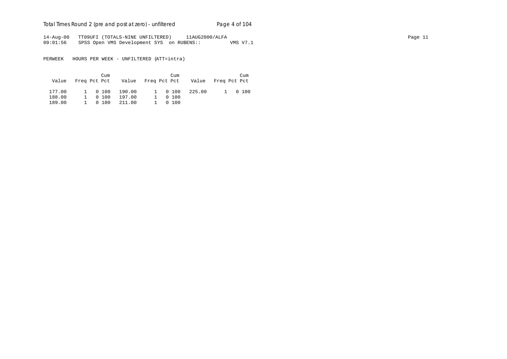Total Times Round 2 (pre and post at zero) - un*filtered* Page 4 of 104

14-Aug-00 TT09UFI (TOTALS-NINE UNFILTERED) 11AUG2000/ALFA Page 11 09:01:56 SPSS Open VMS Development SYS on RUBENS:: VMS V7.1

|        | Cum     | Value Freq Pct Pct Value Freq Pct Pct Value Freq Pct Pct | Cum     |        | Cum     |
|--------|---------|----------------------------------------------------------|---------|--------|---------|
| 177.00 | 1 0 100 | 190.00                                                   | 1 0 100 | 225.00 | 1 0 100 |
| 188.00 | 1 0 100 | 197.00                                                   | 0100    |        |         |
| 189.00 | 1 0 100 | 211.00                                                   | 0100    |        |         |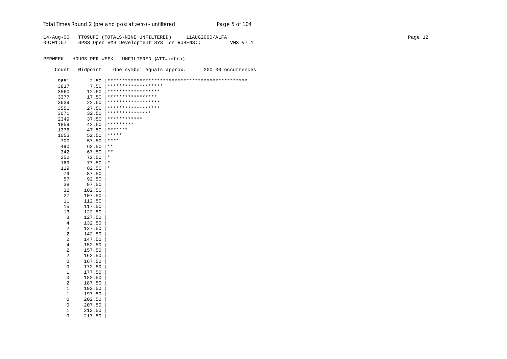# Total Times Round 2 (pre and post at zero) - un*filtered* Page 5 of 104

14-Aug-00 TT09UFI (TOTALS-NINE UNFILTERED) 11AUG2000/ALFA Page 12 09:01:57 SPSS Open VMS Development SYS on RUBENS:: VMS V7.1

| Count                   | Midpoint |                     | One symbol equals approx. | 200.00 occurrences |
|-------------------------|----------|---------------------|---------------------------|--------------------|
| 9651                    | 2.50     |                     |                           |                    |
| 3817                    | 7.50     | ******************* |                           |                    |
| 3560                    | 12.50    | ******************  |                           |                    |
| 3377                    | 17.50    | *****************   |                           |                    |
| 3639                    | 22.50    | ******************  |                           |                    |
| 3551                    | 27.50    | ******************  |                           |                    |
| 3071                    | 32.50    | ***************     |                           |                    |
| 2349                    | 37.50    | ************        |                           |                    |
| 1859                    | 42.50    | *********           |                           |                    |
| 1376                    | 47.50    | *******             |                           |                    |
| 1053                    | 52.50    | *****               |                           |                    |
| 700                     | 57.50    | $***$               |                           |                    |
| 490                     | 62.50    | $***$               |                           |                    |
| 342                     | 67.50    | $\star$ $\star$     |                           |                    |
| 252                     | 72.50    | $^\ast$             |                           |                    |
| 169                     | 77.50    | $^\star$            |                           |                    |
| 119                     | 82.50    | $^\star$            |                           |                    |
| 79                      | 87.50    |                     |                           |                    |
| 57                      | 92.50    |                     |                           |                    |
| 38                      | 97.50    |                     |                           |                    |
| 32                      | 102.50   |                     |                           |                    |
| 27                      | 107.50   |                     |                           |                    |
| 11                      | 112.50   |                     |                           |                    |
| 15                      | 117.50   |                     |                           |                    |
| 13                      | 122.50   |                     |                           |                    |
| 8                       | 127.50   |                     |                           |                    |
| 4                       | 132.50   |                     |                           |                    |
| 2                       | 137.50   |                     |                           |                    |
| 2                       | 142.50   |                     |                           |                    |
| $\boldsymbol{2}$        | 147.50   |                     |                           |                    |
| 4                       | 152.50   |                     |                           |                    |
| $\overline{\mathbf{c}}$ | 157.50   |                     |                           |                    |
| $\overline{a}$          | 162.50   |                     |                           |                    |
| 0                       | 167.50   |                     |                           |                    |
| $\mathsf 0$             | 172.50   |                     |                           |                    |
| 1                       | 177.50   |                     |                           |                    |
| 0                       | 182.50   |                     |                           |                    |
| 2                       | 187.50   |                     |                           |                    |
| $\mathbf 1$             | 192.50   |                     |                           |                    |
| 1                       | 197.50   |                     |                           |                    |
| 0                       | 202.50   |                     |                           |                    |
| 0                       | 207.50   |                     |                           |                    |
| 1                       | 212.50   |                     |                           |                    |
| 0                       | 217.50   |                     |                           |                    |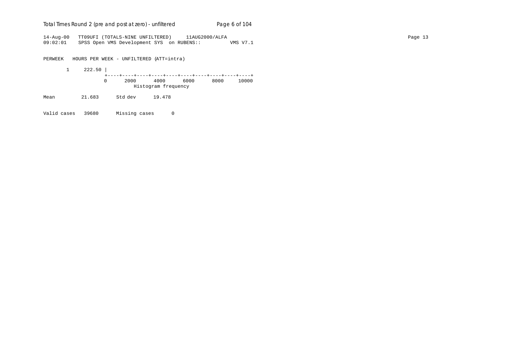| Total Times Round 2 (pre and post at zero) - unfiltered | Page 6 of 104 |
|---------------------------------------------------------|---------------|
|---------------------------------------------------------|---------------|

14-Aug-00 TT09UFI (TOTALS-NINE UNFILTERED) 11AUG2000/ALFA Page 13 09:02:01 SPSS Open VMS Development SYS on RUBENS:: VMS V7.1

PERWEEK HOURS PER WEEK - UNFILTERED (ATT=intra)

 1 222.50 | +----+----+----+----+----+----+----+----+----+----+ 0 2000 4000 6000 8000 10000 Histogram frequency

Mean 21.683 Std dev 19.478

Valid cases 39680 Missing cases 0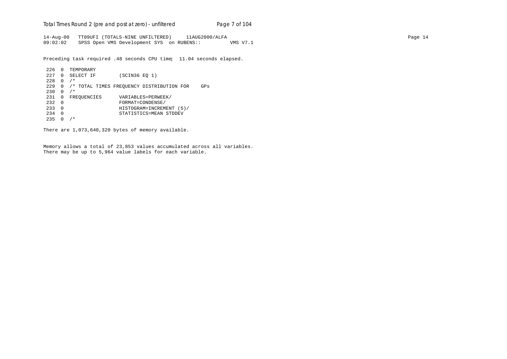Total Times Round 2 (pre and post at zero) - un*filtered* Page 7 of 104

14-Aug-00 TT09UFI (TOTALS-NINE UNFILTERED) 11AUG2000/ALFA Page 14 09:02:02 SPSS Open VMS Development SYS on RUBENS:: VMS V7.1

Preceding task required .48 seconds CPU time; 11.04 seconds elapsed.

```
226 0 TEMPORARY
227 0 SELECT IF (SCIN36 EQ 1)
228 0 /*
229 0 /* TOTAL TIMES FREQUENCY DISTRIBUTION FOR GPs
230 \t 0 / *231 0 FREQUENCIES VARIABLES=PERWEEK/<br>232 0 FORMAT=CONDENSE/
232 0 FORMAT=CONDENSE/
233 0 HISTOGRAM=INCREMENT (5)/
234 0 STATISTICS=MEAN STDDEV
235 \t 0 / *
```
There are 1,073,640,320 bytes of memory available.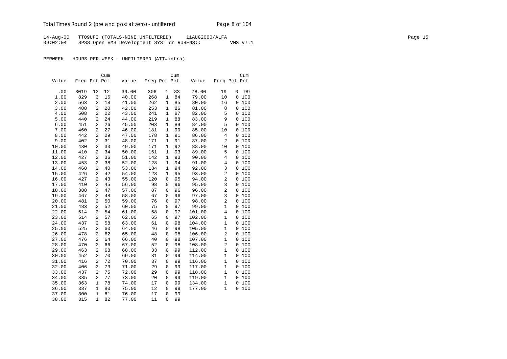14-Aug-00 TT09UFI (TOTALS-NINE UNFILTERED) 11AUG2000/ALFA Page 15 09:02:04 SPSS Open VMS Development SYS on RUBENS:: VMS V7.1

|       |              |                | Cum |       |              |              | Cum |        |                |          | Cum   |
|-------|--------------|----------------|-----|-------|--------------|--------------|-----|--------|----------------|----------|-------|
| Value | Freq Pct Pct |                |     | Value | Freq Pct Pct |              |     | Value  | Freq Pct Pct   |          |       |
|       |              |                |     |       |              |              |     |        |                |          |       |
| .00   | 3019         | 12             | 12  | 39.00 | 306          | 1            | 83  | 78.00  | 19             | 0        | 99    |
| 1.00  | 829          | 3              | 16  | 40.00 | 268          | $\mathbf{1}$ | 84  | 79.00  | 10             |          | 0 100 |
| 2.00  | 563          | $\overline{c}$ | 18  | 41.00 | 262          | 1            | 85  | 80.00  | 16             |          | 0 100 |
| 3.00  | 488          | 2              | 20  | 42.00 | 253          | 1            | 86  | 81.00  | 8              |          | 0 100 |
| 4.00  | 508          | $\overline{c}$ | 22  | 43.00 | 241          | 1            | 87  | 82.00  | 5              |          | 0 100 |
| 5.00  | 440          | 2              | 24  | 44.00 | 219          | 1            | 88  | 83.00  | 9              |          | 0 100 |
| 6.00  | 451          | $\overline{c}$ | 26  | 45.00 | 203          | $\mathbf{1}$ | 89  | 84.00  | 5              |          | 0 100 |
| 7.00  | 460          | 2              | 27  | 46.00 | 181          | 1            | 90  | 85.00  | 10             |          | 0 100 |
| 8.00  | 442          | $\overline{2}$ | 29  | 47.00 | 178          | $\mathbf{1}$ | 91  | 86.00  | $\overline{4}$ |          | 0 100 |
| 9.00  | 402          | $\overline{c}$ | 31  | 48.00 | 171          | 1            | 91  | 87.00  | $\overline{a}$ |          | 0 100 |
| 10.00 | 430          | $\overline{c}$ | 33  | 49.00 | 171          | $\mathbf 1$  | 92  | 88.00  | 10             |          | 0100  |
| 11.00 | 410          | $\overline{2}$ | 34  | 50.00 | 161          | $\mathbf{1}$ | 93  | 89.00  | 5              |          | 0 100 |
| 12.00 | 427          | 2              | 36  | 51.00 | 142          | $\mathbf 1$  | 93  | 90.00  | $\overline{4}$ |          | 0100  |
| 13.00 | 453          | 2              | 38  | 52.00 | 128          | $\mathbf{1}$ | 94  | 91.00  | $\overline{4}$ |          | 0 100 |
| 14.00 | 468          | 2              | 40  | 53.00 | 134          | 1            | 94  | 92.00  | 3              |          | 0 100 |
| 15.00 | 426          | $\overline{2}$ | 42  | 54.00 | 128          | $\mathbf{1}$ | 95  | 93.00  | $\overline{c}$ |          | 0 100 |
| 16.00 | 427          | $\overline{c}$ | 43  | 55.00 | 120          | 0            | 95  | 94.00  | $\overline{2}$ |          | 0 100 |
| 17.00 | 410          | 2              | 45  | 56.00 | 98           | 0            | 96  | 95.00  | 3              | 0        | 100   |
| 18.00 | 388          | 2              | 47  | 57.00 | 87           | 0            | 96  | 96.00  | $\overline{2}$ |          | 0 100 |
| 19.00 | 467          | 2              | 48  | 58.00 | 67           | 0            | 96  | 97.00  | $\overline{3}$ |          | 0100  |
| 20.00 | 481          | $\overline{c}$ | 50  | 59.00 | 76           | $\Omega$     | 97  | 98.00  | $\overline{2}$ |          | 0 100 |
| 21.00 | 483          | 2              | 52  | 60.00 | 75           | 0            | 97  | 99.00  | $\mathbf{1}$   |          | 0 100 |
| 22.00 | 514          | $\overline{2}$ | 54  | 61.00 | 58           | 0            | 97  | 101.00 | $\overline{4}$ |          | 0 100 |
| 23.00 | 514          | 2              | 57  | 62.00 | 65           | 0            | 97  | 102.00 | $\mathbf{1}$   |          | 0 100 |
| 24.00 | 437          | $\overline{a}$ | 58  | 63.00 | 61           | 0            | 98  | 104.00 | $\mathbf{1}$   |          | 0 100 |
| 25.00 | 525          | 2              | 60  | 64.00 | 46           | 0            | 98  | 105.00 | $1\,$          |          | 0 100 |
| 26.00 | 478          | 2              | 62  | 65.00 | 48           | 0            | 98  | 106.00 | $\overline{2}$ |          | 0100  |
| 27.00 | 476          | $\overline{c}$ | 64  | 66.00 | 40           | 0            | 98  | 107.00 | $\mathbf{1}$   |          | 0 100 |
| 28.00 | 470          | $\overline{c}$ | 66  | 67.00 | 52           | 0            | 98  | 108.00 | $\overline{2}$ |          | 0 100 |
| 29.00 | 463          | $\overline{2}$ | 68  | 68.00 | 33           | 0            | 99  | 112.00 | $\mathbf{1}$   |          | 0 100 |
| 30.00 | 452          | 2              | 70  | 69.00 | 31           | 0            | 99  | 114.00 | $\mathbf{1}$   |          | 0 100 |
| 31.00 | 416          | $\overline{2}$ | 72  | 70.00 | 37           | 0            | 99  | 116.00 | $\mathbf{1}$   |          | 0 100 |
| 32.00 | 406          | 2              | 73  | 71.00 | 29           | 0            | 99  | 117.00 | $\mathbf{1}$   |          | 0 100 |
| 33.00 | 437          | 2              | 75  | 72.00 | 29           | 0            | 99  | 118.00 | $\mathbf{1}$   |          | 0100  |
| 34.00 | 385          | $\overline{2}$ | 77  | 73.00 | 20           | 0            | 99  | 119.00 | $\mathbf{1}$   |          | 0 100 |
| 35.00 | 363          | 1              | 78  | 74.00 | 17           | $\mathsf 0$  | 99  | 134.00 | $\mathbf{1}$   | 0        | 100   |
|       | 337          | $\mathbf{1}$   | 80  | 75.00 | 12           | 0            | 99  | 177.00 | $\mathbf{1}$   | $\Omega$ | 100   |
| 36.00 |              |                |     |       |              |              |     |        |                |          |       |
| 37.00 | 300          | 1              | 81  | 76.00 | 17           | 0            | 99  |        |                |          |       |
| 38.00 | 315          | $\mathbf 1$    | 82  | 77.00 | 11           | 0            | 99  |        |                |          |       |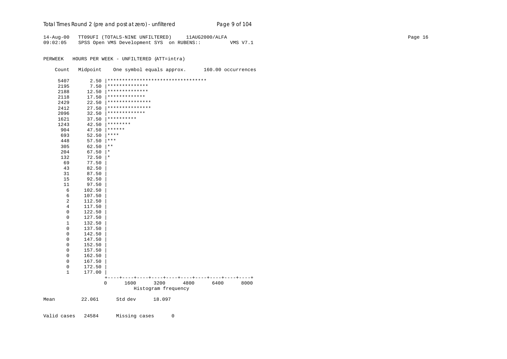| Total Times Round 2 (pre and post at zero) - unfiltered | Page 9 of 104 |
|---------------------------------------------------------|---------------|
|                                                         |               |

14-Aug-00 TT09UFI (TOTALS-NINE UNFILTERED) 11AUG2000/ALFA Page 16 09:02:05 SPSS Open VMS Development SYS on RUBENS:: VMS V7.1

|             | Count        | Midpoint |                                    |                     |      |      | One symbol equals approx. 160.00 occurrences |
|-------------|--------------|----------|------------------------------------|---------------------|------|------|----------------------------------------------|
|             | 5407         | 2.50     | ********************************** |                     |      |      |                                              |
|             | 2195         | 7.50     | **************                     |                     |      |      |                                              |
|             | 2188         | 12.50    | **************                     |                     |      |      |                                              |
|             | 2118         | 17.50    | *************                      |                     |      |      |                                              |
|             | 2429         | 22.50    | ***************                    |                     |      |      |                                              |
|             | 2412         | 27.50    | ***************                    |                     |      |      |                                              |
|             | 2096         | 32.50    | *************                      |                     |      |      |                                              |
|             | 1621         | 37.50    | **********                         |                     |      |      |                                              |
|             | 1243         | 42.50    | ********                           |                     |      |      |                                              |
|             | 904          | 47.50    | $******$                           |                     |      |      |                                              |
|             | 693          | 52.50    | $***$                              |                     |      |      |                                              |
|             | 448          | 57.50    | $ ***$                             |                     |      |      |                                              |
|             | 305          | 62.50    | $\star$ $\star$                    |                     |      |      |                                              |
|             | 204          | 67.50    | $\star$                            |                     |      |      |                                              |
|             | 132          | 72.50    | $^\star$                           |                     |      |      |                                              |
|             | 69           | 77.50    |                                    |                     |      |      |                                              |
|             | 43           | 82.50    |                                    |                     |      |      |                                              |
|             | 31           | 87.50    |                                    |                     |      |      |                                              |
|             | 15           | 92.50    |                                    |                     |      |      |                                              |
|             | 11           | 97.50    |                                    |                     |      |      |                                              |
|             | 6            | 102.50   |                                    |                     |      |      |                                              |
|             | 6            | 107.50   |                                    |                     |      |      |                                              |
|             | 2            | 112.50   |                                    |                     |      |      |                                              |
|             | 4            | 117.50   |                                    |                     |      |      |                                              |
|             | 0            | 122.50   |                                    |                     |      |      |                                              |
|             | 0            | 127.50   |                                    |                     |      |      |                                              |
|             | $\mathbf{1}$ | 132.50   |                                    |                     |      |      |                                              |
|             | 0            | 137.50   |                                    |                     |      |      |                                              |
|             | 0            | 142.50   |                                    |                     |      |      |                                              |
|             | 0            | 147.50   |                                    |                     |      |      |                                              |
|             | 0            | 152.50   |                                    |                     |      |      |                                              |
|             | 0            | 157.50   |                                    |                     |      |      |                                              |
|             | 0            | 162.50   |                                    |                     |      |      |                                              |
|             | 0            | 167.50   |                                    |                     |      |      |                                              |
|             | 0            | 172.50   |                                    |                     |      |      |                                              |
|             | $\mathbf{1}$ | 177.00   |                                    |                     |      |      |                                              |
|             |              |          | ÷                                  |                     |      |      |                                              |
|             |              |          | 1600<br>$\mathbf 0$                | 3200                | 4800 | 6400 | 8000                                         |
|             |              |          |                                    | Histogram frequency |      |      |                                              |
| Mean        |              | 22.061   | Std dev                            | 18.097              |      |      |                                              |
|             |              |          |                                    |                     |      |      |                                              |
| Valid cases |              | 24584    | Missing cases                      | 0                   |      |      |                                              |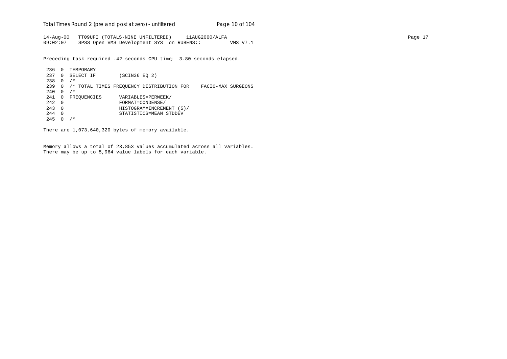Total Times Round 2 (pre and post at zero) - un*filtered* Page 10 of 104

14-Aug-00 TT09UFI (TOTALS-NINE UNFILTERED) 11AUG2000/ALFA Page 17 09:02:07 SPSS Open VMS Development SYS on RUBENS:: VMS V7.1

Preceding task required .42 seconds CPU time; 3.80 seconds elapsed.

236 0 TEMPORARY 237 0 SELECT IF (SCIN36 EQ 2) 238 0 /\* 239 0 /\* TOTAL TIMES FREQUENCY DISTRIBUTION FOR FACIO-MAX SURGEONS  $240 \t 0 / *$ 241 0 FREQUENCIES VARIABLES=PERWEEK/<br>242 0 FORMAT=CONDENSE/ 242 0 FORMAT=CONDENSE/ 243 0 HISTOGRAM=INCREMENT (5)/ 244 0 STATISTICS=MEAN STDDEV  $245 \t0 \t/*$ 

There are 1,073,640,320 bytes of memory available.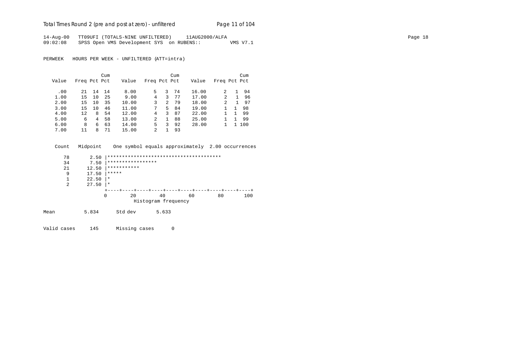Total Times Round 2 (pre and post at zero) - un*filtered* Page 11 of 104

14-Aug-00 TT09UFI (TOTALS-NINE UNFILTERED) 11AUG2000/ALFA Page 18 09:02:08 SPSS Open VMS Development SYS on RUBENS:: VMS V7.1

PERWEEK HOURS PER WEEK - UNFILTERED (ATT=intra)

|       |              |    | Cum |       |                |    | Cum |       |                |    | Cum   |
|-------|--------------|----|-----|-------|----------------|----|-----|-------|----------------|----|-------|
| Value | Freq Pct Pct |    |     | Value | Freq Pct Pct   |    |     | Value | Freq Pct Pct   |    |       |
| .00   | 21           | 14 | 14  | 8.00  | 5.             | 3  | 74  | 16.00 | 2              |    | 94    |
| 1.00  | 15           | 10 | 25  | 9.00  | 4              | 3  | 77  | 17.00 | 2              | 1. | 96    |
| 2.00  | 15           | 10 | 35  | 10.00 | 3              | 2  | 79  | 18.00 | $\mathfrak{D}$ | 1  | 97    |
| 3.00  | 15           | 10 | 46  | 11.00 | 7              | 5. | 84  | 19.00 |                |    | 98    |
| 4.00  | 12           | 8  | 54  | 12.00 | 4              | 3  | 87  | 22.00 |                |    | 99    |
| 5.00  | 6            | 4  | 58  | 13.00 | $\mathfrak{D}$ | 1  | 88  | 25.00 |                |    | 99    |
| 6.00  | 8            | 6  | 63  | 14.00 | 5              | 3  | 92  | 28.00 |                |    | 1 100 |
| 7.00  | 11           | 8  | 71  | 15.00 | $\mathfrak{D}$ |    | 93  |       |                |    |       |

 Count Midpoint One symbol equals approximately 2.00 occurrences 78 2.50 |\*\*\*\*\*\*\*\*\*\*\*\*\*\*\*\*\*\*\*\*\*\*\*\*\*\*\*\*\*\*\*\*\*\*\*\*\*\*\* 34 7.50  $***************************$ <br>21 12.50 \*\*\*\*\*\*\*\*\*\*\*  $\begin{array}{ccc} 21 & 12.50 & ***********\\ 9 & 17.50 & ***** \end{array}$ 9 17.50  $*****$ <br>1 22.50  $*$  $\begin{array}{ccc} 1 & 22.50 & | & * \\ 2 & 27.50 & | & * \end{array}$  $27.50$  |\*

|      |       | 20      | 40                  | 60 | 80 | 100 |
|------|-------|---------|---------------------|----|----|-----|
|      |       |         | Histogram frequency |    |    |     |
| Mean | 5.834 | Std dev | 5.633               |    |    |     |

Valid cases 145 Missing cases 0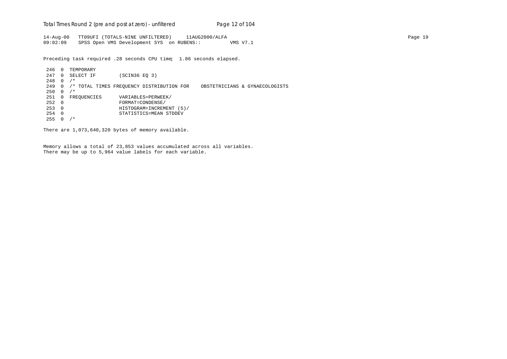Total Times Round 2 (pre and post at zero) - un*filtered* Page 12 of 104

14-Aug-00 TT09UFI (TOTALS-NINE UNFILTERED) 11AUG2000/ALFA Page 19 09:02:09 SPSS Open VMS Development SYS on RUBENS:: VMS V7.1

Preceding task required .28 seconds CPU time; 1.86 seconds elapsed.

246 0 TEMPORARY 247 0 SELECT IF (SCIN36 EQ 3)  $248$  0 /\* 249 0 /\* TOTAL TIMES FREQUENCY DISTRIBUTION FOR OBSTETRICIANS & GYNAECOLOGISTS  $250 \t 0 / *$ 251 0 FREQUENCIES VARIABLES=PERWEEK/<br>252 0 FORMAT=CONDENSE/ 252 0 FORMAT=CONDENSE/ 253 0 HISTOGRAM=INCREMENT (5)/ 254 0 STATISTICS=MEAN STDDEV  $255 \t0 \t/$ 

There are 1,073,640,320 bytes of memory available.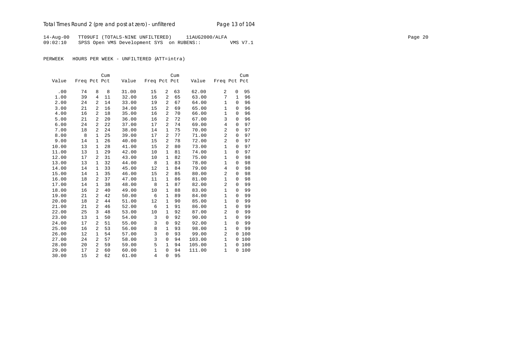14-Aug-00 TT09UFI (TOTALS-NINE UNFILTERED) 11AUG2000/ALFA Page 20 09:02:10 SPSS Open VMS Development SYS on RUBENS:: VMS V7.1

| Value<br>Freq Pct Pct<br>Value<br>Freq Pct Pct<br>Value<br>Freq Pct Pct<br>62.00<br>95<br>.00<br>74<br>8<br>31.00<br>15<br>2<br>63<br>2<br>8<br>0<br>1.00<br>39<br>$\overline{2}$<br>65<br>7<br>11<br>32.00<br>16<br>63.00<br>$\mathbf{1}$<br>96<br>4<br>$\overline{2}$<br>67<br>2.00<br>24<br>14<br>33.00<br>19<br>$\mathbf{1}$<br>$\mathbf 0$<br>96<br>2<br>64.00<br>3.00<br>21<br>$\overline{a}$<br>34.00<br>2<br>69<br>65.00<br>1<br>96<br>16<br>15<br>$\mathbf 0$<br>$\mathbf{1}$<br>4.00<br>16<br>$\overline{2}$<br>16<br>2<br>70<br>66.00<br>96<br>18<br>35.00<br>$\mathbf 0$<br>3<br>21<br>2<br>20<br>16<br>2<br>72<br>96<br>5.00<br>36.00<br>67.00<br>$\mathbf 0$<br>$\overline{2}$<br>$\overline{a}$<br>22<br>74<br>$\overline{4}$<br>$\overline{0}$<br>97<br>6.00<br>24<br>37.00<br>17<br>69.00<br>24<br>$\overline{c}$<br>97<br>7.00<br>2<br>38.00<br>14<br>1<br>75<br>70.00<br>$\mathbf 0$<br>18<br>$\overline{a}$<br>97<br>8.00<br>8<br>25<br>39.00<br>17<br>$\overline{a}$<br>77<br>71.00<br>1<br>$\mathbf 0$<br>$\overline{a}$<br>9.00<br>26<br>40.00<br>2<br>78<br>72.00<br>97<br>14<br>1<br>15<br>$\mathbf 0$<br>80<br>97<br>10.00<br>13<br>28<br>2<br>$\mathbf{1}$<br>1<br>41.00<br>15<br>73.00<br>$\Omega$<br>$\mathbf{1}$<br>29<br>1<br>81<br>97<br>11.00<br>13<br>$\mathbf{1}$<br>42.00<br>10<br>74.00<br>$\mathbf 0$<br>17<br>31<br>1<br>82<br>75.00<br>$\mathbf{1}$<br>98<br>12.00<br>2<br>43.00<br>10<br>0<br>32<br>$\mathbf{1}$<br>98<br>13.00<br>13<br>$\mathbf{1}$<br>44.00<br>8<br>83<br>78.00<br>$\mathbf{1}$<br>$\mathbf 0$<br>$\mathbf{1}$<br>98<br>14.00<br>14<br>$\mathbf{1}$<br>33<br>45.00<br>12<br>84<br>79.00<br>4<br>0<br>35<br>85<br>$\overline{2}$<br>98<br>15.00<br>14<br>$\mathbf{1}$<br>46.00<br>15<br>2<br>80.00<br>$\Omega$ |       |    |   | Cum |       |    |   | Cum |       |              |   | Cum |
|---------------------------------------------------------------------------------------------------------------------------------------------------------------------------------------------------------------------------------------------------------------------------------------------------------------------------------------------------------------------------------------------------------------------------------------------------------------------------------------------------------------------------------------------------------------------------------------------------------------------------------------------------------------------------------------------------------------------------------------------------------------------------------------------------------------------------------------------------------------------------------------------------------------------------------------------------------------------------------------------------------------------------------------------------------------------------------------------------------------------------------------------------------------------------------------------------------------------------------------------------------------------------------------------------------------------------------------------------------------------------------------------------------------------------------------------------------------------------------------------------------------------------------------------------------------------------------------------------------------------------------------------------------------------------------------------------------------------------------------------------------------------------|-------|----|---|-----|-------|----|---|-----|-------|--------------|---|-----|
|                                                                                                                                                                                                                                                                                                                                                                                                                                                                                                                                                                                                                                                                                                                                                                                                                                                                                                                                                                                                                                                                                                                                                                                                                                                                                                                                                                                                                                                                                                                                                                                                                                                                                                                                                                           |       |    |   |     |       |    |   |     |       |              |   |     |
|                                                                                                                                                                                                                                                                                                                                                                                                                                                                                                                                                                                                                                                                                                                                                                                                                                                                                                                                                                                                                                                                                                                                                                                                                                                                                                                                                                                                                                                                                                                                                                                                                                                                                                                                                                           |       |    |   |     |       |    |   |     |       |              |   |     |
|                                                                                                                                                                                                                                                                                                                                                                                                                                                                                                                                                                                                                                                                                                                                                                                                                                                                                                                                                                                                                                                                                                                                                                                                                                                                                                                                                                                                                                                                                                                                                                                                                                                                                                                                                                           |       |    |   |     |       |    |   |     |       |              |   |     |
|                                                                                                                                                                                                                                                                                                                                                                                                                                                                                                                                                                                                                                                                                                                                                                                                                                                                                                                                                                                                                                                                                                                                                                                                                                                                                                                                                                                                                                                                                                                                                                                                                                                                                                                                                                           |       |    |   |     |       |    |   |     |       |              |   |     |
|                                                                                                                                                                                                                                                                                                                                                                                                                                                                                                                                                                                                                                                                                                                                                                                                                                                                                                                                                                                                                                                                                                                                                                                                                                                                                                                                                                                                                                                                                                                                                                                                                                                                                                                                                                           |       |    |   |     |       |    |   |     |       |              |   |     |
|                                                                                                                                                                                                                                                                                                                                                                                                                                                                                                                                                                                                                                                                                                                                                                                                                                                                                                                                                                                                                                                                                                                                                                                                                                                                                                                                                                                                                                                                                                                                                                                                                                                                                                                                                                           |       |    |   |     |       |    |   |     |       |              |   |     |
|                                                                                                                                                                                                                                                                                                                                                                                                                                                                                                                                                                                                                                                                                                                                                                                                                                                                                                                                                                                                                                                                                                                                                                                                                                                                                                                                                                                                                                                                                                                                                                                                                                                                                                                                                                           |       |    |   |     |       |    |   |     |       |              |   |     |
|                                                                                                                                                                                                                                                                                                                                                                                                                                                                                                                                                                                                                                                                                                                                                                                                                                                                                                                                                                                                                                                                                                                                                                                                                                                                                                                                                                                                                                                                                                                                                                                                                                                                                                                                                                           |       |    |   |     |       |    |   |     |       |              |   |     |
|                                                                                                                                                                                                                                                                                                                                                                                                                                                                                                                                                                                                                                                                                                                                                                                                                                                                                                                                                                                                                                                                                                                                                                                                                                                                                                                                                                                                                                                                                                                                                                                                                                                                                                                                                                           |       |    |   |     |       |    |   |     |       |              |   |     |
|                                                                                                                                                                                                                                                                                                                                                                                                                                                                                                                                                                                                                                                                                                                                                                                                                                                                                                                                                                                                                                                                                                                                                                                                                                                                                                                                                                                                                                                                                                                                                                                                                                                                                                                                                                           |       |    |   |     |       |    |   |     |       |              |   |     |
|                                                                                                                                                                                                                                                                                                                                                                                                                                                                                                                                                                                                                                                                                                                                                                                                                                                                                                                                                                                                                                                                                                                                                                                                                                                                                                                                                                                                                                                                                                                                                                                                                                                                                                                                                                           |       |    |   |     |       |    |   |     |       |              |   |     |
|                                                                                                                                                                                                                                                                                                                                                                                                                                                                                                                                                                                                                                                                                                                                                                                                                                                                                                                                                                                                                                                                                                                                                                                                                                                                                                                                                                                                                                                                                                                                                                                                                                                                                                                                                                           |       |    |   |     |       |    |   |     |       |              |   |     |
|                                                                                                                                                                                                                                                                                                                                                                                                                                                                                                                                                                                                                                                                                                                                                                                                                                                                                                                                                                                                                                                                                                                                                                                                                                                                                                                                                                                                                                                                                                                                                                                                                                                                                                                                                                           |       |    |   |     |       |    |   |     |       |              |   |     |
|                                                                                                                                                                                                                                                                                                                                                                                                                                                                                                                                                                                                                                                                                                                                                                                                                                                                                                                                                                                                                                                                                                                                                                                                                                                                                                                                                                                                                                                                                                                                                                                                                                                                                                                                                                           |       |    |   |     |       |    |   |     |       |              |   |     |
|                                                                                                                                                                                                                                                                                                                                                                                                                                                                                                                                                                                                                                                                                                                                                                                                                                                                                                                                                                                                                                                                                                                                                                                                                                                                                                                                                                                                                                                                                                                                                                                                                                                                                                                                                                           |       |    |   |     |       |    |   |     |       |              |   |     |
|                                                                                                                                                                                                                                                                                                                                                                                                                                                                                                                                                                                                                                                                                                                                                                                                                                                                                                                                                                                                                                                                                                                                                                                                                                                                                                                                                                                                                                                                                                                                                                                                                                                                                                                                                                           |       |    |   |     |       |    |   |     |       |              |   |     |
|                                                                                                                                                                                                                                                                                                                                                                                                                                                                                                                                                                                                                                                                                                                                                                                                                                                                                                                                                                                                                                                                                                                                                                                                                                                                                                                                                                                                                                                                                                                                                                                                                                                                                                                                                                           |       |    |   |     |       |    |   |     |       |              |   |     |
|                                                                                                                                                                                                                                                                                                                                                                                                                                                                                                                                                                                                                                                                                                                                                                                                                                                                                                                                                                                                                                                                                                                                                                                                                                                                                                                                                                                                                                                                                                                                                                                                                                                                                                                                                                           |       |    |   |     |       |    |   |     |       |              |   |     |
|                                                                                                                                                                                                                                                                                                                                                                                                                                                                                                                                                                                                                                                                                                                                                                                                                                                                                                                                                                                                                                                                                                                                                                                                                                                                                                                                                                                                                                                                                                                                                                                                                                                                                                                                                                           | 16.00 | 18 | 2 | 37  | 47.00 | 11 | 1 | 86  | 81.00 | $\mathbf{1}$ | 0 | 98  |
| $\overline{c}$<br>38<br>8<br>1<br>87<br>99<br>17.00<br>14<br>48.00<br>82.00<br>0<br>$\mathbf{1}$                                                                                                                                                                                                                                                                                                                                                                                                                                                                                                                                                                                                                                                                                                                                                                                                                                                                                                                                                                                                                                                                                                                                                                                                                                                                                                                                                                                                                                                                                                                                                                                                                                                                          |       |    |   |     |       |    |   |     |       |              |   |     |
| 18.00<br>40<br>49.00<br>1<br>99<br>16<br>2<br>10<br>88<br>83.00<br>$\mathbf{1}$<br>$\mathbf 0$                                                                                                                                                                                                                                                                                                                                                                                                                                                                                                                                                                                                                                                                                                                                                                                                                                                                                                                                                                                                                                                                                                                                                                                                                                                                                                                                                                                                                                                                                                                                                                                                                                                                            |       |    |   |     |       |    |   |     |       |              |   |     |
| 42<br>99<br>19.00<br>21<br>2<br>50.00<br>6<br>1<br>89<br>84.00<br>$\mathbf{1}$<br>0                                                                                                                                                                                                                                                                                                                                                                                                                                                                                                                                                                                                                                                                                                                                                                                                                                                                                                                                                                                                                                                                                                                                                                                                                                                                                                                                                                                                                                                                                                                                                                                                                                                                                       |       |    |   |     |       |    |   |     |       |              |   |     |
| 90<br>$\mathbf{1}$<br>99<br>20.00<br>18<br>2<br>44<br>51.00<br>12<br>1<br>85.00<br>$\mathbf 0$                                                                                                                                                                                                                                                                                                                                                                                                                                                                                                                                                                                                                                                                                                                                                                                                                                                                                                                                                                                                                                                                                                                                                                                                                                                                                                                                                                                                                                                                                                                                                                                                                                                                            |       |    |   |     |       |    |   |     |       |              |   |     |
| $\mathbf{1}$<br>99<br>21.00<br>21<br>2<br>46<br>52.00<br>6<br>1<br>91<br>86.00<br>$\mathbf 0$                                                                                                                                                                                                                                                                                                                                                                                                                                                                                                                                                                                                                                                                                                                                                                                                                                                                                                                                                                                                                                                                                                                                                                                                                                                                                                                                                                                                                                                                                                                                                                                                                                                                             |       |    |   |     |       |    |   |     |       |              |   |     |
| $\overline{2}$<br>3<br>22.00<br>48<br>53.00<br>10<br>1<br>92<br>87.00<br>99<br>25<br>$\Omega$                                                                                                                                                                                                                                                                                                                                                                                                                                                                                                                                                                                                                                                                                                                                                                                                                                                                                                                                                                                                                                                                                                                                                                                                                                                                                                                                                                                                                                                                                                                                                                                                                                                                             |       |    |   |     |       |    |   |     |       |              |   |     |
| 50<br>54.00<br>92<br>$\mathbf{1}$<br>99<br>23.00<br>13<br>$\mathbf{1}$<br>3<br>$\mathbf 0$<br>90.00<br>$\mathbf 0$                                                                                                                                                                                                                                                                                                                                                                                                                                                                                                                                                                                                                                                                                                                                                                                                                                                                                                                                                                                                                                                                                                                                                                                                                                                                                                                                                                                                                                                                                                                                                                                                                                                        |       |    |   |     |       |    |   |     |       |              |   |     |
| 3<br>17<br>51<br>92<br>$\mathbf 1$<br>99<br>24.00<br>$\overline{a}$<br>55.00<br>$\mathbf 0$<br>92.00<br>$\Omega$                                                                                                                                                                                                                                                                                                                                                                                                                                                                                                                                                                                                                                                                                                                                                                                                                                                                                                                                                                                                                                                                                                                                                                                                                                                                                                                                                                                                                                                                                                                                                                                                                                                          |       |    |   |     |       |    |   |     |       |              |   |     |
| 8<br>$\mathbf{1}$<br>2<br>53<br>$\mathbf{1}$<br>93<br>25.00<br>16<br>56.00<br>98.00<br>$\Omega$<br>99                                                                                                                                                                                                                                                                                                                                                                                                                                                                                                                                                                                                                                                                                                                                                                                                                                                                                                                                                                                                                                                                                                                                                                                                                                                                                                                                                                                                                                                                                                                                                                                                                                                                     |       |    |   |     |       |    |   |     |       |              |   |     |
| 3<br>$\overline{2}$<br>$\mathbf 0$<br>93<br>100<br>26.00<br>12<br>$\mathbf{1}$<br>54<br>57.00<br>99.00<br>$\mathbf 0$                                                                                                                                                                                                                                                                                                                                                                                                                                                                                                                                                                                                                                                                                                                                                                                                                                                                                                                                                                                                                                                                                                                                                                                                                                                                                                                                                                                                                                                                                                                                                                                                                                                     |       |    |   |     |       |    |   |     |       |              |   |     |
| 3<br>27.00<br>24<br>2<br>57<br>58.00<br>94<br>103.00<br>$\mathbf{1}$<br>100<br>0<br>0                                                                                                                                                                                                                                                                                                                                                                                                                                                                                                                                                                                                                                                                                                                                                                                                                                                                                                                                                                                                                                                                                                                                                                                                                                                                                                                                                                                                                                                                                                                                                                                                                                                                                     |       |    |   |     |       |    |   |     |       |              |   |     |
| 5<br>28.00<br>59<br>59.00<br>105.00<br>100<br>20<br>2<br>$\mathbf{1}$<br>94<br>$\mathbf{1}$<br>0                                                                                                                                                                                                                                                                                                                                                                                                                                                                                                                                                                                                                                                                                                                                                                                                                                                                                                                                                                                                                                                                                                                                                                                                                                                                                                                                                                                                                                                                                                                                                                                                                                                                          |       |    |   |     |       |    |   |     |       |              |   |     |
| $\mathbf{1}$<br>17<br>2<br>60<br>60.00<br>$\mathbf{1}$<br>100<br>29.00<br>0<br>94<br>111.00<br>0                                                                                                                                                                                                                                                                                                                                                                                                                                                                                                                                                                                                                                                                                                                                                                                                                                                                                                                                                                                                                                                                                                                                                                                                                                                                                                                                                                                                                                                                                                                                                                                                                                                                          |       |    |   |     |       |    |   |     |       |              |   |     |
| $\overline{2}$<br>15<br>62<br>61.00<br>$\overline{4}$<br>0<br>95<br>30.00                                                                                                                                                                                                                                                                                                                                                                                                                                                                                                                                                                                                                                                                                                                                                                                                                                                                                                                                                                                                                                                                                                                                                                                                                                                                                                                                                                                                                                                                                                                                                                                                                                                                                                 |       |    |   |     |       |    |   |     |       |              |   |     |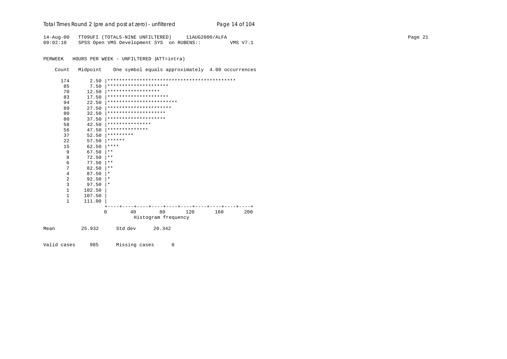| Total Times Round 2 (pre and post at zero) - unfiltered | Page 14 of 104 |
|---------------------------------------------------------|----------------|
|---------------------------------------------------------|----------------|

14-Aug-00 TT09UFI (TOTALS-NINE UNFILTERED) 11AUG2000/ALFA Page 21 09:02:10 SPSS Open VMS Development SYS on RUBENS:: VMS V7.1

PERWEEK HOURS PER WEEK - UNFILTERED (ATT=intra)

Count Midpoint One symbol equals approximately 4.00 occurrences

|      | 174 | 2.50     |                    |         |                          |     |     |     |
|------|-----|----------|--------------------|---------|--------------------------|-----|-----|-----|
|      | 85  | 7.50     |                    |         | *********************    |     |     |     |
|      | 70  | 12.50    | ****************** |         |                          |     |     |     |
|      | 83  | 17.50    |                    |         | *********************    |     |     |     |
|      | 94  | 22.50    |                    |         | ************************ |     |     |     |
|      | 89  | 27.50    |                    |         | **********************   |     |     |     |
|      | 80  | 32.50    |                    |         | ********************     |     |     |     |
|      | 80  | 37.50    |                    |         | ********************     |     |     |     |
|      | 58  | 42.50    | ***************    |         |                          |     |     |     |
|      | 56  | 47.50    | **************     |         |                          |     |     |     |
|      | 37  | 52.50    | *********          |         |                          |     |     |     |
|      | 22  | 57.50    | ******             |         |                          |     |     |     |
|      | 15  | 62.50    | ****               |         |                          |     |     |     |
|      | 9   | 67.50    | $* *$              |         |                          |     |     |     |
|      | 8   | 72.50    | $* *$              |         |                          |     |     |     |
|      | 6   | 77.50    | $* *$              |         |                          |     |     |     |
|      | 7   | 82.50    | $***$              |         |                          |     |     |     |
|      | 4   | 87.50    | $\star$            |         |                          |     |     |     |
|      | 2   | 92.50    | $\ast$             |         |                          |     |     |     |
|      | 3   | 97.50    | $\ast$             |         |                          |     |     |     |
|      | 1   | 102.50   |                    |         |                          |     |     |     |
|      | 1   | 107.50   |                    |         |                          |     |     |     |
|      | 1   | 111.00   |                    |         |                          |     |     |     |
|      |     |          |                    |         |                          |     |     |     |
|      |     | $\Omega$ |                    | 40      | 80                       | 120 | 160 | 200 |
|      |     |          |                    |         | Histogram frequency      |     |     |     |
| Mean |     | 25.932   |                    | Std dev | 20.342                   |     |     |     |
|      |     |          |                    |         |                          |     |     |     |

Valid cases 985 Missing cases 0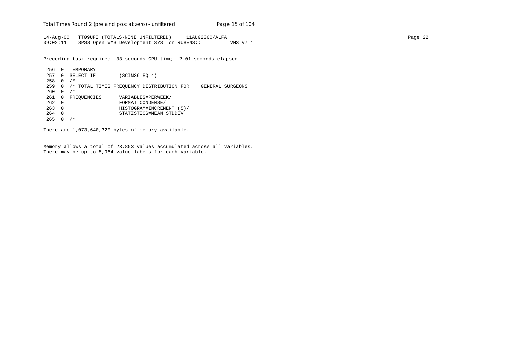Total Times Round 2 (pre and post at zero) - un*filtered* Page 15 of 104

14-Aug-00 TT09UFI (TOTALS-NINE UNFILTERED) 11AUG2000/ALFA Page 22 09:02:11 SPSS Open VMS Development SYS on RUBENS:: VMS V7.1

Preceding task required .33 seconds CPU time; 2.01 seconds elapsed.

256 0 TEMPORARY 257 0 SELECT IF (SCIN36 EQ 4)  $258$  0 /\* 259 0 /\* TOTAL TIMES FREQUENCY DISTRIBUTION FOR GENERAL SURGEONS  $260 \t 0 / *$ 261 0 FREQUENCIES VARIABLES=PERWEEK/<br>262 0 FORMAT=CONDENSE/ 262 0 FORMAT=CONDENSE/ 263 0 HISTOGRAM=INCREMENT (5)/ 264 0 STATISTICS=MEAN STDDEV  $265 \t 0 / *$ 

There are 1,073,640,320 bytes of memory available.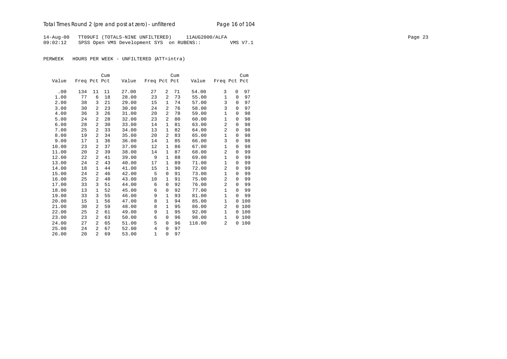14-Aug-00 TT09UFI (TOTALS-NINE UNFILTERED) 11AUG2000/ALFA Page 23 09:02:12 SPSS Open VMS Development SYS on RUBENS:: VMS V7.1

|       |              |                | Cum |       |                |                | Cum |        |                |             | Cum |
|-------|--------------|----------------|-----|-------|----------------|----------------|-----|--------|----------------|-------------|-----|
| Value | Freq Pct Pct |                |     | Value | Freq Pct Pct   |                |     | Value  | Freq Pct Pct   |             |     |
|       |              |                |     |       |                |                |     |        |                |             |     |
| .00   | 134          | 11             | 11  | 27.00 | 27             | 2              | 71  | 54.00  | 3              | 0           | 97  |
| 1.00  | 77           | 6              | 18  | 28.00 | 23             | 2              | 73  | 55.00  | 1              | $\Omega$    | 97  |
| 2.00  | 38           | 3              | 21  | 29.00 | 15             | 1              | 74  | 57.00  | 3              | $\mathbf 0$ | 97  |
| 3.00  | 30           | 2              | 23  | 30.00 | 24             | $\overline{a}$ | 76  | 58.00  | 3              | $\Omega$    | 97  |
| 4.00  | 36           | 3              | 26  | 31.00 | 20             | 2              | 78  | 59.00  | $\mathbf{1}$   | $\Omega$    | 98  |
| 5.00  | 24           | 2              | 28  | 32.00 | 23             | 2              | 80  | 60.00  | $\mathbf{1}$   | $\mathbf 0$ | 98  |
| 6.00  | 28           | 2              | 30  | 33.00 | 14             | 1              | 81  | 63.00  | $\overline{a}$ | $\Omega$    | 98  |
| 7.00  | 25           | 2              | 33  | 34.00 | 13             | 1              | 82  | 64.00  | $\overline{a}$ | 0           | 98  |
| 8.00  | 19           | 2              | 34  | 35.00 | 20             | $\overline{a}$ | 83  | 65.00  | $\mathbf{1}$   | 0           | 98  |
| 9.00  | 17           | 1              | 36  | 36.00 | 14             | 1              | 85  | 66.00  | 3              | $\Omega$    | 98  |
| 10.00 | 23           | 2              | 37  | 37.00 | 12             | $\mathbf{1}$   | 86  | 67.00  | 1              | 0           | 98  |
| 11.00 | 20           | 2              | 39  | 38.00 | 14             | 1              | 87  | 68.00  | $\overline{2}$ | $\Omega$    | 99  |
| 12.00 | 22           | 2              | 41  | 39.00 | 9              | 1              | 88  | 69.00  | 1              | $\Omega$    | 99  |
| 13.00 | 24           | 2              | 43  | 40.00 | 17             | $\mathbf{1}$   | 89  | 71.00  | $\mathbf{1}$   | 0           | 99  |
| 14.00 | 18           | $\mathbf{1}$   | 44  | 41.00 | 15             | $\mathbf{1}$   | 90  | 72.00  | 2              | 0           | 99  |
| 15.00 | 24           | 2              | 46  | 42.00 | 5              | $\mathbf 0$    | 91  | 73.00  | $\mathbf{1}$   | 0           | 99  |
| 16.00 | 25           | 2              | 48  | 43.00 | 10             | 1              | 91  | 75.00  | 2              | $\Omega$    | 99  |
| 17.00 | 33           | 3              | 51  | 44.00 | 6              | $\mathbf 0$    | 92  | 76.00  | 2              | $\Omega$    | 99  |
| 18.00 | 13           | 1              | 52  | 45.00 | 6              | 0              | 92  | 77.00  | $\mathbf{1}$   | 0           | 99  |
| 19.00 | 33           | 3              | 55  | 46.00 | 9              | 1              | 93  | 81.00  | 1              | $\Omega$    | 99  |
| 20.00 | 15           | 1              | 56  | 47.00 | 8              | 1              | 94  | 85.00  | $\mathbf{1}$   | $\Omega$    | 100 |
| 21.00 | 30           | 2              | 59  | 48.00 | 8              | $\mathbf{1}$   | 95  | 86.00  | $\overline{2}$ | $\Omega$    | 100 |
| 22.00 | 25           | 2              | 61  | 49.00 | 9              | $\mathbf{1}$   | 95  | 92.00  | 1              | $\Omega$    | 100 |
| 23.00 | 23           | 2              | 63  | 50.00 | 6              | $\mathbf 0$    | 96  | 98.00  | $\mathbf{1}$   | 0           | 100 |
| 24.00 | 27           | 2              | 65  | 51.00 | 5              | $\mathbf 0$    | 96  | 118.00 | 2              | 0           | 100 |
| 25.00 | 24           | 2              | 67  | 52.00 | $\overline{4}$ | $\mathbf 0$    | 97  |        |                |             |     |
| 26.00 | 20           | $\overline{2}$ | 69  | 53.00 | $\mathbf{1}$   | $\mathbf 0$    | 97  |        |                |             |     |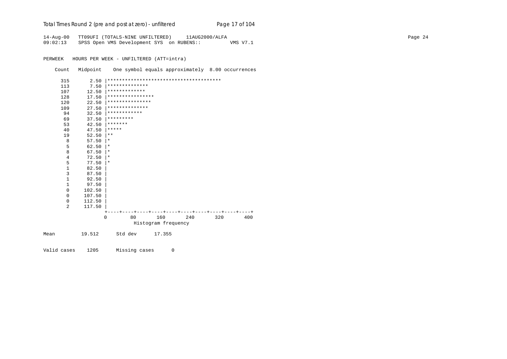| Total Times Round 2 (pre and post at zero) - unfiltered | Page 17 of 104 |
|---------------------------------------------------------|----------------|
|---------------------------------------------------------|----------------|

14-Aug-00 TT09UFI (TOTALS-NINE UNFILTERED) 11AUG2000/ALFA Page 24 09:02:13 SPSS Open VMS Development SYS on RUBENS:: VMS V7.1

PERWEEK HOURS PER WEEK - UNFILTERED (ATT=intra)

Count Midpoint One symbol equals approximately 8.00 occurrences

|      | 315          | 2.50        |                  |         |                     |     |     |     |
|------|--------------|-------------|------------------|---------|---------------------|-----|-----|-----|
|      | 113          | 7.50        | **************   |         |                     |     |     |     |
|      | 107          | 12.50       | *************    |         |                     |     |     |     |
|      | 128          | 17.50       | **************** |         |                     |     |     |     |
|      | 120          | 22.50       | ***************  |         |                     |     |     |     |
|      | 109          | 27.50       | **************   |         |                     |     |     |     |
|      | 94           | 32.50       | ************     |         |                     |     |     |     |
|      | 69           | 37.50       | *********        |         |                     |     |     |     |
|      | 53           | 42.50       | *******          |         |                     |     |     |     |
|      | 40           | 47.50       | *****            |         |                     |     |     |     |
|      | 19           | 52.50       | $***$            |         |                     |     |     |     |
|      | 8            | 57.50       | $\star$          |         |                     |     |     |     |
|      | 5            | 62.50       | $\star$          |         |                     |     |     |     |
|      | 8            | 67.50       | $^\star$         |         |                     |     |     |     |
|      | 4            | 72.50       | $\star$          |         |                     |     |     |     |
|      | 5            | 77.50       | $^\star$         |         |                     |     |     |     |
|      | $\mathbf{1}$ | 82.50       |                  |         |                     |     |     |     |
|      | 3            | 87.50       |                  |         |                     |     |     |     |
|      | $\mathbf 1$  | 92.50       |                  |         |                     |     |     |     |
|      | $\mathbf{1}$ | 97.50       |                  |         |                     |     |     |     |
|      | 0            | 102.50      |                  |         |                     |     |     |     |
|      | 0            | 107.50      |                  |         |                     |     |     |     |
|      | 0            | 112.50      |                  |         |                     |     |     |     |
|      | 2            | 117.50      |                  |         |                     |     |     |     |
|      |              |             |                  |         |                     |     |     |     |
|      |              | $\mathbf 0$ |                  | 80      | 160                 | 240 | 320 | 400 |
|      |              |             |                  |         | Histogram frequency |     |     |     |
| Mean |              | 19.512      |                  | Std dev | 17.355              |     |     |     |
|      |              |             |                  |         |                     |     |     |     |

Valid cases 1205 Missing cases 0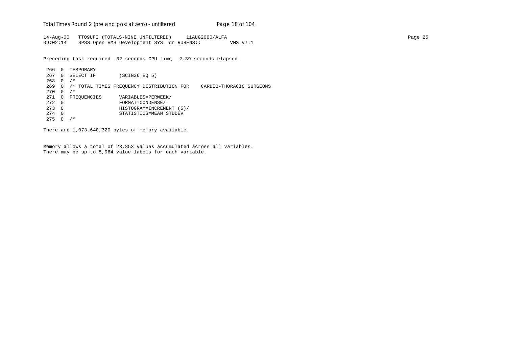Total Times Round 2 (pre and post at zero) - un*filtered* Page 18 of 104

14-Aug-00 TT09UFI (TOTALS-NINE UNFILTERED) 11AUG2000/ALFA Page 25 09:02:14 SPSS Open VMS Development SYS on RUBENS:: VMS V7.1

Preceding task required .32 seconds CPU time; 2.39 seconds elapsed.

266 0 TEMPORARY 267 0 SELECT IF (SCIN36 EQ 5)  $268$  0 /\* 269 0 /\* TOTAL TIMES FREQUENCY DISTRIBUTION FOR CARDIO-THORACIC SURGEONS  $270 \t 0 / *$ 271 0 FREQUENCIES VARIABLES=PERWEEK/<br>272 0 FORMAT=CONDENSE/ 272 0 FORMAT=CONDENSE/ 273 0 HISTOGRAM=INCREMENT (5)/ 274 0 STATISTICS=MEAN STDDEV  $275 \t 0 / *$ 

There are 1,073,640,320 bytes of memory available.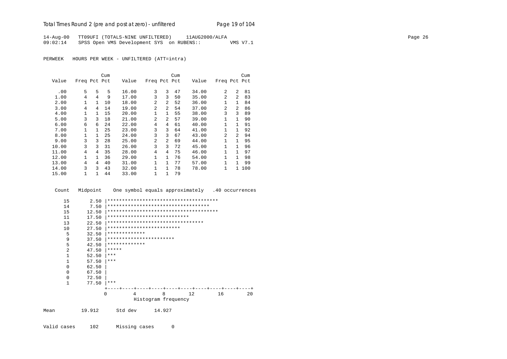| 14-Aug-00 TT09UFI (TOTALS-NINE UNFILTERED)         | 11AUG2000/ALFA |          | Page 26 |
|----------------------------------------------------|----------------|----------|---------|
| 09:02:14 SPSS Open VMS Development SYS on RUBENS:: |                | VMS V7.1 |         |

PERWEEK HOURS PER WEEK - UNFILTERED (ATT=intra)

|       |              |              | Cum |       |                |                | Cum |       |                |                | Cum |
|-------|--------------|--------------|-----|-------|----------------|----------------|-----|-------|----------------|----------------|-----|
| Value | Freq Pct Pct |              |     | Value | Freq Pct Pct   |                |     | Value | Freq Pct Pct   |                |     |
|       |              |              |     |       |                |                |     |       |                |                |     |
| .00   | 5            | 5            | 5   | 16.00 | 3              | 3              | 47  | 34.00 | $\mathfrak{D}$ | $\overline{a}$ | 81  |
| 1.00  | 4            | 4            | 9   | 17.00 | 3              | 3              | 50  | 35.00 | $\mathfrak{D}$ | $\overline{a}$ | 83  |
| 2.00  | 1            | 1            | 10  | 18.00 | 2              | $\mathfrak{D}$ | 52  | 36.00 | 1              | $\mathbf{1}$   | 84  |
| 3.00  | 4            | 4            | 14  | 19.00 | $\overline{a}$ | $\mathfrak{D}$ | 54  | 37.00 | $\mathfrak{D}$ | $\mathfrak{D}$ | 86  |
| 4.00  | 1            | $\mathbf{1}$ | 15  | 20.00 | 1              | $\mathbf{1}$   | 55  | 38.00 | 3              | 3              | 89  |
| 5.00  | 3            | 3            | 18  | 21.00 | $\mathfrak{D}$ | $\mathfrak{D}$ | 57  | 39.00 | 1              | $\mathbf{1}$   | 90  |
| 6.00  | 6            | 6            | 24  | 22.00 | 4              | 4              | 61  | 40.00 | 1              | $\mathbf{1}$   | 91  |
| 7.00  | 1            | $\mathbf{1}$ | 25  | 23.00 | 3              | 3              | 64  | 41.00 | 1              | $\mathbf{1}$   | 92  |
| 8.00  | 1            | 1            | 25  | 24.00 | 3              | 3              | 67  | 43.00 | $\mathfrak{D}$ | $\overline{a}$ | 94  |
| 9.00  | 3            | 3            | 28  | 25.00 | $\overline{2}$ | $\mathfrak{D}$ | 69  | 44.00 | $\mathbf{1}$   |                | 95  |
| 10.00 | 3            | 3            | 31  | 26.00 | 3              | 3              | 72  | 45.00 | 1              |                | 96  |
| 11.00 | 4            | 4            | 35  | 28.00 | 4              | 4              | 75  | 46.00 | 1              |                | 97  |
| 12.00 | $\mathbf{1}$ | 1.           | 36  | 29.00 | 1              | $\mathbf{1}$   | 76  | 54.00 | 1              |                | 98  |
| 13.00 | 4            | 4            | 40  | 31.00 | 1              | $\mathbf{1}$   | 77  | 57.00 |                |                | 99  |
| 14.00 | 3            | 3            | 43  | 32.00 | 1              | $\mathbf{1}$   | 78  | 78.00 | 1              | $\mathbf{1}$   | 100 |
| 15.00 | 1            |              | 44  | 33.00 | 1              | 1              | 79  |       |                |                |     |

Count Midpoint One symbol equals approximately .40 occurrences

| 15             | 2.50   |       |                                     |                     |        |    |    |    |
|----------------|--------|-------|-------------------------------------|---------------------|--------|----|----|----|
| 14             | 7.50   |       | *********************************** |                     |        |    |    |    |
| 15             | 12.50  |       |                                     |                     |        |    |    |    |
| 11             | 17.50  |       | ****************************        |                     |        |    |    |    |
| 13             | 22.50  |       | *********************************   |                     |        |    |    |    |
| 10             | 27.50  |       | *************************           |                     |        |    |    |    |
| 5              | 32.50  |       | *************                       |                     |        |    |    |    |
| 9              | 37.50  |       | ***********************             |                     |        |    |    |    |
| 5              | 42.50  |       | *************                       |                     |        |    |    |    |
| $\overline{a}$ | 47.50  | ***** |                                     |                     |        |    |    |    |
|                | 52.50  | ***   |                                     |                     |        |    |    |    |
| 1              | 57.50  | ***   |                                     |                     |        |    |    |    |
| $\Omega$       | 62.50  |       |                                     |                     |        |    |    |    |
| $\Omega$       | 67.50  |       |                                     |                     |        |    |    |    |
| $\Omega$       | 72.50  |       |                                     |                     |        |    |    |    |
| 1              | 77.50  | ***   |                                     |                     |        |    |    |    |
|                |        |       |                                     |                     |        |    |    |    |
|                |        | 0     | 4                                   |                     | 8      | 12 | 16 | 20 |
|                |        |       |                                     | Histogram frequency |        |    |    |    |
| Mean           | 19.912 |       | Std dev                             |                     | 14.927 |    |    |    |

Valid cases 102 Missing cases 0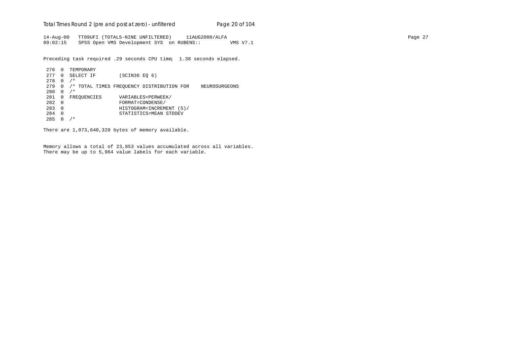Total Times Round 2 (pre and post at zero) - un*filtered* Page 20 of 104

14-Aug-00 TT09UFI (TOTALS-NINE UNFILTERED) 11AUG2000/ALFA Page 27 09:02:15 SPSS Open VMS Development SYS on RUBENS:: VMS V7.1

Preceding task required .29 seconds CPU time; 1.38 seconds elapsed.

```
276 0 TEMPORARY
277 0 SELECT IF (SCIN36 EQ 6)
278 0 /*
279 0 /* TOTAL TIMES FREQUENCY DISTRIBUTION FOR NEUROSURGEONS
280 \t 0 / *281 0 FREQUENCIES VARIABLES=PERWEEK/<br>282 0 FORMAT=CONDENSE/
282 0 FORMAT=CONDENSE/
283 0 HISTOGRAM=INCREMENT (5)/
284 0 STATISTICS=MEAN STDDEV
285 0 /*
```
There are 1,073,640,320 bytes of memory available.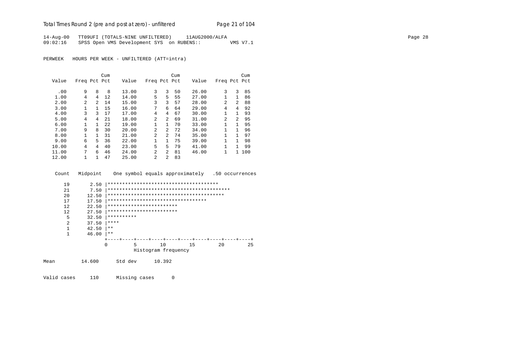# Total Times Round 2 (pre and post at zero) - un*filtered* Page 21 of 104

14-Aug-00 TT09UFI (TOTALS-NINE UNFILTERED) 11AUG2000/ALFA Page 28 09:02:16 SPSS Open VMS Development SYS on RUBENS:: VMS V7.1

PERWEEK HOURS PER WEEK - UNFILTERED (ATT=intra)

|       |              |               | Cum  |       |                |              | Cum |       |                |                | Cum   |
|-------|--------------|---------------|------|-------|----------------|--------------|-----|-------|----------------|----------------|-------|
| Value | Freq Pct Pct |               |      | Value | Freq Pct Pct   |              |     | Value | Freq Pct Pct   |                |       |
|       |              |               |      |       |                |              |     |       |                |                |       |
| .00   | 9            | 8             | 8    | 13.00 | 3              | 3            | 50  | 26.00 | 3              | 3              | 85    |
| 1.00  | 4            | 4             | 12   | 14.00 | 5              | 5            | 55  | 27.00 | 1              | $\mathbf{1}$   | 86    |
| 2.00  | 2            | $\mathcal{L}$ | 14   | 15.00 | 3              | 3            | 57  | 28.00 | $\mathfrak{D}$ | $\overline{a}$ | 88    |
| 3.00  | 1            | 1             | 15   | 16.00 | 7              | 6            | 64  | 29.00 | 4              | 4              | 92    |
| 4.00  | 3            | 3             | 17   | 17.00 | 4              | 4            | 67  | 30.00 | 1              | 1              | 93    |
| 5.00  | 4            | 4             | 21   | 18.00 | 2              | 2            | 69  | 31.00 | $\mathfrak{D}$ | $\overline{a}$ | 95    |
| 6.00  | 1            | 1             | 2.2. | 19.00 | 1              | $\mathbf{1}$ | 70  | 33.00 | 1              | 1              | 95    |
| 7.00  | 9            | 8             | 30   | 20.00 | 2              | 2            | 72  | 34.00 | $\mathbf{1}$   | 1              | 96    |
| 8.00  | $\mathbf{1}$ | $\mathbf{1}$  | 31   | 21.00 | $\overline{a}$ | 2            | 74  | 35.00 |                | 1              | 97    |
| 9.00  | 6            | 5             | 36   | 22.00 | 1              | 1            | 75  | 39.00 | 1              | 1              | 98    |
| 10.00 | 4            | 4             | 40   | 23.00 | 5              | 5            | 79  | 41.00 | 1              | 1              | 99    |
| 11.00 | 7            | 6             | 46   | 24.00 | $\overline{a}$ | 2            | 81  | 46.00 | 1              |                | 1 100 |
| 12.00 | 1            | 1.            | 47   | 25.00 | $\mathfrak{D}$ | 2            | 83  |       |                |                |       |

Count Midpoint One symbol equals approximately .50 occurrences

|      | 19             | 2.50   |                                    |   |  |                     |  |    |  |  |    |  |    |
|------|----------------|--------|------------------------------------|---|--|---------------------|--|----|--|--|----|--|----|
|      | 21             | 7.50   |                                    |   |  |                     |  |    |  |  |    |  |    |
|      | 20             | 12.50  |                                    |   |  |                     |  |    |  |  |    |  |    |
|      | 17             | 17.50  | ********************************** |   |  |                     |  |    |  |  |    |  |    |
|      | 12             | 22.50  | ************************           |   |  |                     |  |    |  |  |    |  |    |
|      | 12             | 27.50  | ************************           |   |  |                     |  |    |  |  |    |  |    |
|      | 5              | 32.50  | **********                         |   |  |                     |  |    |  |  |    |  |    |
|      | $\overline{2}$ | 37.50  | ****                               |   |  |                     |  |    |  |  |    |  |    |
|      | 1              | 42.50  | $***$                              |   |  |                     |  |    |  |  |    |  |    |
|      | 1              | 46.00  | $***$                              |   |  |                     |  |    |  |  |    |  |    |
|      |                |        |                                    |   |  |                     |  |    |  |  |    |  |    |
|      |                |        | 0                                  | 5 |  | 10                  |  | 15 |  |  | 20 |  | 25 |
|      |                |        |                                    |   |  | Histogram frequency |  |    |  |  |    |  |    |
| Mean |                | 14.600 | Std dev                            |   |  | 10.392              |  |    |  |  |    |  |    |
|      |                |        |                                    |   |  |                     |  |    |  |  |    |  |    |

Valid cases 110 Missing cases 0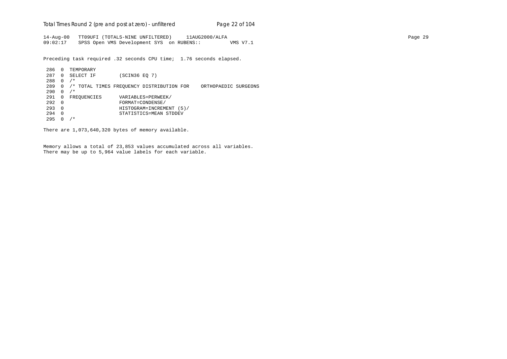Total Times Round 2 (pre and post at zero) - un*filtered* Page 22 of 104

14-Aug-00 TT09UFI (TOTALS-NINE UNFILTERED) 11AUG2000/ALFA Page 29 09:02:17 SPSS Open VMS Development SYS on RUBENS:: VMS V7.1

Preceding task required .32 seconds CPU time; 1.76 seconds elapsed.

 286 0 TEMPORARY 287 0 SELECT IF (SCIN36 EQ 7) 288 0 /\* 289 0 /\* TOTAL TIMES FREQUENCY DISTRIBUTION FOR ORTHOPAEDIC SURGEONS  $290 \t 0 / *$ 291 0 FREQUENCIES VARIABLES=PERWEEK/<br>292 0 FORMAT=CONDENSE/ 292 0 FORMAT=CONDENSE/ 293 0 HISTOGRAM=INCREMENT (5)/ 294 0 STATISTICS=MEAN STDDEV 295 0 /\*

There are 1,073,640,320 bytes of memory available.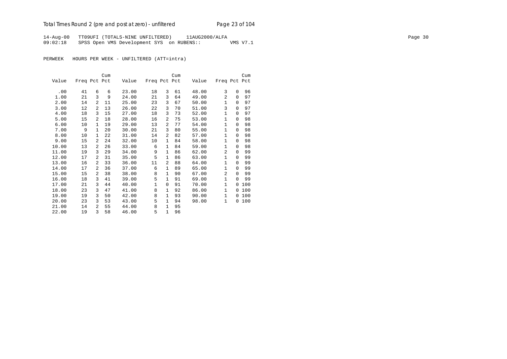# Total Times Round 2 (pre and post at zero) - un*filtered* Page 23 of 104

14-Aug-00 TT09UFI (TOTALS-NINE UNFILTERED) 11AUG2000/ALFA Page 30 09:02:18 SPSS Open VMS Development SYS on RUBENS:: VMS V7.1

|       |              |                | Cum |       |              |                | Cum |       |                |          | Cum |
|-------|--------------|----------------|-----|-------|--------------|----------------|-----|-------|----------------|----------|-----|
| Value | Freq Pct Pct |                |     | Value | Freq Pct Pct |                |     | Value | Freq Pct Pct   |          |     |
|       |              |                |     |       |              |                |     |       |                |          |     |
| .00   | 41           | 6              | 6   | 23.00 | 18           | 3              | 61  | 48.00 | 3              | $\Omega$ | 96  |
| 1.00  | 21           | 3              | 9   | 24.00 | 21           | 3              | 64  | 49.00 | 2              | $\Omega$ | 97  |
| 2.00  | 14           | 2              | 11  | 25.00 | 23           | 3              | 67  | 50.00 | $\mathbf{1}$   | $\Omega$ | 97  |
| 3.00  | 12           | $\overline{a}$ | 13  | 26.00 | 22           | 3              | 70  | 51.00 | 3              | $\Omega$ | 97  |
| 4.00  | 18           | 3              | 15  | 27.00 | 18           | 3              | 73  | 52.00 | $\mathbf{1}$   | $\Omega$ | 97  |
| 5.00  | 15           | $\overline{a}$ | 18  | 28.00 | 16           | 2              | 75  | 53.00 | $\mathbf{1}$   | $\Omega$ | 98  |
| 6.00  | 10           | $\mathbf{1}$   | 19  | 29.00 | 13           | $\overline{2}$ | 77  | 54.00 | $\mathbf{1}$   | $\Omega$ | 98  |
| 7.00  | 9            | $\mathbf{1}$   | 20  | 30.00 | 21           | 3              | 80  | 55.00 | $\mathbf{1}$   | $\Omega$ | 98  |
| 8.00  | 10           | 1              | 22  | 31.00 | 14           | 2              | 82  | 57.00 | $\mathbf{1}$   | $\Omega$ | 98  |
| 9.00  | 15           | 2              | 24  | 32.00 | 10           | $\mathbf{1}$   | 84  | 58.00 | $\mathbf{1}$   | $\Omega$ | 98  |
| 10.00 | 13           | 2              | 26  | 33.00 | 6            | 1              | 84  | 59.00 | $\mathbf{1}$   | 0        | 98  |
| 11.00 | 19           | 3              | 29  | 34.00 | 9            | $\mathbf{1}$   | 86  | 62.00 | $\overline{2}$ | $\Omega$ | 99  |
| 12.00 | 17           | 2              | 31  | 35.00 | 5            | 1              | 86  | 63.00 | $\mathbf{1}$   | $\Omega$ | 99  |
| 13.00 | 16           | $\overline{a}$ | 33  | 36.00 | 11           | 2              | 88  | 64.00 | 1              | $\Omega$ | 99  |
| 14.00 | 17           | $\overline{a}$ | 36  | 37.00 | 6            | 1              | 89  | 65.00 | 1              | $\Omega$ | 99  |
| 15.00 | 15           | $\overline{a}$ | 38  | 38.00 | 8            | 1              | 90  | 67.00 | 2              | $\Omega$ | 99  |
| 16.00 | 18           | 3              | 41  | 39.00 | 5            | 1              | 91  | 69.00 | $\mathbf{1}$   | $\Omega$ | 99  |
| 17.00 | 21           | 3              | 44  | 40.00 | $\mathbf 1$  | 0              | 91  | 70.00 | $\mathbf{1}$   | $\Omega$ | 100 |
| 18.00 | 23           | 3              | 47  | 41.00 | 8            | $\mathbf{1}$   | 92  | 86.00 | $\mathbf{1}$   | $\Omega$ | 100 |
| 19.00 | 19           | 3              | 50  | 42.00 | 8            | $\mathbf{1}$   | 93  | 90.00 | $\mathbf{1}$   | 0        | 100 |
| 20.00 | 23           | 3              | 53  | 43.00 | 5            | $\mathbf{1}$   | 94  | 98.00 | $\mathbf{1}$   | 0        | 100 |
| 21.00 | 14           | $\mathfrak{D}$ | 55  | 44.00 | 8            | 1              | 95  |       |                |          |     |
| 22.00 | 19           | 3              | 58  | 46.00 | 5            | 1              | 96  |       |                |          |     |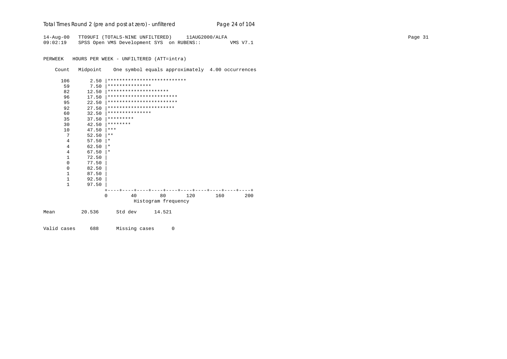| Total Times Round 2 (pre and post at zero) - unfiltered | Page 24 of 104 |
|---------------------------------------------------------|----------------|
|---------------------------------------------------------|----------------|

14-Aug-00 TT09UFI (TOTALS-NINE UNFILTERED) 11AUG2000/ALFA Page 31 09:02:19 SPSS Open VMS Development SYS on RUBENS:: VMS V7.1

PERWEEK HOURS PER WEEK - UNFILTERED (ATT=intra)

Count Midpoint One symbol equals approximately 4.00 occurrences

|      | 106            | 2.50   |           |                       | *************************** |     |     |     |
|------|----------------|--------|-----------|-----------------------|-----------------------------|-----|-----|-----|
|      | 59             | 7.50   |           | ***************       |                             |     |     |     |
|      | 82             | 12.50  |           | ********************* |                             |     |     |     |
|      | 96             | 17.50  |           |                       | ************************    |     |     |     |
|      | 95             | 22.50  |           |                       | ************************    |     |     |     |
|      | 92             | 27.50  |           |                       | ***********************     |     |     |     |
|      | 60             | 32.50  |           | ***************       |                             |     |     |     |
|      | 35             | 37.50  | ********* |                       |                             |     |     |     |
|      | 30             | 42.50  | ********  |                       |                             |     |     |     |
|      | 10             | 47.50  | $***$     |                       |                             |     |     |     |
|      | 7              | 52.50  | $* *$     |                       |                             |     |     |     |
|      | 4              | 57.50  | $\ast$    |                       |                             |     |     |     |
|      | $\overline{4}$ | 62.50  | $\ast$    |                       |                             |     |     |     |
|      | 4              | 67.50  | $\ast$    |                       |                             |     |     |     |
|      | $\mathbf{1}$   | 72.50  |           |                       |                             |     |     |     |
|      | $\Omega$       | 77.50  |           |                       |                             |     |     |     |
|      | 0              | 82.50  |           |                       |                             |     |     |     |
|      | 1              | 87.50  |           |                       |                             |     |     |     |
|      | 1              | 92.50  |           |                       |                             |     |     |     |
|      | $\mathbf{1}$   | 97.50  |           |                       |                             |     |     |     |
|      |                |        |           |                       |                             |     |     |     |
|      |                |        | $\Omega$  | 40                    | 80                          | 120 | 160 | 200 |
|      |                |        |           |                       | Histogram frequency         |     |     |     |
| Mean |                | 20.536 |           | Std dev               | 14.521                      |     |     |     |
|      |                |        |           |                       |                             |     |     |     |

Valid cases 688 Missing cases 0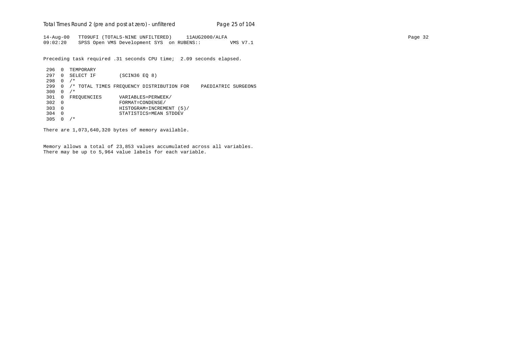Total Times Round 2 (pre and post at zero) - un*filtered* Page 25 of 104

14-Aug-00 TT09UFI (TOTALS-NINE UNFILTERED) 11AUG2000/ALFA Page 32 09:02:20 SPSS Open VMS Development SYS on RUBENS:: VMS V7.1

Preceding task required .31 seconds CPU time; 2.09 seconds elapsed.

 296 0 TEMPORARY 297 0 SELECT IF (SCIN36 EQ 8) 298 0 /\* 299 0 /\* TOTAL TIMES FREQUENCY DISTRIBUTION FOR PAEDIATRIC SURGEONS 300 0  $/*$ 301 0 FREQUENCIES VARIABLES=PERWEEK/<br>302 0 FORMAT=CONDENSE/ 302 0 FORMAT=CONDENSE/ 303 0 HISTOGRAM=INCREMENT (5)/ 304 0 STATISTICS=MEAN STDDEV 305 0 /\*

There are 1,073,640,320 bytes of memory available.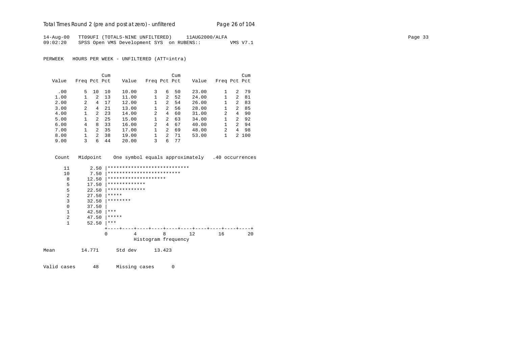# Total Times Round 2 (pre and post at zero) - un*filtered* Page 26 of 104

14-Aug-00 TT09UFI (TOTALS-NINE UNFILTERED) 11AUG2000/ALFA Page 33 09:02:20 SPSS Open VMS Development SYS on RUBENS:: VMS V7.1

PERWEEK HOURS PER WEEK - UNFILTERED (ATT=intra)

|       |                |               | Cum |       |              |                | Cum |       |                |                | Cum   |
|-------|----------------|---------------|-----|-------|--------------|----------------|-----|-------|----------------|----------------|-------|
| Value | Freq Pct Pct   |               |     | Value | Freq Pct Pct |                |     | Value | Freq Pct Pct   |                |       |
|       |                |               |     |       |              |                |     |       |                |                |       |
| .00   | 5.             | 10            | 10  | 10.00 | 3            | 6              | 50  | 23.00 |                | 2              | 79    |
| 1.00  |                | $\mathcal{L}$ | 13  | 11.00 |              | $\overline{a}$ | 52  | 24.00 |                | 2              | 81    |
| 2.00  | $\mathfrak{D}$ | 4             | 17  | 12.00 |              | 2              | 54  | 26.00 |                | $\overline{2}$ | 83    |
| 3.00  | 2              | 4             | 21  | 13.00 |              | 2              | 56  | 28.00 |                | $\mathcal{L}$  | 85    |
| 4.00  |                | $\mathcal{L}$ | 23  | 14.00 | 2            | 4              | 60  | 31.00 | $\mathfrak{D}$ | 4              | 90    |
| 5.00  |                | $\mathcal{L}$ | 25  | 15.00 |              | $\overline{a}$ | 63  | 34.00 |                | $\mathcal{L}$  | 92    |
| 6.00  | 4              | 8             | 33  | 16.00 | 2            | 4              | 67  | 40.00 |                | $\mathcal{L}$  | 94    |
| 7.00  |                | $2^{1}$       | 35  | 17.00 |              | $\mathcal{L}$  | 69  | 48.00 | $\mathfrak{D}$ | 4              | 98    |
| 8.00  |                | $\mathcal{L}$ | 38  | 19.00 |              | $\overline{a}$ | 71  | 53.00 |                |                | 2 100 |
| 9.00  | 3              | 6             | 44  | 20.00 | 3            | 6              | 77  |       |                |                |       |

 Count Midpoint One symbol equals approximately .40 occurrences 11 2.50 |\*\*\*\*\*\*\*\*\*\*\*\*\*\*\*\*\*\*\*\*\*\*\*\*\*\*\*\* 10 7.50 |\*\*\*\*\*\*\*\*\*\*\*\*\*\*\*\*\*\*\*\*\*\*\*\*\*\*\*\*<br>8 12.50 |\*\*\*\*\*\*\*\*\*\*\*\*\*\*\*\*\*\*\*\*\*\*\*\*\*\*\*\*\*\*\*\* 8 12.50  $************************************$ 5 17.50  $****************$ 5 22.50  $******************$ <br>2 27.50 \*\*\*\*\* 2 27.50  $*****$ <br>3 32.50  $*****$ 3  $32.50$  \*\*\*\*\*\*\*\*\*  $\begin{array}{ccc} 0 & 37.50 \\ 1 & 42.50 \end{array}$  $\begin{array}{ccc} 1 & 42.50 & \ast \ast \ast \\ 2 & 47.50 & \ast \ast \ast \ast \end{array}$ 2  $47.50$   $****$ <br>1  $52.50$   $****$  $52.50$  |\*\*\* +----+----+----+----+----+----+----+----+----+----+ 0 4 8 12 16 20 Histogram frequency Mean 14.771 Std dev 13.423

Valid cases 48 Missing cases 0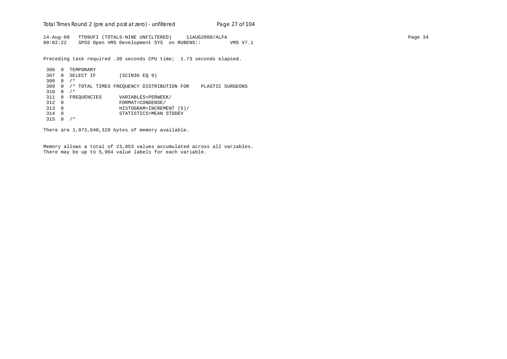Total Times Round 2 (pre and post at zero) - un*filtered* Page 27 of 104

14-Aug-00 TT09UFI (TOTALS-NINE UNFILTERED) 11AUG2000/ALFA Page 34 09:02:22 SPSS Open VMS Development SYS on RUBENS:: VMS V7.1

Preceding task required .30 seconds CPU time; 1.73 seconds elapsed.

 306 0 TEMPORARY 307 0 SELECT IF (SCIN36 EQ 9) 308 0 /\* 309 0 /\* TOTAL TIMES FREQUENCY DISTRIBUTION FOR PLASTIC SURGEONS 310 0 /\* 311 0 FREQUENCIES VARIABLES=PERWEEK/<br>312 0 FORMAT=CONDENSE/ 312 0 FORMAT=CONDENSE/ 313 0 HISTOGRAM=INCREMENT (5)/ 314 0 STATISTICS=MEAN STDDEV 315 0 /\*

There are 1,073,640,320 bytes of memory available.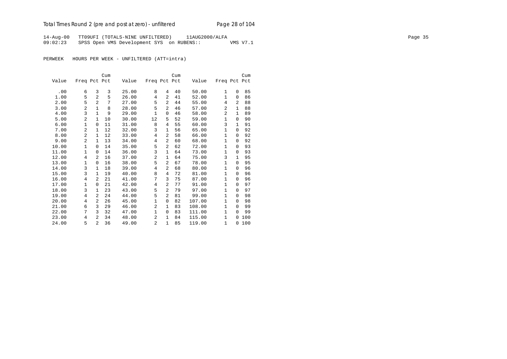# Total Times Round 2 (pre and post at zero) - un*filtered* Page 28 of 104

14-Aug-00 TT09UFI (TOTALS-NINE UNFILTERED) 11AUG2000/ALFA Page 35 09:02:23 SPSS Open VMS Development SYS on RUBENS:: VMS V7.1

|       |                |                | Cum |       |                |                | Cum |        |              |              | Cum |
|-------|----------------|----------------|-----|-------|----------------|----------------|-----|--------|--------------|--------------|-----|
| Value | Freq Pct Pct   |                |     | Value | Freq Pct Pct   |                |     | Value  | Freq Pct Pct |              |     |
|       |                |                |     |       |                |                |     |        |              |              |     |
| .00   | 6              | 3              | 3   | 25.00 | 8              | 4              | 40  | 50.00  | 1            | $\Omega$     | 85  |
| 1.00  | 5              | $\overline{a}$ | 5   | 26.00 | 4              | 2              | 41  | 52.00  | $\mathbf{1}$ | 0            | 86  |
| 2.00  | 5              | $\overline{a}$ | 7   | 27.00 | 5              | $\overline{a}$ | 44  | 55.00  | 4            | 2            | 88  |
| 3.00  | 2              | 1              | 8   | 28.00 | 5              | $\overline{a}$ | 46  | 57.00  | 2            | $\mathbf{1}$ | 88  |
| 4.00  | 3              | $\mathbf{1}$   | 9   | 29.00 | 1              | 0              | 46  | 58.00  | 2            | 1            | 89  |
| 5.00  | $\overline{a}$ | $\mathbf{1}$   | 10  | 30.00 | 12             | 5              | 52  | 59.00  | $\mathbf{1}$ | 0            | 90  |
| 6.00  | 1              | $\mathbf 0$    | 11  | 31.00 | 8              | 4              | 55  | 60.00  | 3            | $\mathbf{1}$ | 91  |
| 7.00  | 2              | $\mathbf{1}$   | 12  | 32.00 | 3              | 1              | 56  | 65.00  | $\mathbf{1}$ | 0            | 92  |
| 8.00  | $\overline{a}$ | $\mathbf{1}$   | 12  | 33.00 | 4              | $\overline{a}$ | 58  | 66.00  | 1            | 0            | 92  |
| 9.00  | 2              | $\mathbf{1}$   | 13  | 34.00 | 4              | $\overline{a}$ | 60  | 68.00  | $\mathbf{1}$ | 0            | 92  |
| 10.00 | $\mathbf{1}$   | 0              | 14  | 35.00 | 5              | $\overline{a}$ | 62  | 72.00  | $\mathbf{1}$ | $\Omega$     | 93  |
| 11.00 | 1              | 0              | 14  | 36.00 | 3              | $\mathbf 1$    | 64  | 73.00  | 1            | 0            | 93  |
| 12.00 | $\overline{4}$ | $\overline{a}$ | 16  | 37.00 | $\overline{2}$ | 1              | 64  | 75.00  | 3            | $\mathbf{1}$ | 95  |
| 13.00 | 1              | $\Omega$       | 16  | 38.00 | 5              | $\overline{a}$ | 67  | 78.00  | $\mathbf{1}$ | $\Omega$     | 95  |
| 14.00 | 3              | $\mathbf{1}$   | 18  | 39.00 | 4              | 2              | 68  | 80.00  | $\mathbf{1}$ | 0            | 96  |
| 15.00 | 3              | $\mathbf{1}$   | 19  | 40.00 | 8              | 4              | 72  | 81.00  | 1            | $\Omega$     | 96  |
| 16.00 | 4              | $\overline{a}$ | 21  | 41.00 | 7              | 3              | 75  | 87.00  | $\mathbf{1}$ | $\Omega$     | 96  |
| 17.00 | 1              | 0              | 21  | 42.00 | 4              | 2              | 77  | 91.00  | $\mathbf{1}$ | $\Omega$     | 97  |
| 18.00 | 3              | $\mathbf{1}$   | 23  | 43.00 | 5              | $\overline{2}$ | 79  | 97.00  | $\mathbf{1}$ | $\Omega$     | 97  |
| 19.00 | 4              | $\overline{a}$ | 24  | 44.00 | 5              | $\overline{a}$ | 81  | 99.00  | $\mathbf{1}$ | $\Omega$     | 98  |
| 20.00 | 4              | 2              | 26  | 45.00 | $\mathbf{1}$   | 0              | 82  | 107.00 | $\mathbf{1}$ | $\mathbf 0$  | 98  |
| 21.00 | 6              | 3              | 29  | 46.00 | $\overline{a}$ | 1              | 83  | 108.00 | $\mathbf{1}$ | $\Omega$     | 99  |
| 22.00 | 7              | 3              | 32  | 47.00 | $\mathbf 1$    | 0              | 83  | 111.00 | $\mathbf{1}$ | $\Omega$     | 99  |
| 23.00 | 4              | $\overline{a}$ | 34  | 48.00 | $\overline{a}$ | $\mathbf{1}$   | 84  | 115.00 | $\mathbf{1}$ | $\mathbf 0$  | 100 |
| 24.00 | 5              | $\overline{a}$ | 36  | 49.00 | $\overline{a}$ | $\mathbf{1}$   | 85  | 119.00 | 1            | $\Omega$     | 100 |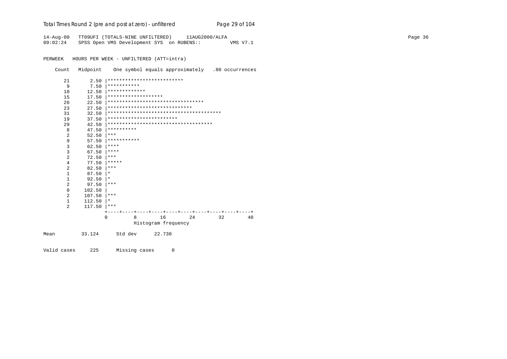Total Times Round 2 (pre and post at zero) - un*filtered* Page 29 of 104

14-Aug-00 TT09UFI (TOTALS-NINE UNFILTERED) 11AUG2000/ALFA Page 36 09:02:24 SPSS Open VMS Development SYS on RUBENS:: VMS V7.1

PERWEEK HOURS PER WEEK - UNFILTERED (ATT=intra)

Count Midpoint One symbol equals approximately .80 occurrences

| 21<br>2.50             | **************************           |
|------------------------|--------------------------------------|
| 9<br>7.50              | ***********                          |
| 12.50<br>10            | *************                        |
| 15<br>17.50            | *******************                  |
| 26<br>22.50            | *********************************    |
| 23<br>27.50            | *****************************        |
| 31<br>32.50            |                                      |
| 19<br>37.50            | ************************             |
| 29<br>42.50            | ************************************ |
| 8<br>47.50             | **********                           |
| 2<br>52.50             | $***$                                |
| 9<br>57.50             | ***********                          |
| 3<br>62.50             | ****                                 |
| 3<br>67.50             | ****                                 |
| 2<br>72.50             | ***                                  |
| 4<br>77.50             | *****                                |
| 2<br>82.50             | $***$                                |
| $\mathbf{1}$<br>87.50  | $\star$                              |
| $\mathbf{1}$<br>92.50  | $\star$                              |
| 2<br>97.50             | ***                                  |
| $\mathbf 0$<br>102.50  |                                      |
| 2<br>107.50            | ***                                  |
| $\mathbf{1}$<br>112.50 | $\star$                              |
| 2<br>117.50            | ***                                  |
|                        |                                      |
| $\Omega$               | 16<br>8<br>24<br>32<br>40            |
|                        | Histogram frequency                  |
| 33.124<br>Mean         | Std dev<br>22.730                    |

Valid cases 225 Missing cases 0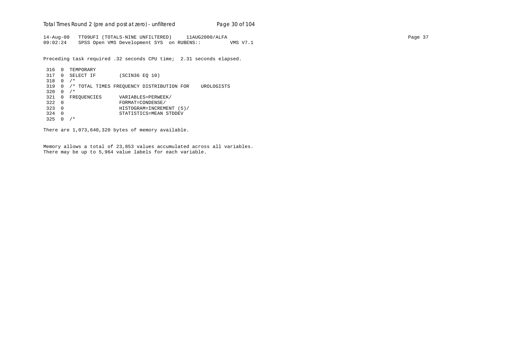Total Times Round 2 (pre and post at zero) - un*filtered* Page 30 of 104

14-Aug-00 TT09UFI (TOTALS-NINE UNFILTERED) 11AUG2000/ALFA Page 37 09:02:24 SPSS Open VMS Development SYS on RUBENS:: VMS V7.1

Preceding task required .32 seconds CPU time; 2.31 seconds elapsed.

```
 316 0 TEMPORARY
 317 0 SELECT IF (SCIN36 EQ 10)
 318 0 /*
 319 0 /* TOTAL TIMES FREQUENCY DISTRIBUTION FOR UROLOGISTS
320 \t 0 / *321 0 FREQUENCIES VARIABLES=PERWEEK/<br>322 0 FORMAT=CONDENSE/
 322 0 FORMAT=CONDENSE/
 323 0 HISTOGRAM=INCREMENT (5)/
 324 0 STATISTICS=MEAN STDDEV
 325 0 /*
```
There are 1,073,640,320 bytes of memory available.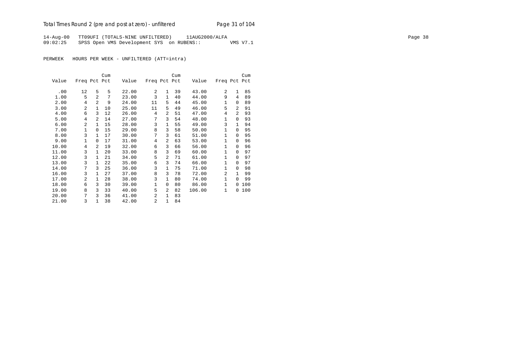## Total Times Round 2 (pre and post at zero) - un*filtered* Page 31 of 104

14-Aug-00 TT09UFI (TOTALS-NINE UNFILTERED) 11AUG2000/ALFA Page 38 09:02:25 SPSS Open VMS Development SYS on RUBENS:: VMS V7.1

|       |                |                | Cum |       |                |                | Cum |        |                |                | Cum |
|-------|----------------|----------------|-----|-------|----------------|----------------|-----|--------|----------------|----------------|-----|
| Value | Freq Pct Pct   |                |     | Value | Freq Pct Pct   |                |     | Value  | Freq Pct Pct   |                |     |
|       |                |                |     |       |                |                |     |        |                |                |     |
| .00   | 12             | 5              | 5   | 22.00 | $\overline{a}$ | 1              | 39  | 43.00  | 2              | 1              | 85  |
| 1.00  | 5              | $\overline{2}$ | 7   | 23.00 | 3              | $\mathbf{1}$   | 40  | 44.00  | 9              | 4              | 89  |
| 2.00  | 4              | $\overline{2}$ | 9   | 24.00 | 11             | 5              | 44  | 45.00  | $\mathbf{1}$   | $\Omega$       | 89  |
| 3.00  | $\overline{2}$ | $\mathbf{1}$   | 10  | 25.00 | 11             | 5              | 49  | 46.00  | 5              | $\mathfrak{D}$ | 91  |
| 4.00  | 6              | $\mathcal{L}$  | 12  | 26.00 | 4              | 2              | 51  | 47.00  | 4              | $\overline{2}$ | 93  |
| 5.00  | 4              | 2              | 14  | 27.00 | 7              | 3              | 54  | 48.00  | 1              | $\Omega$       | 93  |
| 6.00  | $\overline{2}$ | $\mathbf{1}$   | 15  | 28.00 | 3              | 1              | 55  | 49.00  | 3              | $\mathbf{1}$   | 94  |
| 7.00  | 1              | $\Omega$       | 15  | 29.00 | 8              | 3              | 58  | 50.00  | $\mathbf{1}$   | $\Omega$       | 95  |
| 8.00  | 3              | $\mathbf{1}$   | 17  | 30.00 | 7              | 3              | 61  | 51.00  | $\mathbf{1}$   | $\Omega$       | 95  |
| 9.00  | $\mathbf{1}$   | $\Omega$       | 17  | 31.00 | 4              | 2              | 63  | 53.00  | $\mathbf{1}$   | $\Omega$       | 96  |
| 10.00 | 4              | 2              | 19  | 32.00 | 6              | 3              | 66  | 56.00  | $\mathbf{1}$   | $\Omega$       | 96  |
| 11.00 | 3              | $\mathbf{1}$   | 20  | 33.00 | 8              | 3              | 69  | 60.00  | $\mathbf{1}$   | $\Omega$       | 97  |
| 12.00 | 3              | 1              | 21  | 34.00 | 5              | $\overline{a}$ | 71  | 61.00  | $\mathbf{1}$   | $\Omega$       | 97  |
| 13.00 | 3              | $\mathbf{1}$   | 22  | 35.00 | 6              | 3              | 74  | 66.00  | $\mathbf{1}$   | $\Omega$       | 97  |
| 14.00 | 7              | 3              | 25  | 36.00 | 3              | 1              | 75  | 71.00  | 1              | $\Omega$       | 98  |
| 16.00 | 3              | $\mathbf{1}$   | 27  | 37.00 | 8              | 3              | 78  | 72.00  | $\overline{a}$ | $\mathbf{1}$   | 99  |
| 17.00 | $\overline{2}$ | $\mathbf{1}$   | 28  | 38.00 | 3              | 1              | 80  | 74.00  | $\mathbf{1}$   | $\Omega$       | 99  |
| 18.00 | 6              | 3              | 30  | 39.00 | $\mathbf{1}$   | 0              | 80  | 86.00  | $\mathbf{1}$   | 0              | 100 |
| 19.00 | 8              | 3              | 33  | 40.00 | 5              | $\overline{2}$ | 82  | 106.00 | $\mathbf{1}$   | 0              | 100 |
| 20.00 | 7              | 3              | 36  | 41.00 | 2              | $\mathbf{1}$   | 83  |        |                |                |     |
| 21.00 | 3              | $\mathbf{1}$   | 38  | 42.00 | $\overline{2}$ | $\mathbf{1}$   | 84  |        |                |                |     |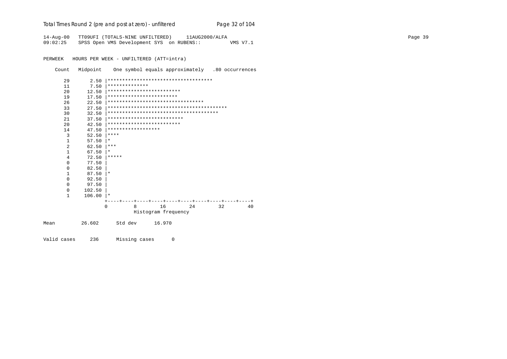|  |  |  |  |  |  | Total Times Round 2 (pre and post at zero) - unfiltered |
|--|--|--|--|--|--|---------------------------------------------------------|
|--|--|--|--|--|--|---------------------------------------------------------|

14-Aug-00 TT09UFI (TOTALS-NINE UNFILTERED) 11AUG2000/ALFA 09:02:25 SPSS Open VMS Development SYS on RUBENS:: VMS V7.1

PERWEEK HOURS PER WEEK - UNFILTERED (ATT=intra)

Count Midpoint One symbol equals approximately .80 occurrences

Page 32 of 104

| 29           | 2.50   |          |                    |                            | ************************************* |    |    |
|--------------|--------|----------|--------------------|----------------------------|---------------------------------------|----|----|
| 11           | 7.50   |          | **************     |                            |                                       |    |    |
| 20           | 12.50  |          |                    | *************************  |                                       |    |    |
| 19           | 17.50  |          |                    | ************************   |                                       |    |    |
| 26           | 22.50  |          |                    |                            | *********************************     |    |    |
| 33           | 27.50  |          |                    |                            |                                       |    |    |
| 30           | 32.50  |          |                    |                            |                                       |    |    |
| 21           | 37.50  |          |                    | ************************** |                                       |    |    |
| 20           | 42.50  |          |                    | *************************  |                                       |    |    |
| 14           | 47.50  |          | ****************** |                            |                                       |    |    |
| 3            | 52.50  | ****     |                    |                            |                                       |    |    |
| 1            | 57.50  | $^\star$ |                    |                            |                                       |    |    |
| 2            | 62.50  | $***$    |                    |                            |                                       |    |    |
| $\mathbf{1}$ | 67.50  | $^\star$ |                    |                            |                                       |    |    |
| 4            | 72.50  | *****    |                    |                            |                                       |    |    |
| $\Omega$     | 77.50  |          |                    |                            |                                       |    |    |
| $\Omega$     | 82.50  |          |                    |                            |                                       |    |    |
| $\mathbf{1}$ | 87.50  | $\star$  |                    |                            |                                       |    |    |
| $\Omega$     | 92.50  |          |                    |                            |                                       |    |    |
| $\Omega$     | 97.50  |          |                    |                            |                                       |    |    |
| $\Omega$     | 102.50 |          |                    |                            |                                       |    |    |
| $\mathbf{1}$ | 106.00 | $\star$  |                    |                            |                                       |    |    |
|              |        |          |                    |                            |                                       |    |    |
|              |        | $\Omega$ | 8                  | 16                         | 24                                    | 32 | 40 |
|              |        |          |                    | Histogram frequency        |                                       |    |    |
| Mean         | 26.602 |          | Std dev            | 16.970                     |                                       |    |    |

Valid cases 236 Missing cases  $\overline{0}$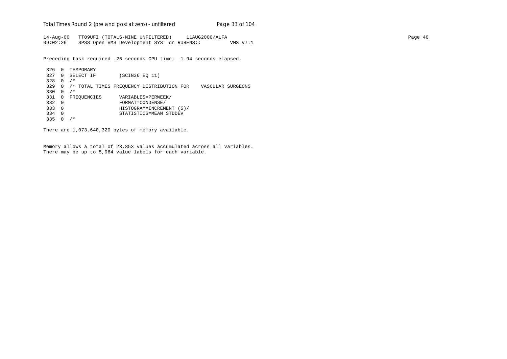Total Times Round 2 (pre and post at zero) - un*filtered* Page 33 of 104

14-Aug-00 TT09UFI (TOTALS-NINE UNFILTERED) 11AUG2000/ALFA Page 40 09:02:26 SPSS Open VMS Development SYS on RUBENS:: VMS V7.1

Preceding task required .26 seconds CPU time; 1.94 seconds elapsed.

 326 0 TEMPORARY 327 0 SELECT IF (SCIN36 EQ 11) 328 0 /\* 329 0 /\* TOTAL TIMES FREQUENCY DISTRIBUTION FOR VASCULAR SURGEONS 330 0 /\* 331 0 FREQUENCIES VARIABLES=PERWEEK/<br>332 0 FORMAT=CONDENSE/ 332 0 FORMAT=CONDENSE/ 333 0 HISTOGRAM=INCREMENT (5)/ 334 0 STATISTICS=MEAN STDDEV 335 0 /\*

There are 1,073,640,320 bytes of memory available.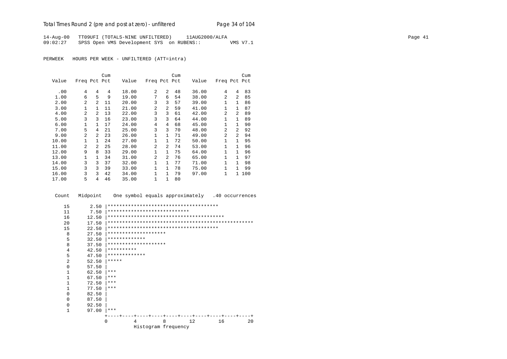14-Aug-00 TT09UFI (TOTALS-NINE UNFILTERED) 11AUG2000/ALFA Page 41 09:02:27 SPSS Open VMS Development SYS on RUBENS:: VMS V7.1

PERWEEK HOURS PER WEEK - UNFILTERED (ATT=intra)

|       |                |                | Cum |       |                |                | Cum |       |                |                | Cum |
|-------|----------------|----------------|-----|-------|----------------|----------------|-----|-------|----------------|----------------|-----|
| Value | Freq Pct Pct   |                |     | Value | Freq Pct Pct   |                |     | Value | Freq Pct Pct   |                |     |
| .00   | 4              | 4              | 4   | 18.00 | 2              | $\overline{a}$ | 48  | 36.00 | 4              | 4              | 83  |
| 1.00  | 6              | 5              | 9   | 19.00 | 7              | 6              | 54  | 38.00 | 2              | $\mathfrak{D}$ | 85  |
| 2.00  | $\overline{a}$ | $\overline{a}$ | 11  | 20.00 | 3              | 3              | 57  | 39.00 | 1              | 1              | 86  |
| 3.00  | 1              | 1.             | 11  | 21.00 | 2              | $\overline{2}$ | 59  | 41.00 | $\mathbf{1}$   | 1              | 87  |
| 4.00  | $\overline{a}$ | $\overline{a}$ | 13  | 22.00 | 3              | 3              | 61  | 42.00 | $\overline{a}$ | 2              | 89  |
| 5.00  | 3              | ζ              | 16  | 23.00 | 3              | 3              | 64  | 44.00 | 1              | $\mathbf{1}$   | 89  |
| 6.00  | $\mathbf{1}$   | 1.             | 17  | 24.00 | $\overline{4}$ | $\overline{4}$ | 68  | 45.00 | $\mathbf{1}$   | $\mathbf{1}$   | 90  |
| 7.00  | 5              | 4              | 21  | 25.00 | 3              | 3              | 70  | 48.00 | $\mathfrak{D}$ | $\mathfrak{D}$ | 92  |
| 9.00  | $\overline{a}$ | $\mathfrak{D}$ | 23  | 26.00 | 1              | $\mathbf{1}$   | 71  | 49.00 | 2              | $\mathfrak{D}$ | 94  |
| 10.00 | $\mathbf{1}$   | 1              | 24  | 27.00 | $\mathbf{1}$   | $\mathbf{1}$   | 72  | 50.00 | 1              | 1              | 95  |
| 11.00 | $\mathfrak{D}$ | 2              | 25  | 28.00 | $\overline{a}$ | $\overline{2}$ | 74  | 53.00 | $\mathbf{1}$   | 1              | 96  |
| 12.00 | 9              | 8              | 33  | 29.00 | $\mathbf 1$    | $\mathbf{1}$   | 75  | 64.00 | $\mathbf{1}$   | 1              | 96  |
| 13.00 | 1              | 1              | 34  | 31.00 | 2              | 2              | 76  | 65.00 | $\mathbf{1}$   | 1              | 97  |
| 14.00 | 3              | 3              | 37  | 32.00 | 1              | 1              | 77  | 71.00 | 1              | 1              | 98  |
| 15.00 | 3              | 3              | 39  | 33.00 | $\mathbf 1$    | $\mathbf{1}$   | 78  | 75.00 | $\mathbf{1}$   | 1              | 99  |
| 16.00 | 3              | 3              | 42  | 34.00 | $\mathbf{1}$   | 1              | 79  | 97.00 | 1              | $\mathbf{1}$   | 100 |
| 17.00 | 5              | 4              | 46  | 35.00 | $\mathbf{1}$   | $\mathbf{1}$   | 80  |       |                |                |     |

 Count Midpoint One symbol equals approximately .40 occurrences 15 2.50 |\*\*\*\*\*\*\*\*\*\*\*\*\*\*\*\*\*\*\*\*\*\*\*\*\*\*\*\*\*\*\*\*\*\*\*\*\*\* 11 7.50 |\*\*\*\*\*\*\*\*\*\*\*\*\*\*\*\*\*\*\*\*\*\*\*\*\*\*\*\* 16 12.50 |\*\*\*\*\*\*\*\*\*\*\*\*\*\*\*\*\*\*\*\*\*\*\*\*\*\*\*\*\*\*\*\*\*\*\*\*\*\*\*\* 20 17.50 |\*\*\*\*\*\*\*\*\*\*\*\*\*\*\*\*\*\*\*\*\*\*\*\*\*\*\*\*\*\*\*\*\*\*\*\*\*\*\*\*\*\*\*\*\*\*\*\*\*\* 15 22.50 |\*\*\*\*\*\*\*\*\*\*\*\*\*\*\*\*\*\*\*\*\*\*\*\*\*\*\*\*\*\*\*\*\*\*\*\*\*\* 8 27.50 |\*\*\*\*\*\*\*\*\*\*\*\*\*\*\*\*\*\*\*\* 5 32.50  $******************$  8 37.50 |\*\*\*\*\*\*\*\*\*\*\*\*\*\*\*\*\*\*\*\* 4  $42.50$   $***********$ <br>5  $47.50$   $***********$  5 47.50 |\*\*\*\*\*\*\*\*\*\*\*\*\* 2  $52.50$  \*\*\*\*\*<br>0  $57.50$  $\begin{array}{ccc} 0 & 57.50 \\ 1 & 62.50 \end{array}$  $\begin{array}{ccc} 1 & 62.50 & \ast \ast \ast \\ 1 & 67.50 & \ast \ast \ast \end{array}$  $\begin{array}{ccc} 1 & 67.50 & \ast \ast \ast \\ 1 & 72.50 & \ast \ast \ast \end{array}$  $\begin{array}{ccc} 1 & 72.50 & \ast \ast \ast \\ 1 & 77.50 & \ast \ast \ast \end{array}$  $\begin{array}{ccc} 1 & 77.50 & \ast \ast \ast \\ 0 & 82.50 & \end{array}$  $0$  82.50<br>0 87.50  $0$  87.50<br>0 92.50 0 92.50 | 1 97.00 |\*\*\* +----+----+----+----+----+----+----+----+----+----+ 0 4 8 12 16 20 Histogram frequency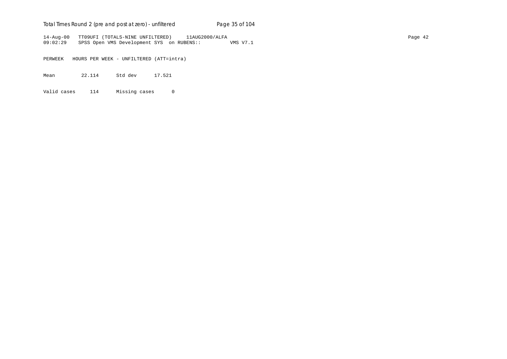## Total Times Round 2 (pre and post at zero) - un*filtered* Page 35 of 104

14-Aug-00 TT09UFI (TOTALS-NINE UNFILTERED) 11AUG2000/ALFA Page 42 09:02:29 SPSS Open VMS Development SYS on RUBENS:: VMS V7.1

PERWEEK HOURS PER WEEK - UNFILTERED (ATT=intra)

Mean 22.114 Std dev 17.521

Valid cases 114 Missing cases 0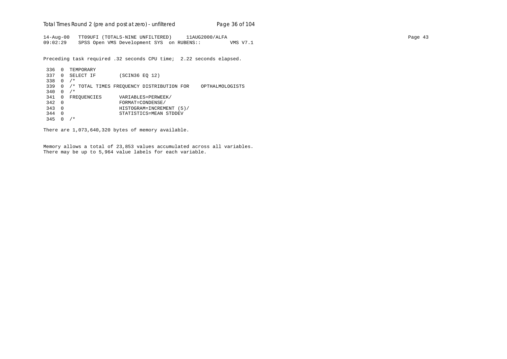Total Times Round 2 (pre and post at zero) - un*filtered* Page 36 of 104

14-Aug-00 TT09UFI (TOTALS-NINE UNFILTERED) 11AUG2000/ALFA Page 43 09:02:29 SPSS Open VMS Development SYS on RUBENS:: VMS V7.1

Preceding task required .32 seconds CPU time; 2.22 seconds elapsed.

```
 336 0 TEMPORARY
 337 0 SELECT IF (SCIN36 EQ 12)
 338 0 /*
 339 0 /* TOTAL TIMES FREQUENCY DISTRIBUTION FOR OPTHALMOLOGISTS
340 0 /*341 0 FREQUENCIES VARIABLES=PERWEEK/<br>342 0 FORMAT=CONDENSE/
 342 0 FORMAT=CONDENSE/
 343 0 HISTOGRAM=INCREMENT (5)/
 344 0 STATISTICS=MEAN STDDEV
 345 0 /*
```
There are 1,073,640,320 bytes of memory available.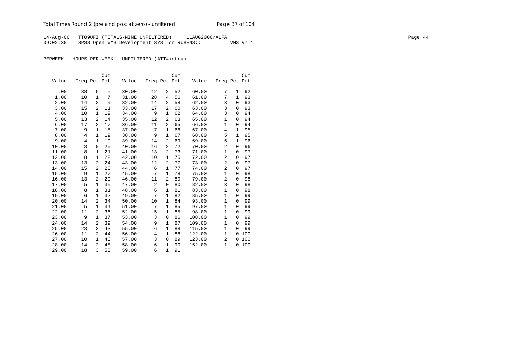## Total Times Round 2 (pre and post at zero) - un*filtered* Page 37 of 104

14-Aug-00 TT09UFI (TOTALS-NINE UNFILTERED) 11AUG2000/ALFA Page 44 09:02:30 SPSS Open VMS Development SYS on RUBENS:: VMS V7.1

|       |              |                | Cum |       |              |                | Cum |        |                |              | Cum |
|-------|--------------|----------------|-----|-------|--------------|----------------|-----|--------|----------------|--------------|-----|
| Value | Freq Pct Pct |                |     | Value | Freq Pct Pct |                |     | Value  | Freq Pct Pct   |              |     |
|       |              |                |     |       |              |                |     |        |                |              |     |
| .00   | 38           | 5              | 5   | 30.00 | 12           | 2              | 52  | 60.00  | 7              | 1            | 92  |
| 1.00  | 10           | $\mathbf{1}$   | 7   | 31.00 | 28           | 4              | 56  | 61.00  | 7              | $\mathbf{1}$ | 93  |
| 2.00  | 14           | $\overline{2}$ | 9   | 32.00 | 14           | $\overline{a}$ | 58  | 62.00  | 3              | $\Omega$     | 93  |
| 3.00  | 15           | 2              | 11  | 33.00 | 17           | 2              | 60  | 63.00  | 3              | 0            | 93  |
| 4.00  | 10           | $\mathbf{1}$   | 12  | 34.00 | 9            | $\mathbf{1}$   | 62  | 64.00  | 3              | 0            | 94  |
| 5.00  | 13           | 2              | 14  | 35.00 | 12           | $\overline{a}$ | 63  | 65.00  | $\mathbf{1}$   | 0            | 94  |
| 6.00  | 17           | 2              | 17  | 36.00 | 11           | $\overline{a}$ | 65  | 66.00  | $\mathbf{1}$   | 0            | 94  |
| 7.00  | 9            | $\mathbf{1}$   | 18  | 37.00 | 7            | $\mathbf{1}$   | 66  | 67.00  | $\overline{4}$ | $\mathbf{1}$ | 95  |
| 8.00  | 4            | $\mathbf{1}$   | 19  | 38.00 | 9            | $\mathbf{1}$   | 67  | 68.00  | 5              | $\mathbf{1}$ | 95  |
| 9.00  | 4            | $\mathbf{1}$   | 19  | 39.00 | 14           | $\overline{a}$ | 69  | 69.00  | 5              | $\mathbf{1}$ | 96  |
| 10.00 | 3            | 0              | 20  | 40.00 | 16           | $\overline{a}$ | 72  | 70.00  | $\overline{2}$ | 0            | 96  |
| 11.00 | 8            | $\mathbf{1}$   | 21  | 41.00 | 13           | 2              | 73  | 71.00  | $\mathbf{1}$   | $\mathbf 0$  | 97  |
| 12.00 | 8            | $\mathbf{1}$   | 22  | 42.00 | 10           | 1              | 75  | 72.00  | $\overline{2}$ | 0            | 97  |
| 13.00 | 13           | 2              | 24  | 43.00 | 12           | $\overline{a}$ | 77  | 73.00  | $\overline{a}$ | $\Omega$     | 97  |
| 14.00 | 15           | 2              | 26  | 44.00 | 6            | $\mathbf{1}$   | 77  | 74.00  | $\overline{2}$ | 0            | 97  |
| 15.00 | 9            | $\mathbf{1}$   | 27  | 45.00 | 7            | $\mathbf{1}$   | 78  | 75.00  | $\mathbf{1}$   | 0            | 98  |
| 16.00 | 13           | 2              | 29  | 46.00 | 11           | $\overline{a}$ | 80  | 79.00  | $\overline{2}$ | 0            | 98  |
| 17.00 | 5            | $\mathbf{1}$   | 30  | 47.00 | 2            | 0              | 80  | 82.00  | 3              | 0            | 98  |
| 18.00 | 8            | $\mathbf{1}$   | 31  | 48.00 | 6            | $\mathbf 1$    | 81  | 83.00  | $1\,$          | $\mathsf 0$  | 98  |
| 19.00 | 6            | $\mathbf{1}$   | 32  | 49.00 | 7            | $\mathbf{1}$   | 82  | 85.00  | $1\,$          | 0            | 99  |
| 20.00 | 14           | 2              | 34  | 50.00 | 10           | $\mathbf{1}$   | 84  | 93.00  | $\mathbf{1}$   | $\Omega$     | 99  |
| 21.00 | 5            | $\mathbf{1}$   | 34  | 51.00 | 7            | 1              | 85  | 97.00  | $\mathbf{1}$   | 0            | 99  |
| 22.00 | 11           | 2              | 36  | 52.00 | 5            | $\mathbf{1}$   | 85  | 98.00  | $\mathbf{1}$   | 0            | 99  |
| 23.00 | 9            | 1              | 37  | 53.00 | 3            | 0              | 86  | 108.00 | $\mathbf{1}$   | 0            | 99  |
| 24.00 | 14           | 2              | 39  | 54.00 | 9            | $\mathbf{1}$   | 87  | 109.00 | $\mathbf{1}$   | $\Omega$     | 99  |
| 25.00 | 23           | 3              | 43  | 55.00 | 6            | $\mathbf{1}$   | 88  | 115.00 | $\mathbf{1}$   | $\Omega$     | 99  |
| 26.00 | 11           | 2              | 44  | 56.00 | 4            | $\mathbf{1}$   | 88  | 122.00 | $\mathbf{1}$   | 0            | 100 |
| 27.00 | 10           | $\mathbf{1}$   | 46  | 57.00 | 3            | $\mathbf 0$    | 89  | 123.00 | 2              | 0            | 100 |
| 28.00 | 14           | 2              | 48  | 58.00 | 6            | 1              | 90  | 152.00 | $\mathbf{1}$   | 0            | 100 |
| 29.00 | 18           | 3              | 50  | 59.00 | 6            | $\mathbf{1}$   | 91  |        |                |              |     |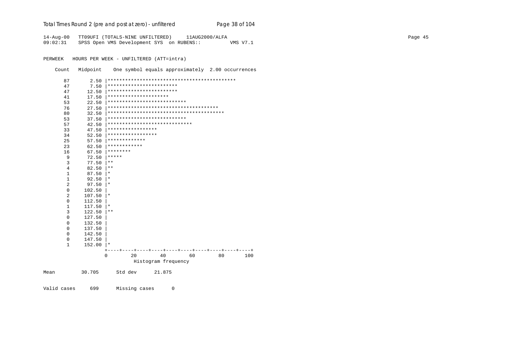Total Times Round 2 (pre and post at zero) - unfiltered

14-Aug-00 TT09UFI (TOTALS-NINE UNFILTERED) 11AUG2000/ALFA 09:02:31 SPSS Open VMS Development SYS on RUBENS:: VMS V7.1

PERWEEK HOURS PER WEEK - UNFILTERED (ATT=intra)

Count Midpoint One symbol equals approximately 2.00 occurrences

Page 38 of 104

| 87             | 2.50   |                                            |
|----------------|--------|--------------------------------------------|
| 47             | 7.50   | ************************                   |
| 47             | 12.50  | ************************                   |
| 41             | 17.50  | *********************                      |
| 53             | 22.50  | ***************************                |
| 76             | 27.50  |                                            |
| 80             | 32.50  |                                            |
| 53             | 37.50  | ***************************                |
| 57             | 42.50  | *****************************              |
| 33             | 47.50  | *****************                          |
| 34             | 52.50  | *****************                          |
| 25             | 57.50  | *************                              |
| 23             | 62.50  | ************                               |
| 16             | 67.50  | ********                                   |
| 9              | 72.50  | *****                                      |
| 3              | 77.50  | $***$                                      |
| $\overline{4}$ | 82.50  | $***$                                      |
| 1              | 87.50  | $^\star$                                   |
| 1              | 92.50  | $\ast$                                     |
| $\overline{2}$ | 97.50  | $\star$                                    |
| $\mathbf 0$    | 102.50 |                                            |
| $\overline{2}$ | 107.50 | $^\ast$                                    |
| $\mathbf 0$    | 112.50 |                                            |
| $\mathbf{1}$   | 117.50 | $^\ast$                                    |
| 3              | 122.50 | $\star\star$                               |
| $\Omega$       | 127.50 |                                            |
| $\mathbf 0$    | 132.50 |                                            |
| $\mathbf 0$    | 137.50 |                                            |
| 0              | 142.50 |                                            |
| 0              | 147.50 |                                            |
| $\mathbf{1}$   | 152.00 | $\star$                                    |
|                |        |                                            |
|                |        | 40<br>$\mathbf 0$<br>20<br>60<br>80<br>100 |
|                |        | Histogram frequency                        |
| Mean           | 30.705 | Std dev<br>21.875                          |

Valid cases 699 Missing cases  $\overline{0}$  Page 45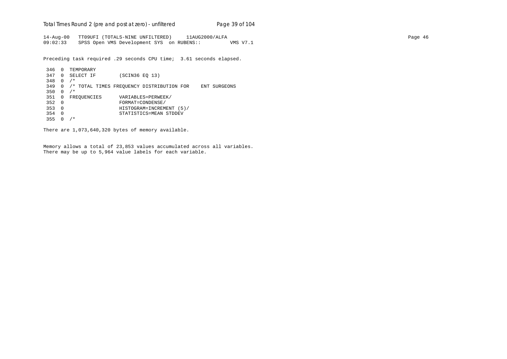Total Times Round 2 (pre and post at zero) - un*filtered* Page 39 of 104

14-Aug-00 TT09UFI (TOTALS-NINE UNFILTERED) 11AUG2000/ALFA Page 46 09:02:33 SPSS Open VMS Development SYS on RUBENS:: VMS V7.1

Preceding task required .29 seconds CPU time; 3.61 seconds elapsed.

```
 346 0 TEMPORARY
 347 0 SELECT IF (SCIN36 EQ 13)
 348 0 /*
 349 0 /* TOTAL TIMES FREQUENCY DISTRIBUTION FOR ENT SURGEONS
350 0 /*351 0 FREQUENCIES VARIABLES=PERWEEK/<br>352 0 FORMAT=CONDENSE/
 352 0 FORMAT=CONDENSE/
 353 0 HISTOGRAM=INCREMENT (5)/
 354 0 STATISTICS=MEAN STDDEV
 355 0 /*
```
There are 1,073,640,320 bytes of memory available.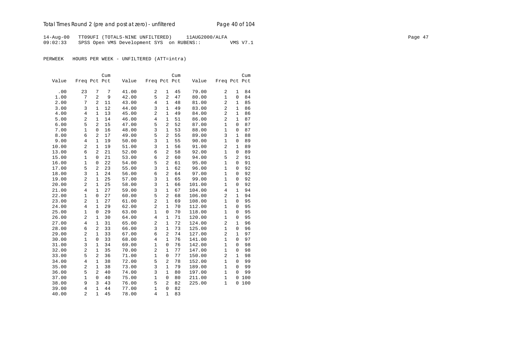14-Aug-00 TT09UFI (TOTALS-NINE UNFILTERED) 11AUG2000/ALFA Page 47 09:02:33 SPSS Open VMS Development SYS on RUBENS:: VMS V7.1

|       |                |                | Cum |       |                |                | Cum |        |                |                | Cum |
|-------|----------------|----------------|-----|-------|----------------|----------------|-----|--------|----------------|----------------|-----|
| Value | Freq Pct Pct   |                |     | Value | Freq Pct Pct   |                |     | Value  | Freq Pct Pct   |                |     |
| .00   | 23             | 7              | 7   | 41.00 | 2              | 1              | 45  | 79.00  | 2              | 1              | 84  |
| 1.00  | 7              | $\overline{2}$ | 9   | 42.00 | 5              | $\overline{a}$ | 47  | 80.00  | $\mathbf{1}$   | $\overline{0}$ | 84  |
| 2.00  | 7              | $\overline{2}$ | 11  | 43.00 | $\overline{4}$ | $\mathbf{1}$   | 48  | 81.00  | $\overline{c}$ | $\mathbf{1}$   | 85  |
| 3.00  | 3              | $\mathbf{1}$   | 12  | 44.00 | 3              | $\mathbf{1}$   | 49  | 83.00  | 2              | $\mathbf{1}$   | 86  |
| 4.00  | 4              | 1              | 13  | 45.00 | $\overline{c}$ | 1              | 49  | 84.00  | $\overline{2}$ | 1              | 86  |
| 5.00  | 2              | $\mathbf{1}$   | 14  | 46.00 | $\overline{4}$ | 1              | 51  | 86.00  | $\overline{a}$ | 1              | 87  |
| 6.00  | 5              | $\overline{2}$ | 15  | 47.00 | 5              | 2              | 52  | 87.00  | 1              | $\Omega$       | 87  |
| 7.00  | $\mathbf{1}$   | 0              | 16  | 48.00 | 3              | $\mathbf{1}$   | 53  | 88.00  | $\mathbf{1}$   | 0              | 87  |
| 8.00  | 6              | 2              | 17  | 49.00 | 5              | $\overline{2}$ | 55  | 89.00  | 3              | $\mathbf{1}$   | 88  |
| 9.00  | $\,4$          | $\mathbf{1}$   | 19  | 50.00 | 3              | $\mathbf{1}$   | 55  | 90.00  | $\mathbf{1}$   | 0              | 89  |
| 10.00 | $\overline{c}$ | $\mathbf{1}$   | 19  | 51.00 | 3              | 1              | 56  | 91.00  | 2              | 1              | 89  |
| 13.00 | 6              | $\overline{2}$ | 21  | 52.00 | 6              | $\overline{a}$ | 58  | 92.00  | $\mathbf{1}$   | 0              | 89  |
| 15.00 | $\mathbf{1}$   | 0              | 21  | 53.00 | 6              | $\overline{a}$ | 60  | 94.00  | 5              | 2              | 91  |
| 16.00 | $\mathbf{1}$   | $\mathbf 0$    | 22  | 54.00 | 5              | $\overline{a}$ | 61  | 95.00  | $\mathbf{1}$   | 0              | 91  |
| 17.00 | 5              | 2              | 23  | 55.00 | 3              | $\mathbf{1}$   | 62  | 96.00  | $\mathbf{1}$   | $\overline{0}$ | 92  |
| 18.00 | 3              | $\mathbf{1}$   | 24  | 56.00 | 6              | $\overline{a}$ | 64  | 97.00  | $\mathbf{1}$   | $\Omega$       | 92  |
| 19.00 | $\overline{2}$ | 1              | 25  | 57.00 | 3              | 1              | 65  | 99.00  | $\mathbf{1}$   | 0              | 92  |
| 20.00 | $\overline{2}$ | $\mathbf{1}$   | 25  | 58.00 | 3              | 1              | 66  | 101.00 | 1              | 0              | 92  |
| 21.00 | $\overline{4}$ | $\mathbf{1}$   | 27  | 59.00 | 3              | $\mathbf{1}$   | 67  | 104.00 | 4              | $\mathbf{1}$   | 94  |
| 22.00 | $\mathbf{1}$   | $\mathbf 0$    | 27  | 60.00 | 5              | $\overline{2}$ | 68  | 106.00 | $\overline{2}$ | $\mathbf{1}$   | 94  |
| 23.00 | $\overline{c}$ | $\mathbf{1}$   | 27  | 61.00 | 2              | $\mathbf{1}$   | 69  | 108.00 | $\mathbf{1}$   | 0              | 95  |
| 24.00 | $\,4$          | $\mathbf{1}$   | 29  | 62.00 | $\overline{2}$ | $\mathbf{1}$   | 70  | 112.00 | $\mathbf{1}$   | $\Omega$       | 95  |
| 25.00 | $\mathbf{1}$   | 0              | 29  | 63.00 | $\mathbf{1}$   | 0              | 70  | 118.00 | $\mathbf{1}$   | 0              | 95  |
| 26.00 | $\overline{a}$ | $\mathbf{1}$   | 30  | 64.00 | $\overline{4}$ | $\mathbf{1}$   | 71  | 120.00 | $\mathbf{1}$   | 0              | 95  |
| 27.00 | 4              | $\mathbf{1}$   | 31  | 65.00 | 2              | $\mathbf{1}$   | 72  | 124.00 | 2              | $\mathbf{1}$   | 96  |
| 28.00 | 6              | $\overline{2}$ | 33  | 66.00 | $\overline{3}$ | $\mathbf{1}$   | 73  | 125.00 | $\mathbf{1}$   | 0              | 96  |
| 29.00 | $\overline{c}$ | $\mathbf{1}$   | 33  | 67.00 | 6              | $\overline{a}$ | 74  | 127.00 | 2              | $\mathbf{1}$   | 97  |
| 30.00 | $\mathbf{1}$   | $\mathbf 0$    | 33  | 68.00 | $\overline{4}$ | $\mathbf{1}$   | 76  | 141.00 | $\mathbf{1}$   | $\Omega$       | 97  |
| 31.00 | 3              | 1              | 34  | 69.00 | $\mathbf{1}$   | 0              | 76  | 142.00 | $\mathbf{1}$   | 0              | 98  |
| 32.00 | $\overline{2}$ | $\mathbf{1}$   | 35  | 70.00 | $\overline{c}$ | 1              | 77  | 147.00 | $\mathbf{1}$   | 0              | 98  |
| 33.00 | 5              | $\overline{2}$ | 36  | 71.00 | $\mathbf{1}$   | 0              | 77  | 150.00 | $\overline{2}$ | 1              | 98  |
| 34.00 | $\overline{4}$ | $\mathbf{1}$   | 38  | 72.00 | 5              | $\overline{a}$ | 78  | 152.00 | $\mathbf{1}$   | $\mathbf{0}$   | 99  |
| 35.00 | $\overline{c}$ | $\mathbf{1}$   | 38  | 73.00 | 3              | $\mathbf{1}$   | 79  | 189.00 | $\mathbf{1}$   | 0              | 99  |
| 36.00 | 5              | $\overline{2}$ | 40  | 74.00 | 3              | $\mathbf{1}$   | 80  | 197.00 | $\mathbf{1}$   | $\Omega$       | 99  |
| 37.00 | $\mathbf{1}$   | $\mathbf 0$    | 40  | 75.00 | $\mathbf{1}$   | 0              | 80  | 211.00 | $\mathbf 1$    | 0              | 100 |
| 38.00 | 9              | 3              | 43  | 76.00 | 5              | $\overline{2}$ | 82  | 225.00 | $\mathbf{1}$   | 0              | 100 |
| 39.00 | $\overline{4}$ | $\mathbf{1}$   | 44  | 77.00 | $\mathbf{1}$   | 0              | 82  |        |                |                |     |
| 40.00 | $\overline{2}$ | $\mathbf{1}$   | 45  | 78.00 | $\overline{4}$ | $\mathbf{1}$   | 83  |        |                |                |     |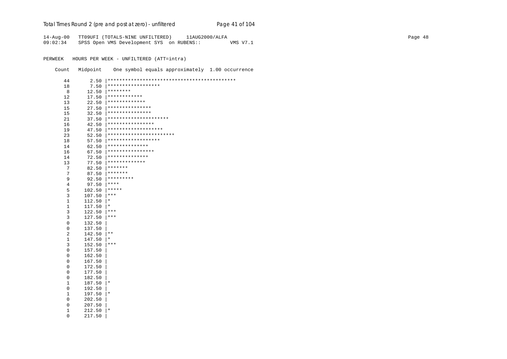#### Total Times Round 2 (pre and post at zero) - unfiltered

14-Aug-00 TT09UFI (TOTALS-NINE UNFILTERED) 11AUG2000/ALFA

Page 41 of 104

 $09:02:34$ SPSS Open VMS Development SYS on RUBENS:: VMS V7.1

PERWEEK HOURS PER WEEK - UNFILTERED (ATT=intra)

One symbol equals approximately 1.00 occurrence Count Midpoint

44  $7.50$  \*\*\*\*\*\*\*\*\*\*\*\*\*\*\*\*\*\*\* 18  $12.50$  \*\*\*\*\*\*\*\*  $8<sup>8</sup>$  $17.50$  \*\*\*\*\*\*\*\*\*\*\*\*\*  $12$  $22.50$  \*\*\*\*\*\*\*\*\*\*\*\*\*\*  $13$  $27.50$  \*\*\*\*\*\*\*\*\*\*\*\*\*\*\*\*  $15$  $32.50$  \*\*\*\*\*\*\*\*\*\*\*\*\*\*\*\* 15  $37.50$  \*\*\*\*\*\*\*\*\*\*\*\*\*\*\*\*\*\*\*\*\*\* 21  $42.50$  \*\*\*\*\*\*\*\*\*\*\*\*\*\*\*\*\*  $16$  $47.50$  \*\*\*\*\*\*\*\*\*\*\*\*\*\*\*\*\*\*\*\* 19  $\overline{52.50}$  \*\*\*\*\*\*\*\*\*\*\*\*\*\*\*\*\*\*\*\*\*\*\*\* 23  $57.50$  |\*\*\*\*\*\*\*\*\*\*\*\*\*\*\*\*\*\*\* 18  $62.50$  \*\*\*\*\*\*\*\*\*\*\*\*\*\*\*  $14$  $67.50$  | \*\*\*\*\*\*\*\*\*\*\*\*\*\*\*\*\* 16  $72.50$  \*\*\*\*\*\*\*\*\*\*\*\*\*\*\*  $14$  $77.50$  |\*\*\*\*\*\*\*\*\*\*\*\*\*\*  $13$  $82.50$  \*\*\*\*\*\*\*  $7\overline{ }$ 87.50 \*\*\*\*\*\*\*  $7^{\circ}$  $92.50$  \*\*\*\*\*\*\*\*\*  $\overline{9}$  $97.50$   $***$  $\overline{4}$  $102.50$  |\*\*\*\*\*  $5<sup>1</sup>$  $107.50$   $***$  $\overline{3}$  $112.50 \pm$  $\mathbf{1}$  $\mathbf{1}$  $117.50 \pm$  $122.50$  |\*\*\*  $\overline{3}$  $127.50$  |\*\*\*  $\overline{3}$ 132.50  $\Omega$  $\overline{0}$ 137.50  $\overline{a}$  $142.50$  |\*\*  $\mathbf{1}$  $147.50 \mid *$  $152.50$  |\*\*\*  $\overline{3}$  $\overline{0}$ 157.50 162.50  $\Omega$  $\cap$ 167.50  $\mathsf{O}\xspace$ 172.50 177.50  $\Omega$  $\Omega$ 182.50  $\mathbf{1}$  $187.50$  |\*  $\overline{0}$ 192.50  $1$  $197.50$  |\*  $\overline{0}$ 202.50  $\overline{0}$ 207.50  $212.50$  |\*  $\mathbf{1}$  $\overline{0}$ 217.50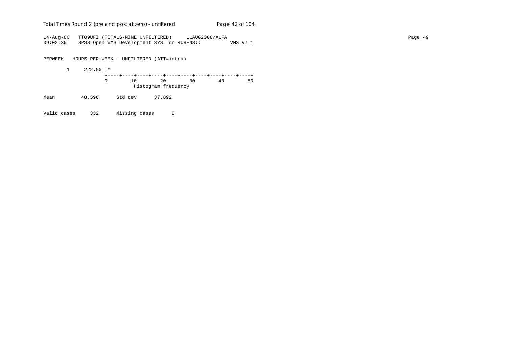## Total Times Round 2 (pre and post at zero) - un*filtered* Page 42 of 104

14-Aug-00 TT09UFI (TOTALS-NINE UNFILTERED) 11AUG2000/ALFA Page 49 09:02:35 SPSS Open VMS Development SYS on RUBENS:: VMS V7.1

PERWEEK HOURS PER WEEK - UNFILTERED (ATT=intra)

 1 222.50 |\* +----+----+----+----+----+----+----+----+----+----+ 0 10 20 30 40 50 Histogram frequency Mean 48.596 Std dev 37.892

Valid cases 332 Missing cases 0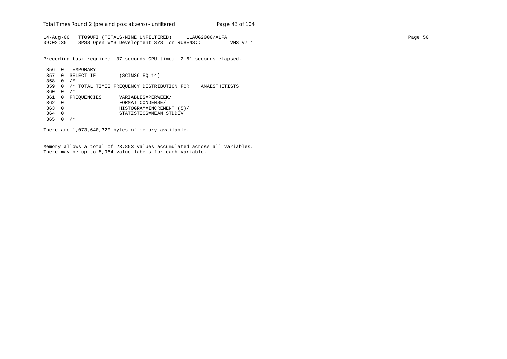Total Times Round 2 (pre and post at zero) - un*filtered* Page 43 of 104

14-Aug-00 TT09UFI (TOTALS-NINE UNFILTERED) 11AUG2000/ALFA Page 50 09:02:35 SPSS Open VMS Development SYS on RUBENS:: VMS V7.1

Preceding task required .37 seconds CPU time; 2.61 seconds elapsed.

```
 356 0 TEMPORARY
 357 0 SELECT IF (SCIN36 EQ 14)
 358 0 /*
 359 0 /* TOTAL TIMES FREQUENCY DISTRIBUTION FOR ANAESTHETISTS
360 0 /*361 0 FREQUENCIES VARIABLES=PERWEEK/<br>362 0 FORMAT=CONDENSE/
 362 0 FORMAT=CONDENSE/
 363 0 HISTOGRAM=INCREMENT (5)/
 364 0 STATISTICS=MEAN STDDEV
 365 0 /*
```
There are 1,073,640,320 bytes of memory available.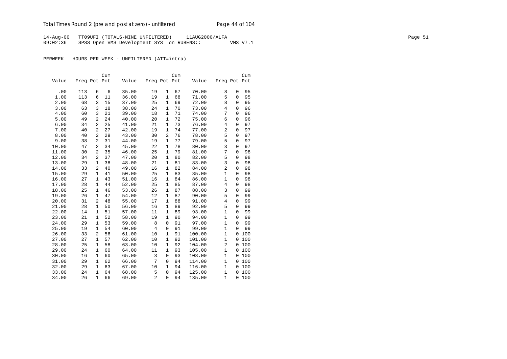14-Aug-00 TT09UFI (TOTALS-NINE UNFILTERED) 11AUG2000/ALFA Page 51 09:02:36 SPSS Open VMS Development SYS on RUBENS:: VMS V7.1

|       |              |                | Cum |       |                |                | Cum |        |                |              | Cum |
|-------|--------------|----------------|-----|-------|----------------|----------------|-----|--------|----------------|--------------|-----|
| Value | Freq Pct Pct |                |     | Value | Freq Pct Pct   |                |     | Value  | Freq Pct Pct   |              |     |
|       |              |                |     |       |                |                |     |        |                |              |     |
| .00   | 113          | 6              | 6   | 35.00 | 19             | $\mathbf{1}$   | 67  | 70.00  | 8              | $\mathsf 0$  | 95  |
| 1.00  | 113          | 6              | 11  | 36.00 | 19             | $\mathbf{1}$   | 68  | 71.00  | 5              | $\mathbf{0}$ | 95  |
| 2.00  | 68           | 3              | 15  | 37.00 | 25             | $\mathbf{1}$   | 69  | 72.00  | 8              | $\mathbf{0}$ | 95  |
| 3.00  | 63           | 3              | 18  | 38.00 | 24             | $\mathbf{1}$   | 70  | 73.00  | $\overline{4}$ | $\mathbf 0$  | 96  |
| 4.00  | 60           | 3              | 21  | 39.00 | 18             | 1              | 71  | 74.00  | 7              | $\Omega$     | 96  |
| 5.00  | 49           | 2              | 24  | 40.00 | 20             | 1              | 72  | 75.00  | 6              | $\mathbf{0}$ | 96  |
| 6.00  | 34           | 2              | 25  | 41.00 | 21             | 1              | 73  | 76.00  | $\overline{4}$ | $\Omega$     | 97  |
| 7.00  | 40           | 2              | 27  | 42.00 | 19             | 1              | 74  | 77.00  | 2              | $\mathbf{0}$ | 97  |
| 8.00  | 40           | $\overline{2}$ | 29  | 43.00 | 30             | $\overline{2}$ | 76  | 78.00  | 5              | $\mathbf 0$  | 97  |
| 9.00  | 38           | 2              | 31  | 44.00 | 19             | 1              | 77  | 79.00  | 5              | $\mathbf{0}$ | 97  |
| 10.00 | 47           | $\overline{a}$ | 34  | 45.00 | 22             | 1              | 78  | 80.00  | $\overline{3}$ | $\mathbf{0}$ | 97  |
| 11.00 | 30           | 2              | 35  | 46.00 | 25             | $\mathbf{1}$   | 79  | 81.00  | 7              | $\mathbf{0}$ | 98  |
| 12.00 | 34           | 2              | 37  | 47.00 | 20             | 1              | 80  | 82.00  | 5              | $\mathbf{0}$ | 98  |
| 13.00 | 29           | $\mathbf{1}$   | 38  | 48.00 | 21             | $\mathbf{1}$   | 81  | 83.00  | 3              | $\mathbf 0$  | 98  |
| 14.00 | 33           | 2              | 40  | 49.00 | 16             | 1              | 82  | 84.00  | $\overline{2}$ | $\mathbf{0}$ | 98  |
| 15.00 | 29           | $\mathbf{1}$   | 41  | 50.00 | 25             | 1              | 83  | 85.00  | $\mathbf{1}$   | $\mathbf{0}$ | 98  |
| 16.00 | 27           | $\mathbf{1}$   | 43  | 51.00 | 16             | $\mathbf{1}$   | 84  | 86.00  | $\mathbf{1}$   | $\mathbf{0}$ | 98  |
| 17.00 | 28           | 1              | 44  | 52.00 | 25             | 1              | 85  | 87.00  | $\overline{4}$ | $\mathbf{0}$ | 98  |
| 18.00 | 25           | $\mathbf{1}$   | 46  | 53.00 | 26             | $\mathbf{1}$   | 87  | 88.00  | 3              | $\mathbf 0$  | 99  |
| 19.00 | 26           | 1              | 47  | 54.00 | 12             | 1              | 87  | 90.00  | 5              | $\mathbf{0}$ | 99  |
| 20.00 | 31           | 2              | 48  | 55.00 | 17             | 1              | 88  | 91.00  | $\overline{4}$ | $\mathbf{0}$ | 99  |
| 21.00 | 28           | $\mathbf{1}$   | 50  | 56.00 | 16             | $\mathbf{1}$   | 89  | 92.00  | 5              | $\mathbf 0$  | 99  |
| 22.00 | 14           | 1              | 51  | 57.00 | 11             | $\mathbf 1$    | 89  | 93.00  | $\mathbf{1}$   | $\mathbf{0}$ | 99  |
| 23.00 | 21           | $\mathbf{1}$   | 52  | 58.00 | 19             | $\mathbf{1}$   | 90  | 94.00  | $\mathbf{1}$   | $\mathbf 0$  | 99  |
| 24.00 | 29           | 1              | 53  | 59.00 | 8              | $\mathbf 0$    | 91  | 97.00  | $\mathbf{1}$   | $\mathbf{0}$ | 99  |
| 25.00 | 19           | 1              | 54  | 60.00 | $\overline{4}$ | $\mathbf 0$    | 91  | 99.00  | $\mathbf{1}$   | $\mathbf{0}$ | 99  |
| 26.00 | 33           | $\overline{2}$ | 56  | 61.00 | 10             | $\mathbf{1}$   | 91  | 100.00 | $\mathbf{1}$   | $\mathbf 0$  | 100 |
| 27.00 | 27           | 1              | 57  | 62.00 | 10             | 1              | 92  | 101.00 | $\mathbf{1}$   | $\mathbf 0$  | 100 |
| 28.00 | 25           | $\mathbf{1}$   | 58  | 63.00 | 10             | $\mathbf{1}$   | 92  | 104.00 | $\overline{2}$ | $\mathbf 0$  | 100 |
| 29.00 | 24           | $\mathbf{1}$   | 60  | 64.00 | 11             | $\mathbf{1}$   | 93  | 105.00 | $\mathbf{1}$   | $\mathbf 0$  | 100 |
| 30.00 | 16           | 1              | 60  | 65.00 | 3              | 0              | 93  | 108.00 | $\mathbf{1}$   | $\mathbf 0$  | 100 |
| 31.00 | 29           | $\mathbf{1}$   | 62  | 66.00 | 7              | $\mathbf 0$    | 94  | 114.00 | $\mathbf{1}$   | $\mathbf 0$  | 100 |
| 32.00 | 29           | $\mathbf 1$    | 63  | 67.00 | 10             | 1              | 94  | 116.00 | $\mathbf{1}$   | $\mathbf 0$  | 100 |
| 33.00 | 24           | 1              | 64  | 68.00 | 5              | $\mathbf 0$    | 94  | 125.00 | $\mathbf{1}$   | $\mathbf{0}$ | 100 |
| 34.00 | 26           | $\mathbf{1}$   | 66  | 69.00 | $\overline{2}$ | $\mathbf 0$    | 94  | 135.00 | $\mathbf{1}$   | 0            | 100 |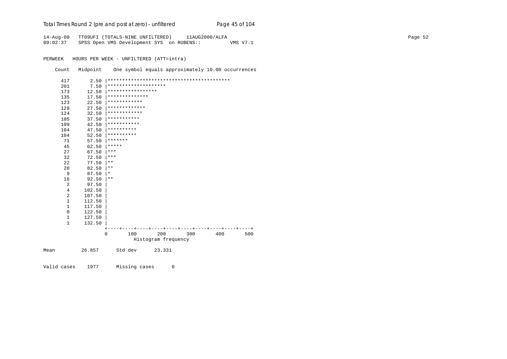| Total Times Round 2 (pre and post at zero) - unfiltered | Page 45 of 104 |
|---------------------------------------------------------|----------------|
|---------------------------------------------------------|----------------|

14-Aug-00 TT09UFI (TOTALS-NINE UNFILTERED) 11AUG2000/ALFA Page 52 09:02:37 SPSS Open VMS Development SYS on RUBENS:: VMS V7.1

PERWEEK HOURS PER WEEK - UNFILTERED (ATT=intra)

Count Midpoint One symbol equals approximately 10.00 occurrences

| 417            | 2.50   |             |                      |                     |     |     |     |
|----------------|--------|-------------|----------------------|---------------------|-----|-----|-----|
| 201            | 7.50   |             | ******************** |                     |     |     |     |
| 173            | 12.50  |             | *****************    |                     |     |     |     |
| 135            | 17.50  |             | **************       |                     |     |     |     |
| 123            | 22.50  |             | ************         |                     |     |     |     |
| 128            | 27.50  |             | *************        |                     |     |     |     |
| 124            | 32.50  |             | ************         |                     |     |     |     |
| 105            | 37.50  |             | ***********          |                     |     |     |     |
| 109            | 42.50  | *********** |                      |                     |     |     |     |
| 104            | 47.50  | **********  |                      |                     |     |     |     |
| 104            | 52.50  | **********  |                      |                     |     |     |     |
| 71             | 57.50  | *******     |                      |                     |     |     |     |
| 45             | 62.50  | *****       |                      |                     |     |     |     |
| 27             | 67.50  | ***         |                      |                     |     |     |     |
| 32             | 72.50  | ***         |                      |                     |     |     |     |
| 22             | 77.50  | $* *$       |                      |                     |     |     |     |
| 20             | 82.50  | $* *$       |                      |                     |     |     |     |
| 9              | 87.50  | $\ast$      |                      |                     |     |     |     |
| 16             | 92.50  | $* *$       |                      |                     |     |     |     |
| $\overline{a}$ | 97.50  |             |                      |                     |     |     |     |
| 4              | 102.50 |             |                      |                     |     |     |     |
| 2              | 107.50 |             |                      |                     |     |     |     |
| $\mathbf{1}$   | 112.50 |             |                      |                     |     |     |     |
| 1              | 117.50 |             |                      |                     |     |     |     |
| $\mathbf 0$    | 122.50 |             |                      |                     |     |     |     |
| $\mathbf{1}$   | 127.50 |             |                      |                     |     |     |     |
| $\mathbf{1}$   | 132.50 |             |                      |                     |     |     |     |
|                |        |             |                      |                     |     |     |     |
|                |        | $\Omega$    | 100                  | 200                 | 300 | 400 | 500 |
|                |        |             |                      | Histogram frequency |     |     |     |
| Mean           | 26.857 |             | Std dev              | 23.331              |     |     |     |

Valid cases 1977 Missing cases 0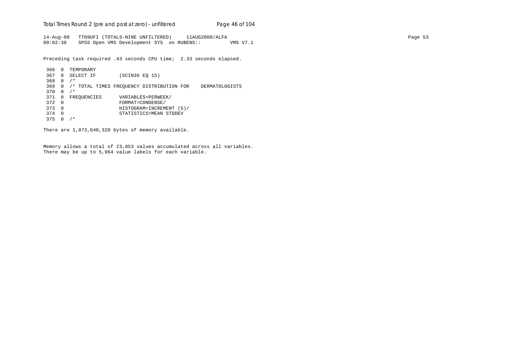Total Times Round 2 (pre and post at zero) - un*filtered* Page 46 of 104

14-Aug-00 TT09UFI (TOTALS-NINE UNFILTERED) 11AUG2000/ALFA Page 53 09:02:38 SPSS Open VMS Development SYS on RUBENS:: VMS V7.1

Preceding task required .43 seconds CPU time; 2.33 seconds elapsed.

```
 366 0 TEMPORARY
 367 0 SELECT IF (SCIN36 EQ 15)
 368 0 /*
 369 0 /* TOTAL TIMES FREQUENCY DISTRIBUTION FOR DERMATOLOGISTS
 370 0 /*
371 0 FREQUENCIES VARIABLES=PERWEEK/<br>372 0 FORMAT=CONDENSE/
 372 0 FORMAT=CONDENSE/
 373 0 HISTOGRAM=INCREMENT (5)/
 374 0 STATISTICS=MEAN STDDEV
 375 0 /*
```
There are 1,073,640,320 bytes of memory available.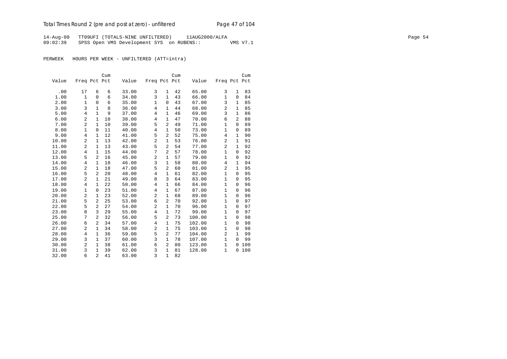14-Aug-00 TT09UFI (TOTALS-NINE UNFILTERED) 11AUG2000/ALFA Page 54 09:02:39 SPSS Open VMS Development SYS on RUBENS:: VMS V7.1

|       |                |                | Cum |       |                |                | Cum |        |                |              | Cum |
|-------|----------------|----------------|-----|-------|----------------|----------------|-----|--------|----------------|--------------|-----|
| Value | Freq Pct Pct   |                |     | Value | Freq Pct Pct   |                |     | Value  | Freq Pct Pct   |              |     |
|       |                |                |     |       |                |                |     |        |                |              |     |
| .00   | 17             | 6              | 6   | 33.00 | 3              | 1              | 42  | 65.00  | 3              | $\mathbf{1}$ | 83  |
| 1.00  | $\mathbf{1}$   | $\overline{0}$ | 6   | 34.00 | 3              | $\mathbf{1}$   | 43  | 66.00  | $1\,$          | $\mathbf 0$  | 84  |
| 2.00  | $\mathbf 1$    | $\mathbf 0$    | 6   | 35.00 | $\mathbf{1}$   | $\mathbf 0$    | 43  | 67.00  | 3              | 1            | 85  |
| 3.00  | 3              | $\mathbf{1}$   | 8   | 36.00 | 4              | 1              | 44  | 68.00  | $\overline{2}$ | 1            | 85  |
| 5.00  | 4              | $\mathbf{1}$   | 9   | 37.00 | 4              | $\mathbf{1}$   | 46  | 69.00  | 3              | $\mathbf{1}$ | 86  |
| 6.00  | $\overline{c}$ | $\mathbf{1}$   | 10  | 38.00 | 4              | $\mathbf{1}$   | 47  | 70.00  | 6              | 2            | 88  |
| 7.00  | $\overline{a}$ | $\mathbf{1}$   | 10  | 39.00 | 5              | $\overline{a}$ | 49  | 71.00  | $\mathbf{1}$   | $\mathbf 0$  | 89  |
| 8.00  | $\mathbf 1$    | $\mathbf 0$    | 11  | 40.00 | $\overline{4}$ | $\mathbf{1}$   | 50  | 73.00  | $\mathbf{1}$   | 0            | 89  |
| 9.00  | 4              | 1              | 12  | 41.00 | 5              | $\overline{2}$ | 52  | 75.00  | 4              | 1            | 90  |
| 10.00 | $\overline{2}$ | $\mathbf{1}$   | 13  | 42.00 | 2              | $\mathbf{1}$   | 53  | 76.00  | 2              | $\mathbf{1}$ | 91  |
| 11.00 | $\overline{c}$ | $\mathbf{1}$   | 13  | 43.00 | 5              | $\overline{2}$ | 54  | 77.00  | $\overline{2}$ | $\mathbf{1}$ | 92  |
| 12.00 | 4              | $\mathbf{1}$   | 15  | 44.00 | 7              | $\overline{a}$ | 57  | 78.00  | $\mathbf{1}$   | $\mathbf 0$  | 92  |
| 13.00 | 5              | 2              | 16  | 45.00 | $\overline{c}$ | 1              | 57  | 79.00  | $\mathbf{1}$   | 0            | 92  |
| 14.00 | 4              | $\mathbf{1}$   | 18  | 46.00 | 3              | $\mathbf{1}$   | 58  | 80.00  | 4              | $\mathbf{1}$ | 94  |
| 15.00 | $\overline{a}$ | $\mathbf{1}$   | 18  | 47.00 | 5              | $\overline{a}$ | 60  | 81.00  | $\overline{a}$ | $\mathbf{1}$ | 95  |
| 16.00 | 5              | $\overline{2}$ | 20  | 48.00 | $\overline{4}$ | $\mathbf{1}$   | 61  | 82.00  | $\mathbf{1}$   | $\Omega$     | 95  |
| 17.00 | $\overline{c}$ | $\mathbf{1}$   | 21  | 49.00 | 8              | 3              | 64  | 83.00  | $\mathbf{1}$   | 0            | 95  |
| 18.00 | $\overline{4}$ | $\mathbf{1}$   | 22  | 50.00 | 4              | $\mathbf 1$    | 66  | 84.00  | $\mathbf{1}$   | 0            | 96  |
| 19.00 | $\mathbf{1}$   | $\mathbf 0$    | 23  | 51.00 | $\overline{4}$ | $\mathbf{1}$   | 67  | 87.00  | $\mathbf{1}$   | 0            | 96  |
| 20.00 | 2              | $\mathbf{1}$   | 23  | 52.00 | 2              | $\mathbf{1}$   | 68  | 89.00  | $\mathbf{1}$   | 0            | 96  |
| 21.00 | 5              | $\overline{a}$ | 25  | 53.00 | 6              | $\overline{2}$ | 70  | 92.00  | $\mathbf{1}$   | $\mathbf 0$  | 97  |
| 22.00 | 5              | 2              | 27  | 54.00 | 2              | $\mathbf{1}$   | 70  | 96.00  | $\mathbf{1}$   | $\mathbf 0$  | 97  |
| 23.00 | 8              | 3              | 29  | 55.00 | 4              | 1              | 72  | 99.00  | $1\,$          | $\Omega$     | 97  |
| 25.00 | 7              | 2              | 32  | 56.00 | 5              | $\overline{a}$ | 73  | 100.00 | $\mathbf{1}$   | 0            | 98  |
| 26.00 | 6              | 2              | 34  | 57.00 | 4              | $\mathbf{1}$   | 75  | 102.00 | $\mathbf{1}$   | $\mathbf 0$  | 98  |
| 27.00 | 2              | $\mathbf{1}$   | 34  | 58.00 | 2              | $\mathbf{1}$   | 75  | 103.00 | $\mathbf{1}$   | $\mathbf 0$  | 98  |
| 28.00 | $\overline{4}$ | $\mathbf{1}$   | 36  | 59.00 | 5              | $\overline{a}$ | 77  | 104.00 | $\overline{a}$ | $\mathbf{1}$ | 99  |
| 29.00 | 3              | 1              | 37  | 60.00 | 3              | $\mathbf{1}$   | 78  | 107.00 | $\mathbf{1}$   | $\Omega$     | 99  |
| 30.00 | $\overline{2}$ | $\mathbf{1}$   | 38  | 61.00 | 6              | 2              | 80  | 123.00 | $\mathbf{1}$   | 0            | 100 |
| 31.00 | 3              | $\mathbf{1}$   | 39  | 62.00 | 3              | $\mathbf{1}$   | 81  | 128.00 | $1\,$          | 0            | 100 |
| 32.00 | 6              | $\overline{a}$ | 41  | 63.00 | 3              | $\mathbf{1}$   | 82  |        |                |              |     |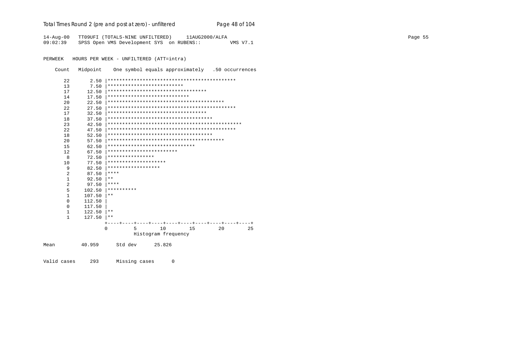## Total Times Round 2 (pre and post at zero) - unfiltered

14-Aug-00 TT09UFI (TOTALS-NINE UNFILTERED) 11AUG2000/ALFA 09:02:39 SPSS Open VMS Development SYS on RUBENS:: VMS V7.1

PERWEEK HOURS PER WEEK - UNFILTERED (ATT=intra)

Count Midpoint One symbol equals approximately .50 occurrences

Page 48 of 104

| 22             | 2.50   |                                       |
|----------------|--------|---------------------------------------|
| 13             | 7.50   | **************************            |
| 17             | 12.50  | **********************************    |
| 14             | 17.50  | ****************************          |
| 20             | 22.50  |                                       |
| 22             | 27.50  |                                       |
| 17             | 32.50  | **********************************    |
| 18             | 37.50  | ************************************* |
| 23             | 42.50  |                                       |
| 22             | 47.50  |                                       |
| 18             | 52.50  | ************************************* |
| 20             | 57.50  |                                       |
| 15             | 62.50  | ******************************        |
| 12             | 67.50  | ************************              |
| 8              | 72.50  | ****************                      |
| 10             | 77.50  | ********************                  |
| 9              | 82.50  | ******************                    |
| $\overline{2}$ | 87.50  | ****                                  |
| $\mathbf{1}$   | 92.50  | $* *$                                 |
| $\overline{2}$ | 97.50  | ****                                  |
| 5              | 102.50 | **********                            |
| $\mathbf{1}$   | 107.50 | $* *$                                 |
| $\Omega$       | 112.50 |                                       |
| 0              | 117.50 |                                       |
| $\mathbf{1}$   | 122.50 | $* *$                                 |
| $\mathbf{1}$   | 127.50 | **                                    |
|                |        |                                       |
|                |        | $\Omega$<br>10<br>20<br>25<br>5<br>15 |
|                |        | Histogram frequency                   |
|                |        |                                       |
|                | 40.959 | Std dev<br>25.826                     |

Valid cases 293 Missing cases  $\overline{0}$ 

Mean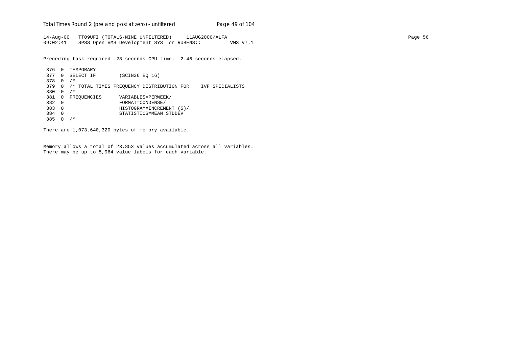Total Times Round 2 (pre and post at zero) - un*filtered* Page 49 of 104

14-Aug-00 TT09UFI (TOTALS-NINE UNFILTERED) 11AUG2000/ALFA Page 56 09:02:41 SPSS Open VMS Development SYS on RUBENS:: VMS V7.1

Preceding task required .28 seconds CPU time; 2.46 seconds elapsed.

```
 376 0 TEMPORARY
 377 0 SELECT IF (SCIN36 EQ 16)
 378 0 /*
 379 0 /* TOTAL TIMES FREQUENCY DISTRIBUTION FOR IVF SPECIALISTS
 380 0 /*
381 0 FREQUENCIES VARIABLES=PERWEEK/<br>382 0 FORMAT=CONDENSE/
 382 0 FORMAT=CONDENSE/
 383 0 HISTOGRAM=INCREMENT (5)/
 384 0 STATISTICS=MEAN STDDEV
 385 0 /*
```
There are 1,073,640,320 bytes of memory available.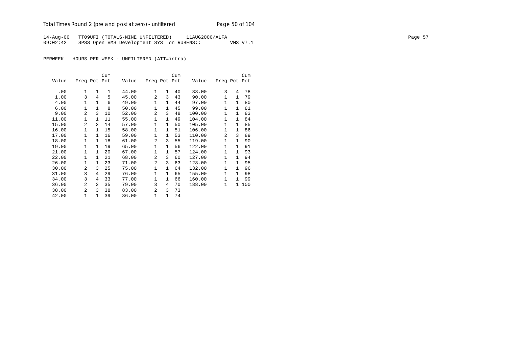## Total Times Round 2 (pre and post at zero) - un*filtered* Page 50 of 104

14-Aug-00 TT09UFI (TOTALS-NINE UNFILTERED) 11AUG2000/ALFA Page 57 09:02:42 SPSS Open VMS Development SYS on RUBENS:: VMS V7.1

|       |                |              | Cum |       |                |              | Cum |        |              |              | Cum |
|-------|----------------|--------------|-----|-------|----------------|--------------|-----|--------|--------------|--------------|-----|
| Value | Freq Pct Pct   |              |     | Value | Freq Pct Pct   |              |     | Value  | Freq Pct Pct |              |     |
|       |                |              |     |       |                |              |     |        | 3            |              |     |
| .00   | 1              | $\mathbf{1}$ | 1   | 44.00 | 1              | $\mathbf{1}$ | 40  | 88.00  |              | 4            | 78  |
| 1.00  | 3              | 4            | 5   | 45.00 | $\overline{a}$ | 3            | 43  | 90.00  | $\mathbf{1}$ | 1            | 79  |
| 4.00  | 1              | $\mathbf{1}$ | 6   | 49.00 | 1              | 1            | 44  | 97.00  | $\mathbf{1}$ | 1            | 80  |
| 6.00  | 1              | $\mathbf{1}$ | 8   | 50.00 | $\mathbf 1$    | 1            | 45  | 99.00  | $\mathbf{1}$ | $\mathbf{1}$ | 81  |
| 9.00  | $\mathfrak{D}$ | 3            | 10  | 52.00 | $\overline{a}$ | 3            | 48  | 100.00 | 1            | $\mathbf{1}$ | 83  |
| 11.00 | 1              | $\mathbf{1}$ | 11  | 55.00 | $\mathbf{1}$   | 1            | 49  | 104.00 | $\mathbf{1}$ | 1            | 84  |
| 15.00 | $\mathfrak{D}$ | 3            | 14  | 57.00 | 1              | 1            | 50  | 105.00 | $\mathbf{1}$ | $\mathbf{1}$ | 85  |
| 16.00 | 1              | $\mathbf{1}$ | 15  | 58.00 | $\mathbf 1$    | $\mathbf{1}$ | 51  | 106.00 | 1            | $\mathbf{1}$ | 86  |
| 17.00 | $\mathbf{1}$   | $\mathbf{1}$ | 16  | 59.00 | $\mathbf{1}$   | 1            | 53  | 110.00 | 2            | 3            | 89  |
| 18.00 | 1              | 1            | 18  | 61.00 | $\overline{a}$ | 3            | 55  | 119.00 | $\mathbf{1}$ | $\mathbf{1}$ | 90  |
| 19.00 | 1              | 1            | 19  | 65.00 | $\mathbf{1}$   | 1            | 56  | 122.00 | $\mathbf{1}$ | $\mathbf{1}$ | 91  |
| 21.00 | $\mathbf{1}$   | $\mathbf{1}$ | 20  | 67.00 | $\mathbf{1}$   | $\mathbf{1}$ | 57  | 124.00 | $\mathbf{1}$ | 1            | 93  |
| 22.00 | $\mathbf{1}$   | $\mathbf{1}$ | 21  | 68.00 | 2              | 3            | 60  | 127.00 | $\mathbf{1}$ | $\mathbf{1}$ | 94  |
| 26.00 | 1              | 1            | 23  | 71.00 | 2              | 3            | 63  | 128.00 | $\mathbf{1}$ | 1            | 95  |
| 30.00 | $\overline{a}$ | 3            | 25  | 75.00 | $\mathbf 1$    | $\mathbf{1}$ | 64  | 132.00 | $\mathbf{1}$ | $\mathbf{1}$ | 96  |
| 31.00 | 3              | 4            | 29  | 76.00 | $\mathbf 1$    | $\mathbf{1}$ | 65  | 155.00 | $\mathbf{1}$ | $\mathbf{1}$ | 98  |
| 34.00 | 3              | 4            | 33  | 77.00 | $\mathbf 1$    | 1            | 66  | 160.00 | 1            | $\mathbf{1}$ | 99  |
| 36.00 | $\mathfrak{D}$ | 3            | 35  | 79.00 | 3              | 4            | 70  | 188.00 | $\mathbf{1}$ | $\mathbf{1}$ | 100 |
| 38.00 | $\mathfrak{D}$ | 3            | 38  | 83.00 | $\overline{a}$ | 3            | 73  |        |              |              |     |
| 42.00 | 1              | $\mathbf{1}$ | 39  | 86.00 | $\mathbf 1$    | $\mathbf{1}$ | 74  |        |              |              |     |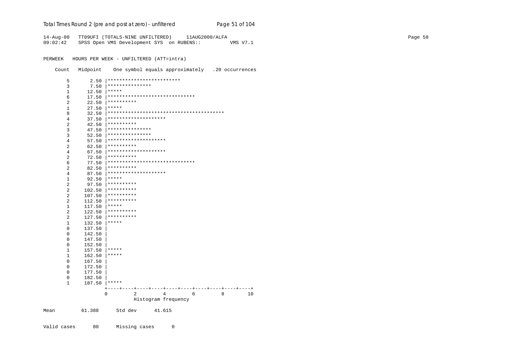Total Times Round 2 (pre and post at zero) - unfiltered

14-Aug-00 TT09UFI (TOTALS-NINE UNFILTERED) 11AUG2000/ALFA 09:02:42 SPSS Open VMS Development SYS on RUBENS:: VMS V7.1

PERWEEK HOURS PER WEEK - UNFILTERED (ATT=intra)

Count Midpoint One symbol equals approximately .20 occurrences

Page 51 of 104

| 5              | 2.50   |                                                 |
|----------------|--------|-------------------------------------------------|
| 3              | 7.50   | ***************                                 |
| 1              | 12.50  | *****                                           |
| 6              | 17.50  | ******************************                  |
| 2              | 22.50  | **********                                      |
| 1              | 27.50  | *****                                           |
| 8              | 32.50  |                                                 |
| 4              | 37.50  | ********************                            |
| $\overline{2}$ | 42.50  | **********                                      |
| 3              | 47.50  | ***************                                 |
| 3              | 52.50  | ***************                                 |
| 4              | 57.50  | ********************                            |
| 2              | 62.50  | **********                                      |
| 4              | 67.50  | ********************                            |
| 2              | 72.50  | **********                                      |
| 6              | 77.50  | ******************************                  |
| $\overline{2}$ | 82.50  | **********                                      |
| 4              | 87.50  | ********************                            |
| 1              | 92.50  | *****                                           |
| 2              | 97.50  | **********                                      |
| $\overline{2}$ | 102.50 | **********                                      |
| 2              | 107.50 | **********                                      |
| 2              | 112.50 | **********                                      |
| $\mathbf{1}$   | 117.50 | *****                                           |
| 2              | 122.50 | **********                                      |
| 2              | 127.50 | **********                                      |
| 1              | 132.50 | *****                                           |
| 0              | 137.50 |                                                 |
| 0              | 142.50 |                                                 |
| 0              | 147.50 |                                                 |
| 0              | 152.50 |                                                 |
| 1              | 157.50 | *****                                           |
| 1              | 162.50 | *****                                           |
| 0              | 167.50 |                                                 |
| 0              | 172.50 |                                                 |
| 0              | 177.50 |                                                 |
| 0              | 182.50 |                                                 |
| $\mathbf{1}$   | 187.50 | *****                                           |
|                |        |                                                 |
|                |        | $\overline{2}$<br>$\Omega$<br>4<br>8<br>10<br>6 |
|                |        | Histogram frequency                             |
| Mean           | 61.388 | Std dev<br>41.615                               |

Valid cases 80 Missing cases  $\overline{0}$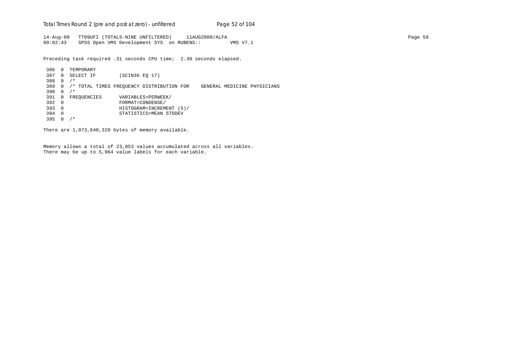Total Times Round 2 (pre and post at zero) - un*filtered* Page 52 of 104

14-Aug-00 TT09UFI (TOTALS-NINE UNFILTERED) 11AUG2000/ALFA Page 59 09:02:43 SPSS Open VMS Development SYS on RUBENS:: VMS V7.1

Preceding task required .31 seconds CPU time; 2.30 seconds elapsed.

 386 0 TEMPORARY 387 0 SELECT IF (SCIN36 EQ 17) 388 0 /\* 389 0 /\* TOTAL TIMES FREQUENCY DISTRIBUTION FOR GENERAL MEDICINE PHYSICIANS 390 0 /\* 391 0 FREQUENCIES VARIABLES=PERWEEK/<br>392 0 FORMAT=CONDENSE/ 392 0 FORMAT=CONDENSE/ 393 0 HISTOGRAM=INCREMENT (5)/ 394 0 STATISTICS=MEAN STDDEV 395 0 /\*

There are 1,073,640,320 bytes of memory available.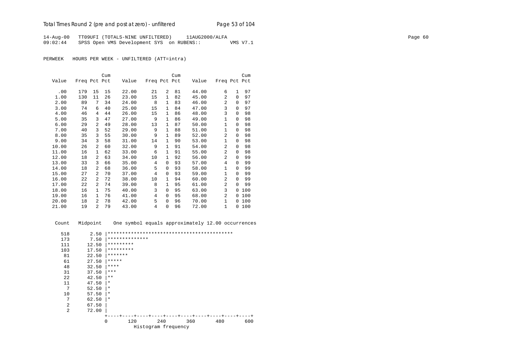14-Aug-00 TT09UFI (TOTALS-NINE UNFILTERED) 11AUG2000/ALFA Page 60 09:02:44 SPSS Open VMS Development SYS on RUBENS:: VMS V7.1

PERWEEK HOURS PER WEEK - UNFILTERED (ATT=intra)

|       |              |                | Cum |       |              |                | Cum |       |              |          | Cum |
|-------|--------------|----------------|-----|-------|--------------|----------------|-----|-------|--------------|----------|-----|
| Value | Freq Pct Pct |                |     | Value | Freq Pct Pct |                |     | Value | Freq Pct Pct |          |     |
|       |              |                |     |       |              |                |     |       |              |          |     |
| .00   | 179          | 15             | 15  | 22.00 | 21           | $\overline{2}$ | 81  | 44.00 | 6            | 1        | 97  |
| 1.00  | 130          | 11             | 26  | 23.00 | 15           | $\mathbf{1}$   | 82  | 45.00 | 2            | $\Omega$ | 97  |
| 2.00  | 89           | 7              | 34  | 24.00 | 8            | $\mathbf{1}$   | 83  | 46.00 | 2            | $\Omega$ | 97  |
| 3.00  | 74           | 6              | 40  | 25.00 | 15           | $\mathbf{1}$   | 84  | 47.00 | 3            | $\Omega$ | 97  |
| 4.00  | 46           | 4              | 44  | 26.00 | 15           | $\mathbf{1}$   | 86  | 48.00 | 3            | $\Omega$ | 98  |
| 5.00  | 35           | 3              | 47  | 27.00 | 9            | 1              | 86  | 49.00 | $\mathbf{1}$ | 0        | 98  |
| 6.00  | 29           | $\overline{a}$ | 49  | 28.00 | 13           | $\mathbf{1}$   | 87  | 50.00 | 1            | $\Omega$ | 98  |
| 7.00  | 40           | 3              | 52  | 29.00 | 9            | $\mathbf{1}$   | 88  | 51.00 | $\mathbf{1}$ | $\Omega$ | 98  |
| 8.00  | 35           | 3              | 55  | 30.00 | 9            | $\mathbf{1}$   | 89  | 52.00 | 2            | $\Omega$ | 98  |
| 9.00  | 34           | 3              | 58  | 31.00 | 14           | 1              | 90  | 53.00 | $\mathbf{1}$ | 0        | 98  |
| 10.00 | 26           | $\overline{a}$ | 60  | 32.00 | 9            | 1              | 91  | 54.00 | 2            | $\Omega$ | 98  |
| 11.00 | 16           | $\mathbf{1}$   | 62  | 33.00 | 6            | 1              | 91  | 55.00 | 2            | $\Omega$ | 98  |
| 12.00 | 18           | $\overline{a}$ | 63  | 34.00 | 10           | 1              | 92  | 56.00 | 2            | $\Omega$ | 99  |
| 13.00 | 33           | 3              | 66  | 35.00 | 4            | 0              | 93  | 57.00 | 4            | $\Omega$ | 99  |
| 14.00 | 18           | $\overline{a}$ | 68  | 36.00 | 5            | 0              | 93  | 58.00 | $\mathbf{1}$ | $\Omega$ | 99  |
| 15.00 | 27           | $\overline{a}$ | 70  | 37.00 | 4            | 0              | 93  | 59.00 | $\mathbf{1}$ | $\Omega$ | 99  |
| 16.00 | 22           | $\overline{a}$ | 72  | 38.00 | 10           | 1              | 94  | 60.00 | 2            | $\Omega$ | 99  |
| 17.00 | 22           | $\overline{a}$ | 74  | 39.00 | 8            | 1              | 95  | 61.00 | 2            | $\Omega$ | 99  |
| 18.00 | 16           | 1              | 75  | 40.00 | 3            | 0              | 95  | 63.00 | 3            | 0        | 100 |
| 19.00 | 16           | $\mathbf{1}$   | 76  | 41.00 | 4            | 0              | 95  | 68.00 | 2            | $\Omega$ | 100 |
| 20.00 | 18           | $\overline{a}$ | 78  | 42.00 | 5            | 0              | 96  | 70.00 | $\mathbf{1}$ | 0        | 100 |
| 21.00 | 19           | $\overline{a}$ | 79  | 43.00 | 4            | 0              | 96  | 72.00 | $\mathbf{1}$ | $\Omega$ | 100 |

Count Midpoint One symbol equals approximately 12.00 occurrences

| 518            | 2.50  |                 |                     |     |     |     |
|----------------|-------|-----------------|---------------------|-----|-----|-----|
| 173            | 7.50  | **************  |                     |     |     |     |
| 111            | 12.50 | *********       |                     |     |     |     |
| 103            | 17.50 | *********       |                     |     |     |     |
| 81             | 22.50 | *******         |                     |     |     |     |
| 61             | 27.50 | *****           |                     |     |     |     |
| 48             | 32.50 | ****            |                     |     |     |     |
| 31             | 37.50 | ***             |                     |     |     |     |
| 22             | 42.50 | $***$           |                     |     |     |     |
| 11             | 47.50 | $\star$         |                     |     |     |     |
| 7              | 52.50 | $\ast$          |                     |     |     |     |
| 10             | 57.50 | $\star$         |                     |     |     |     |
| 7              | 62.50 | $\star$         |                     |     |     |     |
| $\overline{2}$ | 67.50 |                 |                     |     |     |     |
| $\overline{2}$ | 72.00 |                 |                     |     |     |     |
|                |       |                 |                     |     |     |     |
|                |       | $\Omega$<br>120 | 240                 | 360 | 480 | 600 |
|                |       |                 | Histogram frequency |     |     |     |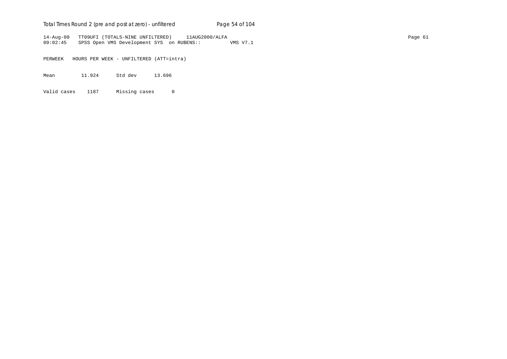## Total Times Round 2 (pre and post at zero) - un*filtered* Page 54 of 104

14-Aug-00 TT09UFI (TOTALS-NINE UNFILTERED) 11AUG2000/ALFA Page 61 09:02:45 SPSS Open VMS Development SYS on RUBENS:: VMS V7.1

PERWEEK HOURS PER WEEK - UNFILTERED (ATT=intra)

Mean 11.924 Std dev 13.696

Valid cases 1187 Missing cases 0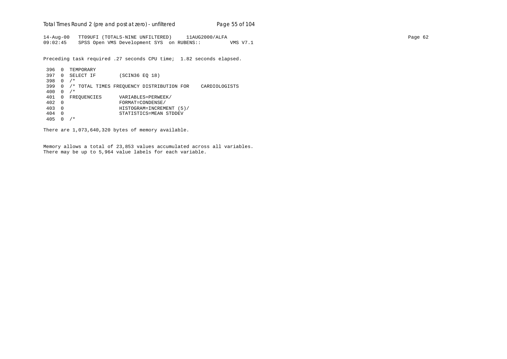Total Times Round 2 (pre and post at zero) - un*filtered* Page 55 of 104

14-Aug-00 TT09UFI (TOTALS-NINE UNFILTERED) 11AUG2000/ALFA Page 62 09:02:45 SPSS Open VMS Development SYS on RUBENS:: VMS V7.1

Preceding task required .27 seconds CPU time; 1.82 seconds elapsed.

```
 396 0 TEMPORARY
 397 0 SELECT IF (SCIN36 EQ 18)
 398 0 /*
 399 0 /* TOTAL TIMES FREQUENCY DISTRIBUTION FOR CARDIOLOGISTS
 400 0 /*
401 0 FREQUENCIES VARIABLES=PERWEEK/<br>402 0 FORMAT=CONDENSE/
 402 0 FORMAT=CONDENSE/
 403 0 HISTOGRAM=INCREMENT (5)/
 404 0 STATISTICS=MEAN STDDEV
 405 0 /*
```
There are 1,073,640,320 bytes of memory available.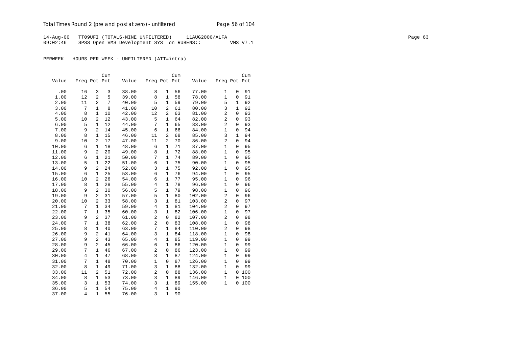# Total Times Round 2 (pre and post at zero) - un*filtered* Page 56 of 104

14-Aug-00 TT09UFI (TOTALS-NINE UNFILTERED) 11AUG2000/ALFA Page 63 09:02:46 SPSS Open VMS Development SYS on RUBENS:: VMS V7.1

|       |                |                | Cum |       |                |                | Cum |        |                |                | Cum |
|-------|----------------|----------------|-----|-------|----------------|----------------|-----|--------|----------------|----------------|-----|
| Value | Freq Pct Pct   |                |     | Value | Freq Pct Pct   |                |     | Value  | Freq Pct Pct   |                |     |
|       |                |                |     |       |                |                |     |        |                |                |     |
| .00   | 16             | 3              | 3   | 38.00 | 8              | 1              | 56  | 77.00  | 1              | 0              | 91  |
| 1.00  | 12             | $\overline{2}$ | 5   | 39.00 | 8              | $\mathbf{1}$   | 58  | 78.00  | $\mathbf{1}$   | 0              | 91  |
| 2.00  | 11             | $\overline{c}$ | 7   | 40.00 | 5              | $\mathbf{1}$   | 59  | 79.00  | 5              | $\mathbf{1}$   | 92  |
| 3.00  | 7              | $\mathbf{1}$   | 8   | 41.00 | 10             | $\overline{2}$ | 61  | 80.00  | 3              | $\mathbf{1}$   | 92  |
| 4.00  | 8              | $\mathbf{1}$   | 10  | 42.00 | 12             | $\overline{2}$ | 63  | 81.00  | $\overline{a}$ | 0              | 93  |
| 5.00  | 10             | 2              | 12  | 43.00 | 5              | 1              | 64  | 82.00  | 2              | 0              | 93  |
| 6.00  | 5              | $\mathbf{1}$   | 12  | 44.00 | 7              | $\mathbf{1}$   | 65  | 83.00  | 2              | $\Omega$       | 93  |
| 7.00  | 9              | $\overline{2}$ | 14  | 45.00 | 6              | $\mathbf{1}$   | 66  | 84.00  | $\mathbf{1}$   | $\mathbf{0}$   | 94  |
| 8.00  | 8              | $\mathbf{1}$   | 15  | 46.00 | 11             | $\overline{c}$ | 68  | 85.00  | 3              | $\mathbf{1}$   | 94  |
| 9.00  | 10             | $\overline{2}$ | 17  | 47.00 | 11             | $\overline{2}$ | 70  | 86.00  | $\overline{2}$ | $\overline{0}$ | 94  |
| 10.00 | 6              | $\mathbf{1}$   | 18  | 48.00 | 6              | $\mathbf{1}$   | 71  | 87.00  | $\mathbf{1}$   | 0              | 95  |
| 11.00 | 9              | 2              | 20  | 49.00 | 8              | $\mathbf{1}$   | 72  | 88.00  | $\mathbf{1}$   | 0              | 95  |
| 12.00 | 6              | 1              | 21  | 50.00 | 7              | $\mathbf{1}$   | 74  | 89.00  | $\mathbf{1}$   | 0              | 95  |
| 13.00 | 5              | $\mathbf{1}$   | 22  | 51.00 | 6              | $\mathbf{1}$   | 75  | 90.00  | $\mathbf{1}$   | $\mathbf{0}$   | 95  |
| 14.00 | 9              | $\overline{2}$ | 24  | 52.00 | 3              | $\mathbf{1}$   | 75  | 92.00  | $\mathbf{1}$   | 0              | 95  |
| 15.00 | 6              | $\mathbf{1}$   | 25  | 53.00 | 6              | $\mathbf{1}$   | 76  | 94.00  | $\mathbf{1}$   | 0              | 95  |
| 16.00 | 10             | $\overline{2}$ | 26  | 54.00 | 6              | $\mathbf{1}$   | 77  | 95.00  | $\mathbf{1}$   | 0              | 96  |
| 17.00 | 8              | 1              | 28  | 55.00 | $\overline{4}$ | $\mathbf{1}$   | 78  | 96.00  | $\mathbf{1}$   | 0              | 96  |
| 18.00 | 9              | $\overline{2}$ | 30  | 56.00 | 5              | $\mathbf{1}$   | 79  | 98.00  | $\mathbf{1}$   | 0              | 96  |
| 19.00 | 9              | 2              | 31  | 57.00 | 5              | $\mathbf{1}$   | 80  | 102.00 | $\overline{2}$ | $\mathbf 0$    | 96  |
| 20.00 | 10             | 2              | 33  | 58.00 | 3              | $1\,$          | 81  | 103.00 | $\overline{2}$ | $\overline{0}$ | 97  |
| 21.00 | 7              | $\mathbf{1}$   | 34  | 59.00 | $\overline{4}$ | $\mathbf{1}$   | 81  | 104.00 | $\overline{a}$ | 0              | 97  |
| 22.00 | 7              | $\mathbf{1}$   | 35  | 60.00 | 3              | $\mathbf{1}$   | 82  | 106.00 | $\mathbf{1}$   | 0              | 97  |
| 23.00 | 9              | 2              | 37  | 61.00 | $\overline{c}$ | $\mathbf 0$    | 82  | 107.00 | $\overline{2}$ | $\mathbf 0$    | 98  |
| 24.00 | 7              | $\mathbf{1}$   | 38  | 62.00 | $\overline{2}$ | 0              | 83  | 108.00 | $\mathbf{1}$   | 0              | 98  |
| 25.00 | 8              | $\mathbf{1}$   | 40  | 63.00 | 7              | $\mathbf{1}$   | 84  | 110.00 | $\overline{2}$ | $\overline{0}$ | 98  |
| 26.00 | 9              | $\overline{c}$ | 41  | 64.00 | 3              | $\mathbf{1}$   | 84  | 118.00 | $\mathbf{1}$   | $\overline{0}$ | 98  |
| 27.00 | 9              | $\overline{2}$ | 43  | 65.00 | $\,4$          | $\mathbf{1}$   | 85  | 119.00 | $\mathbf{1}$   | 0              | 99  |
| 28.00 | 9              | 2              | 45  | 66.00 | 6              | 1              | 86  | 120.00 | $\mathbf{1}$   | $\mathbf{0}$   | 99  |
| 29.00 | 7              | 1              | 46  | 67.00 | $\overline{c}$ | 0              | 86  | 123.00 | $\mathbf{1}$   | 0              | 99  |
| 30.00 | 4              | $\mathbf{1}$   | 47  | 68.00 | 3              | $\mathbf{1}$   | 87  | 124.00 | $\mathbf{1}$   | $\Omega$       | 99  |
| 31.00 | 7              | $\mathbf{1}$   | 48  | 70.00 | $\mathbf{1}$   | $\mathbf 0$    | 87  | 126.00 | $\mathbf{1}$   | $\mathbf{0}$   | 99  |
| 32.00 | 8              | $\mathbf{1}$   | 49  | 71.00 | 3              | $\mathbf{1}$   | 88  | 132.00 | $\mathbf{1}$   | $\Omega$       | 99  |
| 33.00 | 11             | $\overline{2}$ | 51  | 72.00 | $\overline{2}$ | $\mathbf 0$    | 88  | 136.00 | $\mathbf{1}$   | $\mathbf 0$    | 100 |
| 34.00 | 8              | $\mathbf{1}$   | 53  | 73.00 | 3              | $\mathbf{1}$   | 89  | 146.00 | $\mathbf{1}$   | $\mathsf 0$    | 100 |
| 35.00 | 3              | 1              | 53  | 74.00 | 3              | $\mathbf{1}$   | 89  | 155.00 | $\mathbf{1}$   | 0              | 100 |
| 36.00 | 5              | $\mathbf{1}$   | 54  | 75.00 | $\overline{4}$ | $\mathbf{1}$   | 90  |        |                |                |     |
| 37.00 | $\overline{4}$ | $\mathbf{1}$   | 55  | 76.00 | 3              | $\mathbf{1}$   | 90  |        |                |                |     |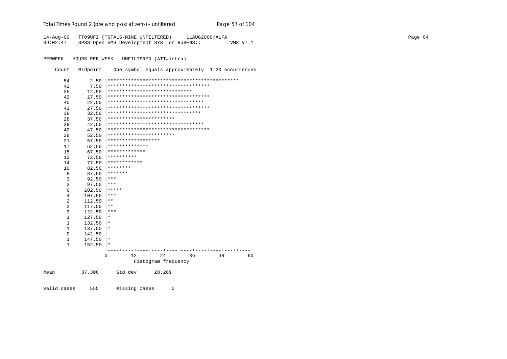## Total Times Round 2 (pre and post at zero) - unfiltered

14-Aug-00 TT09UFI (TOTALS-NINE UNFILTERED) 11AUG2000/ALFA 09:02:47 SPSS Open VMS Development SYS on RUBENS:: VMS V7.1

PERWEEK HOURS PER WEEK - UNFILTERED (ATT=intra)

Count Midpoint One symbol equals approximately 1.20 occurrences

Page 57 of 104

| 54             | 2.50   |                                     |
|----------------|--------|-------------------------------------|
| 42             | 7.50   | *********************************** |
| 35             | 12.50  | *****************************       |
| 42             | 17.50  | *********************************** |
| 40             | 22.50  | *********************************   |
| 42             | 27.50  | *********************************** |
| 38             | 32.50  | ********************************    |
| 28             | 37.50  | ***********************             |
| 39             | 42.50  | *********************************   |
| 42             | 47.50  | *********************************** |
| 28             | 52.50  | ***********************             |
| 21             | 57.50  | ******************                  |
| 17             | 62.50  | **************                      |
| 15             | 67.50  | *************                       |
| 12             | 72.50  | **********                          |
| 14             | 77.50  | ************                        |
| 10             | 82.50  | ********                            |
| 8              | 87.50  | *******                             |
| 3              | 92.50  | $***$                               |
| 3              | 97.50  | $***$                               |
| 6              | 102.50 | *****                               |
| $\overline{4}$ | 107.50 | $***$                               |
| $\overline{2}$ | 112.50 | $* *$                               |
| $\overline{2}$ | 117.50 | $\star\star$                        |
| $\overline{3}$ | 122.50 | ***                                 |
| $\mathbf{1}$   | 127.50 | $^\star$                            |
| $\mathbf{1}$   | 132.50 | $\star$                             |
| 1              | 137.50 | $\star$                             |
| $\Omega$       | 142.50 |                                     |
| 1              | 147.50 | $\star$                             |
| $\mathbf{1}$   | 152.50 | $^\ast$                             |
|                |        | $+-$                                |
|                |        | 12<br>24<br>36<br>48<br>60<br>0     |
|                |        | Histogram frequency                 |
| Mean           | 37.306 | Std dev<br>28.269                   |

Valid cases 555 Missing cases  $\overline{0}$  Page 64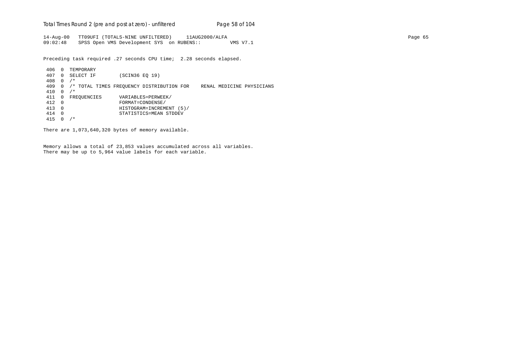Total Times Round 2 (pre and post at zero) - un*filtered* Page 58 of 104

14-Aug-00 TT09UFI (TOTALS-NINE UNFILTERED) 11AUG2000/ALFA Page 65 09:02:48 SPSS Open VMS Development SYS on RUBENS:: VMS V7.1

Preceding task required .27 seconds CPU time; 2.28 seconds elapsed.

 406 0 TEMPORARY 407 0 SELECT IF (SCIN36 EQ 19) 408 0 /\* 409 0 /\* TOTAL TIMES FREQUENCY DISTRIBUTION FOR RENAL MEDICINE PHYSICIANS 410 0 /\* 411 0 FREQUENCIES VARIABLES=PERWEEK/<br>412 0 FORMAT=CONDENSE/ 412 0 FORMAT=CONDENSE/ 413 0 HISTOGRAM=INCREMENT (5)/ 414 0 STATISTICS=MEAN STDDEV 415 0 /\*

There are 1,073,640,320 bytes of memory available.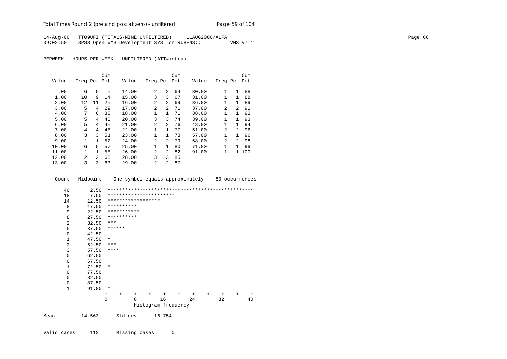## Total Times Round 2 (pre and post at zero) - un*filtered* Page 59 of 104

14-Aug-00 TT09UFI (TOTALS-NINE UNFILTERED) 11AUG2000/ALFA Page 66 09:02:50 SPSS Open VMS Development SYS on RUBENS:: VMS V7.1

PERWEEK HOURS PER WEEK - UNFILTERED (ATT=intra)

|       |                |                | Cum |       |                |                | Cum |       |                |                | Cum   |
|-------|----------------|----------------|-----|-------|----------------|----------------|-----|-------|----------------|----------------|-------|
| Value | Freq Pct Pct   |                |     | Value | Freq Pct Pct   |                |     | Value | Freq Pct Pct   |                |       |
|       |                |                |     |       |                |                |     |       |                |                |       |
| .00   | 6              | 5              | 5   | 14.00 | $\mathfrak{D}$ | $\overline{a}$ | 64  | 30.00 | 1              | 1              | 88    |
| 1.00  | 10             | 9              | 14  | 15.00 | 3              | 3              | 67  | 31.00 | $\mathbf{1}$   | $\mathbf{1}$   | 88    |
| 2.00  | 12             | 11             | 25  | 16.00 | 2              | $\overline{a}$ | 69  | 36.00 | 1              | 1              | 89    |
| 3.00  | 5              | 4              | 29  | 17.00 | $\overline{2}$ | $\overline{a}$ | 71  | 37.00 | $\mathfrak{D}$ | $\mathcal{L}$  | 91    |
| 4.00  | 7              | 6              | 36  | 18.00 | 1              | $\mathbf{1}$   | 71  | 38.00 | 1              | 1              | 92    |
| 5.00  | 5              | 4              | 40  | 20.00 | 3              | 3              | 74  | 39.00 | 1              | 1              | 93    |
| 6.00  | 5              | 4              | 45  | 21.00 | $\overline{a}$ | $\overline{a}$ | 76  | 48.00 | 1              | 1              | 94    |
| 7.00  | 4              | 4              | 48  | 22.00 | 1              | $\mathbf{1}$   | 77  | 51.00 | $\overline{a}$ | $\mathfrak{D}$ | 96    |
| 8.00  | 3              | 3              | 51  | 23.00 | 1              | $\mathbf{1}$   | 78  | 57.00 | 1              | 1.             | 96    |
| 9.00  | $\mathbf{1}$   |                | 52  | 24.00 | 2              | $\overline{a}$ | 79  | 58.00 | $\mathfrak{D}$ | 2              | 98    |
| 10.00 | 6              | 5              | 57  | 25.00 | $\mathbf{1}$   | $\mathbf{1}$   | 80  | 71.00 | 1              | $\mathbf{1}$   | 99    |
| 11.00 | 1              | $\mathbf{1}$   | 58  | 26.00 | 2              | $\overline{a}$ | 82  | 91.00 | 1              |                | 1 100 |
| 12.00 | $\mathfrak{D}$ | $\mathfrak{D}$ | 60  | 28.00 | 3              | 3              | 85  |       |                |                |       |
| 13.00 | 3              | 3              | 63  | 29.00 | $\mathfrak{D}$ | $\mathfrak{D}$ | 87  |       |                |                |       |

Count Midpoint One symbol equals approximately .80 occurrences



Valid cases 112 Missing cases 0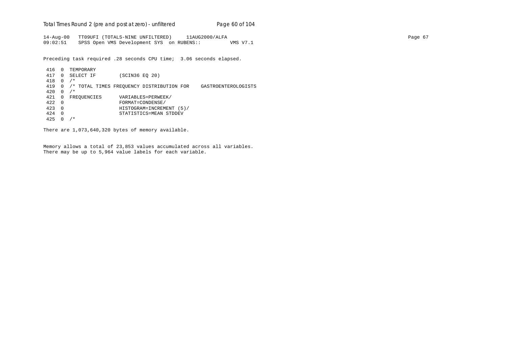Total Times Round 2 (pre and post at zero) - un*filtered* Page 60 of 104

14-Aug-00 TT09UFI (TOTALS-NINE UNFILTERED) 11AUG2000/ALFA Page 67 09:02:51 SPSS Open VMS Development SYS on RUBENS:: VMS V7.1

Preceding task required .28 seconds CPU time; 3.06 seconds elapsed.

 416 0 TEMPORARY 417 0 SELECT IF (SCIN36 EQ 20) 418 0 /\* 419 0 /\* TOTAL TIMES FREQUENCY DISTRIBUTION FOR GASTROENTEROLOGISTS 420 0 /\* 421 0 FREQUENCIES VARIABLES=PERWEEK/<br>422 0 FORMAT=CONDENSE/ 422 0 FORMAT=CONDENSE/ 423 0 HISTOGRAM=INCREMENT (5)/ 424 0 STATISTICS=MEAN STDDEV 425 0 /\*

There are 1,073,640,320 bytes of memory available.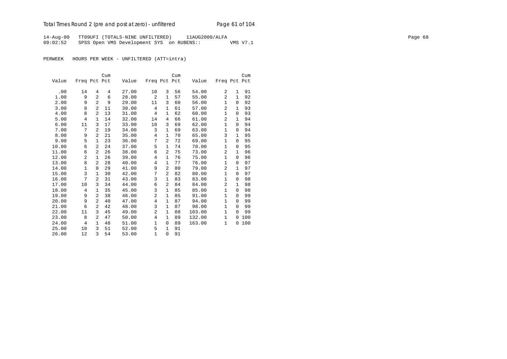## Total Times Round 2 (pre and post at zero) - un*filtered* Page 61 of 104

14-Aug-00 TT09UFI (TOTALS-NINE UNFILTERED) 11AUG2000/ALFA Page 68 09:02:52 SPSS Open VMS Development SYS on RUBENS:: VMS V7.1

|       |              |                | Cum |       |                |                | Cum |        |                |              | Cum |
|-------|--------------|----------------|-----|-------|----------------|----------------|-----|--------|----------------|--------------|-----|
| Value | Freq Pct Pct |                |     | Value | Freq Pct Pct   |                |     | Value  | Freq Pct Pct   |              |     |
|       |              |                |     |       |                |                |     |        |                |              |     |
| .00   | 14           | 4              | 4   | 27.00 | 10             | 3              | 56  | 54.00  | 2              | 1            | 91  |
| 1.00  | 9            | $\overline{a}$ | 6   | 28.00 | 2              | 1              | 57  | 55.00  | 2              | 1            | 92  |
| 2.00  | 9            | $\overline{a}$ | 9   | 29.00 | 11             | 3              | 60  | 56.00  | 1              | 0            | 92  |
| 3.00  | 8            | $\overline{a}$ | 11  | 30.00 | 4              | 1              | 61  | 57.00  | 2              | 1            | 93  |
| 4.00  | 8            | 2              | 13  | 31.00 | 4              | 1              | 62  | 60.00  | $\mathbf{1}$   | $\Omega$     | 93  |
| 5.00  | 4            | $\mathbf{1}$   | 14  | 32.00 | 14             | 4              | 66  | 61.00  | 2              | 1            | 94  |
| 6.00  | 11           | 3              | 17  | 33.00 | 10             | 3              | 69  | 62.00  | 1              | $\Omega$     | 94  |
| 7.00  | 7            | 2              | 19  | 34.00 | 3              | 1              | 69  | 63.00  | 1              | $\Omega$     | 94  |
| 8.00  | 9            | 2              | 21  | 35.00 | 4              | 1              | 70  | 65.00  | 3              | 1            | 95  |
| 9.00  | 5            | $\mathbf{1}$   | 23  | 36.00 | 7              | $\overline{a}$ | 72  | 69.00  | $\mathbf{1}$   | $\Omega$     | 95  |
| 10.00 | 6            | 2              | 24  | 37.00 | 5              | 1              | 74  | 70.00  | 1              | 0            | 95  |
| 11.00 | 6            | $\overline{a}$ | 26  | 38.00 | 6              | $\overline{a}$ | 75  | 73.00  | 2              | 1            | 96  |
| 12.00 | 2            | $\mathbf{1}$   | 26  | 39.00 | 4              | 1              | 76  | 75.00  | $\mathbf{1}$   | $\Omega$     | 96  |
| 13.00 | 8            | $\overline{a}$ | 28  | 40.00 | $\overline{4}$ | $\mathbf{1}$   | 77  | 76.00  | $\mathbf{1}$   | $\Omega$     | 97  |
| 14.00 | 1            | $\Omega$       | 29  | 41.00 | 9              | $\overline{a}$ | 80  | 79.00  | 2              | $\mathbf{1}$ | 97  |
| 15.00 | 3            | $\mathbf{1}$   | 30  | 42.00 | 7              | $\overline{a}$ | 82  | 80.00  | $\mathbf{1}$   | $\Omega$     | 97  |
| 16.00 | 7            | 2              | 31  | 43.00 | 3              | 1              | 83  | 83.00  | $\mathbf{1}$   | $\mathbf 0$  | 98  |
| 17.00 | 10           | 3              | 34  | 44.00 | 6              | 2              | 84  | 84.00  | $\overline{2}$ | 1            | 98  |
| 18.00 | 4            | $\mathbf{1}$   | 35  | 45.00 | 3              | 1              | 85  | 85.00  | $\mathbf{1}$   | 0            | 98  |
| 19.00 | 9            | $\overline{a}$ | 38  | 46.00 | $\overline{c}$ | 1              | 85  | 91.00  | $\mathbf{1}$   | $\Omega$     | 99  |
| 20.00 | 9            | 2              | 40  | 47.00 | $\overline{4}$ | 1              | 87  | 94.00  | $\mathbf{1}$   | $\Omega$     | 99  |
| 21.00 | 6            | $\overline{a}$ | 42  | 48.00 | 3              | $\mathbf{1}$   | 87  | 98.00  | $\mathbf{1}$   | $\Omega$     | 99  |
| 22.00 | 11           | 3              | 45  | 49.00 | 2              | 1              | 88  | 103.00 | $\mathbf{1}$   | $\Omega$     | 99  |
| 23.00 | 8            | $\overline{a}$ | 47  | 50.00 | $\overline{4}$ | $\mathbf{1}$   | 89  | 132.00 | 1              | $\Omega$     | 100 |
| 24.00 | 4            | $\mathbf{1}$   | 48  | 51.00 | $\mathbf 1$    | 0              | 89  | 163.00 | $\mathbf{1}$   | 0            | 100 |
| 25.00 | 10           | 3              | 51  | 52.00 | 5              | 1              | 91  |        |                |              |     |
| 26.00 | 12           | 3              | 54  | 53.00 | $\mathbf{1}$   | $\mathbf 0$    | 91  |        |                |              |     |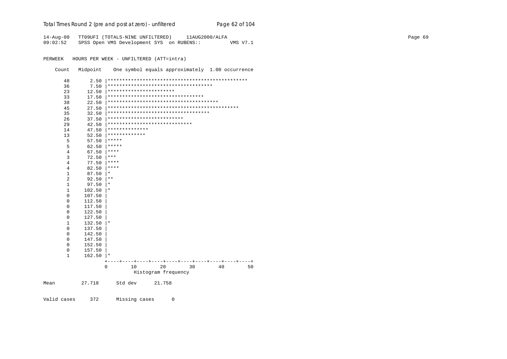## Total Times Round 2 (pre and post at zero) - unfiltered

14-Aug-00 TT09UFI (TOTALS-NINE UNFILTERED) 11AUG2000/ALFA 09:02:52 SPSS Open VMS Development SYS on RUBENS:: VMS V7.1

PERWEEK HOURS PER WEEK - UNFILTERED (ATT=intra)

Count Midpoint One symbol equals approximately 1.00 occurrence

Page 62 of 104

| Mean           | 27.718           | Std dev          | 21.758                               |    |    |    |
|----------------|------------------|------------------|--------------------------------------|----|----|----|
|                |                  |                  | Histogram frequency                  |    |    |    |
|                |                  | $\Omega$<br>10   | 20                                   | 30 | 40 | 50 |
|                |                  |                  |                                      |    |    |    |
| 0<br>1         | 157.50<br>162.50 | $\ast$           |                                      |    |    |    |
| 0              | 152.50           |                  |                                      |    |    |    |
| 0              | 147.50           |                  |                                      |    |    |    |
| 0              | 142.50           |                  |                                      |    |    |    |
| $\mathsf 0$    | 137.50           |                  |                                      |    |    |    |
| 1              | 132.50           |                  |                                      |    |    |    |
| 0              | 127.50           | $^\star$         |                                      |    |    |    |
| 0              | 122.50           |                  |                                      |    |    |    |
| 0              | 117.50           |                  |                                      |    |    |    |
| 0              | 112.50           |                  |                                      |    |    |    |
| 0              | 107.50           |                  |                                      |    |    |    |
| $\mathbf{1}$   | 102.50           | $^\star$         |                                      |    |    |    |
| $\mathbf{1}$   | 97.50            | $^\star$         |                                      |    |    |    |
| $\overline{2}$ | 92.50            |                  |                                      |    |    |    |
| $\mathbf{1}$   | 87.50            | $^\ast$<br>$***$ |                                      |    |    |    |
| $\overline{4}$ | 82.50            | ****             |                                      |    |    |    |
| $\overline{4}$ | 77.50            | ****             |                                      |    |    |    |
| 3              | 72.50            | ***              |                                      |    |    |    |
| 4              | 67.50            |                  |                                      |    |    |    |
| 5              | 62.50            | *****<br>****    |                                      |    |    |    |
| 5              | 57.50            | *****            |                                      |    |    |    |
| 13             | 52.50            | *************    |                                      |    |    |    |
| 14             | 47.50            | **************   |                                      |    |    |    |
| 29             | 42.50            |                  | *****************************        |    |    |    |
| 26             | 37.50            |                  | **************************           |    |    |    |
| 35             | 32.50            |                  | ***********************************  |    |    |    |
| 45             | 27.50            |                  |                                      |    |    |    |
| 38             | 22.50            |                  |                                      |    |    |    |
| 33             | 17.50            |                  | *********************************    |    |    |    |
| 23             | 12.50            |                  | ***********************              |    |    |    |
| 36             | 7.50             |                  | ************************************ |    |    |    |
| 48             | 2.50             |                  |                                      |    |    |    |

 $\overline{0}$ 

Valid cases 372 Missing cases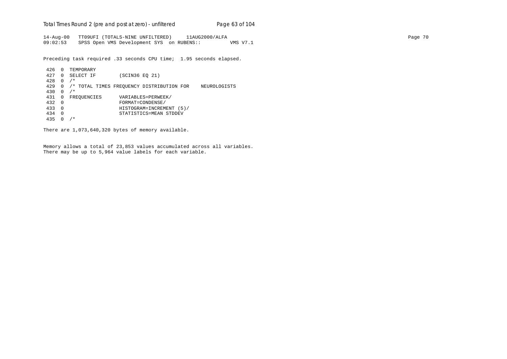Total Times Round 2 (pre and post at zero) - un*filtered* Page 63 of 104

14-Aug-00 TT09UFI (TOTALS-NINE UNFILTERED) 11AUG2000/ALFA Page 70 09:02:53 SPSS Open VMS Development SYS on RUBENS:: VMS V7.1

Preceding task required .33 seconds CPU time; 1.95 seconds elapsed.

```
 426 0 TEMPORARY
 427 0 SELECT IF (SCIN36 EQ 21)
 428 0 /*
 429 0 /* TOTAL TIMES FREQUENCY DISTRIBUTION FOR NEUROLOGISTS
 430 0 /*
431 0 FREQUENCIES VARIABLES=PERWEEK/<br>432 0 FORMAT=CONDENSE/
 432 0 FORMAT=CONDENSE/
 433 0 HISTOGRAM=INCREMENT (5)/
 434 0 STATISTICS=MEAN STDDEV
 435 0 /*
```
There are 1,073,640,320 bytes of memory available.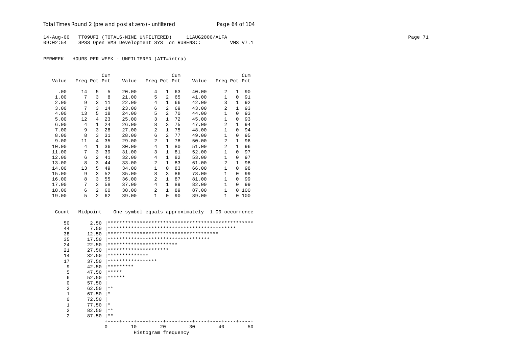14-Aug-00 TT09UFI (TOTALS-NINE UNFILTERED) 11AUG2000/ALFA Page 71 09:02:54 SPSS Open VMS Development SYS on RUBENS:: VMS V7.1

PERWEEK HOURS PER WEEK - UNFILTERED (ATT=intra)

|       |              |                | Cum |       |              |                | Cum |       |                |              | Cum |
|-------|--------------|----------------|-----|-------|--------------|----------------|-----|-------|----------------|--------------|-----|
| Value | Freq Pct Pct |                |     | Value | Freq Pct Pct |                |     | Value | Freq Pct Pct   |              |     |
| .00   | 14           | 5              | 5   | 20.00 | 4            | $\mathbf{1}$   | 63  | 40.00 | 2              | $\mathbf{1}$ | 90  |
| 1.00  | 7            | 3              | 8   | 21.00 | 5            | $\mathfrak{D}$ | 65  | 41.00 | $\mathbf{1}$   | $\Omega$     | 91  |
| 2.00  | 9            | 3              | 11  | 22.00 | 4            | 1              | 66  | 42.00 | 3              | $\mathbf{1}$ | 92  |
| 3.00  | 7            | 3              | 14  | 23.00 | 6            | $\overline{a}$ | 69  | 43.00 | $\overline{a}$ | $\mathbf{1}$ | 93  |
| 4.00  | 13           | 5              | 18  | 24.00 | 5            | $\overline{2}$ | 70  | 44.00 | $\mathbf{1}$   | $\Omega$     | 93  |
| 5.00  | 12           | 4              | 23  | 25.00 | 3            | 1              | 72  | 45.00 | $\mathbf{1}$   | $\Omega$     | 93  |
| 6.00  | 4            | $\mathbf{1}$   | 24  | 26.00 | 8            | 3              | 75  | 47.00 | $\overline{a}$ | 1            | 94  |
| 7.00  | 9            | 3              | 28  | 27.00 | 2            | $\mathbf{1}$   | 75  | 48.00 | $\mathbf{1}$   | $\Omega$     | 94  |
| 8.00  | 8            | 3              | 31  | 28.00 | 6            | 2              | 77  | 49.00 | $\mathbf{1}$   | $\Omega$     | 95  |
| 9.00  | 11           | 4              | 35  | 29.00 | 2            | 1              | 78  | 50.00 | 2              | $\mathbf{1}$ | 96  |
| 10.00 | 4            | $\mathbf{1}$   | 36  | 30.00 | 4            | $\mathbf{1}$   | 80  | 51.00 | 2              | $\mathbf{1}$ | 96  |
| 11.00 | 7            | ζ              | 39  | 31.00 | 3            | $\mathbf{1}$   | 81  | 52.00 | $\mathbf{1}$   | $\Omega$     | 97  |
| 12.00 | 6            | 2              | 41  | 32.00 | 4            | 1              | 82  | 53.00 | 1              | $\Omega$     | 97  |
| 13.00 | 8            | 3              | 44  | 33.00 | 2            | $\mathbf{1}$   | 83  | 61.00 | $\overline{a}$ | $\mathbf{1}$ | 98  |
| 14.00 | 13           | 5              | 49  | 34.00 | $\mathbf 1$  | 0              | 83  | 66.00 | $\mathbf{1}$   | $\Omega$     | 98  |
| 15.00 | 9            | 3              | 52  | 35.00 | 8            | 3              | 86  | 78.00 | $\mathbf{1}$   | $\Omega$     | 99  |
| 16.00 | 8            | 3              | 55  | 36.00 | 2            | 1              | 87  | 81.00 | $\mathbf{1}$   | $\Omega$     | 99  |
| 17.00 | 7            | 3              | 58  | 37.00 | 4            | $\mathbf{1}$   | 89  | 82.00 | $\mathbf{1}$   | $\Omega$     | 99  |
| 18.00 | 6            | 2              | 60  | 38.00 | 2            | $\mathbf{1}$   | 89  | 87.00 | $\mathbf{1}$   | 0            | 100 |
| 19.00 | 5            | $\overline{a}$ | 62  | 39.00 | $\mathbf 1$  | 0              | 90  | 89.00 | $\mathbf{1}$   | 0            | 100 |

Count Midpoint One symbol equals approximately 1.00 occurrence

| 50             | 2.50     |                                     |
|----------------|----------|-------------------------------------|
| 44             | 7.50     |                                     |
| 38             | 12.50    |                                     |
| 35             | 17.50    | *********************************** |
| 24             | 22.50    | ************************            |
| 21             | 27.50    | *********************               |
| 14             | 32.50    | **************                      |
| 17             | 37.50    | *****************                   |
| 9              | 42.50    | *********                           |
| 5              | 47.50    | *****                               |
| 6              | 52.50    | ******                              |
| $\Omega$       | 57.50    |                                     |
| $\overline{a}$ | 62.50    | $* *$                               |
| 1              | 67.50    | $\star$                             |
| $\mathbf 0$    | 72.50    |                                     |
| $\mathbf{1}$   | 77.50    | $\star$                             |
| $\overline{2}$ | 82.50    | $* *$                               |
| $\overline{a}$ | 87.50    | $***$                               |
|                |          |                                     |
|                | $\Omega$ | 2.0<br>10<br>30<br>40<br>50         |
|                |          | Histogram frequency                 |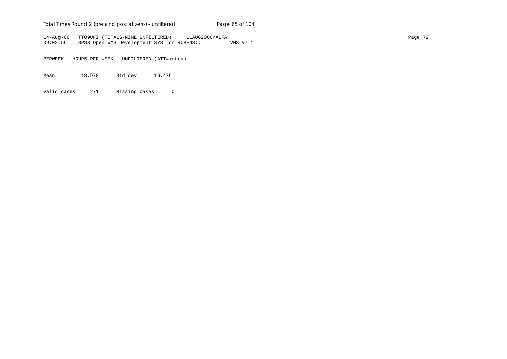# Total Times Round 2 (pre and post at zero) - un*filtered* Page 65 of 104

14-Aug-00 TT09UFI (TOTALS-NINE UNFILTERED) 11AUG2000/ALFA Page 72 09:02:56 SPSS Open VMS Development SYS on RUBENS:: VMS V7.1

PERWEEK HOURS PER WEEK - UNFILTERED (ATT=intra)

Mean 18.978 Std dev 16.476

Valid cases 271 Missing cases 0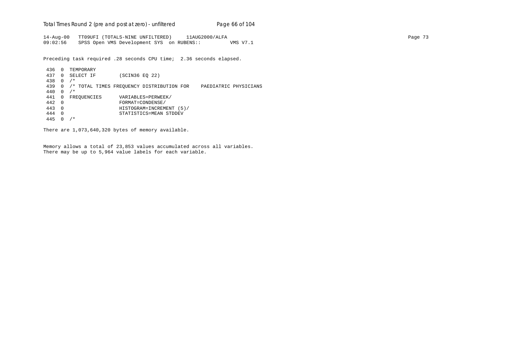Total Times Round 2 (pre and post at zero) - un*filtered* Page 66 of 104

14-Aug-00 TT09UFI (TOTALS-NINE UNFILTERED) 11AUG2000/ALFA Page 73 09:02:56 SPSS Open VMS Development SYS on RUBENS:: VMS V7.1

Preceding task required .28 seconds CPU time; 2.36 seconds elapsed.

 436 0 TEMPORARY 437 0 SELECT IF (SCIN36 EQ 22) 438 0 /\* 439 0 /\* TOTAL TIMES FREQUENCY DISTRIBUTION FOR PAEDIATRIC PHYSICIANS 440 0 /\* 441 0 FREQUENCIES VARIABLES=PERWEEK/<br>442 0 FORMAT=CONDENSE/ 442 0 FORMAT=CONDENSE/ 443 0 HISTOGRAM=INCREMENT (5)/ 444 0 STATISTICS=MEAN STDDEV 445 0 /\*

There are 1,073,640,320 bytes of memory available.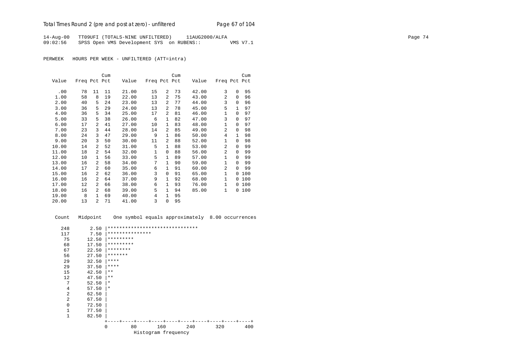14-Aug-00 TT09UFI (TOTALS-NINE UNFILTERED) 11AUG2000/ALFA Page 74 09:02:56 SPSS Open VMS Development SYS on RUBENS:: VMS V7.1

PERWEEK HOURS PER WEEK - UNFILTERED (ATT=intra)

|       |              |                | Cum |       |              |                | Cum |       |                |              | Cum |
|-------|--------------|----------------|-----|-------|--------------|----------------|-----|-------|----------------|--------------|-----|
| Value | Freq Pct Pct |                |     | Value | Freq Pct Pct |                |     | Value | Freq Pct Pct   |              |     |
|       |              |                |     |       |              |                |     |       |                |              |     |
| .00   | 78           | 11             | 11  | 21.00 | 15           | 2              | 73  | 42.00 | 3              | 0            | 95  |
| 1.00  | 58           | 8              | 19  | 22.00 | 13           | $\overline{2}$ | 75  | 43.00 | $\overline{a}$ | $\Omega$     | 96  |
| 2.00  | 40           | 5              | 24  | 23.00 | 13           | 2              | 77  | 44.00 | 3              | $\Omega$     | 96  |
| 3.00  | 36           | 5              | 29  | 24.00 | 13           | $\overline{a}$ | 78  | 45.00 | 5              | 1            | 97  |
| 4.00  | 36           | 5              | 34  | 25.00 | 17           | 2              | 81  | 46.00 | $\mathbf{1}$   | $\Omega$     | 97  |
| 5.00  | 33           | 5              | 38  | 26.00 | 6            | $\mathbf{1}$   | 82  | 47.00 | 3              | $\Omega$     | 97  |
| 6.00  | 17           | $\overline{a}$ | 41  | 27.00 | 10           | $\mathbf{1}$   | 83  | 48.00 | 1              | $\Omega$     | 97  |
| 7.00  | 23           | 3              | 44  | 28.00 | 14           | 2              | 85  | 49.00 | $\overline{a}$ | 0            | 98  |
| 8.00  | 24           | 3              | 47  | 29.00 | 9            | $\mathbf{1}$   | 86  | 50.00 | 4              | $\mathbf{1}$ | 98  |
| 9.00  | 20           | 3              | 50  | 30.00 | 11           | $\overline{a}$ | 88  | 52.00 | $\mathbf{1}$   | $\Omega$     | 98  |
| 10.00 | 14           | $\overline{a}$ | 52  | 31.00 | 5            | $\mathbf{1}$   | 88  | 53.00 | $\overline{a}$ | $\Omega$     | 99  |
| 11.00 | 18           | $\overline{a}$ | 54  | 32.00 | $\mathbf{1}$ | 0              | 88  | 56.00 | $\overline{a}$ | $\Omega$     | 99  |
| 12.00 | 10           | $\mathbf{1}$   | 56  | 33.00 | 5            | $\mathbf{1}$   | 89  | 57.00 | $\mathbf{1}$   | $\Omega$     | 99  |
| 13.00 | 16           | $\overline{a}$ | 58  | 34.00 | 7            | $\mathbf{1}$   | 90  | 59.00 | 1              | $\Omega$     | 99  |
| 14.00 | 17           | 2              | 60  | 35.00 | 6            | $\mathbf{1}$   | 91  | 60.00 | $\overline{a}$ | $\Omega$     | 99  |
| 15.00 | 16           | 2              | 62  | 36.00 | 3            | 0              | 91  | 65.00 | 1              | 0            | 100 |
| 16.00 | 16           | 2              | 64  | 37.00 | 9            | 1              | 92  | 68.00 | $\mathbf{1}$   | 0            | 100 |
| 17.00 | 12           | $\overline{a}$ | 66  | 38.00 | 6            | $\mathbf{1}$   | 93  | 76.00 | $\mathbf{1}$   | 0            | 100 |
| 18.00 | 16           | $\overline{a}$ | 68  | 39.00 | 5            | $\mathbf{1}$   | 94  | 85.00 | $\mathbf{1}$   | 0            | 100 |
| 19.00 | 8            | $\mathbf{1}$   | 69  | 40.00 | 4            | 1              | 95  |       |                |              |     |
| 20.00 | 13           | $\overline{a}$ | 71  | 41.00 | 3            | 0              | 95  |       |                |              |     |

Count Midpoint One symbol equals approximately 8.00 occurrences

| 248          | 2.50  |                 | ******************************* |     |     |     |
|--------------|-------|-----------------|---------------------------------|-----|-----|-----|
| 117          | 7.50  | *************** |                                 |     |     |     |
| 75           | 12.50 | *********       |                                 |     |     |     |
| 68           | 17.50 | *********       |                                 |     |     |     |
| 67           | 22.50 | ********        |                                 |     |     |     |
| 56           | 27.50 | *******         |                                 |     |     |     |
| 29           | 32.50 | $* * * *$       |                                 |     |     |     |
| 29           | 37.50 | ****            |                                 |     |     |     |
| 15           | 42.50 | $* *$           |                                 |     |     |     |
| 12           | 47.50 | $* *$           |                                 |     |     |     |
| 7            | 52.50 | $^\star$        |                                 |     |     |     |
| 4            | 57.50 | $\star$         |                                 |     |     |     |
| 2            | 62.50 |                 |                                 |     |     |     |
| 2            | 67.50 |                 |                                 |     |     |     |
| $\mathbf{0}$ | 72.50 |                 |                                 |     |     |     |
| $\mathbf{1}$ | 77.50 |                 |                                 |     |     |     |
| $\mathbf{1}$ | 82.50 |                 |                                 |     |     |     |
|              |       |                 |                                 |     |     |     |
|              |       | 80<br>0         | 160                             | 240 | 320 | 400 |
|              |       |                 | Histogram frequency             |     |     |     |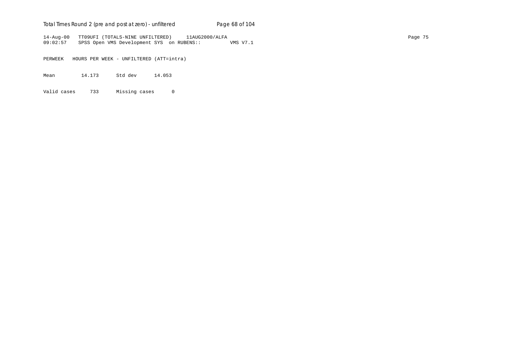# Total Times Round 2 (pre and post at zero) - un*filtered* Page 68 of 104

14-Aug-00 TT09UFI (TOTALS-NINE UNFILTERED) 11AUG2000/ALFA Page 75 09:02:57 SPSS Open VMS Development SYS on RUBENS:: VMS V7.1

PERWEEK HOURS PER WEEK - UNFILTERED (ATT=intra)

Mean 14.173 Std dev 14.053

Valid cases 733 Missing cases 0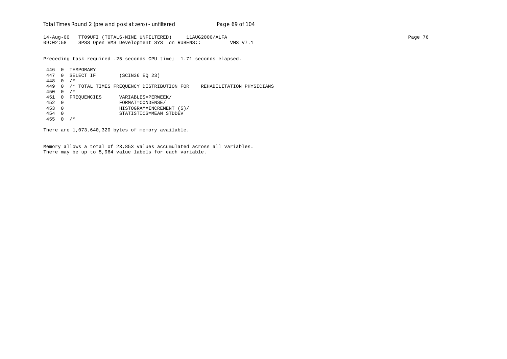Total Times Round 2 (pre and post at zero) - un*filtered* Page 69 of 104

14-Aug-00 TT09UFI (TOTALS-NINE UNFILTERED) 11AUG2000/ALFA Page 76 09:02:58 SPSS Open VMS Development SYS on RUBENS:: VMS V7.1

Preceding task required .25 seconds CPU time; 1.71 seconds elapsed.

 446 0 TEMPORARY 447 0 SELECT IF (SCIN36 EQ 23) 448 0 /\* 449 0 /\* TOTAL TIMES FREQUENCY DISTRIBUTION FOR REHABILITATION PHYSICIANS 450 0 /\* 451 0 FREQUENCIES VARIABLES=PERWEEK/<br>452 0 FORMAT=CONDENSE/ 452 0 FORMAT=CONDENSE/ 453 0 HISTOGRAM=INCREMENT (5)/ 454 0 STATISTICS=MEAN STDDEV 455 0 /\*

There are 1,073,640,320 bytes of memory available.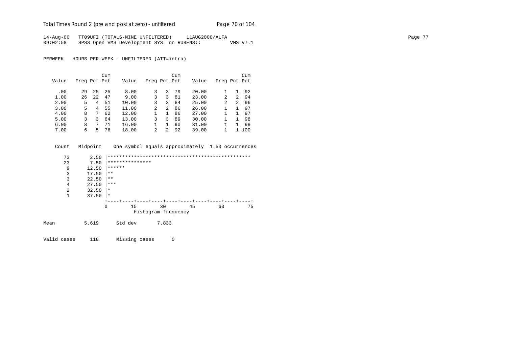Total Times Round 2 (pre and post at zero) - un*filtered* Page 70 of 104

14-Aug-00 TT09UFI (TOTALS-NINE UNFILTERED) 11AUG2000/ALFA Page 77 09:02:58 SPSS Open VMS Development SYS on RUBENS:: VMS V7.1

PERWEEK HOURS PER WEEK - UNFILTERED (ATT=intra)

|       |              |    | Cum |       |                |   | Cum |       |                |                | Cum |
|-------|--------------|----|-----|-------|----------------|---|-----|-------|----------------|----------------|-----|
| Value | Freq Pct Pct |    |     | Value | Freq Pct Pct   |   |     | Value | Freq Pct Pct   |                |     |
| .00   | 29           | 25 | 25  | 8.00  | 3              | 3 | 79  | 20.00 |                |                | 92  |
| 1.00  | 26           | 22 | 47  | 9.00  | 3              | 3 | 81  | 23.00 | 2              | 2              | 94  |
| 2.00  | 5            | 4  | 51  | 10.00 | 3              | 3 | 84  | 25.00 | $\overline{c}$ | $\overline{2}$ | 96  |
| 3.00  | 5            | 4  | 55  | 11.00 | $\overline{a}$ | 2 | 86  | 26.00 |                |                | 97  |
| 4.00  | 8            | 7  | 62  | 12.00 |                |   | 86  | 27.00 |                |                | 97  |
| 5.00  | 3            | 3  | 64  | 13.00 | 3              | 3 | 89  | 30.00 |                |                | 98  |
| 6.00  | 8            | 7  | 71  | 16.00 |                |   | 90  | 31.00 |                |                | 99  |
| 7.00  | 6            | 5  | 76  | 18.00 | $\mathcal{L}$  | 2 | 92  | 39.00 |                |                | 100 |

|      | Count          | Midpoint |          |                 |                     | One symbol equals approximately 1.50 occurrences |    |    |
|------|----------------|----------|----------|-----------------|---------------------|--------------------------------------------------|----|----|
|      | 73             | 2.50     |          |                 |                     |                                                  |    |    |
|      | 23             | 7.50     |          | *************** |                     |                                                  |    |    |
|      | 9              | 12.50    | ******   |                 |                     |                                                  |    |    |
|      | 3              | 17.50    | $***$    |                 |                     |                                                  |    |    |
|      | 3              | 22.50    | $***$    |                 |                     |                                                  |    |    |
|      | $\overline{4}$ | 27.50    | ***      |                 |                     |                                                  |    |    |
|      | $\overline{2}$ | 32.50    | $\star$  |                 |                     |                                                  |    |    |
|      | 1              | 37.50    | $\star$  |                 |                     |                                                  |    |    |
|      |                |          |          |                 |                     |                                                  |    |    |
|      |                |          | $\Omega$ | 15              | 30                  | 45                                               | 60 | 75 |
|      |                |          |          |                 | Histogram frequency |                                                  |    |    |
| Mean |                | 5.619    |          | Std dev         | 7.833               |                                                  |    |    |
|      |                |          |          |                 |                     |                                                  |    |    |

Valid cases 118 Missing cases 0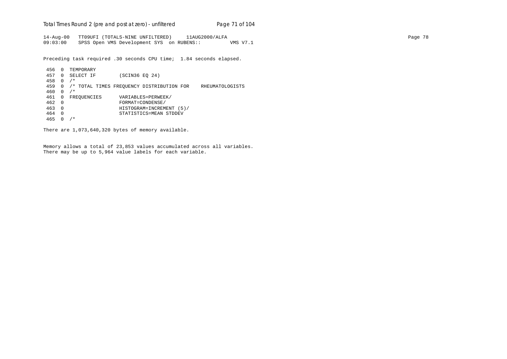Total Times Round 2 (pre and post at zero) - un*filtered* Page 71 of 104

14-Aug-00 TT09UFI (TOTALS-NINE UNFILTERED) 11AUG2000/ALFA Page 78 09:03:00 SPSS Open VMS Development SYS on RUBENS:: VMS V7.1

Preceding task required .30 seconds CPU time; 1.84 seconds elapsed.

 456 0 TEMPORARY 457 0 SELECT IF (SCIN36 EQ 24) 458 0 /\* 459 0 /\* TOTAL TIMES FREQUENCY DISTRIBUTION FOR RHEUMATOLOGISTS 460 0 /\* 461 0 FREQUENCIES VARIABLES=PERWEEK/<br>462 0 FORMAT=CONDENSE/ 462 0 FORMAT=CONDENSE/ 463 0 HISTOGRAM=INCREMENT (5)/ 464 0 STATISTICS=MEAN STDDEV 465 0 /\*

There are 1,073,640,320 bytes of memory available.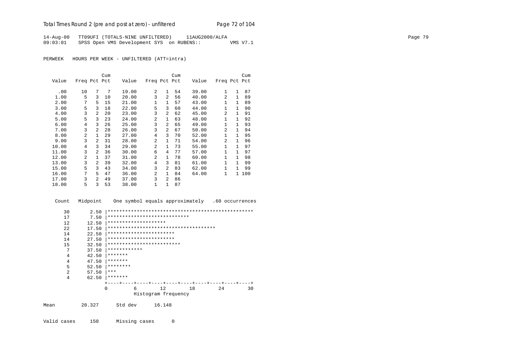14-Aug-00 TT09UFI (TOTALS-NINE UNFILTERED) 11AUG2000/ALFA Page 79 09:03:01 SPSS Open VMS Development SYS on RUBENS:: VMS V7.1

PERWEEK HOURS PER WEEK - UNFILTERED (ATT=intra)

|       |                |               | Cum |       |              |                | Cum |       |                |              | Cum |
|-------|----------------|---------------|-----|-------|--------------|----------------|-----|-------|----------------|--------------|-----|
| Value | Freq Pct Pct   |               |     | Value | Freq Pct Pct |                |     | Value | Freq Pct Pct   |              |     |
| .00   | 10             | 7             | 7   | 19.00 | 2            | $\mathbf{1}$   | 54  | 39.00 | $\mathbf{1}$   | $\mathbf{1}$ | 87  |
| 1.00  | 5              | 3             | 10  | 20.00 | 3            | $\overline{2}$ | 56  | 40.00 | $\overline{a}$ | $\mathbf{1}$ | 89  |
| 2.00  | 7              | 5             | 15  | 21.00 | 1            | 1              | 57  | 43.00 | $\mathbf{1}$   | $\mathbf{1}$ | 89  |
| 3.00  | 5              | 3             | 18  | 22.00 | 5            | 3              | 60  | 44.00 | $\mathbf{1}$   | 1            | 90  |
| 4.00  | 3              | 2             | 20  | 23.00 | 3            | $\overline{a}$ | 62  | 45.00 | 2              | 1            | 91  |
| 5.00  | 5              | 3             | 23  | 24.00 | 2            | $\mathbf{1}$   | 63  | 48.00 | $\mathbf{1}$   | 1            | 92  |
| 6.00  | 4              | 3             | 26  | 25.00 | 3            | $\overline{2}$ | 65  | 49.00 | 1              | 1            | 93  |
| 7.00  | 3              | 2             | 28  | 26.00 | 3            | $\overline{2}$ | 67  | 50.00 | $\overline{a}$ | 1            | 94  |
| 8.00  | $\mathfrak{D}$ | $\mathbf{1}$  | 29  | 27.00 | 4            | 3              | 70  | 52.00 | $\mathbf{1}$   | $\mathbf{1}$ | 95  |
| 9.00  | 3              | 2             | 31  | 28.00 | 2            | 1              | 71  | 54.00 | $\overline{a}$ | $\mathbf{1}$ | 96  |
| 10.00 | 4              | 3             | 34  | 29.00 | 2            | $\mathbf{1}$   | 73  | 55.00 | $\mathbf{1}$   | 1            | 97  |
| 11.00 | 3              | $\mathcal{L}$ | 36  | 30.00 | 6            | 4              | 77  | 57.00 | 1              | 1            | 97  |
| 12.00 | $\overline{2}$ | $\mathbf{1}$  | 37  | 31.00 | 2            | 1              | 78  | 60.00 | $\mathbf{1}$   | 1            | 98  |
| 13.00 | 3              | 2             | 39  | 32.00 | 4            | 3              | 81  | 61.00 | $\mathbf{1}$   | 1            | 99  |
| 15.00 | 5              | 3             | 43  | 34.00 | 3            | $\overline{2}$ | 83  | 62.00 | $\mathbf{1}$   | 1            | 99  |
| 16.00 | 7              | 5             | 47  | 36.00 | 2            | $\mathbf{1}$   | 84  | 64.00 | 1              | $\mathbf{1}$ | 100 |
| 17.00 | 3              | 2             | 49  | 37.00 | 3            | 2              | 86  |       |                |              |     |
| 18.00 | 5              | 3             | 53  | 38.00 | $\mathbf{1}$ | 1              | 87  |       |                |              |     |

Count Midpoint One symbol equals approximately .60 occurrences

| 30  | 2.50  |                                        |                                  |    |    |    |
|-----|-------|----------------------------------------|----------------------------------|----|----|----|
| 17  | 7.50  | ****************************           |                                  |    |    |    |
| 12  | 12.50 | ********************                   |                                  |    |    |    |
| 2.2 | 17.50 | ************************************** |                                  |    |    |    |
| 14  | 22.50 | ***********************                |                                  |    |    |    |
| 14  | 27.50 | ***********************                |                                  |    |    |    |
| 15  | 32.50 | *************************              |                                  |    |    |    |
| 7   | 37.50 | ************                           |                                  |    |    |    |
| 4   | 42.50 | *******                                |                                  |    |    |    |
| 4   | 47.50 | *******                                |                                  |    |    |    |
| 5   | 52.50 | ********                               |                                  |    |    |    |
| 2   | 57.50 | ***                                    |                                  |    |    |    |
| 4   | 62.50 | *******                                |                                  |    |    |    |
|     |       | ---+-<br>$- - - + - - -$               | -+----+----+----+----+----+----+ |    |    |    |
|     |       | 6<br><sup>0</sup>                      | 12                               | 18 | 24 | 30 |
|     |       |                                        | Histogram frequency              |    |    |    |
|     |       |                                        |                                  |    |    |    |

Mean 20.327 Std dev 16.148

Valid cases 150 Missing cases 0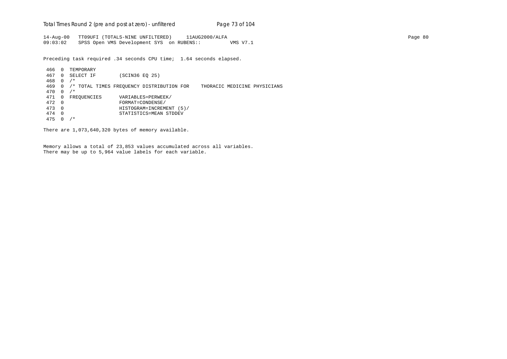Total Times Round 2 (pre and post at zero) - un*filtered* Page 73 of 104

14-Aug-00 TT09UFI (TOTALS-NINE UNFILTERED) 11AUG2000/ALFA Page 80 09:03:02 SPSS Open VMS Development SYS on RUBENS:: VMS V7.1

Preceding task required .34 seconds CPU time; 1.64 seconds elapsed.

 466 0 TEMPORARY 467 0 SELECT IF (SCIN36 EQ 25) 468 0 /\* 469 0 /\* TOTAL TIMES FREQUENCY DISTRIBUTION FOR THORACIC MEDICINE PHYSICIANS 470 0 /\* 471 0 FREQUENCIES VARIABLES=PERWEEK/<br>472 0 FORMAT=CONDENSE/ 472 0 FORMAT=CONDENSE/ 473 0 HISTOGRAM=INCREMENT (5)/ 474 0 STATISTICS=MEAN STDDEV 475 0 /\*

There are 1,073,640,320 bytes of memory available.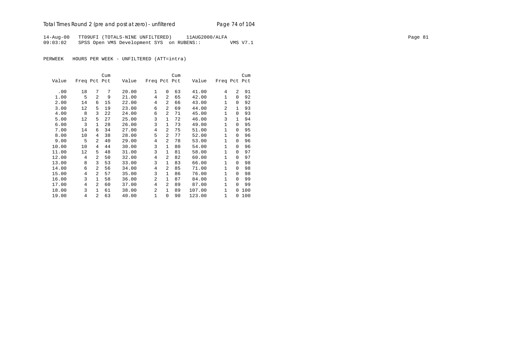# Total Times Round 2 (pre and post at zero) - unfiltered Page 74 of 104

14-Aug-00 TT09UFI (TOTALS-NINE UNFILTERED) 11AUG2000/ALFA Page 81 09:03:02 SPSS Open VMS Development SYS on RUBENS:: VMS V7.1

PERWEEK HOURS PER WEEK - UNFILTERED (ATT=intra)

|       |              |                | Cum |       |                |                | Cum |        |              |              | Cum |
|-------|--------------|----------------|-----|-------|----------------|----------------|-----|--------|--------------|--------------|-----|
| Value | Freq Pct Pct |                |     | Value | Freq Pct Pct   |                |     | Value  | Freq Pct     |              | Pct |
| .00   | 18           | 7              | 7   | 20.00 | $\mathbf{1}$   | $\Omega$       | 63  | 41.00  | 4            | 2            | 91  |
|       | 5            |                |     |       | 4              | $\overline{a}$ |     |        |              |              |     |
| 1.00  |              | 2              | 9   | 21.00 |                |                | 65  | 42.00  | 1            | $\Omega$     | 92  |
| 2.00  | 14           | 6              | 15  | 22.00 | 4              | 2              | 66  | 43.00  | $\mathbf{1}$ | $\Omega$     | 92  |
| 3.00  | 12           | 5              | 19  | 23.00 | 6              | $\overline{a}$ | 69  | 44.00  | 2            | $\mathbf{1}$ | 93  |
| 4.00  | 8            | 3              | 22  | 24.00 | 6              | $\overline{a}$ | 71  | 45.00  | 1            | $\Omega$     | 93  |
| 5.00  | 12           | 5              | 27  | 25.00 | 3              | 1              | 72  | 46.00  | 3            | $\mathbf{1}$ | 94  |
| 6.00  | 3            | 1              | 28  | 26.00 | 3              | 1              | 73  | 49.00  | $\mathbf{1}$ | $\Omega$     | 95  |
| 7.00  | 14           | 6              | 34  | 27.00 | 4              | $\overline{a}$ | 75  | 51.00  | 1            | $\Omega$     | 95  |
| 8.00  | 10           | 4              | 38  | 28.00 | 5              | 2              | 77  | 52.00  | $\mathbf{1}$ | $\Omega$     | 96  |
| 9.00  | 5            | $\overline{a}$ | 40  | 29.00 | 4              | 2              | 78  | 53.00  | 1            | 0            | 96  |
| 10.00 | 10           | 4              | 44  | 30.00 | 3              | 1              | 80  | 54.00  | 1            | $\Omega$     | 96  |
| 11.00 | 12           | 5              | 48  | 31.00 | 3              | 1              | 81  | 58.00  | $\mathbf{1}$ | $\Omega$     | 97  |
| 12.00 | 4            | $\overline{a}$ | 50  | 32.00 | 4              | 2              | 82  | 60.00  | $\mathbf{1}$ | 0            | 97  |
| 13.00 | 8            | 3              | 53  | 33.00 | 3              | 1              | 83  | 66.00  | $\mathbf{1}$ | $\Omega$     | 98  |
| 14.00 | 6            | $\overline{a}$ | 56  | 34.00 | 4              | 2              | 85  | 71.00  | $\mathbf{1}$ | $\Omega$     | 98  |
| 15.00 | 4            | $\overline{a}$ | 57  | 35.00 | 3              | $\mathbf{1}$   | 86  | 76.00  | 1            | $\Omega$     | 98  |
| 16.00 | 3            | $\mathbf{1}$   | 58  | 36.00 | 2              | 1              | 87  | 84.00  | 1            | $\Omega$     | 99  |
| 17.00 | 4            | 2              | 60  | 37.00 | 4              | 2              | 89  | 87.00  | $\mathbf{1}$ | $\Omega$     | 99  |
| 18.00 | 3            | $\mathbf{1}$   | 61  | 38.00 | $\overline{a}$ | 1              | 89  | 107.00 | $\mathbf{1}$ | $\Omega$     | 100 |
| 19.00 | 4            | $\overline{a}$ | 63  | 40.00 | $\mathbf{1}$   | 0              | 90  | 123.00 | $\mathbf{1}$ | 0            | 100 |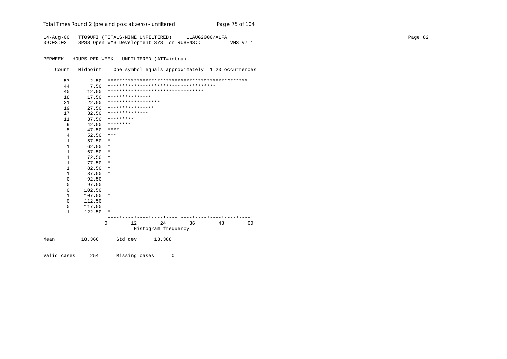| Total Times Round 2 (pre and post at zero) - unfiltered | Page 75 of 104 |
|---------------------------------------------------------|----------------|
|                                                         |                |

14-Aug-00 TT09UFI (TOTALS-NINE UNFILTERED) 11AUG2000/ALFA Page 82 09:03:03 SPSS Open VMS Development SYS on RUBENS:: VMS V7.1

PERWEEK HOURS PER WEEK - UNFILTERED (ATT=intra)

Count Midpoint One symbol equals approximately 1.20 occurrences

|      | 57           | 2.50   |           |                    |                                        |    |    |    |
|------|--------------|--------|-----------|--------------------|----------------------------------------|----|----|----|
|      | 44           | 7.50   |           |                    | ************************************** |    |    |    |
|      | 40           | 12.50  |           |                    | *********************************      |    |    |    |
|      | 18           | 17.50  |           | ***************    |                                        |    |    |    |
|      | 21           | 22.50  |           | ****************** |                                        |    |    |    |
|      | 19           | 27.50  |           | ****************   |                                        |    |    |    |
|      | 17           | 32.50  |           | **************     |                                        |    |    |    |
|      | 11           | 37.50  | ********* |                    |                                        |    |    |    |
|      | 9            | 42.50  | ********  |                    |                                        |    |    |    |
|      | 5            | 47.50  | ****      |                    |                                        |    |    |    |
|      | 4            | 52.50  | ***       |                    |                                        |    |    |    |
|      | $\mathbf{1}$ | 57.50  | *         |                    |                                        |    |    |    |
|      | $\mathbf{1}$ | 62.50  | $^\star$  |                    |                                        |    |    |    |
|      | $\mathbf{1}$ | 67.50  | $\ast$    |                    |                                        |    |    |    |
|      | $\mathbf{1}$ | 72.50  | $\star$   |                    |                                        |    |    |    |
|      | $\mathbf{1}$ | 77.50  | $^\star$  |                    |                                        |    |    |    |
|      | $\mathbf{1}$ | 82.50  | $^\star$  |                    |                                        |    |    |    |
|      | $\mathbf{1}$ | 87.50  | $\ast$    |                    |                                        |    |    |    |
|      | $\mathbf 0$  | 92.50  |           |                    |                                        |    |    |    |
|      | $\mathbf 0$  | 97.50  |           |                    |                                        |    |    |    |
|      | $\mathbf 0$  | 102.50 |           |                    |                                        |    |    |    |
|      | 1            | 107.50 | $\star$   |                    |                                        |    |    |    |
|      | 0            | 112.50 |           |                    |                                        |    |    |    |
|      | 0            | 117.50 |           |                    |                                        |    |    |    |
|      | $\mathbf{1}$ | 122.50 | $\star$   |                    |                                        |    |    |    |
|      |              |        |           |                    |                                        |    |    |    |
|      |              |        | $\Omega$  | 12                 | 24                                     | 36 | 48 | 60 |
|      |              |        |           |                    | Histogram frequency                    |    |    |    |
| Mean |              | 18.366 |           | Std dev            | 18.388                                 |    |    |    |
|      |              |        |           |                    |                                        |    |    |    |

Valid cases 254 Missing cases 0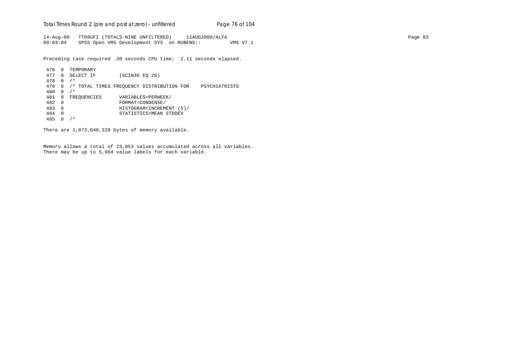Total Times Round 2 (pre and post at zero) - un*filtered* Page 76 of 104

14-Aug-00 TT09UFI (TOTALS-NINE UNFILTERED) 11AUG2000/ALFA Page 83 09:03:04 SPSS Open VMS Development SYS on RUBENS:: VMS V7.1

Preceding task required .30 seconds CPU time; 2.11 seconds elapsed.

```
 476 0 TEMPORARY
 477 0 SELECT IF (SCIN36 EQ 26)
 478 0 /*
 479 0 /* TOTAL TIMES FREQUENCY DISTRIBUTION FOR PSYCHIATRISTS
 480 0 /*
481 0 FREQUENCIES VARIABLES=PERWEEK/<br>482 0 FORMAT=CONDENSE/
 482 0 FORMAT=CONDENSE/
 483 0 HISTOGRAM=INCREMENT (5)/
 484 0 STATISTICS=MEAN STDDEV
 485 0 /*
```
There are 1,073,640,320 bytes of memory available.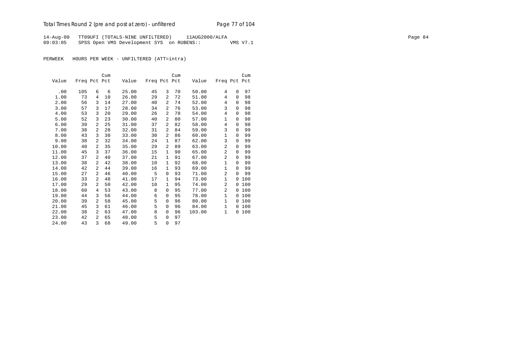14-Aug-00 TT09UFI (TOTALS-NINE UNFILTERED) 11AUG2000/ALFA Page 84 09:03:05 SPSS Open VMS Development SYS on RUBENS:: VMS V7.1

PERWEEK HOURS PER WEEK - UNFILTERED (ATT=intra)

|       |              |   | Cum |       |              |                | Cum |        |                |          | Cum   |
|-------|--------------|---|-----|-------|--------------|----------------|-----|--------|----------------|----------|-------|
| Value | Freq Pct Pct |   |     | Value | Freq Pct Pct |                |     | Value  | Freq Pct Pct   |          |       |
|       |              |   |     |       |              |                |     |        |                |          |       |
| .00   | 105          | 6 | 6   | 25.00 | 45           | 3              | 70  | 50.00  | 4              | $\Omega$ | 97    |
| 1.00  | 73           | 4 | 10  | 26.00 | 29           | 2              | 72  | 51.00  | 4              | $\Omega$ | 98    |
| 2.00  | 56           | 3 | 14  | 27.00 | 40           | $\overline{a}$ | 74  | 52.00  | 4              | 0        | 98    |
| 3.00  | 57           | 3 | 17  | 28.00 | 34           | 2              | 76  | 53.00  | 3              | $\Omega$ | 98    |
| 4.00  | 53           | 3 | 20  | 29.00 | 26           | $\overline{2}$ | 78  | 54.00  | 4              | $\Omega$ | 98    |
| 5.00  | 52           | 3 | 23  | 30.00 | 40           | 2              | 80  | 57.00  | 1              | 0        | 98    |
| 6.00  | 39           | 2 | 25  | 31.00 | 37           | 2              | 82  | 58.00  | 4              | $\Omega$ | 98    |
| 7.00  | 38           | 2 | 28  | 32.00 | 31           | 2              | 84  | 59.00  | 3              | $\Omega$ | 99    |
| 8.00  | 43           | 3 | 30  | 33.00 | 30           | $\overline{a}$ | 86  | 60.00  | $\mathbf{1}$   | 0        | 99    |
| 9.00  | 38           | 2 | 32  | 34.00 | 24           | 1              | 87  | 62.00  | 3              | $\Omega$ | 99    |
| 10.00 | 40           | 2 | 35  | 35.00 | 29           | 2              | 89  | 63.00  | $\overline{a}$ | $\Omega$ | 99    |
| 11.00 | 45           | 3 | 37  | 36.00 | 15           | $\mathbf{1}$   | 90  | 65.00  | 2              | 0        | 99    |
| 12.00 | 37           | 2 | 40  | 37.00 | 21           | 1              | 91  | 67.00  | $\overline{2}$ | $\Omega$ | 99    |
| 13.00 | 38           | 2 | 42  | 38.00 | 10           | $\mathbf{1}$   | 92  | 68.00  | 1              | $\Omega$ | 99    |
| 14.00 | 42           | 2 | 44  | 39.00 | 16           | 1              | 93  | 69.00  | $\mathbf{1}$   | 0        | 99    |
| 15.00 | 27           | 2 | 46  | 40.00 | 5            | 0              | 93  | 71.00  | $\overline{a}$ | $\Omega$ | 99    |
| 16.00 | 33           | 2 | 48  | 41.00 | 17           | 1              | 94  | 73.00  | 1              | 0        | 100   |
| 17.00 | 29           | 2 | 50  | 42.00 | 10           | 1              | 95  | 74.00  | 2              | 0        | 100   |
| 18.00 | 60           | 4 | 53  | 43.00 | 8            | 0              | 95  | 77.00  | $\overline{a}$ | $\Omega$ | 100   |
| 19.00 | 44           | 3 | 56  | 44.00 | 6            | 0              | 95  | 78.00  | $\mathbf{1}$   | $\Omega$ | 100   |
| 20.00 | 39           | 2 | 58  | 45.00 | 5            | 0              | 96  | 80.00  | $\mathbf{1}$   | $\Omega$ | 100   |
| 21.00 | 45           | 3 | 61  | 46.00 | 5            | 0              | 96  | 84.00  | $\mathbf{1}$   |          | 0 100 |
| 22.00 | 38           | 2 | 63  | 47.00 | 8            | 0              | 96  | 103.00 | $\mathbf{1}$   | 0        | 100   |
| 23.00 | 42           | 2 | 65  | 48.00 | 5            | 0              | 97  |        |                |          |       |
| 24.00 | 43           | 3 | 68  | 49.00 | 5            | $\Omega$       | 97  |        |                |          |       |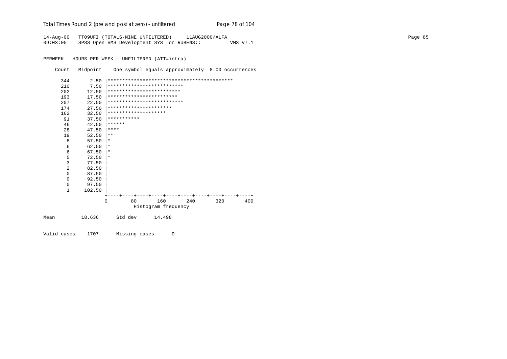| Total Times Round 2 (pre and post at zero) - unfiltered | Page 78 of 104 |
|---------------------------------------------------------|----------------|
|---------------------------------------------------------|----------------|

14-Aug-00 TT09UFI (TOTALS-NINE UNFILTERED) 11AUG2000/ALFA Page 85 09:03:05 SPSS Open VMS Development SYS on RUBENS:: VMS V7.1

PERWEEK HOURS PER WEEK - UNFILTERED (ATT=intra)

Count Midpoint One symbol equals approximately 8.00 occurrences

|      | 344 | 2.50   |                        |    |                            |     |     |     |
|------|-----|--------|------------------------|----|----------------------------|-----|-----|-----|
|      | 210 | 7.50   |                        |    | ************************** |     |     |     |
|      | 202 | 12.50  |                        |    | *************************  |     |     |     |
|      | 193 | 17.50  |                        |    | ************************   |     |     |     |
|      | 207 | 22.50  |                        |    | ************************** |     |     |     |
|      | 174 | 27.50  | ********************** |    |                            |     |     |     |
|      | 162 | 32.50  | ********************   |    |                            |     |     |     |
|      | 91  | 37.50  | ***********            |    |                            |     |     |     |
|      | 46  | 42.50  | $* * * * * * *$        |    |                            |     |     |     |
|      | 28  | 47.50  | ****                   |    |                            |     |     |     |
|      | 19  | 52.50  | $***$                  |    |                            |     |     |     |
|      | 8   | 57.50  | $^\star$               |    |                            |     |     |     |
|      | 6   | 62.50  | $\ast$                 |    |                            |     |     |     |
|      | 6   | 67.50  | $\star$                |    |                            |     |     |     |
|      | 5   | 72.50  | $^\star$               |    |                            |     |     |     |
|      | 3   | 77.50  |                        |    |                            |     |     |     |
|      | 2   | 82.50  |                        |    |                            |     |     |     |
|      | 0   | 87.50  |                        |    |                            |     |     |     |
|      | 0   | 92.50  |                        |    |                            |     |     |     |
|      | 0   | 97.50  |                        |    |                            |     |     |     |
|      | 1   | 102.50 |                        |    |                            |     |     |     |
|      |     |        |                        |    |                            |     |     |     |
|      |     |        | $\Omega$               | 80 | 160                        | 240 | 320 | 400 |
|      |     |        |                        |    | Histogram frequency        |     |     |     |
| Mean |     | 18.636 | Std dev                |    | 14.498                     |     |     |     |
|      |     |        |                        |    |                            |     |     |     |
|      |     |        |                        |    |                            |     |     |     |

Valid cases 1707 Missing cases 0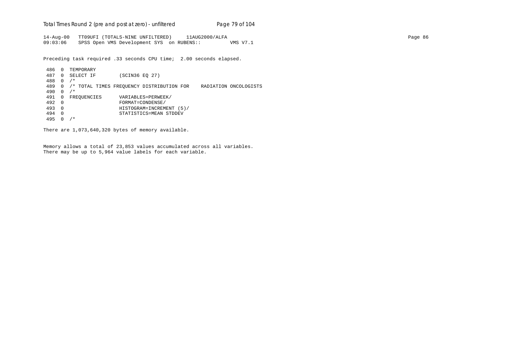Total Times Round 2 (pre and post at zero) - un*filtered* Page 79 of 104

14-Aug-00 TT09UFI (TOTALS-NINE UNFILTERED) 11AUG2000/ALFA Page 86 09:03:06 SPSS Open VMS Development SYS on RUBENS:: VMS V7.1

Preceding task required .33 seconds CPU time; 2.00 seconds elapsed.

 486 0 TEMPORARY 487 0 SELECT IF (SCIN36 EQ 27) 488 0 /\* 489 0 /\* TOTAL TIMES FREQUENCY DISTRIBUTION FOR RADIATION ONCOLOGISTS 490 0 /\* 491 0 FREQUENCIES VARIABLES=PERWEEK/<br>492 0 FORMAT=CONDENSE/ 492 0 FORMAT=CONDENSE/ 493 0 HISTOGRAM=INCREMENT (5)/ 494 0 STATISTICS=MEAN STDDEV 495 0 /\*

There are 1,073,640,320 bytes of memory available.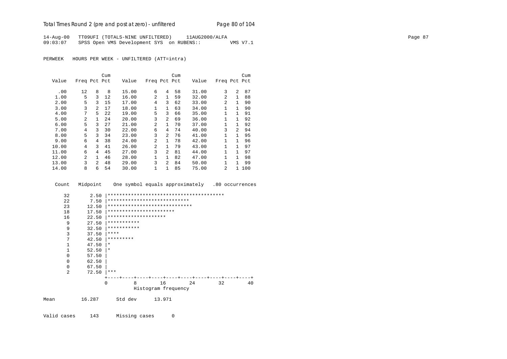# Total Times Round 2 (pre and post at zero) - un*filtered* Page 80 of 104

14-Aug-00 TT09UFI (TOTALS-NINE UNFILTERED) 11AUG2000/ALFA Page 87 09:03:07 SPSS Open VMS Development SYS on RUBENS:: VMS V7.1

PERWEEK HOURS PER WEEK - UNFILTERED (ATT=intra)

|       |                |                | Cum |       |                |                | Cum |       |                |                | Cum |
|-------|----------------|----------------|-----|-------|----------------|----------------|-----|-------|----------------|----------------|-----|
| Value | Freq Pct Pct   |                |     | Value | Freq Pct Pct   |                |     | Value | Freq Pct Pct   |                |     |
| .00   | 12             | 8              | 8   | 15.00 | 6              | 4              | 58  | 31.00 | 3              | 2              | 87  |
| 1.00  | 5              | 3              | 12  | 16.00 | $\overline{a}$ | $\mathbf{1}$   | 59  | 32.00 | $\overline{a}$ | 1              | 88  |
|       |                |                |     |       |                |                |     |       |                |                |     |
| 2.00  | 5              | 3              | 15  | 17.00 | 4              | 3              | 62  | 33.00 | $\mathfrak{D}$ | 1              | 90  |
| 3.00  | 3              | 2              | 17  | 18.00 | 1              | $\mathbf{1}$   | 63  | 34.00 |                | 1              | 90  |
| 4.00  | 7              | 5              | 22  | 19.00 | 5              | 3              | 66  | 35.00 |                |                | 91  |
| 5.00  | $\mathfrak{D}$ |                | 24  | 20.00 | 3              | $\overline{a}$ | 69  | 36.00 |                |                | 92  |
| 6.00  | 5              | 3              | 27  | 21.00 | $\overline{2}$ | $\mathbf{1}$   | 70  | 37.00 | $\mathbf{1}$   |                | 92  |
| 7.00  | 4              | 3              | 30  | 22.00 | 6              | 4              | 74  | 40.00 | 3              | $\mathfrak{D}$ | 94  |
| 8.00  | 5              | 3              | 34  | 23.00 | 3              | $\overline{a}$ | 76  | 41.00 |                |                | 95  |
| 9.00  | 6              | 4              | 38  | 24.00 | 2              | $\mathbf{1}$   | 78  | 42.00 | 1              | 1              | 96  |
| 10.00 | 4              | 3              | 41  | 26.00 | 2              | $\mathbf{1}$   | 79  | 43.00 | 1              | 1              | 97  |
| 11.00 | 6              | 4              | 45  | 27.00 | 3              | $\overline{a}$ | 81  | 44.00 | 1              | 1              | 97  |
| 12.00 | $\overline{a}$ | 1.             | 46  | 28.00 | 1              | $\mathbf{1}$   | 82  | 47.00 | 1              | 1              | 98  |
| 13.00 | 3              | $\overline{2}$ | 48  | 29.00 | 3              | $\overline{2}$ | 84  | 50.00 |                | 1              | 99  |
| 14.00 | 8              | 6              | 54  | 30.00 | 1              | 1              | 85  | 75.00 | $\mathfrak{D}$ |                | 100 |

Count Midpoint One symbol equals approximately .80 occurrences

|      | 32             | 2.50   |                               |         |        |                     |    |    |    |
|------|----------------|--------|-------------------------------|---------|--------|---------------------|----|----|----|
|      | 22             | 7.50   | ****************************  |         |        |                     |    |    |    |
|      | 23             | 12.50  | ***************************** |         |        |                     |    |    |    |
|      | 18             | 17.50  | ***********************       |         |        |                     |    |    |    |
|      | 16             | 22.50  | ********************          |         |        |                     |    |    |    |
|      | 9              | 27.50  | ***********                   |         |        |                     |    |    |    |
|      | 9              | 32.50  | ***********                   |         |        |                     |    |    |    |
|      | 3              | 37.50  | $* * * *$                     |         |        |                     |    |    |    |
|      | 7              | 42.50  | *********                     |         |        |                     |    |    |    |
|      | 1              | 47.50  | $\star$                       |         |        |                     |    |    |    |
|      | 1              | 52.50  | $\star$                       |         |        |                     |    |    |    |
|      | $\Omega$       | 57.50  |                               |         |        |                     |    |    |    |
|      | $\Omega$       | 62.50  |                               |         |        |                     |    |    |    |
|      | $\mathbf 0$    | 67.50  |                               |         |        |                     |    |    |    |
|      | $\overline{2}$ | 72.50  | ***                           |         |        |                     |    |    |    |
|      |                |        |                               |         |        |                     |    |    |    |
|      |                |        | 0                             | 8       | 16     |                     | 24 | 32 | 40 |
|      |                |        |                               |         |        | Histogram frequency |    |    |    |
| Mean |                | 16.287 |                               | Std dev | 13.971 |                     |    |    |    |
|      |                |        |                               |         |        |                     |    |    |    |

Valid cases 143 Missing cases 0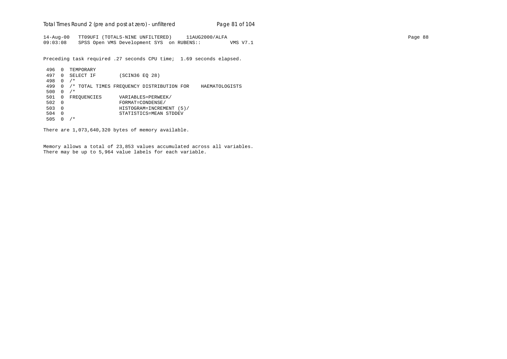Total Times Round 2 (pre and post at zero) - un*filtered* Page 81 of 104

14-Aug-00 TT09UFI (TOTALS-NINE UNFILTERED) 11AUG2000/ALFA Page 88 09:03:08 SPSS Open VMS Development SYS on RUBENS:: VMS V7.1

Preceding task required .27 seconds CPU time; 1.69 seconds elapsed.

```
 496 0 TEMPORARY
 497 0 SELECT IF (SCIN36 EQ 28)
 498 0 /*
 499 0 /* TOTAL TIMES FREQUENCY DISTRIBUTION FOR HAEMATOLOGISTS
500 0 /*501 0 FREQUENCIES VARIABLES=PERWEEK/<br>502 0 FORMAT=CONDENSE/
 502 0 FORMAT=CONDENSE/
 503 0 HISTOGRAM=INCREMENT (5)/
 504 0 STATISTICS=MEAN STDDEV
 505 0 /*
```
There are 1,073,640,320 bytes of memory available.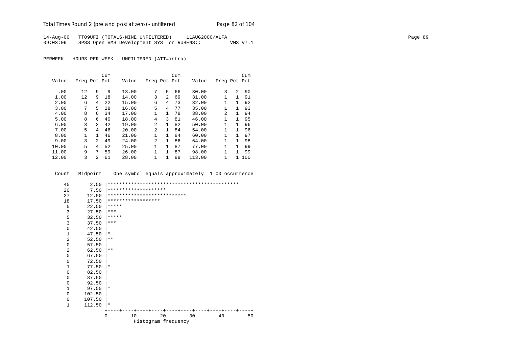# Total Times Round 2 (pre and post at zero) - un*filtered* Page 82 of 104

14-Aug-00 TT09UFI (TOTALS-NINE UNFILTERED) 11AUG2000/ALFA Page 89 09:03:09 SPSS Open VMS Development SYS on RUBENS:: VMS V7.1

PERWEEK HOURS PER WEEK - UNFILTERED (ATT=intra)

|       |              |               | Cum |       |                |                | Cum |        |                |                | Cum |
|-------|--------------|---------------|-----|-------|----------------|----------------|-----|--------|----------------|----------------|-----|
| Value | Freq Pct Pct |               |     | Value | Freq Pct Pct   |                |     | Value  | Freq Pct Pct   |                |     |
|       |              |               |     |       |                |                |     |        |                |                |     |
| .00   | 12           | 9             | 9   | 13.00 | 7              | 5.             | 66  | 30.00  | 3              | $\overline{2}$ | 90  |
| 1.00  | 12           | 9             | 18  | 14.00 | 3              | $\overline{a}$ | 69  | 31.00  |                | 1              | 91  |
| 2.00  | 6            | 4             | 2.2 | 15.00 | 6              | 4              | 73  | 32.00  | 1              | 1              | 92  |
| 3.00  | 7            | 5.            | 28  | 16.00 | 5              | 4              | 77  | 35.00  | $\mathbf{1}$   | $\mathbf{1}$   | 93  |
| 4.00  | 8            | 6             | 34  | 17.00 | $\mathbf{1}$   | $\mathbf{1}$   | 78  | 38.00  | $\mathfrak{D}$ | 1              | 94  |
| 5.00  | 8            | 6             | 40  | 18.00 | 4              | 3              | 81  | 46.00  | 1              | 1              | 95  |
| 6.00  | 3            | $2^{1}$       | 42  | 19.00 | $\mathfrak{D}$ | $\mathbf{1}$   | 82  | 50.00  | 1              | 1              | 96  |
| 7.00  | 5            | 4             | 46  | 20.00 | $\mathfrak{D}$ | $\mathbf{1}$   | 84  | 54.00  |                | 1              | 96  |
| 8.00  | 1            |               | 46  | 21.00 | $\mathbf{1}$   | $\mathbf{1}$   | 84  | 60.00  | 1              |                | 97  |
| 9.00  | 3            | $\mathcal{L}$ | 49  | 24.00 | $\overline{2}$ | 1.             | 86  | 64.00  | 1              | 1              | 98  |
| 10.00 | 5            | 4             | 52  | 25.00 | 1              | $\mathbf{1}$   | 87  | 77.00  |                | 1              | 99  |
| 11.00 | 9            | 7             | 59  | 26.00 | 1              | $\mathbf{1}$   | 87  | 98.00  |                | 1              | 99  |
| 12.00 | 3            | 2             | 61  | 28.00 | 1              |                | 88  | 113.00 | 1              |                | 100 |

Count Midpoint One symbol equals approximately 1.00 occurrence

| 45           | 2.50   |                             |    |                     |    |  |    |  |    |    |
|--------------|--------|-----------------------------|----|---------------------|----|--|----|--|----|----|
| 20           | 7.50   | ********************        |    |                     |    |  |    |  |    |    |
| 27           | 12.50  | *************************** |    |                     |    |  |    |  |    |    |
| 18           | 17.50  | ******************          |    |                     |    |  |    |  |    |    |
| 5            | 22.50  | *****                       |    |                     |    |  |    |  |    |    |
| 3            | 27.50  | $***$                       |    |                     |    |  |    |  |    |    |
| 5            | 32.50  | *****                       |    |                     |    |  |    |  |    |    |
| 3            | 37.50  | $***$                       |    |                     |    |  |    |  |    |    |
| $\mathbf 0$  | 42.50  |                             |    |                     |    |  |    |  |    |    |
| $\mathbf{1}$ | 47.50  | $^\ast$                     |    |                     |    |  |    |  |    |    |
| 2            | 52.50  | $* *$                       |    |                     |    |  |    |  |    |    |
| 0            | 57.50  |                             |    |                     |    |  |    |  |    |    |
| 2            | 62.50  | $* *$                       |    |                     |    |  |    |  |    |    |
| 0            | 67.50  |                             |    |                     |    |  |    |  |    |    |
| 0            | 72.50  |                             |    |                     |    |  |    |  |    |    |
| $\mathbf{1}$ | 77.50  | $\ast$                      |    |                     |    |  |    |  |    |    |
| $\mathbf 0$  | 82.50  |                             |    |                     |    |  |    |  |    |    |
| $\mathbf 0$  | 87.50  |                             |    |                     |    |  |    |  |    |    |
| $\mathbf 0$  | 92.50  |                             |    |                     |    |  |    |  |    |    |
| $\mathbf{1}$ | 97.50  | $\star$                     |    |                     |    |  |    |  |    |    |
| 0            | 102.50 |                             |    |                     |    |  |    |  |    |    |
| $\mathbf 0$  | 107.50 |                             |    |                     |    |  |    |  |    |    |
| $\mathbf{1}$ | 112.50 | $\star$                     |    |                     |    |  |    |  |    |    |
|              |        |                             |    |                     |    |  |    |  |    |    |
|              |        | $\Omega$                    | 10 |                     | 20 |  | 30 |  | 40 | 50 |
|              |        |                             |    | Histogram frequency |    |  |    |  |    |    |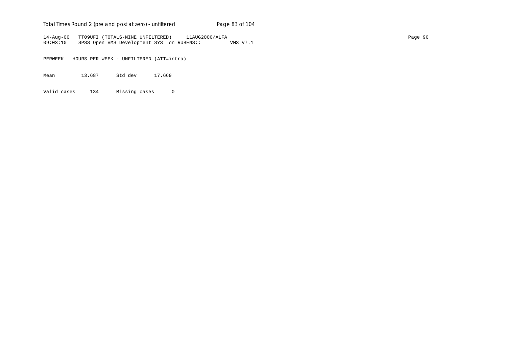# Total Times Round 2 (pre and post at zero) - un*filtered* Page 83 of 104

14-Aug-00 TT09UFI (TOTALS-NINE UNFILTERED) 11AUG2000/ALFA Page 90 09:03:10 SPSS Open VMS Development SYS on RUBENS:: VMS V7.1

PERWEEK HOURS PER WEEK - UNFILTERED (ATT=intra)

Mean 13.687 Std dev 17.669

Valid cases 134 Missing cases 0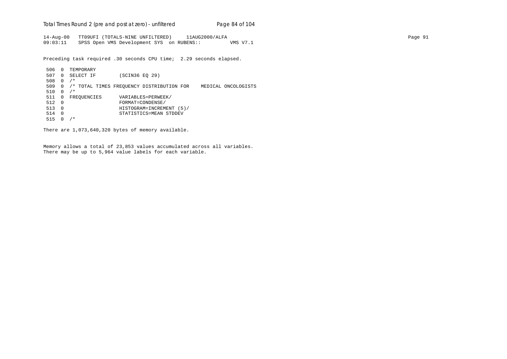Total Times Round 2 (pre and post at zero) - un*filtered* Page 84 of 104

14-Aug-00 TT09UFI (TOTALS-NINE UNFILTERED) 11AUG2000/ALFA Page 91 09:03:11 SPSS Open VMS Development SYS on RUBENS:: VMS V7.1

Preceding task required .30 seconds CPU time; 2.29 seconds elapsed.

 506 0 TEMPORARY 507 0 SELECT IF (SCIN36 EQ 29) 508 0 /\* 509 0 /\* TOTAL TIMES FREQUENCY DISTRIBUTION FOR MEDICAL ONCOLOGISTS 510 0 /\* 511 0 FREQUENCIES VARIABLES=PERWEEK/<br>512 0 FORMAT=CONDENSE/ 512 0 FORMAT=CONDENSE/ 513 0 HISTOGRAM=INCREMENT (5)/ 514 0 STATISTICS=MEAN STDDEV 515 0 /\*

There are 1,073,640,320 bytes of memory available.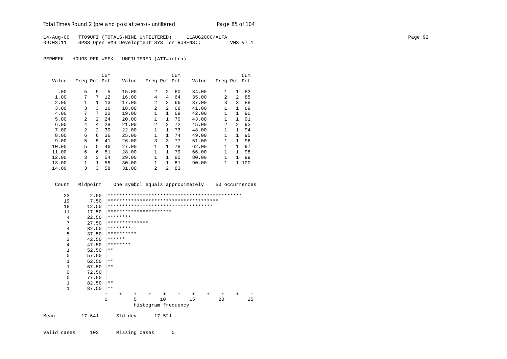# Total Times Round 2 (pre and post at zero) - un*filtered* Page 85 of 104

14-Aug-00 TT09UFI (TOTALS-NINE UNFILTERED) 11AUG2000/ALFA Page 92 09:03:11 SPSS Open VMS Development SYS on RUBENS:: VMS V7.1

PERWEEK HOURS PER WEEK - UNFILTERED (ATT=intra)

|       |                |                | Cum |       |                |                | Cum |       |                |                | Cum |
|-------|----------------|----------------|-----|-------|----------------|----------------|-----|-------|----------------|----------------|-----|
| Value | Freq Pct Pct   |                |     | Value | Freq Pct Pct   |                |     | Value | Freq Pct Pct   |                |     |
| .00   | 5              | 5              | 5   | 15.00 | 2              | $\overline{a}$ | 60  | 34.00 | $\mathbf{1}$   | $\mathbf{1}$   | 83  |
| 1.00  | 7              | 7              | 12  | 16.00 | 4              | 4              | 64  | 35.00 | $\mathfrak{D}$ | $\mathfrak{D}$ | 85  |
| 2.00  | 1              | 1              | 13  | 17.00 | 2              | $\overline{a}$ | 66  | 37.00 | 3              | 3              | 88  |
| 3.00  | 3              | 3              | 16  | 18.00 | $\mathfrak{D}$ | $\overline{a}$ | 68  | 41.00 | 1              | 1              | 89  |
| 4.00  | 7              | 7              | 22  | 19.00 | 1              | $\mathbf{1}$   | 69  | 42.00 | 1              | 1              | 90  |
| 5.00  | $\overline{a}$ | $\overline{a}$ | 24  | 20.00 | $\mathbf{1}$   | $\mathbf{1}$   | 70  | 43.00 | 1              |                | 91  |
| 6.00  | 4              | 4              | 28  | 21.00 | $\overline{a}$ | $\overline{a}$ | 72  | 45.00 | $\overline{a}$ | $\mathfrak{D}$ | 93  |
| 7.00  | $\overline{a}$ | $\overline{2}$ | 30  | 22.00 | 1              | $\mathbf{1}$   | 73  | 48.00 |                | 1              | 94  |
| 8.00  | 6              | 6              | 36  | 25.00 | 1              | $\mathbf{1}$   | 74  | 49.00 | 1              |                | 95  |
| 9.00  | 5              | 5.             | 41  | 26.00 | 3              | 3              | 77  | 51.00 | $\mathbf{1}$   | 1              | 96  |
| 10.00 | 5              | 5              | 46  | 27.00 | 1              | $\mathbf{1}$   | 78  | 62.00 | 1              | 1              | 97  |
| 11.00 | 6              | 6              | 51  | 28.00 | $\mathbf 1$    | $\mathbf{1}$   | 79  | 66.00 | 1              | 1              | 98  |
| 12.00 | 3              | 3              | 54  | 29.00 | $\mathbf{1}$   | $\mathbf{1}$   | 80  | 80.00 | 1              | 1              | 99  |
| 13.00 | 1              | 1.             | 55  | 30.00 | 1              | $\mathbf{1}$   | 81  | 90.00 | 1              | 1              | 100 |
| 14.00 | 3              | 3              | 58  | 31.00 | 2              | 2              | 83  |       |                |                |     |

Count Midpoint One symbol equals approximately .50 occurrences

| 23           | 2.50  |                                      |   |                     |    |    |                   |    |
|--------------|-------|--------------------------------------|---|---------------------|----|----|-------------------|----|
| 19           | 7.50  |                                      |   |                     |    |    |                   |    |
| 18           | 12.50 | ************************************ |   |                     |    |    |                   |    |
| 11           | 17.50 | **********************               |   |                     |    |    |                   |    |
| 4            | 22.50 | ********                             |   |                     |    |    |                   |    |
| 7            | 27.50 | **************                       |   |                     |    |    |                   |    |
| 4            | 32.50 | ********                             |   |                     |    |    |                   |    |
| 5            | 37.50 | **********                           |   |                     |    |    |                   |    |
| 3            | 42.50 | ******                               |   |                     |    |    |                   |    |
| 4            | 47.50 | ********                             |   |                     |    |    |                   |    |
| 1            | 52.50 | $* *$                                |   |                     |    |    |                   |    |
| 0            | 57.50 |                                      |   |                     |    |    |                   |    |
| $\mathbf{1}$ | 62.50 | $* *$                                |   |                     |    |    |                   |    |
| 1            | 67.50 | $***$                                |   |                     |    |    |                   |    |
| 0            | 72.50 |                                      |   |                     |    |    |                   |    |
| $\mathbf 0$  | 77.50 |                                      |   |                     |    |    |                   |    |
| $\mathbf{1}$ | 82.50 | $***$                                |   |                     |    |    |                   |    |
| $\mathbf{1}$ | 87.50 | $* *$                                |   |                     |    |    |                   |    |
|              |       |                                      |   |                     |    |    | -+----+----+----+ |    |
|              |       | 0                                    | 5 |                     | 10 | 15 | 20                | 25 |
|              |       |                                      |   | Histogram frequency |    |    |                   |    |
|              |       |                                      |   |                     |    |    |                   |    |

Mean 17.641 Std dev 17.521

Valid cases 103 Missing cases 0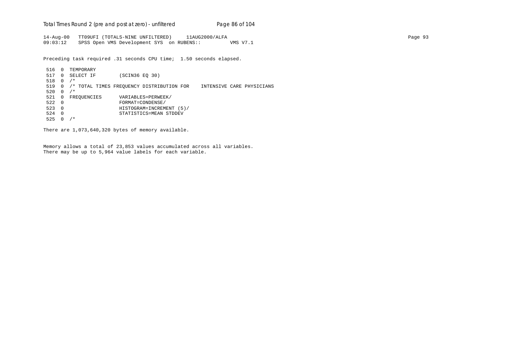Total Times Round 2 (pre and post at zero) - un*filtered* Page 86 of 104

14-Aug-00 TT09UFI (TOTALS-NINE UNFILTERED) 11AUG2000/ALFA Page 93 09:03:12 SPSS Open VMS Development SYS on RUBENS:: VMS V7.1

Preceding task required .31 seconds CPU time; 1.50 seconds elapsed.

 516 0 TEMPORARY 517 0 SELECT IF (SCIN36 EQ 30) 518 0 /\* 519 0 /\* TOTAL TIMES FREQUENCY DISTRIBUTION FOR INTENSIVE CARE PHYSICIANS 520 0  $/*$ 521 0 FREQUENCIES VARIABLES=PERWEEK/<br>522 0 FORMAT=CONDENSE/ 522 0 FORMAT=CONDENSE/ 523 0 HISTOGRAM=INCREMENT (5)/ 524 0 STATISTICS=MEAN STDDEV 525 0 /\*

There are 1,073,640,320 bytes of memory available.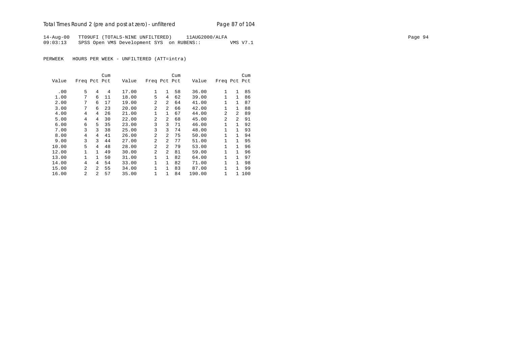# Total Times Round 2 (pre and post at zero) - un*filtered* Page 87 of 104

14-Aug-00 TT09UFI (TOTALS-NINE UNFILTERED) 11AUG2000/ALFA Page 94 09:03:13 SPSS Open VMS Development SYS on RUBENS:: VMS V7.1

PERWEEK HOURS PER WEEK - UNFILTERED (ATT=intra)

|       |                |                | Cum |       |                |                | Cum |        |                |                | Cum |
|-------|----------------|----------------|-----|-------|----------------|----------------|-----|--------|----------------|----------------|-----|
| Value | Freq Pct Pct   |                |     | Value | Freq Pct Pct   |                |     | Value  | Freq Pct Pct   |                |     |
|       |                |                |     |       |                |                |     |        |                |                |     |
| .00   | 5              | 4              | 4   | 17.00 | 1              | 1              | 58  | 36.00  | 1              | 1              | 85  |
| 1.00  | 7              | 6              | 11  | 18.00 | 5              | 4              | 62  | 39.00  | $\mathbf{1}$   | 1              | 86  |
| 2.00  | 7              | 6              | 17  | 19.00 | 2              | $\mathfrak{D}$ | 64  | 41.00  | $\mathbf{1}$   |                | 87  |
| 3.00  | 7              | 6              | 23  | 20.00 | 2              | $\overline{a}$ | 66  | 42.00  | $\mathbf{1}$   | 1              | 88  |
| 4.00  | 4              | 4              | 26  | 21.00 | $\mathbf{1}$   | $\mathbf{1}$   | 67  | 44.00  | $\mathfrak{D}$ | $\mathfrak{D}$ | 89  |
| 5.00  | 4              | 4              | 30  | 22.00 | $\mathfrak{D}$ | $\mathfrak{D}$ | 68  | 45.00  | $\mathfrak{D}$ | $\mathfrak{D}$ | 91  |
| 6.00  | 6              | 5              | 35  | 23.00 | 3              | 3              | 71  | 46.00  | 1              | 1              | 92  |
| 7.00  | 3              | 3              | 38  | 25.00 | 3              | 3              | 74  | 48.00  | 1              | 1              | 93  |
| 8.00  | 4              | 4              | 41  | 26.00 | $\overline{a}$ | $\mathfrak{D}$ | 75  | 50.00  | 1              | 1              | 94  |
| 9.00  | 3              | 3              | 44  | 27.00 | $\overline{a}$ | $\overline{a}$ | 77  | 51.00  | 1              | 1              | 95  |
| 10.00 | 5              | 4              | 48  | 28.00 | $\overline{a}$ | $\overline{a}$ | 79  | 53.00  | $\mathbf{1}$   | 1              | 96  |
| 12.00 | $\mathbf{1}$   | 1.             | 49  | 30.00 | $\overline{a}$ | $\overline{a}$ | 81  | 59.00  | $\mathbf{1}$   | 1              | 96  |
| 13.00 | 1              | $\mathbf{1}$   | 50  | 31.00 | 1              | $\mathbf{1}$   | 82  | 64.00  | $\mathbf{1}$   | 1.             | 97  |
| 14.00 | 4              | 4              | 54  | 33.00 | 1              | $\mathbf{1}$   | 82  | 71.00  | $\mathbf{1}$   | 1              | 98  |
| 15.00 | $\overline{a}$ | 2              | 55  | 34.00 | $\mathbf{1}$   | $\mathbf{1}$   | 83  | 87.00  | $\mathbf{1}$   | 1.             | 99  |
| 16.00 | $\overline{a}$ | $\mathfrak{D}$ | 57  | 35.00 | 1              | 1              | 84  | 190.00 | 1              | $\mathbf{1}$   | 100 |
|       |                |                |     |       |                |                |     |        |                |                |     |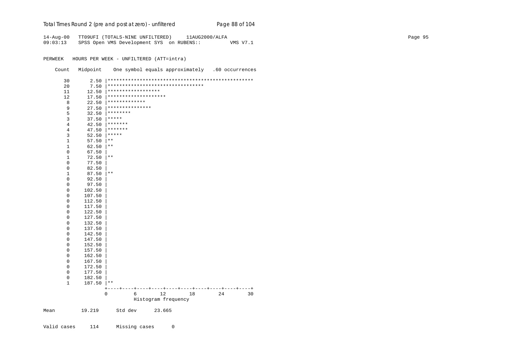# Total Times Round 2 (pre and post at zero) - un*filtered* Page 88 of 104

14-Aug-00 TT09UFI (TOTALS-NINE UNFILTERED) 11AUG2000/ALFA Page 95 09:03:13 SPSS Open VMS Development SYS on RUBENS:: VMS V7.1

PERWEEK HOURS PER WEEK - UNFILTERED (ATT=intra)

Count Midpoint One symbol equals approximately .60 occurrences

| 30                  | 2.50   |                    |      |                                   |    |                 |                 |
|---------------------|--------|--------------------|------|-----------------------------------|----|-----------------|-----------------|
| 20                  | 7.50   |                    |      | ********************************* |    |                 |                 |
| 11                  | 12.50  | ****************** |      |                                   |    |                 |                 |
| 12                  | 17.50  |                    |      | ********************              |    |                 |                 |
| 8                   | 22.50  | *************      |      |                                   |    |                 |                 |
| 9                   | 27.50  | ***************    |      |                                   |    |                 |                 |
| 5                   | 32.50  | ********           |      |                                   |    |                 |                 |
| 3                   | 37.50  | *****              |      |                                   |    |                 |                 |
| $\,4$               | 42.50  | *******            |      |                                   |    |                 |                 |
| $\,4$               | 47.50  | *******            |      |                                   |    |                 |                 |
| 3                   | 52.50  | *****              |      |                                   |    |                 |                 |
| $\mathbf 1$         | 57.50  | $***$              |      |                                   |    |                 |                 |
| $\mathbf 1$         | 62.50  | $***$              |      |                                   |    |                 |                 |
| 0                   | 67.50  |                    |      |                                   |    |                 |                 |
| $\mathbf 1$         | 72.50  | $\star\star$       |      |                                   |    |                 |                 |
| $\mathsf 0$         | 77.50  |                    |      |                                   |    |                 |                 |
| $\mathsf 0$         | 82.50  |                    |      |                                   |    |                 |                 |
| $\mathbf 1$         | 87.50  | $* *$              |      |                                   |    |                 |                 |
| $\mathsf{O}\xspace$ | 92.50  |                    |      |                                   |    |                 |                 |
| $\mathsf 0$         | 97.50  |                    |      |                                   |    |                 |                 |
| 0                   | 102.50 |                    |      |                                   |    |                 |                 |
| $\mathsf 0$         | 107.50 |                    |      |                                   |    |                 |                 |
| $\mathsf 0$         | 112.50 |                    |      |                                   |    |                 |                 |
| $\mathsf 0$         | 117.50 |                    |      |                                   |    |                 |                 |
| $\mathsf 0$         | 122.50 |                    |      |                                   |    |                 |                 |
| $\mathsf 0$         | 127.50 |                    |      |                                   |    |                 |                 |
| $\mathsf 0$         | 132.50 |                    |      |                                   |    |                 |                 |
| $\mathsf 0$         | 137.50 |                    |      |                                   |    |                 |                 |
| $\mathsf 0$         | 142.50 |                    |      |                                   |    |                 |                 |
| 0                   | 147.50 |                    |      |                                   |    |                 |                 |
| $\mathsf{O}\xspace$ | 152.50 |                    |      |                                   |    |                 |                 |
| $\mathsf 0$         | 157.50 |                    |      |                                   |    |                 |                 |
| $\mathsf 0$         | 162.50 |                    |      |                                   |    |                 |                 |
| $\mathsf 0$         | 167.50 |                    |      |                                   |    |                 |                 |
| 0                   | 172.50 |                    |      |                                   |    |                 |                 |
| 0                   | 177.50 |                    |      |                                   |    |                 |                 |
| $\mathsf 0$         | 182.50 |                    |      |                                   |    |                 |                 |
| $1\,$               | 187.50 | $\star\star$       |      |                                   |    |                 |                 |
|                     |        | $\hspace{0.1mm} +$ | ---+ | ----+---                          |    | -+----+----+--- | $- + - - - - +$ |
|                     |        | $\mathbf 0$        | 6    | 12                                | 18 | 24              | 30              |
|                     |        |                    |      | Histogram frequency               |    |                 |                 |
| Mean                | 19.219 | Std dev            |      | 23.665                            |    |                 |                 |

Valid cases 114 Missing cases 0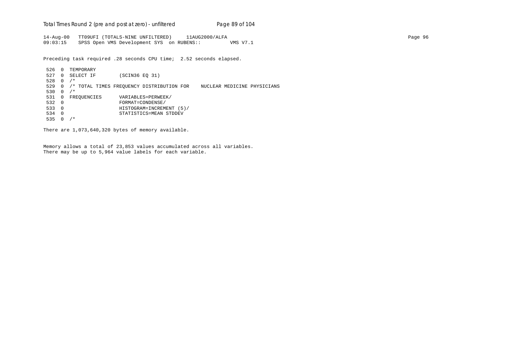Total Times Round 2 (pre and post at zero) - un*filtered* Page 89 of 104

14-Aug-00 TT09UFI (TOTALS-NINE UNFILTERED) 11AUG2000/ALFA Page 96 09:03:15 SPSS Open VMS Development SYS on RUBENS:: VMS V7.1

Preceding task required .28 seconds CPU time; 2.52 seconds elapsed.

 526 0 TEMPORARY 527 0 SELECT IF (SCIN36 EQ 31) 528 0 /\* 529 0 /\* TOTAL TIMES FREQUENCY DISTRIBUTION FOR NUCLEAR MEDICINE PHYSICIANS 530 0  $/*$ 531 0 FREQUENCIES VARIABLES=PERWEEK/<br>532 0 FORMAT=CONDENSE/ 532 0 FORMAT=CONDENSE/ 533 0 HISTOGRAM=INCREMENT (5)/ 534 0 STATISTICS=MEAN STDDEV 535 0 /\*

There are 1,073,640,320 bytes of memory available.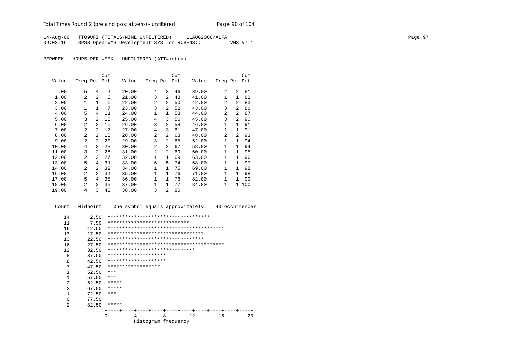14-Aug-00 TT09UFI (TOTALS-NINE UNFILTERED) 11AUG2000/ALFA Page 97 09:03:16 SPSS Open VMS Development SYS on RUBENS:: VMS V7.1

PERWEEK HOURS PER WEEK - UNFILTERED (ATT=intra)

|       |                |                | Cum |       |                |                | Cum |       |                |                | Cum |
|-------|----------------|----------------|-----|-------|----------------|----------------|-----|-------|----------------|----------------|-----|
| Value | Freq Pct Pct   |                |     | Value | Freq Pct Pct   |                |     | Value | Freq Pct Pct   |                |     |
| .00   | 5              | 4              | 4   | 20.00 | 4              | 3              | 46  | 39.00 | 2              | 2              | 81  |
| 1.00  | $\overline{a}$ | $\overline{a}$ | 6   | 21.00 | 3              | $\mathfrak{D}$ | 48  | 41.00 | $\mathbf{1}$   | $\mathbf{1}$   | 82  |
| 2.00  | 1              | $\mathbf{1}$   | 6   | 22.00 | 2              | $\mathfrak{D}$ | 50  | 42.00 | 2              | 2              | 83  |
| 3.00  | 1              | $\mathbf{1}$   | 7   | 23.00 | 3              | $\overline{a}$ | 52  | 43.00 | 3              | $\overline{a}$ | 86  |
| 4.00  | 5              | 4              | 11  | 24.00 | 1              | $\mathbf{1}$   | 53  | 44.00 | $\overline{a}$ | 2              | 87  |
| 5.00  | 3              | 2              | 13  | 25.00 | 4              | 3              | 56  | 45.00 | 3              | 2              | 90  |
| 6.00  | $\mathfrak{D}$ | 2              | 15  | 26.00 | 3              | $\mathfrak{D}$ | 58  | 46.00 | $\mathbf{1}$   | 1              | 91  |
| 7.00  | $\mathfrak{D}$ | 2              | 17  | 27.00 | 4              | 3              | 61  | 47.00 | $\mathbf{1}$   | 1              | 91  |
| 8.00  | $\mathfrak{D}$ | $\overline{2}$ | 18  | 28.00 | 2              | $\overline{a}$ | 63  | 48.00 | $\overline{a}$ | $\mathfrak{D}$ | 93  |
| 9.00  | $\overline{a}$ | $\overline{a}$ | 20  | 29.00 | 3              | $\mathfrak{D}$ | 65  | 52.00 | $\mathbf{1}$   | 1              | 94  |
| 10.00 | 4              | 3              | 23  | 30.00 | 2              | 2              | 67  | 58.00 | $\mathbf{1}$   | 1              | 94  |
| 11.00 | 3              | $\overline{a}$ | 25  | 31.00 | $\overline{2}$ | $\mathfrak{D}$ | 69  | 60.00 | 1              | $\mathbf{1}$   | 95  |
| 12.00 | $\mathfrak{D}$ | 2              | 27  | 32.00 | $\mathbf{1}$   | $\mathbf{1}$   | 69  | 63.00 | $\mathbf{1}$   | 1              | 96  |
| 13.00 | 5              | 4              | 31  | 33.00 | 6              | 5              | 74  | 68.00 | $\mathbf{1}$   | $\mathbf{1}$   | 97  |
| 14.00 | 2              | $\overline{a}$ | 32  | 34.00 | 1              | $\mathbf{1}$   | 75  | 69.00 | $\mathbf{1}$   | 1              | 98  |
| 16.00 | $\mathfrak{D}$ | 2              | 34  | 35.00 | $\mathbf{1}$   | $\mathbf{1}$   | 76  | 71.00 | $\mathbf{1}$   | $\mathbf{1}$   | 98  |
| 17.00 | 5              | 4              | 38  | 36.00 | $\mathbf 1$    | $\mathbf{1}$   | 76  | 82.00 | $\mathbf{1}$   | $\mathbf{1}$   | 99  |
| 18.00 | $\mathfrak{D}$ | 2              | 39  | 37.00 | 1              | 1              | 77  | 84.00 | 1              | $\mathbf{1}$   | 100 |
| 19.00 | 4              | 3              | 43  | 38.00 | 3              | $\overline{a}$ | 80  |       |                |                |     |

| Count        | Midpoint |       |                    |                      |                                     |                                          | One symbol equals approximately .40 occurrences |
|--------------|----------|-------|--------------------|----------------------|-------------------------------------|------------------------------------------|-------------------------------------------------|
| 14           | 2.50     |       |                    |                      | *********************************** |                                          |                                                 |
| 11           | 7.50     |       |                    |                      | ****************************        |                                          |                                                 |
| 16           | 12.50    |       |                    |                      |                                     |                                          |                                                 |
| 13           | 17.50    |       |                    |                      | *********************************   |                                          |                                                 |
| 13           | 22.50    |       |                    |                      | *********************************   |                                          |                                                 |
| 16           | 27.50    |       |                    |                      |                                     |                                          |                                                 |
| 12.          | 32.50    |       |                    |                      | ******************************      |                                          |                                                 |
| 8            | 37.50    |       |                    | ******************** |                                     |                                          |                                                 |
| 8            | 42.50    |       |                    | ******************** |                                     |                                          |                                                 |
| 7            | 47.50    |       | ****************** |                      |                                     |                                          |                                                 |
| $\mathbf{1}$ | 52.50    | * * * |                    |                      |                                     |                                          |                                                 |
| 1            | 57.50    | * * * |                    |                      |                                     |                                          |                                                 |
| 2            | 62.50    | ***** |                    |                      |                                     |                                          |                                                 |
| 2            | 67.50    | ***** |                    |                      |                                     |                                          |                                                 |
| 1            | 72.50    | ***   |                    |                      |                                     |                                          |                                                 |
| $\Omega$     | 77.50    |       |                    |                      |                                     |                                          |                                                 |
| 2            | 82.50    | ***** |                    |                      |                                     |                                          |                                                 |
|              |          |       |                    |                      |                                     | ---+----+----+----+----+----+----+----+- |                                                 |
|              |          | O     | 4                  | 8                    |                                     | 12                                       | 16<br>20                                        |
|              |          |       |                    |                      | Histogram frequency                 |                                          |                                                 |
|              |          |       |                    |                      |                                     |                                          |                                                 |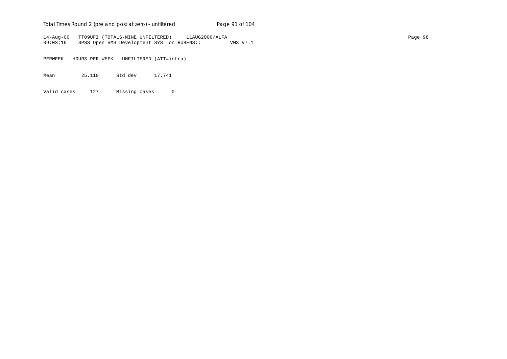# Total Times Round 2 (pre and post at zero) - unfiltered Page 91 of 104

14-Aug-00 TT09UFI (TOTALS-NINE UNFILTERED) 11AUG2000/ALFA Page 98 09:03:16 SPSS Open VMS Development SYS on RUBENS:: VMS V7.1

PERWEEK HOURS PER WEEK - UNFILTERED (ATT=intra)

Mean 25.110 Std dev 17.741

Valid cases 127 Missing cases 0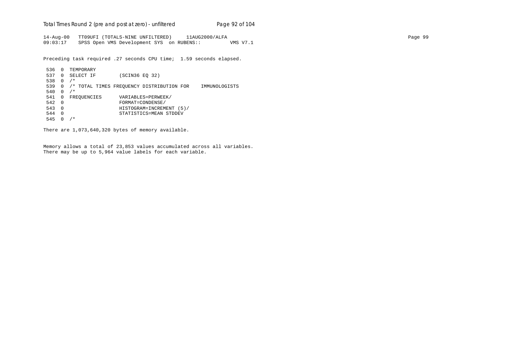Total Times Round 2 (pre and post at zero) - un*filtered* Page 92 of 104

14-Aug-00 TT09UFI (TOTALS-NINE UNFILTERED) 11AUG2000/ALFA Page 99 09:03:17 SPSS Open VMS Development SYS on RUBENS:: VMS V7.1

Preceding task required .27 seconds CPU time; 1.59 seconds elapsed.

```
 536 0 TEMPORARY
 537 0 SELECT IF (SCIN36 EQ 32)
 538 0 /*
 539 0 /* TOTAL TIMES FREQUENCY DISTRIBUTION FOR IMMUNOLOGISTS
540 0 /*541 0 FREQUENCIES VARIABLES=PERWEEK/<br>542 0 FORMAT=CONDENSE/
 542 0 FORMAT=CONDENSE/
 543 0 HISTOGRAM=INCREMENT (5)/
 544 0 STATISTICS=MEAN STDDEV
 545 0 /*
```
There are 1,073,640,320 bytes of memory available.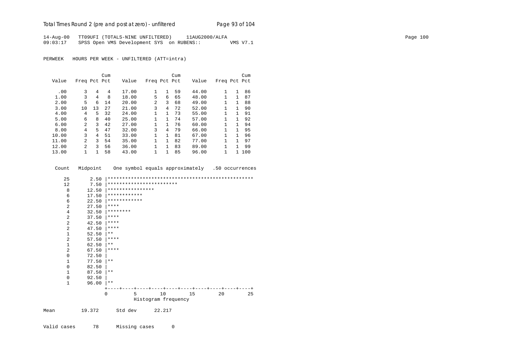# Total Times Round 2 (pre and post at zero) - un*filtered* Page 93 of 104

14-Aug-00 TT09UFI (TOTALS-NINE UNFILTERED) 11AUG2000/ALFA Page 100 09:03:17 SPSS Open VMS Development SYS on RUBENS:: VMS V7.1

PERWEEK HOURS PER WEEK - UNFILTERED (ATT=intra)

|       |                |    | Cum |       |              |              | Cum |       |              |    | Cum |
|-------|----------------|----|-----|-------|--------------|--------------|-----|-------|--------------|----|-----|
| Value | Freq Pct Pct   |    |     | Value | Freq Pct Pct |              |     | Value | Freq Pct Pct |    |     |
|       |                |    |     |       |              |              |     |       |              |    |     |
| .00   | 3              | 4  | 4   | 17.00 | $\mathbf{1}$ | 1            | 59  | 44.00 | 1.           | 1  | 86  |
| 1.00  | 3              | 4  | 8   | 18.00 | 5.           | 6            | 65  | 48.00 | 1            | 1  | 87  |
| 2.00  | 5              | 6  | 14  | 20.00 | 2            | 3            | 68  | 49.00 |              | 1  | 88  |
| 3.00  | 10             | 13 | 27  | 21.00 | 3            | 4            | 72  | 52.00 | 1            | 1. | 90  |
| 4.00  | 4              | 5. | 32  | 24.00 | 1            | $\mathbf{1}$ | 73  | 55.00 | 1            |    | 91  |
| 5.00  | 6              | 8  | 40  | 25.00 | $\mathbf{1}$ | 1.           | 74  | 57.00 | 1            | 1  | 92  |
| 6.00  | $\overline{a}$ | 3  | 42  | 27.00 | 1            | $\mathbf{1}$ | 76  | 60.00 |              |    | 94  |
| 8.00  | 4              | 5  | 47  | 32.00 | 3            | 4            | 79  | 66.00 | 1            | 1. | 95  |
| 10.00 | 3              | 4  | 51  | 33.00 | $\mathbf{1}$ | $\mathbf{1}$ | 81  | 67.00 |              |    | 96  |
| 11.00 | $\mathfrak{D}$ | ζ  | 54  | 35.00 | 1            | 1.           | 82  | 77.00 | $\mathbf{1}$ | 1  | 97  |
| 12.00 | 2              | ζ  | 56  | 36.00 | 1            | $\mathbf{1}$ | 83  | 89.00 | 1            |    | 99  |
| 13.00 |                |    | 58  | 43.00 | 1            |              | 85  | 96.00 |              |    | 100 |

Count Midpoint One symbol equals approximately .50 occurrences

| 25           | 2.50   |                  |                          |    |                      |    |
|--------------|--------|------------------|--------------------------|----|----------------------|----|
| 12           | 7.50   |                  | ************************ |    |                      |    |
| 8            | 12.50  | **************** |                          |    |                      |    |
| 6            | 17.50  | ************     |                          |    |                      |    |
| 6            | 22.50  | ************     |                          |    |                      |    |
| 2            | 27.50  | ****             |                          |    |                      |    |
| 4            | 32.50  | ********         |                          |    |                      |    |
| 2            | 37.50  | ****             |                          |    |                      |    |
| 2            | 42.50  | ****             |                          |    |                      |    |
| 2            | 47.50  | ****             |                          |    |                      |    |
| 1            | 52.50  | $***$            |                          |    |                      |    |
| 2            | 57.50  | ****             |                          |    |                      |    |
| 1            | 62.50  | $\star\star$     |                          |    |                      |    |
| 2            | 67.50  | ****             |                          |    |                      |    |
| 0            | 72.50  |                  |                          |    |                      |    |
| 1            | 77.50  | $***$            |                          |    |                      |    |
| 0            | 82.50  |                  |                          |    |                      |    |
| 1            | 87.50  | $***$            |                          |    |                      |    |
| 0            | 92.50  |                  |                          |    |                      |    |
| $\mathbf{1}$ | 96.00  | $***$            |                          |    |                      |    |
|              |        |                  |                          |    | ----+----+----+----+ |    |
|              |        | 5<br>$\Omega$    | 10                       | 15 | 20                   | 25 |
|              |        |                  | Histogram frequency      |    |                      |    |
| Mean         | 19.372 | Std dev          | 22.217                   |    |                      |    |

Valid cases 78 Missing cases 0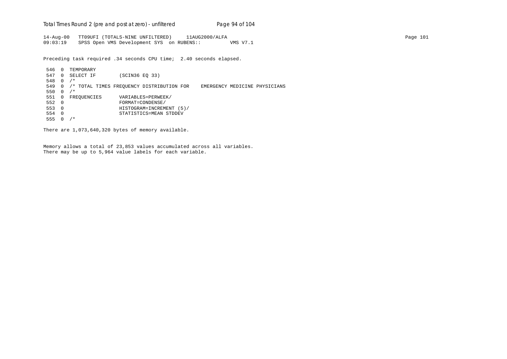Total Times Round 2 (pre and post at zero) - un*filtered* Page 94 of 104

14-Aug-00 TT09UFI (TOTALS-NINE UNFILTERED) 11AUG2000/ALFA Page 101 09:03:19 SPSS Open VMS Development SYS on RUBENS:: VMS V7.1

Preceding task required .34 seconds CPU time; 2.40 seconds elapsed.

 546 0 TEMPORARY 547 0 SELECT IF (SCIN36 EQ 33) 548 0 /\* 549 0 /\* TOTAL TIMES FREQUENCY DISTRIBUTION FOR EMERGENCY MEDICINE PHYSICIANS 550 0 /\* 551 0 FREQUENCIES VARIABLES=PERWEEK/<br>552 0 FORMAT=CONDENSE/ 552 0 FORMAT=CONDENSE/ 553 0 HISTOGRAM=INCREMENT (5)/ 554 0 STATISTICS=MEAN STDDEV 555 0 /\*

There are 1,073,640,320 bytes of memory available.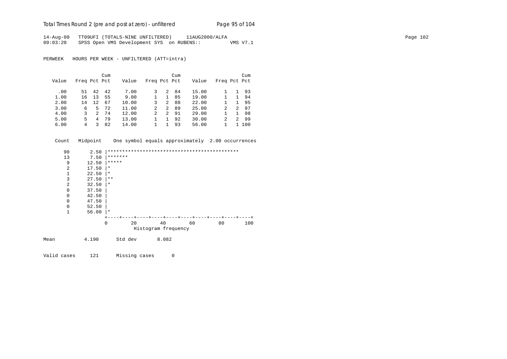Total Times Round 2 (pre and post at zero) - unfiltered Page 95 of 104

14-Aug-00 TT09UFI (TOTALS-NINE UNFILTERED) 11AUG2000/ALFA Page 102 09:03:20 SPSS Open VMS Development SYS on RUBENS:: VMS V7.1

PERWEEK HOURS PER WEEK - UNFILTERED (ATT=intra)

|       |              |               | Cum |       |              |    | Cum |       |              |   | Cum |
|-------|--------------|---------------|-----|-------|--------------|----|-----|-------|--------------|---|-----|
| Value | Freq Pct Pct |               |     | Value | Freq Pct Pct |    |     | Value | Freq Pct Pct |   |     |
| .00   | 51           | 42            | 42  | 7.00  |              | 2  | 84  | 15.00 |              |   | 93  |
| 1.00  | 16           | 13            | 55  | 9.00  |              |    | 85  | 19.00 |              |   | 94  |
| 2.00  | 14           | 12            | 67  | 10.00 | 3            | 2  | 88  | 22.00 |              |   | 95  |
| 3.00  | 6            | 5.            | 72  | 11.00 | 2            | 2  | 89  | 25.00 | 2            | 2 | 97  |
| 4.00  | 3            | $\mathcal{L}$ | 74  | 12.00 | 2            | 2. | 91  | 29.00 |              |   | 98  |
| 5.00  | 5.           | 4             | 79  | 13.00 |              |    | 92  | 30.00 | 2            | 2 | -99 |
| 6.00  | 4            |               | 82  | 14.00 |              |    | 93  | 56.00 |              |   | 100 |

Count Midpoint One symbol equals approximately 2.00 occurrences

| 90             | 2.50  |          |                     |                  |        |     |
|----------------|-------|----------|---------------------|------------------|--------|-----|
| 13             | 7.50  | *******  |                     |                  |        |     |
| 9              | 12.50 | *****    |                     |                  |        |     |
| $\overline{2}$ | 17.50 | $^\star$ |                     |                  |        |     |
| 1              | 22.50 | $^\star$ |                     |                  |        |     |
| 3              | 27.50 | $***$    |                     |                  |        |     |
| $\overline{a}$ | 32.50 | $\ast$   |                     |                  |        |     |
| $\mathbf 0$    | 37.50 |          |                     |                  |        |     |
| $\mathbf 0$    | 42.50 |          |                     |                  |        |     |
| $\mathbf 0$    | 47.50 |          |                     |                  |        |     |
| $\mathbf 0$    | 52.50 |          |                     |                  |        |     |
| 1              | 56.00 | ∗        |                     |                  |        |     |
|                |       |          | -+-<br>$+ -$        | $- + - -$<br>- + | $^{+}$ |     |
|                | 0     | 20       | 40                  | 60               | 80     | 100 |
|                |       |          | Histogram frequency |                  |        |     |
| Mean           | 4.190 | Std dev  | 8.082               |                  |        |     |

Valid cases 121 Missing cases 0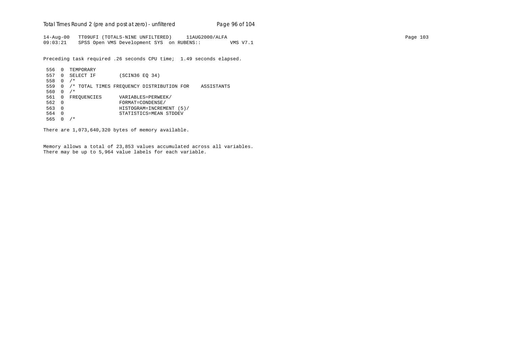Total Times Round 2 (pre and post at zero) - un*filtered* Page 96 of 104

14-Aug-00 TT09UFI (TOTALS-NINE UNFILTERED) 11AUG2000/ALFA Page 103 09:03:21 SPSS Open VMS Development SYS on RUBENS:: VMS V7.1

Preceding task required .26 seconds CPU time; 1.49 seconds elapsed.

```
 556 0 TEMPORARY
 557 0 SELECT IF (SCIN36 EQ 34)
 558 0 /*
 559 0 /* TOTAL TIMES FREQUENCY DISTRIBUTION FOR ASSISTANTS
 560 0 /*
561 0 FREQUENCIES VARIABLES=PERWEEK/<br>562 0 FORMAT=CONDENSE/
 562 0 FORMAT=CONDENSE/
 563 0 HISTOGRAM=INCREMENT (5)/
 564 0 STATISTICS=MEAN STDDEV
 565 0 /*
```
There are 1,073,640,320 bytes of memory available.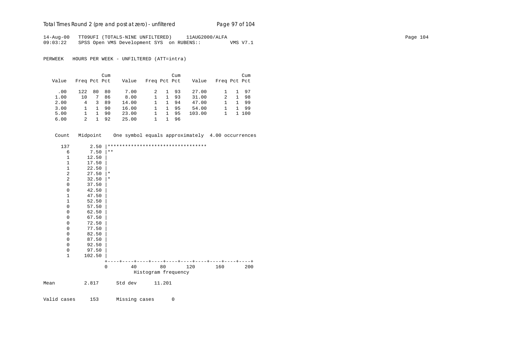Total Times Round 2 (pre and post at zero) - unfiltered Page 97 of 104

14-Aug-00 TT09UFI (TOTALS-NINE UNFILTERED) 11AUG2000/ALFA Page 104 09:03:22 SPSS Open VMS Development SYS on RUBENS:: VMS V7.1

PERWEEK HOURS PER WEEK - UNFILTERED (ATT=intra)

|       |              |    | Cum |       |              |              | Cum |        |              |              | Cum |
|-------|--------------|----|-----|-------|--------------|--------------|-----|--------|--------------|--------------|-----|
| Value | Freq Pct Pct |    |     | Value | Freq Pct Pct |              |     | Value  | Freq Pct Pct |              |     |
| .00   | 122          | 80 | 80  | 7.00  |              |              | 93  | 27.00  |              | 1.           | 97  |
| 1.00  | 10           |    | 86  | 8.00  |              | $\mathbf{1}$ | 93  | 31.00  | 2            | $\mathbf{1}$ | -98 |
| 2.00  | 4            | 3  | 89  | 14.00 |              | $\mathbf{1}$ | 94  | 47.00  |              |              | -99 |
| 3.00  |              |    | 90  | 16.00 |              |              | 95  | 54.00  |              |              | -99 |
| 5.00  |              |    | 90  | 23.00 |              |              | 95  | 103.00 |              | 1.           | 100 |
| 6.00  | 2            |    | 92  | 25.00 |              |              | 96  |        |              |              |     |

Count Midpoint One symbol equals approximately 4.00 occurrences

|      | 137            | 2.50   |         |         | ********************************** |     |     |     |
|------|----------------|--------|---------|---------|------------------------------------|-----|-----|-----|
|      | 6              | 7.50   | $* *$   |         |                                    |     |     |     |
|      | $\mathbf 1$    | 12.50  |         |         |                                    |     |     |     |
|      | $1\,$          | 17.50  |         |         |                                    |     |     |     |
|      | $\mathbf 1$    | 22.50  |         |         |                                    |     |     |     |
|      | $\overline{2}$ | 27.50  | $\star$ |         |                                    |     |     |     |
|      | 2              | 32.50  | $\star$ |         |                                    |     |     |     |
|      | $\mathbf 0$    | 37.50  |         |         |                                    |     |     |     |
|      | 0              | 42.50  |         |         |                                    |     |     |     |
|      | $\mathbf 1$    | 47.50  |         |         |                                    |     |     |     |
|      | $\mathbf 1$    | 52.50  |         |         |                                    |     |     |     |
|      | $\mathbf 0$    | 57.50  |         |         |                                    |     |     |     |
|      | 0              | 62.50  |         |         |                                    |     |     |     |
|      | 0              | 67.50  |         |         |                                    |     |     |     |
|      | $\mathbf 0$    | 72.50  |         |         |                                    |     |     |     |
|      | 0              | 77.50  |         |         |                                    |     |     |     |
|      | 0              | 82.50  |         |         |                                    |     |     |     |
|      | 0              | 87.50  |         |         |                                    |     |     |     |
|      | 0              | 92.50  |         |         |                                    |     |     |     |
|      | $\mathbf 0$    | 97.50  |         |         |                                    |     |     |     |
|      | $1\,$          | 102.50 |         |         |                                    |     |     |     |
|      |                |        |         |         |                                    |     |     |     |
|      |                |        | 0       | 40      | 80                                 | 120 | 160 | 200 |
|      |                |        |         |         | Histogram frequency                |     |     |     |
| Mean |                | 2.817  |         | Std dev | 11.201                             |     |     |     |
|      |                |        |         |         |                                    |     |     |     |
|      |                |        |         |         |                                    |     |     |     |

Valid cases 153 Missing cases 0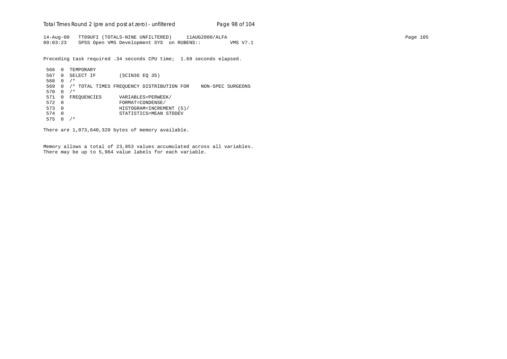Total Times Round 2 (pre and post at zero) - un*filtered* Page 98 of 104

14-Aug-00 TT09UFI (TOTALS-NINE UNFILTERED) 11AUG2000/ALFA Page 105 09:03:23 SPSS Open VMS Development SYS on RUBENS:: VMS V7.1

Preceding task required .34 seconds CPU time; 1.69 seconds elapsed.

 566 0 TEMPORARY 567 0 SELECT IF (SCIN36 EQ 35) 568 0 /\* 569 0 /\* TOTAL TIMES FREQUENCY DISTRIBUTION FOR NON-SPEC SURGEONS 570 0 /\* 571 0 FREQUENCIES VARIABLES=PERWEEK/<br>572 0 FORMAT=CONDENSE/ 572 0 FORMAT=CONDENSE/ 573 0 HISTOGRAM=INCREMENT (5)/ 574 0 STATISTICS=MEAN STDDEV 575 0 /\*

There are 1,073,640,320 bytes of memory available.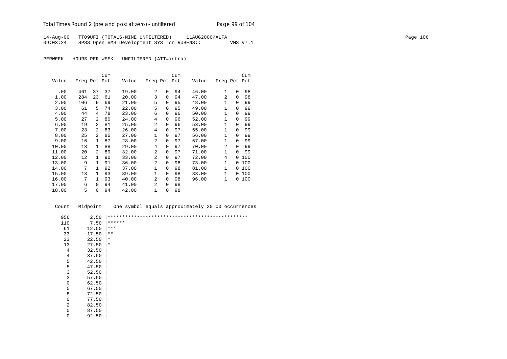# Total Times Round 2 (pre and post at zero) - unfiltered Page 99 of 104

14-Aug-00 TT09UFI (TOTALS-NINE UNFILTERED) 11AUG2000/ALFA Page 106 09:03:24 SPSS Open VMS Development SYS on RUBENS:: VMS V7.1

PERWEEK HOURS PER WEEK - UNFILTERED (ATT=intra)

|       |              |                | Cum |       |                |          | Cum |       |                |              | Cum |
|-------|--------------|----------------|-----|-------|----------------|----------|-----|-------|----------------|--------------|-----|
| Value | Freq Pct Pct |                |     | Value | Freq Pct Pct   |          |     | Value | Freq Pct Pct   |              |     |
| .00   | 461          | 37             | 37  | 19.00 | $\overline{a}$ | 0        | 94  | 46.00 | $\mathbf{1}$   | $\Omega$     | 98  |
| 1.00  | 284          | 23             | 61  | 20.00 | 3              | $\Omega$ | 94  | 47.00 | $\overline{a}$ | $\Omega$     | 98  |
| 2.00  | 106          | 9              | 69  | 21.00 | 5              | 0        | 95  | 48.00 | 1              | $\Omega$     | 99  |
| 3.00  | 61           | 5              | 74  | 22.00 | 5              | 0        | 95  | 49.00 | 1              | $\Omega$     | 99  |
| 4.00  | 44           | 4              | 78  | 23.00 | 6              | 0        | 96  | 50.00 | 1              | $\Omega$     | 99  |
| 5.00  | 27           | $\overline{a}$ | 80  | 24.00 | 4              | 0        | 96  | 52.00 | $\mathbf{1}$   | $\Omega$     | 99  |
| 6.00  | 19           | $\overline{a}$ | 81  | 25.00 | 2              | 0        | 96  | 53.00 | 1              | $\Omega$     | 99  |
| 7.00  | 23           | 2              | 83  | 26.00 | 4              | 0        | 97  | 55.00 | 1              | $\Omega$     | 99  |
| 8.00  | 25           | $\overline{a}$ | 85  | 27.00 | 1              | 0        | 97  | 56.00 | $\mathbf{1}$   | $\Omega$     | 99  |
| 9.00  | 16           | 1              | 87  | 28.00 | 2              | 0        | 97  | 57.00 | 1              | $\Omega$     | 99  |
| 10.00 | 13           | $\mathbf{1}$   | 88  | 29.00 | 4              | 0        | 97  | 70.00 | 2              | $\Omega$     | 99  |
| 11.00 | 20           | $\overline{a}$ | 89  | 32.00 | 2              | 0        | 97  | 71.00 | 1              | $\Omega$     | 99  |
| 12.00 | 12           | 1              | 90  | 33.00 | 2              | 0        | 97  | 72.00 | 4              | 0            | 100 |
| 13.00 | 9            | 1              | 91  | 36.00 | 2              | 0        | 98  | 73.00 | 1              | 0            | 100 |
| 14.00 | 7            | $\mathbf{1}$   | 92  | 37.00 | $\mathbf 1$    | 0        | 98  | 81.00 | 1              | 0            | 100 |
| 15.00 | 13           | $\mathbf{1}$   | 93  | 39.00 | $\mathbf 1$    | 0        | 98  | 83.00 | $\mathbf{1}$   | <sup>0</sup> | 100 |
| 16.00 | 7            | $\mathbf{1}$   | 93  | 40.00 | 2              | 0        | 98  | 96.00 | 1              | 0            | 100 |
| 17.00 | 6            | $\Omega$       | 94  | 41.00 | 2              | 0        | 98  |       |                |              |     |
| 18.00 | 5            | $\Omega$       | 94  | 42.00 | 1              | 0        | 98  |       |                |              |     |

| Count          | Midpoint | One symbol equals approximately 20.00 occurrences |
|----------------|----------|---------------------------------------------------|
| 956            | 2.50     |                                                   |
| 110            | 7.50     | ******                                            |
| 61             | 12.50    | ***                                               |
| 33             | 17.50    | $* *$                                             |
| 23             | 22.50    | $\star$                                           |
| 13             | 27.50    | $\star$                                           |
| 4              | 32.50    |                                                   |
| $\overline{4}$ | 37.50    |                                                   |
| 5              | 42.50    |                                                   |
| 5              | 47.50    |                                                   |
| 3              | 52.50    |                                                   |
| 3              | 57.50    |                                                   |
| 0              | 62.50    |                                                   |
| $\mathbf 0$    | 67.50    |                                                   |
| 8              | 72.50    |                                                   |
| $\mathbf 0$    | 77.50    |                                                   |
| $\overline{a}$ | 82.50    |                                                   |
| 0              | 87.50    |                                                   |

 $0 \t 92.50$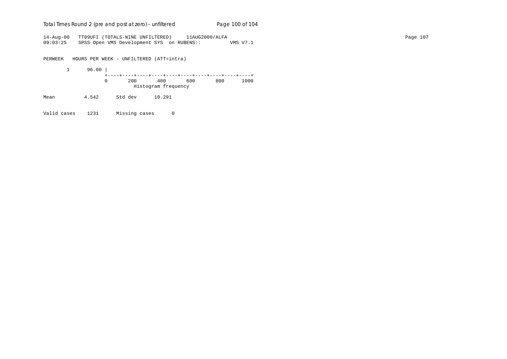# Total Times Round 2 (pre and post at zero) - un*filtered* Page 100 of 104

14-Aug-00 TT09UFI (TOTALS-NINE UNFILTERED) 11AUG2000/ALFA Page 107 09:03:25 SPSS Open VMS Development SYS on RUBENS:: VMS V7.1

PERWEEK HOURS PER WEEK - UNFILTERED (ATT=intra)

 1 96.00 | +----+----+----+----+----+----+----+----+----+----+ 0 200 400 600 800 1000 Histogram frequency

Mean 4.542 Std dev 10.291

Valid cases 1231 Missing cases 0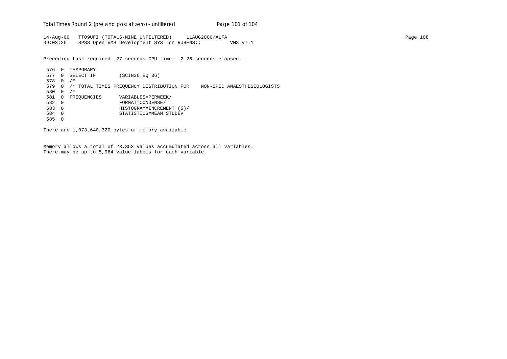Total Times Round 2 (pre and post at zero) - un*filtered* Page 101 of 104

14-Aug-00 TT09UFI (TOTALS-NINE UNFILTERED) 11AUG2000/ALFA Page 108 09:03:25 SPSS Open VMS Development SYS on RUBENS:: VMS V7.1

Preceding task required .27 seconds CPU time; 2.26 seconds elapsed.

 576 0 TEMPORARY 577 0 SELECT IF (SCIN36 EQ 36) 578 0 /\* 579 0 /\* TOTAL TIMES FREQUENCY DISTRIBUTION FOR NON-SPEC ANAESTHESIOLOGISTS 580 0 /\* 581 0 FREQUENCIES VARIABLES=PERWEEK/<br>582 0 FORMAT=CONDENSE/ 582 0 FORMAT=CONDENSE/ 583 0 HISTOGRAM=INCREMENT (5)/ 584 0 STATISTICS=MEAN STDDEV 585 0

There are 1,073,640,320 bytes of memory available.

Memory allows a total of 23,853 values accumulated across all variables. There may be up to 5,964 value labels for each variable.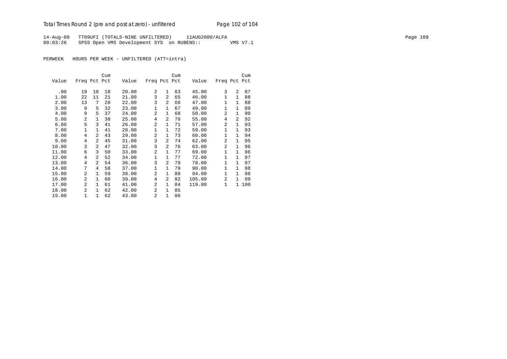14-Aug-00 TT09UFI (TOTALS-NINE UNFILTERED) 11AUG2000/ALFA Page 109 09:03:26 SPSS Open VMS Development SYS on RUBENS:: VMS V7.1

PERWEEK HOURS PER WEEK - UNFILTERED (ATT=intra)

|       |                |                | Cum |       |                |                | Cum |        |              |              | Cum |
|-------|----------------|----------------|-----|-------|----------------|----------------|-----|--------|--------------|--------------|-----|
| Value | Freq Pct Pct   |                |     | Value | Freq Pct Pct   |                |     | Value  | Freq Pct Pct |              |     |
| .00   | 19             | 10             | 10  | 20.00 | 2              | $\mathbf{1}$   | 63  | 45.00  | 3            | 2            | 87  |
| 1.00  | 22             | 11             | 21  | 21.00 | 3              | $\overline{2}$ | 65  | 46.00  | $\mathbf{1}$ | $\mathbf{1}$ | 88  |
| 2.00  | 13             | 7              | 28  | 22.00 | 3              | 2              | 66  | 47.00  | 1            | 1            | 88  |
| 3.00  | 9              | 5              | 32  | 23.00 | $\mathbf 1$    | 1              | 67  | 49.00  | 1            | $\mathbf{1}$ | 89  |
| 4.00  | 9              | 5              | 37  | 24.00 | $\overline{a}$ | $\mathbf{1}$   | 68  | 50.00  | 2            | $\mathbf{1}$ | 90  |
| 5.00  | $\overline{a}$ | $\mathbf{1}$   | 38  | 25.00 | 4              | $\overline{2}$ | 70  | 55.00  | 4            | 2            | 92  |
| 6.00  | 5              | 3              | 41  | 26.00 | $\overline{a}$ | 1              | 71  | 57.00  | 2            | 1            | 93  |
| 7.00  | 1              | $\mathbf{1}$   | 41  | 28.00 | $\mathbf 1$    | $\mathbf{1}$   | 72  | 59.00  | 1            | $\mathbf{1}$ | 93  |
| 8.00  | $\overline{4}$ | $\overline{a}$ | 43  | 29.00 | $\overline{a}$ | 1              | 73  | 60.00  | $\mathbf{1}$ | $\mathbf{1}$ | 94  |
| 9.00  | 4              | $\overline{a}$ | 45  | 31.00 | 3              | 2              | 74  | 62.00  | 2            | 1            | 95  |
| 10.00 | 3              | 2              | 47  | 32.00 | 3              | 2              | 76  | 63.00  | 2            | 1            | 96  |
| 11.00 | 6              | 3              | 50  | 33.00 | $\overline{a}$ | 1              | 77  | 69.00  | $\mathbf{1}$ | $\mathbf{1}$ | 96  |
| 12.00 | 4              | $\overline{a}$ | 52  | 34.00 | $\mathbf 1$    | 1              | 77  | 72.00  | 1            | $\mathbf{1}$ | 97  |
| 13.00 | 4              | $\overline{a}$ | 54  | 36.00 | 3              | 2              | 79  | 78.00  | 1            | $\mathbf{1}$ | 97  |
| 14.00 | 7              | 4              | 58  | 37.00 | $\mathbf 1$    | 1              | 79  | 90.00  | $\mathbf{1}$ | $\mathbf{1}$ | 98  |
| 15.00 | $\overline{a}$ | $\mathbf{1}$   | 59  | 38.00 | $\overline{a}$ | $\mathbf{1}$   | 80  | 94.00  | 1            | $\mathbf{1}$ | 98  |
| 16.00 | $\overline{a}$ | $\mathbf{1}$   | 60  | 39.00 | $\overline{4}$ | 2              | 82  | 105.00 | 2            | $\mathbf{1}$ | 99  |
| 17.00 | 2              | $\mathbf{1}$   | 61  | 41.00 | 2              | 1              | 84  | 119.00 | $\mathbf{1}$ | $\mathbf{1}$ | 100 |
| 18.00 | $\mathfrak{D}$ | $\mathbf{1}$   | 62  | 42.00 | $\overline{a}$ | 1              | 85  |        |              |              |     |
| 19.00 | $\mathbf{1}$   | $\mathbf{1}$   | 62  | 43.00 | 2              | $\mathbf{1}$   | 86  |        |              |              |     |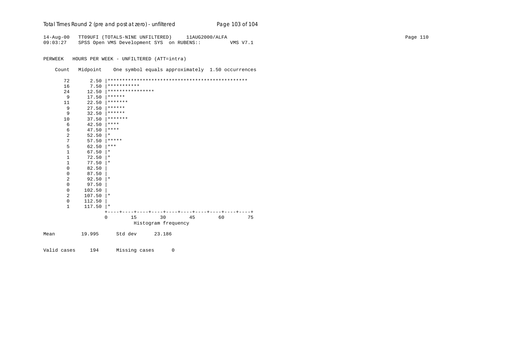| Total Times Round 2 (pre and post at zero) - unfiltered | Page 103 of 104 |
|---------------------------------------------------------|-----------------|
|                                                         |                 |

|          | 14-Aug-00 TT09UFI (TOTALS-NINE UNFILTERED) | 11AUG2000/ALFA |          | Page 110 |
|----------|--------------------------------------------|----------------|----------|----------|
| 09:03:27 | SPSS Open VMS Development SYS on RUBENS::  |                | VMS V7.1 |          |

PERWEEK HOURS PER WEEK - UNFILTERED (ATT=intra)

Count Midpoint One symbol equals approximately 1.50 occurrences

| 72             | 2.50   |                  |                     |    |    |    |  |  |
|----------------|--------|------------------|---------------------|----|----|----|--|--|
| 16             | 7.50   | ***********      |                     |    |    |    |  |  |
| 24             | 12.50  | **************** |                     |    |    |    |  |  |
| 9              | 17.50  | ******           |                     |    |    |    |  |  |
| 11             | 22.50  | *******          |                     |    |    |    |  |  |
| 9              | 27.50  | ******           |                     |    |    |    |  |  |
| 9              | 32.50  | ******           |                     |    |    |    |  |  |
| 10             | 37.50  | *******          |                     |    |    |    |  |  |
| 6              | 42.50  | ****             |                     |    |    |    |  |  |
| 6              | 47.50  | ****             |                     |    |    |    |  |  |
| $\overline{a}$ | 52.50  | $\ast$           |                     |    |    |    |  |  |
| 7              | 57.50  | *****            |                     |    |    |    |  |  |
| 5              | 62.50  | ***              |                     |    |    |    |  |  |
| $\mathbf{1}$   | 67.50  | $^\star$         |                     |    |    |    |  |  |
| $\mathbf{1}$   | 72.50  | $^\star$         |                     |    |    |    |  |  |
| $\mathbf{1}$   | 77.50  | $\star$          |                     |    |    |    |  |  |
| $\mathsf 0$    | 82.50  |                  |                     |    |    |    |  |  |
| $\mathbf 0$    | 87.50  |                  |                     |    |    |    |  |  |
| $\overline{a}$ | 92.50  | $\star$          |                     |    |    |    |  |  |
| $\mathbf{0}$   | 97.50  |                  |                     |    |    |    |  |  |
| $\mathbf{0}$   | 102.50 |                  |                     |    |    |    |  |  |
| 2              | 107.50 | $\star$          |                     |    |    |    |  |  |
| $\mathbf{0}$   | 112.50 |                  |                     |    |    |    |  |  |
| $\mathbf{1}$   | 117.50 | $\star$          |                     |    |    |    |  |  |
|                |        |                  |                     |    |    |    |  |  |
|                |        | 15<br>$\Omega$   | 30                  | 45 | 60 | 75 |  |  |
|                |        |                  | Histogram frequency |    |    |    |  |  |
| Mean           | 19.995 | Std dev          | 23.186              |    |    |    |  |  |

Valid cases 194 Missing cases 0